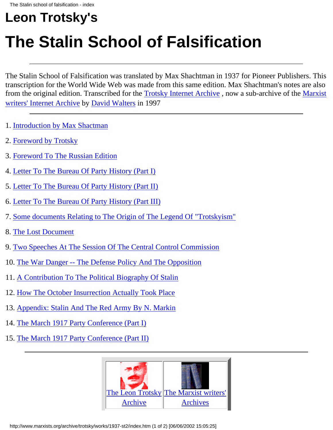## <span id="page-0-0"></span>**Leon Trotsky's**

# **The Stalin School of Falsification**

The Stalin School of Falsification was translated by Max Shachtman in 1937 for Pioneer Publishers. This transcription for the World Wide Web was made from this same edition. Max Shachtman's notes are also from the original edition. Transcribed for the [Trotsky Internet Archive](#page-2-0) , now a sub-archive of the [Marxist](#page-6-0) [writers' Internet Archive](#page-6-0) by [David Walters](mailto:tia@marxists.org) in 1997

- 1. [Introduction by Max Shactman](#page-12-0)
- 2. [Foreword by Trotsky](#page-23-0)
- 3. [Foreword To The Russian Edition](#page-27-0)
- 4. [Letter To The Bureau Of Party History \(Part I\)](#page-31-0)
- 5. [Letter To The Bureau Of Party History \(Part II\)](#page-47-0)
- 6. [Letter To The Bureau Of Party History \(Part III\)](#page-67-0)
- 7. [Some documents Relating to The Origin of The Legend Of "Trotskyism"](#page-91-0)
- 8. [The Lost Document](#page-99-0)
- 9. [Two Speeches At The Session Of The Central Control Commission](#page-112-0)
- 10. [The War Danger -- The Defense Policy And The Opposition](#page-133-0)
- 11. [A Contribution To The Political Biography Of Stalin](#page-143-0)
- 12. [How The October Insurrection Actually Took Place](#page-155-0)
- 13. [Appendix: Stalin And The Red Army By N. Markin](#page-158-0)
- 14. [The March 1917 Party Conference \(Part I\)](#page-172-0)
- 15. [The March 1917 Party Conference \(Part II\)](#page-197-0)

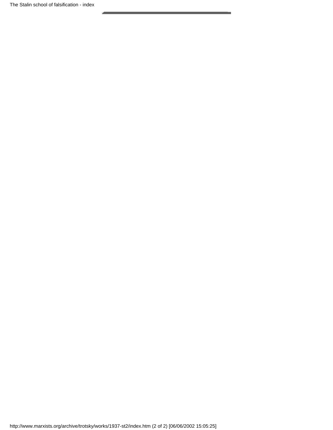The Stalin school of falsification - index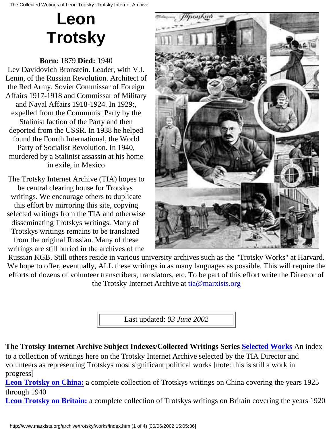# <span id="page-2-0"></span>**Leon Trotsky**

**Born:** 1879 **Died:** 1940 Lev Davidovich Bronstein. Leader, with V.I. Lenin, of the Russian Revolution. Architect of the Red Army. Soviet Commissar of Foreign Affairs 1917-1918 and Commissar of Military and Naval Affairs 1918-1924. In 1929:, expelled from the Communist Party by the Stalinist faction of the Party and then deported from the USSR. In 1938 he helped found the Fourth International, the World Party of Socialist Revolution. In 1940, murdered by a Stalinist assassin at his home in exile, in Mexico

The Trotsky Internet Archive (TIA) hopes to be central clearing house for Trotsky s writings. We encourage others to duplicate this effort by mirroring this site, copying selected writings from the TIA and otherwise disseminating Trotskys writings. Many of Trotskys writings remains to be translated from the original Russian. Many of these writings are still buried in the archives of the



Russian KGB. Still others reside in various university archives such as the "Trotsky Works" at Harvard. We hope to offer, eventually, ALL these writings in as many languages as possible. This will require the efforts of dozens of volunteer transcribers, translators, etc. To be part of this effort write the Director of the Trotsky Internet Archive at [tia@marxists.org](mailto:tia@marxists.org)

Last updated: *03 June 2002*

**The Trotsky Internet Archive Subject Indexes/Collected Writings Series [Selected Works](http://www.marxists.org/archive/trotsky/works/sw.htm)** An index to a collection of writings here on the Trotsky Internet Archive selected by the TIA Director and volunteers as representing Trotskys most significant political works [note: this is still a work in progress]

[Leon Trotsky on China:](http://www.marxists.org/archive/trotsky/works/china/index.htm) a complete collection of Trotsky s writings on China covering the years 1925 through 1940

[Leon Trotsky on Britain:](http://www.marxists.org/archive/trotsky/works/britain/index.htm) a complete collection of Trotsky s writings on Britain covering the years 1920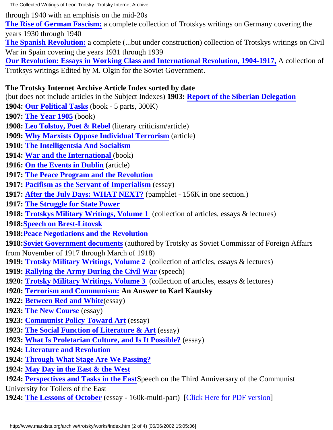The Collected Writings of Leon Trotsky: Trotsky Internet Archive

through 1940 with an emphisis on the mid-20s

**[The Rise of German Fascism:](http://www.marxists.org/archive/trotsky/works/1930-ger/index.htm)** a complete collection of Trotsky s writings on Germany covering the years 1930 through 1940

**[The Spanish Revolution:](http://www.marxists.org/archive/trotsky/works/spain/1938-sp01.htm)** a complete (...but under construction) collection of Trotsky s writings on Civil War in Spain covering the years 1931 through 1939

**[Our Revolution: Essays in Working Class and International Revolution, 1904-1917,](http://www.marxists.org/archive/trotsky/works/1918/ourrevo/index.htm)** A collection of Trotksys writings Edited by M. Olgin for the Soviet Government.

### **The Trotsky Internet Archive Article Index sorted by date**

(but does not include articles in the Subject Indexes) **1903: [Report of the Siberian Delegation](http://www.marxists.org/archive/trotsky/works/1903/siberian.htm) 1904: [Our Political Tasks](http://www.marxists.org/archive/trotsky/works/1904/1904-pt/index.htm)** (book - 5 parts, 300K) **1907: [The Year 1905](http://www.marxists.org/archive/trotsky/works/1905/index.htm)** (book) **1908: [Leo Tolstoy, Poet & Rebel](http://www.marxists.org/archive/trotsky/works/1908/tolstoy.htm)** (literary criticism/article) **1909: [Why Marxists Oppose Individual Terrorism](http://www.marxists.org/archive/trotsky/works/1909/tia09.htm)** (article) **1910: [The Intelligentsia And Socialism](http://www.marxists.org/archive/trotsky/works/1910/intell.htm) 1914: [War and the International](http://www.marxists.org/archive/trotsky/works/1914-war/index.htm)** (book) **1916: [On the Events in Dublin](http://www.marxists.org/archive/trotsky/works/1916/dublin.htm)** (article) **1917: [The Peace Program and the Revolution](http://www.marxists.org/archive/trotsky/works/1917/peace.htm) 1917: [Pacifism as the Servant of Imperialism](http://www.marxists.org/archive/trotsky/works/1917/pacifism.htm)** (essay) **1917: [After the July Days: WHAT NEXT?](http://www.marxists.org/archive/trotsky/works/1917/julydays.htm)** (pamphlet - 156K in one section.) **1917: [The Struggle for State Power](http://www.marxists.org/archive/trotsky/works/1917/state.htm) 1918: [Trotskys Military Writings, Volume 1](http://www.marxists.org/archive/trotsky/works/1918-mil/index.htm)** (collection of articles, essays & lectures) **1918:[Speech on Brest-Litovsk](http://www.marxists.org/archive/trotsky/works/1918/brestlitovsk.htm) 1918:[Peace Negotiations and the Revolution](http://www.marxists.org/archive/trotsky/works/1918/peace.htm) 1918:[Soviet Government documents](http://www.marxists.org/archive/trotsky/works/1918/gov.htm)** (authored by Trotsky as Soviet Commissar of Foreign Affairs from November of 1917 through March of 1918) **1919: [Trotsky Military Writings, Volume 2](http://www.marxists.org/archive/trotsky/works/1919-mil/index.htm)** (collection of articles, essays & lectures) **1919: [Rallying the Army During the Civil War](http://www.marxists.org/archive/trotsky/works/1919/army.htm)** (speech) **1920: [Trotsky Military Writings, Volume 3](http://www.marxists.org/archive/trotsky/works/1920-mil/index.htm)** (collection of articles, essays & lectures) **1920: [Terrorism and Communism:](http://www.marxists.org/archive/trotsky/works/1920/dictatorvs/index.htm) An Answer to Karl Kautsky 1922: [Between Red and White](http://www.marxists.org/archive/trotsky/works/1922-rw/index.htm)**(essay) **1923: [The New Course](http://www.marxists.org/archive/trotsky/works/1923-nc/index.htm)** (essay) **1923: [Communist Policy Toward Art](http://www.marxists.org/archive/trotsky/works/1923/tia23.htm)** (essay) **1923: [The Social Function of Literature & Art](http://www.marxists.org/archive/trotsky/works/1923/tia23b.htm)** (essay) **1923: [What Is Proletarian Culture, and Is It Possible?](http://www.marxists.org/archive/trotsky/works/1923/tia23c.htm)** (essay) **1924: [Literature and Revolution](http://www.marxists.org/archive/trotsky/works/1924/lit_revo/index.htm) 1924: [Through What Stage Are We Passing?](http://www.marxists.org/archive/trotsky/works/1924/stage.htm) 1924: [May Day in the East & the West](http://www.marxists.org/archive/trotsky/works/1924/mayday.htm) 1924: [Perspectives and Tasks in the East](http://www.marxists.org/archive/trotsky/works/1924/perspectives.htm)**Speech on the Third Anniversary of the Communist

University for Toilers of the East

**1924: [The Lessons of October](http://www.marxists.org/archive/trotsky/works/1924/1924-les.htm)** (essay - 160k-multi-part) [\[Click Here for PDF version](http://www.marxists.org/archive/trotsky/works/1924/1924-les.pdf)]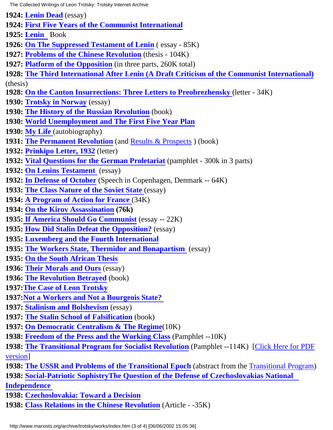The Collected Writings of Leon Trotsky: Trotsky Internet Archive

- **1924: [Lenin Dead](http://www.marxists.org/archive/trotsky/works/1924/1924-len.htm)** (essay)
- **1924: [First Five Years of the Communist International](http://www.marxists.org/archive/trotsky/works/1924/1924-5years/index.htm)**
- **1925: [Lenin](http://www.marxists.org/archive/trotsky/works/1925/lenin/index.htm)** Book
- **1926: [On The Suppressed Testament of Lenin](http://www.marxists.org/archive/trotsky/works/1926/1926-len.htm)** ( essay 85K)
- **1927: [Problems of the Chinese Revolution](http://www.marxists.org/archive/trotsky/works/1927/1927-chi.htm)** (thesis 104K)
- **1927: [Platform of the Opposition](http://www.marxists.org/archive/trotsky/works/1927/opposition/index.htm)** (in three parts, 260K total)
- **1928: [The Third International After Lenin \(A Draft Criticism of the Communist International\)](http://www.marxists.org/archive/trotsky/works/1928-3rd/index.htm)** (thesis)
- **1928: [On the Canton Insurrections: Three Letters to Preobrezhensky](http://www.marxists.org/archive/trotsky/works/1928/1928-chi.htm)** (letter 34K)
- **1930: [Trotsky in Norway](http://www.marxists.org/archive/trotsky/works/1930/1930-nor.htm)** (essay)
- **1930: [The History of the Russian Revolution](http://www.marxists.org/archive/trotsky/works/1930-hrr/index.htm)** (book)
- **1930: [World Unemployment and The First Five Year Plan](http://www.marxists.org/archive/trotsky/works/1930/unemployment/index.htm)**
- **1930: [My Life](http://www.marxists.org/archive/trotsky/works/1930-lif/index.htm)** (autobiography)
- 1931: [The Permanent Revolution](http://www.marxists.org/archive/trotsky/works/1931-tpv/index.htm) (and [Results & Prospects](http://www.marxists.org/archive/trotsky/works/1931-tpv/index.htm) ) (book)
- **1932: [Prinkipo Letter, 1932](http://www.marxists.org/archive/trotsky/works/1932/1932-pk.htm)** (letter)
- **1932: [Vital Questions for the German Proletariat](http://www.marxists.org/archive/trotsky/works/1932-ger/index.htm)** (pamphlet 300k in 3 parts)
- **1932: On Lenin s Testament** (essay)
- **1932: [In Defense of October](http://www.marxists.org/archive/trotsky/works/1932/1932-oct.htm)** (Speech in Copenhagen, Denmark -- 64K)
- **1933: [The Class Nature of the Soviet State](http://www.marxists.org/archive/trotsky/works/1933/sovstate.htm)** (essay)
- **1934: [A Program of Action for France](http://www.marxists.org/archive/trotsky/works/1934/paf.htm)** (34K)
- **1934: [On the Kirov Assassination](http://www.marxists.org/archive/trotsky/works/1934/kirov.htm) (76k)**
- **1935: [If America Should Go Communist](http://www.marxists.org/archive/trotsky/works/1935/1935-ame.htm)** (essay -- 22K)
- **1935: [How Did Stalin Defeat the Opposition?](http://www.marxists.org/archive/trotsky/works/1935/1935-sta.htm)** (essay)
- **1935: [Luxemberg and the Fourth International](http://www.marxists.org/archive/trotsky/works/1935/1935-lux.htm)**
- **1935: [The Workers State, Thermidor and Bonapartism](http://www.marxists.org/archive/trotsky/works/1935/1935-bon.htm)** (essay)
- **1935: [On the South African Thesis](http://www.marxists.org/archive/trotsky/works/1935/1935-sa.htm)**
- **1936: [Their Morals and Ours](http://www.marxists.org/archive/trotsky/works/1936/1936-mor.htm)** (essay)
- **1936: [The Revolution Betrayed](http://www.marxists.org/archive/trotsky/works/1936-rev/index.htm)** (book)
- **1937:[The Case of Leon Trotsky](http://www.marxists.org/archive/trotsky/works/1937/dewey/index.htm)**
- **1937:[Not a Workers and Not a Bourgeois State?](http://www.marxists.org/archive/trotsky/works/1937/1937-ws.htm)**
- **1937: [Stalinism and Bolshevism](http://www.marxists.org/archive/trotsky/works/1937/1937-sta.htm)** (essay)
- **1937: [The Stalin School of Falsification](#page-0-0)** (book)
- **1937: [On Democratic Centralism & The Regime](http://www.marxists.org/archive/trotsky/works/1937/1937-dc.htm)**(10K)
- **1938: [Freedom of the Press and the Working Class](http://www.marxists.org/archive/trotsky/works/1938/1938-pre.htm)** (Pamphlet --10K)
- **1938: [The Transitional Program for Socialist Revolution](http://www.marxists.org/archive/trotsky/works/1938-tp/index.htm)** (Pamphlet --114K) [[Click Here for PDF](http://www.marxists.org/archive/trotsky/works/1938-tp/transprogram.pdf) [version](http://www.marxists.org/archive/trotsky/works/1938-tp/transprogram.pdf)]
- **1938: [The USSR and Problems of the Transitional Epoch](http://www.marxists.org/archive/trotsky/works/1938/tia38.htm)** (abstract from the [Transitional Program](http://www.marxists.org/archive/trotsky/works/1938-tp/index.htm)) **1938: [Social-Patriotic SophistryThe Question of the Defense of Czechoslovakias National](http://www.marxists.org/archive/trotsky/works/1938/czech01.htm) [Independence](http://www.marxists.org/archive/trotsky/works/1938/czech01.htm)**
- **1938: [Czechoslovakia: Toward a Decision](http://www.marxists.org/archive/trotsky/works/1938/czech02.htm)**
- **1938: [Class Relations in the Chinese Revolution](http://www.marxists.org/archive/trotsky/works/1938/1938-chi.htm)** (Article -35K)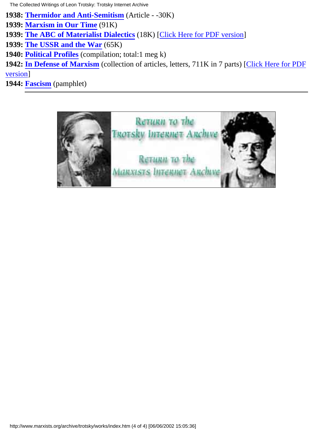The Collected Writings of Leon Trotsky: Trotsky Internet Archive

- **1938: [Thermidor and Anti-Semitism](http://www.marxists.org/archive/trotsky/works/1938/1938-th.htm)** (Article -30K)
- **1939: [Marxism in Our Time](http://www.marxists.org/archive/trotsky/works/1939/1939-cri.htm)** (91K)
- **1939: [The ABC of Materialist Dialectics](http://www.marxists.org/archive/trotsky/works/1939/1939-abc.htm)** (18K) [\[Click Here for PDF version](http://www.marxists.org/archive/trotsky/works/1939/1939-abc.pdf)]
- **1939: [The USSR and the War](http://www.marxists.org/archive/trotsky/works/1939/1939-war.htm)** (65K)
- **1940: [Political Profiles](http://www.marxists.org/archive/trotsky/works/1940/profiles/index.htm)** (compilation; total:1 meg k)
- **1942: [In Defense of Marxism](http://www.marxists.org/archive/trotsky/works/1942-dm/index.htm)** (collection of articles, letters, 711K in 7 parts) [[Click Here for PDF](http://www.marxists.org/archive/trotsky/works/1942-dm/dom.pdf) [version](http://www.marxists.org/archive/trotsky/works/1942-dm/dom.pdf)]
- **1944: [Fascism](http://www.marxists.org/archive/trotsky/works/1944/1944-fas.htm)** (pamphlet)

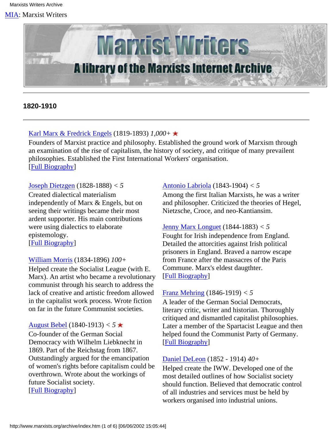#### <span id="page-6-0"></span>[MIA](http://www.marxists.org/index.htm): Marxist Writers



#### **1820-1910**

#### [Karl Marx & Fredrick Engels](http://www.marxists.org/archive/marx/index.htm) (1819-1893) *1,000+*

Founders of Marxist practice and philosophy. Established the ground work of Marxism through an examination of the rise of capitalism, the history of society, and critique of many prevailent philosophies. Established the First International Workers' organisation. [[Full Biography\]](http://www.marxists.org/glossary/people/m/a.htm#marx-karl)

#### [Joseph Dietzgen](http://www.marxists.org/archive/dietzgen/index.htm) (1828-1888) *< 5* Created dialectical materialism independently of Marx & Engels, but on seeing their writings became their most ardent supporter. His main contributions were using dialectics to elaborate epistemology.

[[Full Biography\]](http://www.marxists.org/glossary/people/d/i.htm#dietzgen-joseph)

#### [William Morris](http://www.marxists.org/archive/morris/index.htm) (1834-1896) *100+*

Helped create the Socialist League (with E. Marx). An artist who became a revolutionary communist through his search to address the lack of creative and artistic freedom allowed in the capitalist work process. Wrote fiction on far in the future Communist societies.

#### [August Bebel](http://www.marxists.org/subject/women/authors/bebel/index.htm) (1840-1913) *< 5*

Co-founder of the German Social Democracy with Wilhelm Liebknecht in 1869. Part of the Reichstag from 1867. Outstandingly argued for the emancipation of women's rights before capitalism could be overthrown. Wrote about the workings of future Socialist society. [[Full Biography\]](http://www.marxists.org/glossary/people/b/e.htm#august-bebel)

#### [Antonio Labriola](http://www.marxists.org/archive/labriola/index.htm) (1843-1904) *< 5*

Among the first Italian Marxists, he was a writer and philosopher. Criticized the theories of Hegel, Nietzsche, Croce, and neo-Kantiansim.

#### [Jenny Marx Longuet](http://www.marxists.org/subject/women/authors/jlmarx/index.htm) (1844-1883) *< 5*

Fought for Irish independence from England. Detailed the attorcities against Irish political prisoners in England. Braved a narrow escape from France after the massacres of the Paris Commune. Marx's eldest daugthter. [\[Full Biography\]](http://www.marxists.org/glossary/people/m/a.htm#jenny-marx-longuet)

#### [Franz Mehring](http://www.marxists.org/archive/mehring/index.htm) (1846-1919) *< 5*

A leader of the German Social Democrats, literary critic, writer and historian. Thoroughly critiqued and dismantled capitalist philosophies. Later a member of the Spartacist League and then helped found the Communist Party of Germany. [\[Full Biography\]](http://www.marxists.org/glossary/people/m/e.htm#mehring-franz)

#### [Daniel DeLeon](http://www.marxists.org/archive/deleon/index.htm) (1852 - 1914) *40+*

Helped create the IWW. Developed one of the most detailed outlines of how Socialist society should function. Believed that democratic control of all industries and services must be held by workers organised into industrial unions.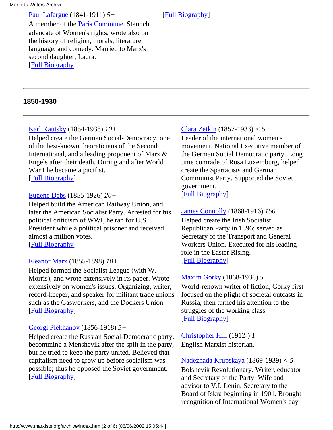[Paul Lafargue](http://www.marxists.org/archive/lafargue/index.htm) (1841-1911) *5+*

A member of the [Paris Commune.](http://www.marxists.org/history/france/paris-commune/index.htm) Staunch advocate of Women's rights, wrote also on the history of religion, morals, literature, language, and comedy. Married to Marx's second daughter, Laura. [[Full Biography\]](http://www.marxists.org/glossary/people/l/a.htm#lafargue-paul)

#### **1850-1930**

#### [Karl Kautsky](http://www.marxists.org/archive/kautsky/index.htm) (1854-1938) *10+*

Helped create the German Social-Democracy, one of the best-known theoreticians of the Second International, and a leading proponent of Marx & Engels after their death. During and after World War I he became a pacifist. [[Full Biography\]](http://www.marxists.org/glossary/people/k/a.htm#kautsky-karl)

#### [Eugene Debs](http://www.marxists.org/archive/debs/index.htm) (1855-1926) *20+*

Helped build the American Railway Union, and later the American Socialist Party. Arrested for his political criticism of WWI, he ran for U.S. President while a political prisoner and received almost a million votes. [[Full Biography\]](http://www.marxists.org/glossary/people/d/e.htm#debs-eugene)

### [Eleanor Marx](http://www.marxists.org/archive/eleanor/index.htm) (1855-1898) *10+*

Helped formed the Socialist League (with W. Morris), and wrote extensively in its paper. Wrote extensively on women's issues. Organizing, writer, record-keeper, and speaker for militant trade unions such as the Gasworkers, and the Dockers Union. [[Full Biography\]](http://www.marxists.org/glossary/people/m/a.htm#marx-eleanor)

#### [Georgi Plekhanov](http://www.marxists.org/archive/plekhanov/index.htm) (1856-1918) *5+*

Helped create the Russian Social-Democratic party, becomming a Menshevik after the split in the party, but he tried to keep the party united. Believed that capitalism need to grow up before socialism was possible; thus he opposed the Soviet government. [[Full Biography\]](http://www.marxists.org/glossary/people/p/l.htm#georgi-plekhanov)

#### [Clara Zetkin](http://www.marxists.org/subject/women/authors/zetkin/index.htm) (1857-1933) *< 5*

Leader of the international women's movement. National Executive member of the German Social Democratic party. Long time comrade of Rosa Luxemburg, helped create the Spartacists and German Communist Party. Supported the Soviet government. [[Full Biography](http://www.marxists.org/glossary/people/z/e.htm#zetkin-clara)]

## [James Connolly](http://www.marxists.org/archive/connolly/index.htm) (1868-1916) *150+*

Helped create the Irish Socialist Republican Party in 1896; served as Secretary of the Transport and General Workers Union. Executed for his leading role in the Easter Rising. [[Full Biography](http://www.marxists.org/glossary/people/c/o.htm#connolly-james)]

#### [Maxim Gorky](http://www.marxists.org/archive/gorky-maxim/index.htm) (1868-1936) *5+*

World-renown writer of fiction, Gorky first focused on the plight of societal outcasts in Russia, then turned his attention to the struggles of the working class. [[Full Biography](http://www.marxists.org/glossary/people/g/o.htm#gorky-maxim)]

[Christopher Hill](http://www.marxists.org/archive/hill-christopher/english-revolution/index.htm) (1912-) *1* English Marxist historian.

[Nadezhada Krupskaya](http://www.marxists.org/archive/krupskaya/index.htm) (1869-1939) *< 5* Bolshevik Revolutionary. Writer, educator and Secretary of the Party. Wife and advisor to V.I. Lenin. Secretary to the Board of Iskra beginning in 1901. Brought recognition of International Women's day

[\[Full Biography\]](http://www.marxists.org/glossary/people/d/e.htm#de-leon-daniel)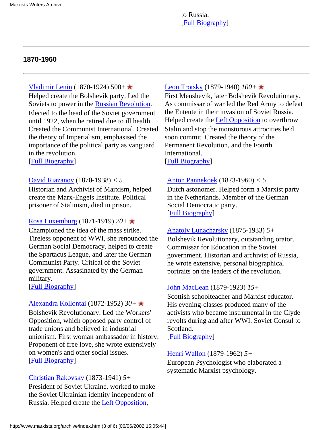to Russia. [[Full Biography](http://www.marxists.org/glossary/people/k/r.htm#krupskaya)]

#### **1870-1960**

[Vladimir Lenin](http://www.marxists.org/archive/lenin/index.htm) (1870-1924) 500+ Helped create the Bolshevik party. Led the Soviets to power in the [Russian Revolution.](http://www.marxists.org/glossary/events/o/c.htm#october) Elected to the head of the Soviet government until 1922, when he retired due to ill health. Created the Communist International. Created the theory of Imperialism, emphasised the importance of the political party as vanguard in the revolution. [[Full Biography\]](http://www.marxists.org/glossary/people/l/e.htm#lenin-vladimir)

#### [David Riazanov](http://www.marxists.org/archive/riazanov/index.htm) (1870-1938) *< 5*

Historian and Archivist of Marxism, helped create the Marx-Engels Institute. Political prisoner of Stalinism, died in prison.

#### [Rosa Luxemburg](http://www.marxists.org/archive/luxembur/index.htm) (1871-1919) *20+*

Championed the idea of the mass strike. Tireless opponent of WWI, she renounced the German Social Democracy, helped to create the Spartacus League, and later the German Communist Party. Critical of the Soviet government. Assasinated by the German military.

[[Full Biography\]](http://www.marxists.org/glossary/people/l/u.htm#luxemburg-rosa)

#### [Alexandra Kollontai](http://www.marxists.org/archive/kollonta/index.htm) (1872-1952) *30+*

Bolshevik Revolutionary. Led the Workers' Opposition, which opposed party control of trade unions and believed in industrial unionism. First woman ambassador in history. Proponent of free love, she wrote extensively on women's and other social issues. [[Full Biography\]](http://www.marxists.org/glossary/people/k/o.htm#kollontai-alexandre)

#### [Christian Rakovsky](http://www.marxists.org/archive/rakovsky/index.htm) (1873-1941) *5+*

President of Soviet Ukraine, worked to make the Soviet Ukrainian identity independent of Russia. Helped create the [Left Opposition](http://www.marxists.org/glossary/orgs/l/e.htm#left-opposition),

#### [Leon Trotsky](#page-214-0) (1879-1940) *100+*

First Menshevik, later Bolshevik Revolutionary. As commissar of war led the Red Army to defeat the Entente in their invasion of Soviet Russia. Helped create the [Left Opposition](http://www.marxists.org/glossary/orgs/l/e.htm#left-opposition) to overthrow Stalin and stop the monstorous attrocities he'd soon commit. Created the theory of the Permanent Revolution, and the Fourth International. [\[Full Biography\]](http://www.marxists.org/glossary/people/t/r.htm#trotsky-leon)

#### [Anton Pannekoek](http://www.marxists.org/archive/pannekoe/index.htm) (1873-1960) *< 5*

Dutch astonomer. Helped form a Marxist party in the Netherlands. Member of the German Social Democratic party. [[Full Biography](http://www.marxists.org/glossary/people/p/a.htm#pannekoek)]

#### [Anatoly Lunacharsky](http://www.marxists.org/archive/lunachar/index.htm) (1875-1933) *5+*

Bolshevik Revolutionary, outstanding orator. Commissar for Education in the Soviet government. Historian and archivist of Russia, he wrote extensive, personal biographical portraits on the leaders of the revolution.

#### [John MacLean](http://www.marxists.org/archive/maclean/index.htm) (1879-1923) *15+*

Scottish schoolteacher and Marxist educator. His evening-classes produced many of the activists who became instrumental in the Clyde revolts during and after WWI. Soviet Consul to Scotland.

[[Full Biography](http://www.marxists.org/glossary/people/m/a.htm#maclean-john)]

#### [Henri Wallon](http://www.marxists.org/archive/wallon/index.htm) (1879-1962) *5+*

European Psychologist who elaborated a systematic Marxist psychology.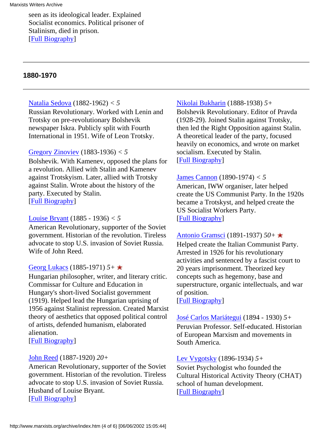seen as its ideological leader. Explained Socialist economics. Political prisoner of Stalinism, died in prison. [[Full Biography\]](http://www.marxists.org/glossary/people/r/a.htm#christian-rakovsky)

#### **1880-1970**

#### [Natalia Sedova](http://www.marxists.org/archive/sedova-natalia/index.htm) (1882-1962) *< 5*

Russian Revolutionary. Worked with Lenin and Trotsky on pre-revolutionary Bolshevik newspaper Iskra. Publicly split with Fourth International in 1951. Wife of Leon Trotsky.

#### [Gregory Zinoviev](http://www.marxists.org/archive/zinoviev/index.htm) (1883-1936) *< 5*

Bolshevik. With Kamenev, opposed the plans for a revolution. Allied with Stalin and Kamenev against Trotskyism. Later, allied with Trotsky against Stalin. Wrote about the history of the party. Executed by Stalin. [[Full Biography\]](http://www.marxists.org/glossary/people/z/i.htm#zinoviev)

#### [Louise Bryant](http://www.marxists.org/archive/bryant/index.htm) (1885 - 1936) *< 5*

American Revolutionary, supporter of the Soviet government. Historian of the revolution. Tireless advocate to stop U.S. invasion of Soviet Russia. Wife of John Reed.

#### [Georg Lukacs](http://www.marxists.org/archive/lukacs/index.htm) (1885-1971) *5+*

Hungarian philosopher, writer, and literary critic. Commissar for Culture and Education in Hungary's short-lived Socialist government (1919). Helped lead the Hungarian uprising of 1956 against Stalinist repression. Created Marxist theory of aesthetics that opposed political control of artists, defended humanism, elaborated alienation.

[[Full Biography\]](http://www.marxists.org/glossary/people/l/u.htm#lukacs-georg)

#### [John Reed](http://www.marxists.org/archive/reed/index.htm) (1887-1920) *20+*

American Revolutionary, supporter of the Soviet government. Historian of the revolution. Tireless advocate to stop U.S. invasion of Soviet Russia. Husband of Louise Bryant. [[Full Biography\]](http://www.marxists.org/glossary/people/r/e.htm#reed-john)

#### [Nikolai Bukharin](http://www.marxists.org/archive/bukharin/index.htm) (1888-1938) *5+*

Bolshevik Revolutionary. Editor of Pravda (1928-29). Joined Stalin against Trotsky, then led the Right Opposition against Stalin. A theoretical leader of the party, focused heavily on economics, and wrote on market socialism. Executed by Stalin. [\[Full Biography\]](http://www.marxists.org/glossary/people/b/u.htm#bukharin-nikolai)

#### [James Cannon](http://www.marxists.org/archive/cannon/index.htm) (1890-1974) *< 5*

American, IWW organiser, later helped create the US Communist Party. In the 1920s became a Trotskyst, and helped create the US Socialist Workers Party. [\[Full Biography\]](http://www.marxists.org/glossary/people/c/a.htm#cannon-james)

#### [Antonio Gramsci](http://www.marxists.org/archive/gramsci/index.htm) (1891-1937) *50+*

Helped create the Italian Communist Party. Arrested in 1926 for his revolutionary activities and sentenced by a fascist court to 20 years imprisonment. Theorized key concepts such as hegemony, base and superstructure, organic intellectuals, and war of position.

[\[Full Biography\]](http://www.marxists.org/glossary/people/g/r.htm#gramsci-antonio)

#### [José Carlos Mariátegui](http://www.marxists.org/archive/mariateg/index.htm) (1894 - 1930) *5+*

Peruvian Professor. Self-educated. Historian of European Marxism and movements in South America.

#### [Lev Vygotsky](http://www.marxists.org/archive/vygotsky/index.htm) (1896-1934) *5+*

Soviet Psychologist who founded the Cultural Historical Activity Theory (CHAT) school of human development. [\[Full Biography\]](http://www.marxists.org/glossary/people/v/y.htm#vygotsky-lev)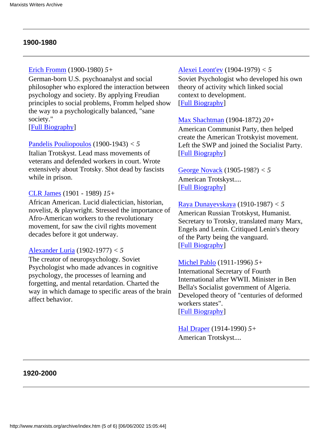#### **1900-1980**

#### [Erich Fromm](http://www.marxists.org/archive/fromm/index.htm) (1900-1980) *5+*

German-born U.S. psychoanalyst and social philosopher who explored the interaction between psychology and society. By applying Freudian principles to social problems, Fromm helped show the way to a psychologically balanced, "sane society."

[[Full Biography\]](http://www.marxists.org/glossary/people/f/r.htm#fromm-erich)

#### [Pandelis Pouliopoulos](http://www.marxists.org/archive/pouliop/index.htm) (1900-1943) *< 5*

Italian Trotskyst. Lead mass movements of veterans and defended workers in court. Wrote extensively about Trotsky. Shot dead by fascists while in prison.

#### [CLR James](http://www.marxists.org/archive/james-clr/index.htm) (1901 - 1989) *15+*

African American. Lucid dialectician, historian, novelist, & playwright. Stressed the importance of Afro-American workers to the revolutionary movement, for saw the civil rights movement decades before it got underway.

#### [Alexander Luria](http://www.marxists.org/archive/luria/index.htm) (1902-1977) *< 5*

The creator of neuropsychology. Soviet Psychologist who made advances in cognitive psychology, the processes of learning and forgetting, and mental retardation. Charted the way in which damage to specific areas of the brain affect behavior.

#### [Alexei Leont'ev](http://www.marxists.org/archive/leontev/index.htm) (1904-1979) *< 5*

Soviet Psychologist who developed his own theory of activity which linked social context to development. [\[Full Biography\]](http://www.marxists.org/glossary/people/l/e.htm#leontev-alexei)

#### [Max Shachtman](http://www.marxists.org/archive/shachtma/index.htm) (1904-1872) *20+*

American Communist Party, then helped create the American Trotskyist movement. Left the SWP and joined the Socialist Party. [\[Full Biography\]](http://www.marxists.org/glossary/people/s/h.htm#shachtman-max)

[George Novack](http://www.marxists.org/archive/novack/index.htm) (1905-198?) *< 5* American Trotskyst.... [\[Full Biography\]](http://www.marxists.org/glossary/people/n/o.htm#novack-george)

#### [Raya Dunayevskaya](http://www.marxists.org/archive/dunayevskaya/index.htm) (1910-1987) *< 5*

American Russian Trotskyst, Humanist. Secretary to Trotsky, translated many Marx, Engels and Lenin. Critiqued Lenin's theory of the Party being the vanguard. [\[Full Biography\]](http://www.marxists.org/glossary/people/d/u.htm#dunayevskaya-raya)

#### [Michel Pablo](http://www.marxists.org/archive/pablo/index.htm) (1911-1996) *5+*

International Secretary of Fourth International after WWII. Minister in Ben Bella's Socialist government of Algeria. Developed theory of "centuries of deformed workers states". [\[Full Biography\]](http://www.marxists.org/glossary/people/p/a.htm#pablo-michel)

[Hal Draper](http://www.marxists.org/archive/draper/index.htm) (1914-1990) *5+* American Trotskyst....

#### **1920-2000**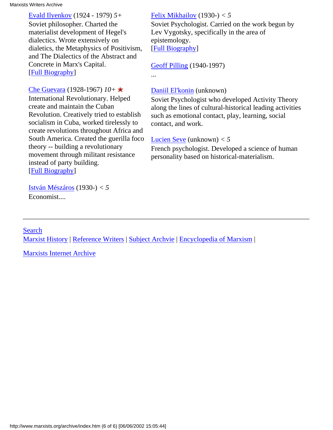Marxists Writers Archive

[Evald Ilyenkov](http://www.marxists.org/archive/ilyenkov/index.htm) (1924 - 1979) *5+*

Soviet philosopher. Charted the materialist development of Hegel's dialectics. Wrote extensively on dialetics, the Metaphysics of Positivism, and The Dialectics of the Abstract and Concrete in Marx's Capital. [[Full Biography\]](http://www.marxists.org/glossary/people/i/l.htm#ilyenkov-evald)

#### [Che Guevara](http://www.marxists.org/archive/guevara/index.htm) (1928-1967) *10+*

International Revolutionary. Helped create and maintain the Cuban Revolution. Creatively tried to establish socialism in Cuba, worked tirelessly to create revolutions throughout Africa and South America. Created the guerilla foco theory -- building a revolutionary movement through militant resistance instead of party building. [[Full Biography\]](http://www.marxists.org/glossary/people/g/u.htm#guevara-che)

[István Mészáros](http://www.marxists.org/archive/meszaros/index.htm) (1930-) *< 5* Economist....

#### [Felix Mikhailov](http://www.marxists.org/archive/mikhailov/index.htm) (1930-) *< 5*

Soviet Psychologist. Carried on the work begun by Lev Vygotsky, specifically in the area of epistemology. [\[Full Biography\]](http://www.marxists.org/glossary/people/m/i.htm#mikhailov-feliks)

[Geoff Pilling](http://www.marxists.org/archive/pilling/index.htm) (1940-1997)

...

#### [Daniil El'konin](http://www.marxists.org/archive/elkonin/index.htm) (unknown)

Soviet Psychologist who developed Activity Theory along the lines of cultural-historical leading activities such as emotional contact, play, learning, social contact, and work.

#### [Lucien Seve](http://www.marxists.org/archive/seve/index.htm) (unknown) *< 5*

French psychologist. Developed a science of human personality based on historical-materialism.

[Search](http://search.marxists.org/) [Marxist History](http://www.marxists.org/history/index.htm) | [Reference Writers](http://www.marxists.org/reference/index.htm) | [Subject Archvie](http://www.marxists.org/subject/index.htm) | [Encyclopedia of Marxism](http://www.marxists.org/glossary/index.htm) |

[Marxists Internet Archive](http://www.marxists.org/index.htm)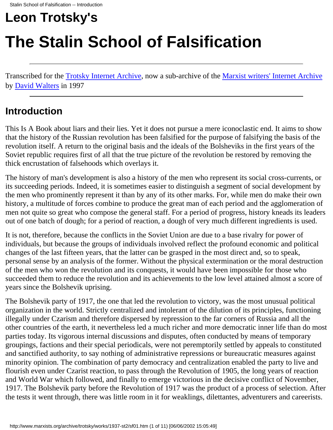## <span id="page-12-0"></span>**Leon Trotsky's**

# **The Stalin School of Falsification**

Transcribed for the [Trotsky Internet Archive,](#page-214-0) now a sub-archive of the [Marxist writers' Internet Archive](#page-6-0) by [David Walters](mailto:tia@marxists.org) in 1997

## **Introduction**

This Is A Book about liars and their lies. Yet it does not pursue a mere iconoclastic end. It aims to show that the history of the Russian revolution has been falsified for the purpose of falsifying the basis of the revolution itself. A return to the original basis and the ideals of the Bolsheviks in the first years of the Soviet republic requires first of all that the true picture of the revolution be restored by removing the thick encrustation of falsehoods which overlays it.

The history of man's development is also a history of the men who represent its social cross-currents, or its succeeding periods. Indeed, it is sometimes easier to distinguish a segment of social development by the men who prominently represent it than by any of its other marks. For, while men do make their own history, a multitude of forces combine to produce the great man of each period and the agglomeration of men not quite so great who compose the general staff. For a period of progress, history kneads its leaders out of one batch of dough; for a period of reaction, a dough of very much different ingredients is used.

It is not, therefore, because the conflicts in the Soviet Union are due to a base rivalry for power of individuals, but because the groups of individuals involved reflect the profound economic and political changes of the last fifteen years, that the latter can be grasped in the most direct and, so to speak, personal sense by an analysis of the former. Without the physical extermination or the moral destruction of the men who won the revolution and its conquests, it would have been impossible for those who succeeded them to reduce the revolution and its achievements to the low level attained almost a score of years since the Bolshevik uprising.

The Bolshevik party of 1917, the one that led the revolution to victory, was the most unusual political organization in the world. Strictly centralized and intolerant of the dilution of its principles, functioning illegally under Czarism and therefore dispersed by repression to the far corners of Russia and all the other countries of the earth, it nevertheless led a much richer and more democratic inner life than do most parties today. Its vigorous internal discussions and disputes, often conducted by means of temporary groupings, factions and their special periodicals, were not peremptorily settled by appeals to constituted and sanctified authority, to say nothing of administrative repressions or bureaucratic measures against minority opinion. The combination of party democracy and centralization enabled the party to live and flourish even under Czarist reaction, to pass through the Revolution of 1905, the long years of reaction and World War which followed, and finally to emerge victorious in the decisive conflict of November, 1917. The Bolshevik party before the Revolution of 1917 was the product of a process of selection. After the tests it went through, there was little room in it for weaklings, dilettantes, adventurers and careerists.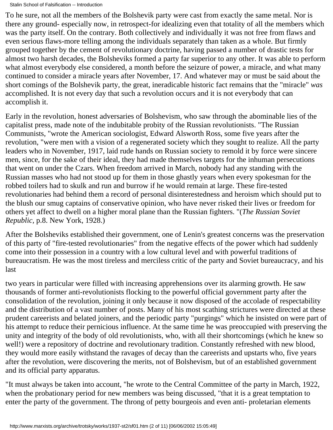To he sure, not all the members of the Bolshevik party were cast from exactly the same metal. Nor is there any ground- especially now, in retrospect-for idealizing even that totality of all the members which was the party itself. On the contrary. Both collectively and individually it was not free from flaws and even serious flaws-more telling among the individuals separately than taken as a whole. But firmly grouped together by the cement of revolutionary doctrine, having passed a number of drastic tests for almost two harsh decades, the Bolsheviks formed a party far superior to any other. It was able to perform what almost everybody else considered, a month before the seizure of power, a miracle, and what many continued to consider a miracle years after November, 17. And whatever may or must be said about the short comings of the Bolshevik party, the great, ineradicable historic fact remains that the "miracle" *was* accomplished. It is not every day that such a revolution occurs and it is not everybody that can accomplish it.

Early in the revolution, honest adversaries of Bolshevism, who saw through the abominable lies of the capitalist press, made note of the indubitable probity of the Russian revolutionists. "The Russian Communists, "wrote the American sociologist, Edward Alsworth Ross, some five years after the revolution, "were men with a vision of a regenerated society which they sought to realize. All the party leaders who in November, 1917, laid rude hands on Russian society to remold it by force were sincere men, since, for the sake of their ideal, they had made themselves targets for the inhuman persecutions that went on under the Czars. When freedom arrived in March, nobody had any standing with the Russian masses who had not stood up for them in those ghastly years when every spokesman for the robbed toilers had to skulk and run and burrow if he would remain at large. These fire-tested revolutionaries had behind them a record of personal disinterestedness and heroism which should put to the blush our smug captains of conservative opinion, who have never risked their lives or freedom for others yet affect to dwell on a higher moral plane than the Russian fighters. "(*The Russian Soviet Republic,* p.8. New York, 1928.)

After the Bolsheviks established their government, one of Lenin's greatest concerns was the preservation of this party of "fire-tested revolutionaries" from the negative effects of the power which had suddenly come into their possession in a country with a low cultural level and with powerful traditions of bureaucratism. He was the most tireless and merciless critic of the party and Soviet bureaucracy, and his last

two years in particular were filled with increasing apprehensions over its alarming growth. He saw thousands of former anti-revolutionists flocking to the powerful official government party after the consolidation of the revolution, joining it only because it now disposed of the accolade of respectability and the distribution of a vast number of posts. Many of his most scathing strictures were directed at these prudent careerists and belated joiners, and the periodic party "purgings" which he insisted on were part of his attempt to reduce their pernicious influence. At the same time he was preoccupied with preserving the unity and integrity of the body of old revolutionists, who, with all their shortcomings (which he knew so well!) were a repository of doctrine and revolutionary tradition. Constantly refreshed with new blood, they would more easily withstand the ravages of decay than the careerists and upstarts who, five years after the revolution, were discovering the merits, not of Bolshevism, but of an established government and its official party apparatus.

"It must always be taken into account, "he wrote to the Central Committee of the party in March, 1922, when the probationary period for new members was being discussed, "that it is a great temptation to enter the party of the government. The throng of petty bourgeois and even anti- proletarian elements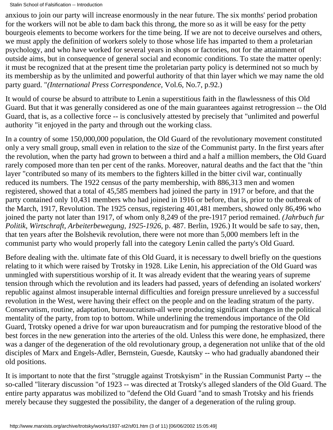anxious to join our party will increase enormously in the near future. The six months' period probation for the workers will not be able to dam back this throng, the more so as it will be easy for the petty bourgeois elements to become workers for the time being. If we are not to deceive ourselves and others, we must apply the definition of workers solely to those whose life has imparted to them a proletarian psychology, and who have worked for several years in shops or factories, not for the attainment of outside aims, but in consequence of general social and economic conditions. To state the matter openly: it must be recognized that at the present time the proletarian party policy is determined not so much by its membership as by the unlimited and powerful authority of that thin layer which we may name the old party guard. "*(International Press Correspondence,* Vol.6, No.7, p.92.)

It would of course be absurd to attribute to Lenin a superstitious faith in the flawlessness of this Old Guard. But that it was generally considered as one of the main guarantees against retrogression -- the Old Guard, that is, as a collective force -- is conclusively attested by precisely that "unlimited and powerful authority "it enjoyed in the party and through out the working class.

In a country of some 150,000,000 population, the Old Guard of the revolutionary movement constituted only a very small group, small even in relation to the size of the Communist party. In the first years after the revolution, when the party had grown to between a third and a half a million members, the Old Guard rarely composed more than ten per cent of the ranks. Moreover, natural deaths and the fact that the "thin layer "contributed so many of its members to the fighters killed in the bitter civil war, continually reduced its numbers. The 1922 census of the party membership, with 886,313 men and women registered, showed that a total of 45,585 members had joined the party in 1917 or before, and that the party contained only 10,431 members who had joined in 1916 or before, that is, prior to the outbreak of the March, 1917, Revolution. The 1925 census, registering 401,481 members, showed only 86,496 who joined the party not later than 1917, of whom only 8,249 of the pre-1917 period remained. *(Jahrbuch fur Politik, Wirtschraft, Arbeiterbewegung, 1925-1926,* p. 487. Berlin, 1926.) It would be safe to say, then, that ten years after the Bolshevik revolution, there were not more than 5,000 members left in the communist party who would properly fall into the category Lenin called the party's Old Guard.

Before dealing with the. ultimate fate of this Old Guard, it is necessary to dwell briefly on the questions relating to it which were raised by Trotsky in 1928. Like Lenin, his appreciation of the Old Guard was unmingled with superstitious worship of it. It was already evident that the wearing years of supreme tension through which the revolution and its leaders had passed, years of defending an isolated workers' republic against almost insuperable internal difficulties and foreign pressure unrelieved by a successful revolution in the West, were having their effect on the people and on the leading stratum of the party. Conservatism, routine, adaptation, bureaucratism-all were producing significant changes in the political mentality of the party, from top to bottom. While underlining the tremendous importance of the Old Guard, Trotsky opened a drive for war upon bureaucratism and for pumping the restorative blood of the best forces in the new generation into the arteries of the old. Unless this were done, he emphasized, there was a danger of the degeneration of the old revolutionary group, a degeneration not unlike that of the old disciples of Marx and Engels-Adler, Bernstein, Guesde, Kautsky -- who had gradually abandoned their old positions.

It is important to note that the first "struggle against Trotskyism" in the Russian Communist Party -- the so-called "literary discussion "of 1923 -- was directed at Trotsky's alleged slanders of the Old Guard. The entire party apparatus was mobilized to "defend the Old Guard "and to smash Trotsky and his friends merely because they suggested the possibility, the danger of a degeneration of the ruling group.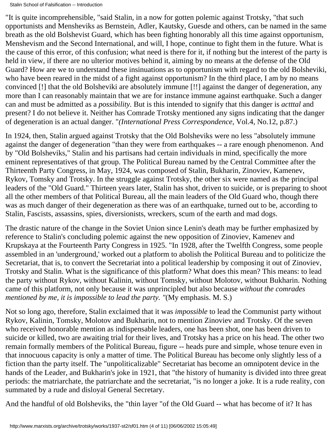"It is quite incomprehensible, "said Stalin, in a now for gotten polemic against Trotsky, "that such opportunists and Mensheviks as Bernstein, Adler, Kautsky, Guesde and others, can be named in the same breath as the old Bolshevist Guard, which has been fighting honorably all this time against opportunism, Menshevism and the Second International, and will, I hope, continue to fight them in the future. What is the cause of this error, of this confusion; what need is there for it, if nothing but the interest of the party is held in view, if there are no ulterior motives behind it, aiming by no means at the defense of the Old Guard? How are we to understand these insinuations as to opportunism with regard to the old Bolsheviki, who have been reared in the midst of a fight against opportunism? In the third place, I am by no means convinced [!] that the old Bolsheviki are absolutely immune [!!] against the danger of degeneration, any more than I can reasonably maintain that we are for instance immune against earthquake. Such a danger can and must be admitted as a *possibility.* But is this intended to signify that this danger is *actttal* and present? I do not believe it. Neither has Comrade Trotsky mentioned any signs indicating that the danger of degeneration is an actual danger. "*(International Press Correspondence,* Vol.4, No.12, p.87.)

In 1924, then, Stalin argued against Trotsky that the Old Bolsheviks were no less "absolutely immune against the danger of degeneration "than they were from earthquakes -- a rare enough phenomenon. And by "Old Bolsheviks," Stalin and his partisans had certain individuals in mind, specifically the more eminent representatives of that group. The Political Bureau named by the Central Committee after the Thirteenth Party Congress, in May, 1924, was composed of Stalin, Bukharin, Zinoviev, Kamenev, Rykov, Tomsky and Trotsky. In the struggle against Trotsky, the other six were named as the principal leaders of the "Old Guard." Thirteen years later, Stalin has shot, driven to suicide, or is preparing to shoot all the other members of that Political Bureau, all the main leaders of the Old Guard who, though there was as much danger of their degeneration as there was of an earthquake, turned out to be, according to Stalin, Fascists, assassins, spies, diversionists, wreckers, scum of the earth and mad dogs.

The drastic nature of the change in the Soviet Union since Lenin's death may be further emphasized by reference to Stalin's concluding polemic against the new opposition of Zinoviev, Kamenev and Krupskaya at the Fourteenth Party Congress in 1925. "In 1928, after the Twelfth Congress, some people assembled in an 'underground,' worked out a platform to abolish the Political Bureau and to politicize the Secretariat, that is, to convert the Secretariat into a political leadership by composing it out of Zinoviev, Trotsky and Stalin. What is the significance of this platform? What does this mean? This means: to lead the party without Rykov, without Kalinin, without Tomsky, without Molotov, without Bukharin. Nothing came of this platform, not only because it was unprincipled but also because *without the comrades mentioned by me, it is impossible to lead the party. "*(My emphasis. M. S.)

Not so long ago, therefore, Stalin exclaimed that it was *impossible* to lead the Communist party without Rykov, Kalinin, Tomsky, Molotov and Bukharin, not to mention Zinoviev and Trotsky. Of the seven who received honorable mention as indispensable leaders, one has been shot, one has been driven to suicide or killed, two are awaiting trial for their lives, and Trotsky has a price on his head. The other two remain formally members of the Political Bureau, figure -- heads pure and simple, whose tenure even in that innocuous capacity is only a matter of time. The Political Bureau has become only slightly less of a fiction than the party itself. The "unpoliticalizable" Secretariat has become an omnipotent device in the hands of the Leader, and Bukharin's joke in 1921, that "the history of humanity is divided into three great periods: the matriarchate, the patriarchate and the secretariat, "is no longer a joke. It is a rude reality, con summated by a rude and disloyal General Secretary.

And the handful of old Bolsheviks, the "thin layer "of the Old Guard -- what has become of it? It has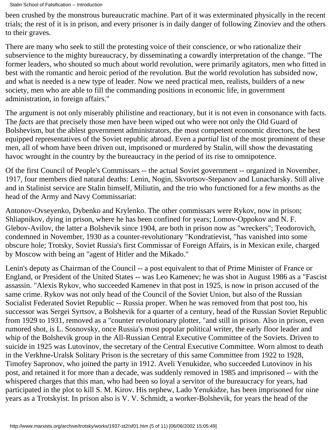been crushed by the monstrous bureaucratic machine. Part of it was exterminated physically in the recent trials; the rest of it is in prison, and every prisoner is in daily danger of following Zinoviev and the others to their graves.

There are many who seek to still the protesting voice of their conscience, or who rationalize their subservience to the mighty bureaucracy, by disseminating a cowardly interpretation of the change. "The former leaders, who shouted so much about world revolution, were primarily agitators, men who fitted in best with the romantic and heroic period of the revolution. But the world revolution has subsided now, and what is needed is a new type of leader. Now we need practical men, realists, builders of a new society, men who are able to fill the commanding positions in economic life, in government administration, in foreign affairs."

The argument is not only miserably philistine and reactionary, but it is not even in consonance with facts. The *facts* are that precisely those men have been wiped out who were not only the Old Guard of Bolshevism, but the ablest government administrators, the most competent economic directors, the best equipped representatives of the Soviet republic abroad. Even a *partial* list of the most prominent of these men, all of whom have been driven out, imprisoned or murdered by Stalin, will show the devastating havoc wrought in the country by the bureaucracy in the period of its rise to omnipotence.

Of the first Council of People's Commissars -- the actual Soviet government -- organized in November, 1917, four members died natural deaths: Lenin, Nogin, Skvortsov-Stepanov and Lunacharsky. Still alive and in Stalinist service are Stalin himself, Miliutin, and the trio who functioned for a few months as the head of the Army and Navy Commissariat:

Antonov-Ovseyenko, Dybenko and Krylenko. The other commissars were Rykov, now in prison; Shliapnikov, dying in prison, where he has been confined for years; Lomov-Oppokov and N. F. Glebov-Avilov, the latter a Bolshevik since 1904, are both in prison now as "wreckers"; Teodorovich, condemned in November, 1930 as a counter-revolutionary "Kondratievist, "has vanished into some obscure hole; Trotsky, Soviet Russia's first Commissar of Foreign Affairs, is in Mexican exile, charged by Moscow with being an "agent of Hitler and the Mikado."

Lenin's deputy as Chairman of the Council -- a post equivalent to that of Prime Minister of France or England, or President of the United States -- was Leo Kamenev; he was shot in August 1986 as a "Fascist assassin. "Alexis Rykov, who succeeded Kamenev in that post in 1925, is now in prison accused of the same crime. Rykov was not only head of the Council of the Soviet Union, but also of the Russian Socialist Federated Soviet Republic -- Russia proper. When he was removed from that post too, his successor was Sergei Syrtsov, a Bolshevik for a quarter of a century, head of the Russian Soviet Republic from 1929 to 1931, removed as a "counter revolutionary plotter, "and still in prison. Also in prison, even rumored shot, is L. Sosnovsky, once Russia's most popular political writer, the early floor leader and whip of the Bolshevik group in the All-Russian Central Executive Committee of the Soviets. Driven to suicide in 1925 was Lutovinov, the secretary of the Central Executive Committee. Worn almost to death in the Verkhne-Uralsk Solitary Prison is the secretary of this same Committee from 1922 to 1928, Timofey Sapronov, who joined the party in 1912. Aveli Yenukidze, who succeeded Lutovinov in his post, and retained it for more than a decade, was suddenly removed in 1985 and imprisoned -- with the whispered charges that this man, who had been so loyal a servitor of the bureaucracy for years, had participated in the plot to kill S. M. Kirov. His nephew, Lado Yenukidze, has been imprisoned for nine years as a Trotskyist. In prison also is V. V. Schmidt, a worker-Bolshevik, for years the head of the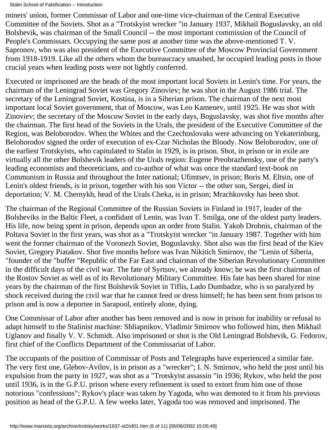miners' union, former Commissar of Labor and one-time vice-chairman of the Central Executive Committee of the Soviets. Shot as a "Trotskyist wrecker "in January 1937, Mikhail Boguslavsky, an old Bolshevik, was chairman of the Small Council -- the most important commission of the Council of People's Commissars. Occupying the same post at another time was the above-mentioned T. V. Sapronov, who was also president of the Executive Committee of the Moscow Provincial Government from 1918-1919. Like all the others whom the bureaucracy smashed, he occupied leading posts in those crucial years when leading posts were not lightly conferred.

Executed or imprisoned are the heads of the most important local Soviets in Lenin's time. For years, the chairman of the Leningrad Soviet was Gregory Zinoviev; he was shot in the August 1986 trial. The secretary of the Leningrad Soviet, Kostina, is in a Siberian prison. The chairman of the next most important local Soviet government, that of Moscow, was Leo Kamenev, until 1925. He was shot with Zinoviev; the secretary of the Moscow Soviet in the early days, Boguslavsky, was shot five months after the chairman. The first head of the Soviets in the Urals, the president of the Executive Committee of the Region, was Beloborodov. When the Whites and the Czechoslovaks were advancing on Yekaterinburg, Belohorodov signed the order of execution of ex-Czar Nicholas the Bloody. Now Beloborodov, one of the earliest Trotskyists, who capitulated to Stalin in 1929, is in prison. Shot, in prison or in exile are virtually all the other Bolshevik leaders of the Urals region: Eugene Preobrazhensky, one of the party's leading economists and theoreticians, and co-author of what was once the standard text-book on Communism in Russia and throughout the Inter national; Ufimtsev, in prison; Boris M. Eltsin, one of Lenin's oldest friends, is in prison, together with his son Victor -- the other son, Sergei, died in deportation; V. M. Chernykh, head of the Urals Cheka, is in prison; Mrachkovsky has been shot.

The chairman of the Regional Committee of the Russian Soviets in Finland in 1917, leader of the Bolsheviks in the Baltic Fleet, a confidant of Lenin, was Ivan T. Smilga, one of the oldest party leaders. His life, now being spent in prison, depends upon an order from Stalin. Yakob Drobnis, chairman of the Poltava Soviet in the first years, was shot as a "Trotskyist wrecker "in January 1987. Together with him went the former chairman of the Voronezh Soviet, Boguslavsky. Shot also was the first head of the Kiev Soviet, Gregory Piatakov. Shot five months before was Ivan Nikitich Smirnov, the "Lenin of Siberia, "founder of the "buffer "Republic of the Far East and chairman of the Siberian Revolutionary Committee in the difficult days of the civil war. The fate of Syrtsov, we already know; he was the first chairman of the Rostov Soviet as well as of its Revolutionary Military Committee. His fate has been shared for nine years by the chairman of the first Bolshevik Soviet in Tiflis, Lado Dumbadze, who is so paralyzed by shock received during the civil war that he cannot feed or dress himself; he has been sent from prison to prison and is now a deportee in Sarapool, entirely alone, dying.

One Commissar of Labor after another has been removed and is now in prison for inability or refusal to adapt himself to the Stalinist machine: Shliapnikov, Vladimir Smirnov who followed him, then Mikhail Uglanov and finally V. V. Schmidt. Also imprisoned or shot is the Old Leningrad Bolshevik, G. Fedorov, first chief of the Conflicts Department of the Commissariat of Labor.

The occupants of the position of Commissar of Posts and Telegraphs have experienced a similar fate. The very first one, Glebov-Avilov, is in prison as a "wrecker"; I. N. Smirnov, who held the post until his expulsion from the party in 1927, was shot as a "Trotskyist assassin "in 1936; Rykov, who held the post until 1936, is in the G.P.U. prison where every refinement is used to extort from him one of those notorious "confessions"; Rykov's place was taken by Yagoda, who was demoted to it from his previous position as head of the G.P.U. A few weeks later, Yagoda too was removed and imprisoned. The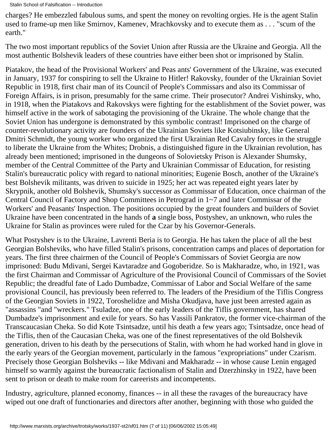charges? He embezzled fabulous sums, and spent the money on revolting orgies. He is the agent Stalin used to frame-up men like Smirnov, Kamenev, Mrachkovsky and to execute them as . . . "scum of the earth."

The two most important republics of the Soviet Union after Russia are the Ukraine and Georgia. All the most authentic Bolshevik leaders of these countries have either been shot or imprisoned by Stalin.

Piatakov, the head of the Provisional Workers' and Peas ants' Government of the Ukraine, was executed in January, 1937 for conspiring to sell the Ukraine to Hitler! Rakovsky, founder of the Ukrainian Soviet Republic in 1918, first chair man of its Council of People's Commissars and also its Commissar of Foreign Affairs, is in prison, presumably for the same crime. Their prosecutor? Andrei Vishinsky, who, in 1918, when the Piatakovs and Rakovskys were fighting for the establishment of the Soviet power, was himself active in the work of sabotaging the provisioning of the Ukraine. The whole change that the Soviet Union has undergone is demonstrated by this symbolic contrast! Imprisoned on the charge of counter-revolutionary activity are founders of the Ukrainian Soviets like Kotsiubinsky, like General Dmitri Schmidt, the young worker who organized the first Ukrainian Red Cavalry forces in the struggle to liberate the Ukraine from the Whites; Drobnis, a distinguished figure in the Ukrainian revolution, has already been mentioned; imprisoned in the dungeons of Solovietsky Prison is Alexander Shumsky, member of the Central Committee of the Party and Ukrainian Commissar of Education, for resisting Stalin's bureaucratic policy with regard to national minorities; Eugenie Bosch, another of the Ukraine's best Bolshevik militants, was driven to suicide in 1925; her act was repeated eight years later by Skrypnik, another old Bolshevik, Shumsky's successor as Commissar of Education, once chairman of the Central Council of Factory and Shop Committees in Petrograd in 1~7 and later Commissar of the Workers' and Peasants' Inspection. The positions occupied by the great founders and builders of Soviet Ukraine have been concentrated in the hands of **a** single boss, Postyshev, an unknown, who rules the Ukraine for Stalin as provinces were ruled for the Czar by his Governor-Generals.

What Postyshev is to the Ukraine, Lavrenti Beria is to Georgia. He has taken the place of all the best Georgian Bolsheviks, who have filled Stalin's prisons, concentration camps and places of deportation for years. The first three chairmen of the Council of People's Commissars of Soviet Georgia are now imprisoned: Budu Mdivani, Sergei Kavtaradze and Gogoberidze. So is Makharadze, who, in 1921, was the first Chairman and Commissar of Agriculture of the Provisional Council of Commissars of the Soviet Republic; the dreadful fate of Lado Dumbadze, Commissar of Labor and Social Welfare of the same provisional Council, has previously been referred to. The leaders of the Presidium of the Tiflis Congress of the Georgian Soviets in 1922, Toroshelidze and Misha Okudjava, have just been arrested again as "assassins "and "wreckers." Tsuladze, one of the early leaders of the Tiflis government, has shared Dumbadze's imprisonment and exile for years. So has Vassili Pankratov, the former vice-chairman of the Transcaucasian Cheka. So did Kote Tsintsadze, until his death a few years ago; Tsintsadze, once head of the Tiflis, then of the Caucasian Cheka, was one of the finest representatives of the old Bolshevik generation, driven to his death by the persecutions of Stalin, with whom he had worked hand in glove in the early years of the Georgian movement, particularly in the famous "expropriations" under Czarism. Precisely those Georgian Bolsheviks -- like Mdivani and Makharadz -- in whose cause Lenin engaged himself so warmly against the bureaucratic factionalism of Stalin and Dzerzhinsky in 1922, have been sent to prison or death to make room for careerists and incompetents.

Industry, agriculture, planned economy, finances -- in all these the ravages of the bureaucracy have wiped out one draft of functionaries and directors after another, beginning with those who guided the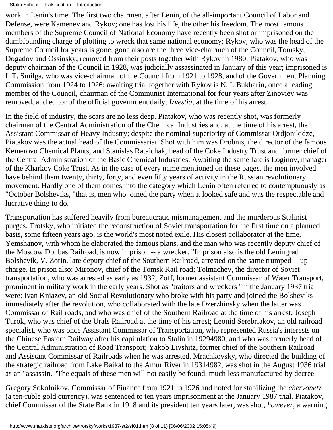work in Lenin's time. The first two chairmen, after Lenin, of the all-important Council of Labor and Defense, were Kamenev and Rykov; one has lost his life, the other his freedom. The most famous members of the Supreme Council of National Economy have recently been shot or imprisoned on the dumbfounding charge of plotting to wreck that same national economy: Rykov, who was the head of the Supreme Council for years is gone; gone also are the three vice-chairmen of the Council, Tomsky, Dogadov and Ossinsky, removed from their posts together with Rykov in 1980; Piatakov, who was deputy chairman of the Council in 1928, was judicially assassinated in January of this year; imprisoned is I. T. Smilga, who was vice-chairman of the Council from 1921 to 1928, and of the Government Planning Commission from 1924 to 1926; awaiting trial together with Rykov is N. I. Bukharin, once a leading member of the Council, chairman of the Communist International for four years after Zinoviev was removed, and editor of the official government daily, *Izvestia,* at the time of his arrest.

In the field of industry, the scars are no less deep. Piatakov, who was recently shot, was formerly chairman of the Central Administration of the Chemical Industries and, at the time of his arrest, the Assistant Commissar of Heavy Industry; despite the nominal superiority of Commissar Ordjonikidze, Piatakov was the actual head of the Commissariat. Shot with him was Drobnis, the director of the famous Kemerovo Chemical Plants, and Stanislas Rataichak, head of the Coke Industry Trust and former chief of the Central Administration of the Basic Chemical Industries. Awaiting the same fate is Loginov, manager of the Kharkov Coke Trust. As in the case of every name mentioned on these pages, the men involved have behind them twenty, thirty, forty, and even fifty years of activity in the Russian revolutionary movement. Hardly one of them comes into the category which Lenin often referred to contemptuously as "October Bolsheviks, "that is, men who joined the party when it looked safe and was the respectable and lucrative thing to do.

Transportation has suffered heavily from bureaucratic mismanagement and the murderous Stalinist purges. Trotsky, who initiated the reconstruction of Soviet transportation for the first time on a planned basis, some fifteen years ago, is the world's most noted exile. His closest collaborator at the time, Yemshanov, with whom he elaborated the famous plans, and the man who was recently deputy chief of the Moscow Donbas Railroad, is now in prison -- a wrecker. "In prison also is the old Leningrad Bolshevik, V. Zorin, late deputy chief of the Southern Railroad, arrested on the same trumped -- up charge. In prison also: Mironov, chief of the Tomsk Rail road; Tolmachev, the director of Soviet transportation, who was arrested as early as 1932; Zoff, former assistant Commissar of Water Transport, prominent in military work in the early years. Shot as "traitors and wreckers "in the January 1937 trial were: Ivan Kniazev, an old Social Revolutionary who broke with his party and joined the Bolsheviks immediately after the revolution, who collaborated with the late Dzerzhinsky when the latter was Commissar of Rail roads, and who was chief of the Southern Railroad at the time of his arrest; Joseph Turok, who was chief of the Urals Railroad at the time of his arrest; Leonid Serebriakov, an old railroad specialist, who was once Assistant Commissar of Transportation, who represented Russia's interests on the Chinese Eastern Railway after his capitulation to Stalin in 19294980, and who was formerly head of the Central Administration of Road Transport; Yakob Livshitz, former chief of the Southern Railroad and Assistant Commissar of Railroads when he was arrested. Mrachkovsky, who directed the building of the strategic railroad from Lake Baikal to the Amur River in 19314982, was shot in the August 1936 trial as an "assassin. "The equals of these men will not easily be found, much less manufactured by decree.

Gregory Sokolnikov, Commissar of Finance from 1921 to 1926 and noted for stabilizing the *chervonetz* (a ten-ruble gold currency), was sentenced to ten years imprisonment at the January 1987 trial. Piatakov, chief Commissar of the State Bank in 1918 and its president ten years later, was shot, *however,* a warning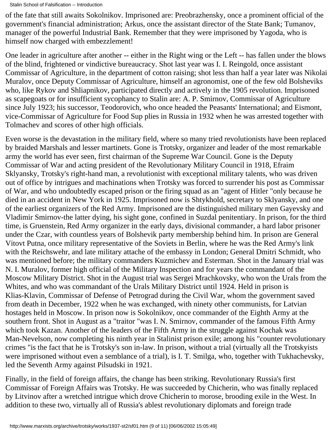of the fate that still awaits Sokolnikov. Imprisoned are: Preobrazhensky, once a prominent official of the government's financial administration; Arkus, once the assistant director of the State Bank; Tumanov, manager of the powerful Industrial Bank. Remember that they were imprisoned by Yagoda, who is himself now charged with embezzlement!

One leader in agriculture after another -- either in the Right wing or the Left -- has fallen under the blows of the blind, frightened or vindictive bureaucracy. Shot last year was I. I. Reingold, once assistant Commissar of Agriculture, in the department of cotton raising; shot less than half a year later was Nikolai Muralov, once Deputy Commissar of Agriculture, himself an agronomist, one of the few old Bolsheviks who, like Rykov and Shliapnikov, participated directly and actively in the 1905 revolution. Imprisoned as scapegoats or for insufficient sycophancy to Stalin are: A. P. Smirnov, Commissar of Agriculture since July 1923; his successor, Teodorovich, who once headed the Peasants' International; and Eismont, vice-Commissar of Agriculture for Food Sup plies in Russia in 1932 when he was arrested together with Tolmachev and scores of other high officials.

Even worse is the devastation in the military field, where so many tried revolutionists have been replaced by braided Marshals and lesser martinets. Gone is Trotsky, organizer and leader of the most remarkable army the world has ever seen, first chairman of the Supreme War Council. Gone is the Deputy Commissar of War and acting president of the Revolutionary Military Council in 1918, Efraim Sklyansky, Trotsky's right-hand man, a revolutionist with exceptional military talents, who was driven out of office by intrigues and machinations when Trotsky was forced to surrender his post as Commissar of War, and who undoubtedly escaped prison or the firing squad as an "agent of Hitler "only because he died in an accident in New York in 1925. Imprisoned now is Shtykhold, secretary to Sklyansky, and one of the earliest organizers of the Red Army. Imprisoned are the distinguished military men Gayevsky and Vladimir Smirnov-the latter dying, his sight gone, confined in Suzdal penitentiary. In prison, for the third time, is Gruenstein, Red Army organizer in the early days, divisional commander, a hard labor prisoner under the Czar, with countless years of Bolshevik party membership behind him. In prison are General Vitovt Putna, once military representative of the Soviets in Berlin, where he was the Red Army's link with the Reichswehr, and late military attache of the embassy in London; General Dmitri Schmidt, who was mentioned before; the military commanders Kuzmichev and Esterman. Shot in the January trial was N. I. Muralov, former high official of the Military Inspection and for years the commandant of the Moscow Military District. Shot in the August trial was Sergei Mrachkovsky, who won the Urals from the Whites, and who was commandant of the Urals Military District until 1924. Held in prison is Klias-Klavin, Commissar of Defense of Petrograd during the Civil War, whom the government saved from death in December, 1922 when he was exchanged, with ninety other communists, for Latvian hostages held in Moscow. In prison now is Sokolnikov, once commander of the Eighth Army at the southern front. Shot in August as a "traitor "was I. N. Smirnov, commander of the famous Fifth Army which took Kazan. Another of the leaders of the Fifth Army in the struggle against Kochak was Man-Nevelson, now completing his ninth year in Stalinist prison exile; among his "counter revolutionary crimes "is the fact that he is Trotsky's son in-law. In prison, without a trial (virtually all the Trotskyists were imprisoned without even a semblance of a trial), is I. T. Smilga, who, together with Tukhachevsky, led the Seventh Army against Pilsudski in 1921.

Finally, in the field of foreign affairs, the change has been striking. Revolutionary Russia's first Commissar of Foreign Affairs was Trotsky. He was succeeded by Chicherin, who was finally replaced by Litvinov after a wretched intrigue which drove Chicherin to morose, brooding exile in the West. In addition to these two, virtually all of Russia's ablest revolutionary diplomats and foreign trade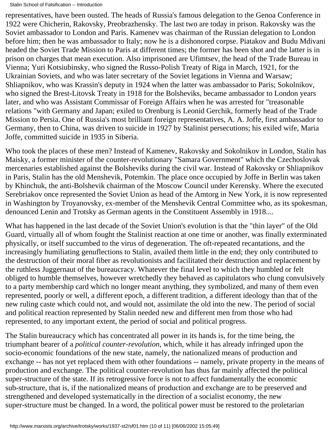representatives, have been ousted. The heads of Russia's famous delegation to the Genoa Conference in 1922 were Chicherin, Rakovsky, Preobrazhensky. The last two are today in prison. Rakovsky was the Soviet ambassador to London and Paris. Kamenev was chairman of the Russian delegation to London before him; then he was ambassador to Italy; now he is a dishonored corpse. Piatakov and Budu Mdivani headed the Soviet Trade Mission to Paris at different times; the former has been shot and the latter is in prison on charges that mean execution. Also imprisoned are Ufimtsev, the head of the Trade Bureau in Vienna; Yuri Kotsiubinsky, who signed the Russo-Polish Treaty of Riga in March, 1921, for the Ukrainian Soviets, and who was later secretary of the Soviet legations in Vienna and Warsaw; Shliapnikov, who was Krassin's deputy in 1924 when the latter was ambassador to Paris; Sokolnikov, who signed the Brest-Litovsk Treaty in 1918 for the Bolsheviks, became ambassador to London years later, and who was Assistant Commissar of Foreign Affairs when he was arrested for "treasonable relations "with Germany and Japan; exiled to Orenburg is Leonid Gerchik, formerly head of the Trade Mission to Persia. One of Russia's most brilliant foreign representatives, A. A. Joffe, first ambassador to Germany, then to China, was driven to suicide in 1927 by Stalinist persecutions; his exiled wife, Maria Joffe, committed suicide in 1935 in Siberia.

Who took the places of these men? Instead of Kamenev, Rakovsky and Sokolnikov in London, Stalin has Maisky, a former minister of the counter-revolutionary "Samara Government" which the Czechoslovak mercenaries established against the Bolsheviks during the civil war. Instead of Rakovsky or Shliapnikov in Paris, Stalin has the old Menshevik, Potemkin. The place once occupied by Joffe in Berlin was taken by Khinchuk, the anti-Bolshevik chairman of the Moscow Council under Kerensky. Where the executed Serebriakov once represented the Soviet Union as head of the Amtorg in New York, it is now represented in Washington by Troyanovsky, ex-member of the Menshevik Central Committee who, as its spokesman, denounced Lenin and Trotsky as German agents in the Constituent Assembly in 1918....

What has happened in the last decade of the Soviet Union's evolution is that the "thin layer" of the Old Guard, virtually all of whom fought the Stalinist reaction at one time or another, was finally exterminated physically, or itself succumbed to the virus of degeneration. The oft-repeated recantations, and the increasingly humiliating genuflections to Stalin, availed them little in the end; they only contributed to the destruction of their moral fiber as revolutionists and facilitated their destruction and replacement by the ruthless Juggernaut of the bureaucracy. Whatever the final level to which they humbled or felt obliged to humble themselves, however wretchedly they behaved as capitulators who clung convulsively to a party membership card which no longer meant anything, they symbolized, and many of them even represented, poorly or well, a different epoch, a different tradition, a different ideology than that of the new ruling caste which could not, and would not, assimilate the old into the new. The period of social and political reaction represented by Stalin needed new and different men from those who had represented, to any important extent, the period of social and political progress.

The Stalin bureaucracy which has concentrated all power in its hands is, for the time being, the triumphant bearer of a *political counter-revolution,* which, while it has already infringed upon the socio-economic foundations of the new state, namely, the nationalized means of production and exchange -- has not yet replaced them with other foundations -- namely, private property in the means of production and exchange. The political counter-revolution has thus far mainly affected the political super-structure of the state. If its retrogressive force is not to affect fundamentally the economic sub-structure, that is, if the nationalized means of production and exchange are to be preserved and strengthened and developed systematically in the direction of a socialist economy, the new super-structure must be changed. In a word, the political power must be restored to the proletarian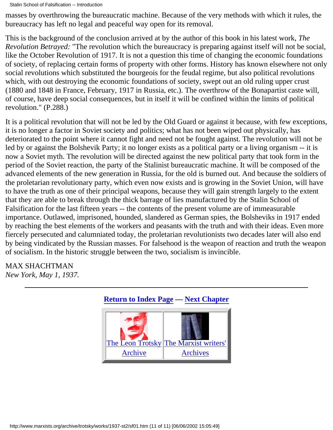masses by overthrowing the bureaucratic machine. Because of the very methods with which it rules, the bureaucracy has left no legal and peaceful way open for its removal.

This is the background of the conclusion arrived at by the author of this book in his latest work, *The Revolution Betrayed:* "The revolution which the bureaucracy is preparing against itself will not be social, like the October Revolution of 1917. It is not a question this time of changing the economic foundations of society, of replacing certain forms of property with other forms. History has known elsewhere not only social revolutions which substituted the bourgeois for the feudal regime, but also political revolutions which, with out destroying the economic foundations of society, swept out an old ruling upper crust (1880 and 1848 in France, February, 1917 in Russia, etc.). The overthrow of the Bonapartist caste will, of course, have deep social consequences, but in itself it will be confined within the limits of political revolution." (P.288.)

It is a political revolution that will not be led by the Old Guard or against it because, with few exceptions, it is no longer a factor in Soviet society and politics; what has not been wiped out physically, has deteriorated to the point where it cannot fight and need not be fought against. The revolution will not be led by or against the Bolshevik Party; it no longer exists as a political party or a living organism -- it is now a Soviet myth. The revolution will be directed against the new political party that took form in the period of the Soviet reaction, the party of the Stalinist bureaucratic machine. It will be composed of the advanced elements of the new generation in Russia, for the old is burned out. And because the soldiers of the proletarian revolutionary party, which even now exists and is growing in the Soviet Union, will have to have the truth as one of their principal weapons, because they will gain strength largely to the extent that they are able to break through the thick barrage of lies manufactured by the Stalin School of Falsification for the last fifteen years -- the contents of the present volume are of immeasurable importance. Outlawed, imprisoned, hounded, slandered as German spies, the Bolsheviks in 1917 ended by reaching the best elements of the workers and peasants with the truth and with their ideas. Even more fiercely persecuted and calumniated today, the proletarian revolutionists two decades later will also end by being vindicated by the Russian masses. For falsehood is the weapon of reaction and truth the weapon of socialism. In the historic struggle between the two, socialism is invincible.

#### MAX SHACHTMAN

*New York, May 1, 1937.*

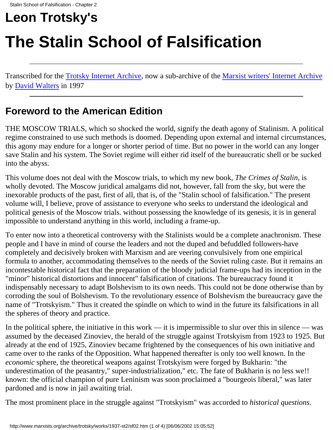## <span id="page-23-0"></span>**Leon Trotsky's**

# **The Stalin School of Falsification**

Transcribed for the [Trotsky Internet Archive,](#page-214-0) now a sub-archive of the [Marxist writers' Internet Archive](#page-6-0) by [David Walters](mailto:dwalters@marxists.org) in 1997

## **Foreword to the American Edition**

THE MOSCOW TRIALS, which so shocked the world, signify the death agony of Stalinism. A political regime constrained to use such methods is doomed. Depending upon external and internal circumstances, this agony may endure for a longer or shorter period of time. But no power in the world can any longer save Stalin and his system. The Soviet regime will either rid itself of the bureaucratic shell or be sucked into the abyss.

This volume does not deal with the Moscow trials, to which my new book, *The Crimes of Stalin,* is wholly devoted. The Moscow juridical amalgams did not, however, fall from the sky, but were the inexorable products of the past, first of all, that is, of the "Stalin school of falsification." The present volume will, I believe, prove of assistance to everyone who seeks to understand the ideological and political genesis of the Moscow trials. without possessing the knowledge of its genesis, it is in general impossible to understand anything in this world, including a frame-up.

To enter now into a theoretical controversy with the Stalinists would be a complete anachronism. These people and I have in mind of course the leaders and not the duped and befuddled followers-have completely and decisively broken with Marxism and are veering convulsively from one empirical formula to another, accommodating themselves to the needs of the Soviet ruling caste. But it remains an incontestable historical fact that the preparation of the bloody judicial frame-ups had its inception in the "minor" historical distortions and innocent" falsification of citations. The bureaucracy found it indispensably necessary to adapt Bolshevism to its own needs. This could not be done otherwise than by corroding the soul of Bolshevism. To the revolutionary essence of Bolshevism the bureaucracy gave the name of "Trotskyism." Thus it created the spindle on which to wind in the future its falsifications in all the spheres of theory and practice.

In the political sphere, the initiative in this work — it is impermissible to slur over this in silence — was assumed by the deceased Zinoviev, the herald of the struggle against Trotskyism from 1923 to 1925. But already at the end of 1925, Zinoviev became frightened by the consequences of his own initiative and came over to the ranks of the Opposition. What happened thereafter is only too well known. In the *economic* sphere, the theoretical weapons against Trotskyism were forged by Bukharin: "the underestimation of the peasantry," super-industrialization," etc. The fate of Bukharin is no less we!! known: the official champion of pure Leninism was soon proclaimed a "bourgeois liberal," was later pardoned and is now in jail awaiting trial.

The most prominent place in the struggle against "Trotskyism" was accorded to *historical questions.*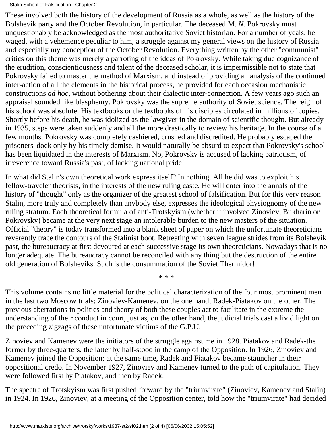These involved both the history of the development of Russia as a whole, as well as the history of the Bolshevik party and the October Revolution, in particular. The deceased M. *N.* Pokrovsky must unquestionably be acknowledged as the most authoritative Soviet historian. For a number of yeals, he waged, with a vehemence peculiar to him, a struggle against my general views on the history of Russia and especially my conception of the October Revolution. Everything written by the other "communist" critics on this theme was merely a parroting of the ideas of Pokrovsky. While taking due cognizance of the erudition, conscientiousness and talent of the deceased scholar, it is impermissible not to state that Pokrovsky failed to master the method of Marxism, and instead of providing an analysis of the continued inter-action of all the elements in the historical process, he provided for each occasion mechanistic constructions *ad hoc,* without bothering about their dialectic inter-connection. A few years ago such an appraisal sounded like blasphemy. Pokrovsky was the supreme authority of Soviet science. The reign of his school was absolute. His textbooks or the textbooks of his disciples circulated in millions of copies. Shortly before his death, he was idolized as the lawgiver in the domain of scientific thought. But already in 1935, steps were taken suddenly and all the more drastically to review his heritage. In the course of a few months, Pokrovsky was completely cashiered, crushed and discredited. He probably escaped the prisoners' dock only by his timely demise. It would naturally be absurd to expect that Pokrovsky's school has been liquidated in the interests of Marxism. No, Pokrovsky is accused of lacking patriotism, of irreverence toward Russia's past, of lacking national pride!

In what did Stalin's own theoretical work express itself? In nothing. All he did was to exploit his fellow-traveler theorists, in the interests of the new ruling caste. He will enter into the annals of the history of "thought" only as the organizer of the greatest school of falsification. But for this very reason Stalin, more truly and completely than anybody else, expresses the ideological physiognomy of the new ruling stratum. Each theoretical formula of anti-Trotskyism (whether it involved Zinoviev, Bukharin or Pokrovsky) became at the very next stage an intolerable burden to the new masters of the situation. Official "theory" is today transformed into a blank sheet of paper on which the unfortunate theoreticians reverently trace the contours of the Stalinist boot. Retreating with seven league strides from its Bolshevik past, the bureaucracy at first devoured at each successive stage its own theoreticians. Nowadays that is no longer adequate. The bureaucracy cannot be reconciled with any thing but the destruction of the entire old generation of Bolsheviks. Such is the consummation of the Soviet Thermidor!

This volume contains no little material for the political characterization of the four most prominent men in the last two Moscow trials: Zinoviev-Kamenev, on the one hand; Radek-Piatakov on the other. The previous aberrations in politics and theory of both these couples act to facilitate in the extreme the understanding of their conduct in court, just as, on the other hand, the judicial trials cast a livid light on the preceding zigzags of these unfortunate victims of the G.P.U.

\* \* \*

Zinoviev and Kamenev were the initiators of the struggle against me in 1928. Piatakov and Radek-the former by three-quarters, the latter by half-stood in the camp of the Opposition. In 1926, Zinoviev and Kamenev joined the Opposition; at the same time, Radek and Fiatakov became stauncher in their oppositional credo. In November 1927, Zinoviev and Kamenev turned to the path of capitulation. They were followed first by Piatakov, and then by Radek.

The spectre of Trotskyism was first pushed forward by the "triumvirate" (Zinoviev, Kamenev and Stalin) in 1924. In 1926, Zinoviev, at a meeting of the Opposition center, told how the "triumvirate" had decided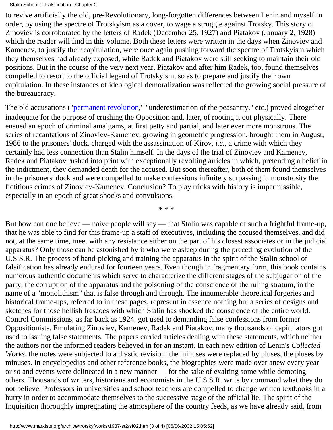to revive artificially the old, pre-Revolutionary, long-forgotten differences between Lenin and myself in order, by using the spectre of Trotskyism as a cover, to wage a struggle against Trotsky. This story of Zinoviev is corroborated by the letters of Radek (December 25, 1927) and Piatakov (January 2, 1928) which the reader will find in this volume. Both these letters were written in the days when Zinoviev and Kamenev, to justify their capitulation, were once again pushing forward the spectre of Trotskyism which they themselves had already exposed, while Radek and Piatakov were still seeking to maintain their old positions. But in the course of the very next year, Piatakov and after him Radek, too, found themselves compelled to resort to the official legend of Trotskyism, so as to prepare and justify their own capitulation. In these instances of ideological demoralization was reflected the growing social pressure of the bureaucracy.

The old accusations (["permanent revolution](http://www.marxists.org/archive/trotsky/works/1931-tpv/index.htm)," "underestimation of the peasantry," etc.) proved altogether inadequate for the purpose of crushing the Opposition and, later, of rooting it out physically. There ensued an epoch of criminal amalgams, at first petty and partial, and later ever more monstrous. The series of recantations of Zinoviev-Kamenev, growing in geometric progression, brought them in August, 1986 to the prisoners' dock, charged with the assassination of Kirov, *i.e.,* a crime with which they certainly had less connection than Stalin himself. In the days of the trial of Zinoviev and Kamenev, Radek and Piatakov rushed into print with exceptionally revolting articles in which, pretending a belief in the indictment, they demanded death for the accused. But soon thereafter, both of them found themselves in the prisoners' dock and were compelled to make confessions infinitely surpassing in monstrosity the fictitious crimes of Zinoviev-Kamenev. Conclusion? To play tricks with history is impermissible, especially in an epoch of great shocks and convulsions.

\* \* \*

But how can one believe — naive people will say — that Stalin was capable of such a frightful frame-up, that he was able to find for this frame-up a staff of executives, including the accused themselves, and did not, at the same time, meet with any resistance either on the part of his closest associates or in the judicial apparatus? Only those can be astonished by it who were asleep during the preceding evolution of the U.S.S.R. The process of hand-picking and training the apparatus in the spirit of the Stalin school of falsification has already endured for fourteen years. Even though in fragmentary form, this book contains numerous authentic documents which serve to characterize the different stages of the subjugation of the party, the corruption of the apparatus and the poisoning of the conscience of the ruling stratum, in the name of a "monolithism" that is false through and through. The innumerable theoretical forgeries and historical frame-ups, referred to in these pages, represent in essence nothing but a series of designs and sketches for those hellish frescoes with which Stalin has shocked the conscience of the entire world. Control Commissions, as far back as 1924, got used to demanding false confessions from former Oppositionists. Emulating Zinoviev, Kamenev, Radek and Piatakov, many thousands of capitulators got used to issuing false statements. The papers carried articles dealing with these statements, which neither the authors nor the informed readers believed in for an instant. In each new edition of Lenin's *Collected Works,* the notes were subjected to a drastic revision: the minuses were replaced by pluses, the pluses by minuses. In encyclopedias and other reference books, the biographies were made over anew every year or so and events were delineated in a new manner — for the sake of exalting some while demoting others. Thousands of writers, historians and economists in the U.S.S.R. write by command what they do not believe. Professors in universities and school teachers are compelled to change written textbooks in a hurry in order to accommodate themselves to the successive stage of the official lie. The spirit of the Inquisition thoroughly impregnating the atmosphere of the country feeds, as we have already said, from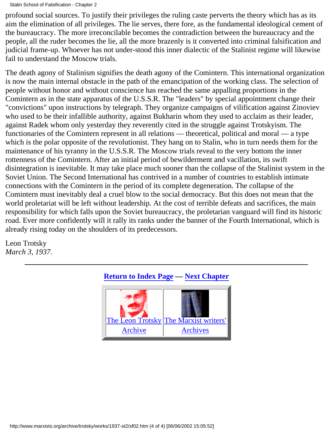profound social sources. To justify their privileges the ruling caste perverts the theory which has as its aim the elimination of all privileges. The lie serves, there fore, as the fundamental ideological cement of the bureaucracy. The more irreconcilable becomes the contradiction between the bureaucracy and the people, all the ruder becomes the lie, all the more brazenly is it converted into criminal falsification and judicial frame-up. Whoever has not under-stood this inner dialectic of the Stalinist regime will likewise fail to understand the Moscow trials.

The death agony of Stalinism signifies the death agony of the Comintern. This international organization is now the main internal obstacle in the path of the emancipation of the working class. The selection of people without honor and without conscience has reached the same appalling proportions in the Comintern as in the state apparatus of the U.S.S.R. The "leaders" by special appointment change their "convictions" upon instructions by telegraph. They organize campaigns of vilification against Zinoviev who used to be their infallible authority, against Bukharin whom they used to acclaim as their leader, against Radek whom only yesterday they reverently cited in the struggle against Trotskyism. The functionaries of the Comintern represent in all relations — theoretical, political and moral — a type which is the polar opposite of the revolutionist. They hang on to Stalin, who in turn needs them for the maintenance of his tyranny in the U.S.S.R. The Moscow trials reveal to the very bottom the inner rottenness of the Comintern. After an initial period of bewilderment and vacillation, its swift disintegration is inevitable. It may take place much sooner than the collapse of the Stalinist system in the Soviet Union. The Second International has contrived in a number of countries to establish intimate connections with the Comintern in the period of its complete degeneration. The collapse of the Comintern must inevitably deal a cruel blow to the social democracy. But this does not mean that the world proletariat will be left without leadership. At the cost of terrible defeats and sacrifices, the main responsibility for which falls upon the Soviet bureaucracy, the proletarian vanguard will find its historic road. Ever more confidently will it rally its ranks under the banner of the Fourth International, which is already rising today on the shoulders of its predecessors.

Leon Trotsky *March 3, 1937.*

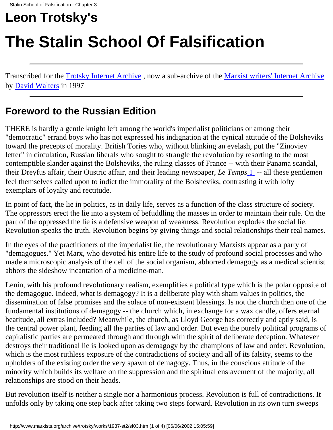## <span id="page-27-0"></span>**Leon Trotsky's**

# **The Stalin School Of Falsification**

Transcribed for the [Trotsky Internet Archive](#page-214-0) , now a sub-archive of the [Marxist writers' Internet Archive](#page-6-0) by [David Walters](mailto:dwalters@marxists.org) in 1997

## **Foreword to the Russian Edition**

THERE is hardly a gentle knight left among the world's imperialist politicians or among their "democratic" errand boys who has not expressed his indignation at the cynical attitude of the Bolsheviks toward the precepts of morality. British Tories who, without blinking an eyelash, put the "Zinoviev letter" in circulation, Russian liberals who sought to strangle the revolution by resorting to the most contemptible slander against the Bolsheviks, the ruling classes of France -- with their Panama scandal, their Dreyfus affair, their Oustric affair, and their leading newspaper, *Le Temps*[\[1\]](#page-30-0) -- all these gentlemen feel themselves called upon to indict the immorality of the Bolsheviks, contrasting it with lofty exemplars of loyalty and rectitude.

<span id="page-27-1"></span>In point of fact, the lie in politics, as in daily life, serves as a function of the class structure of society. The oppressors erect the lie into a system of befuddling the masses in order to maintain their rule. On the part of the oppressed the lie is a defensive weapon of weakness. Revolution explodes the social lie. Revolution speaks the truth. Revolution begins by giving things and social relationships their real names.

In the eyes of the practitioners of the imperialist lie, the revolutionary Marxists appear as a party of "demagogues." Yet Marx, who devoted his entire life to the study of profound social processes and who made a microscopic analysis of the cell of the social organism, abhorred demagogy as a medical scientist abhors the sideshow incantation of a medicine-man.

Lenin, with his profound revolutionary realism, exemplifies a political type which is the polar opposite of the demagogue. Indeed, what is demagogy? It is a deliberate play with sham values in politics, the dissemination of false promises and the solace of non-existent blessings. Is not the church then one of the fundamental institutions of demagogy -- the church which, in exchange for a wax candle, offers eternal beatitude, all extras included? Meanwhile, the church, as Lloyd George has correctly and aptly said, is the central power plant, feeding all the parties of law and order. But even the purely political programs of capitalistic parties are permeated through and through with the spirit of deliberate deception. Whatever destroys their traditional lie is looked upon as demagogy by the champions of law and order. Revolution, which is the most ruthless exposure of the contradictions of society and all of its falsity, seems to the upholders of the existing order the very spawn of demagogy. Thus, in the conscious attitude of the minority which builds its welfare on the suppression and the spiritual enslavement of the majority, all relationships are stood on their heads.

But revolution itself is neither a single nor a harmonious process. Revolution is full of contradictions. It unfolds only by taking one step back after taking two steps forward. Revolution in its own turn sweeps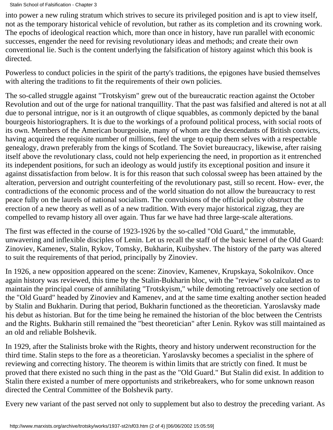into power a new ruling stratum which strives to secure its privileged position and is apt to view itself, not as the temporary historical vehicle of revolution, but rather as its completion and its crowning work. The epochs of ideological reaction which, more than once in history, have run parallel with economic successes, engender the need for revising revolutionary ideas and methods; and create their own conventional lie. Such is the content underlying the falsification of history against which this book is directed.

Powerless to conduct policies in the spirit of the party's traditions, the epigones have busied themselves with altering the traditions to fit the requirements of their own policies.

The so-called struggle against "Trotskyism" grew out of the bureaucratic reaction against the October Revolution and out of the urge for national tranquillity. That the past was falsified and altered is not at all due to personal intrigue, nor is it an outgrowth of clique squabbles, as commonly depicted by the banal bourgeois historiographers. It is due to the workings of a profound political process, with social roots of its own. Members of the American bourgeoisie, many of whom are the descendants of British convicts, having acquired the requisite number of millions, feel the urge to equip them selves with a respectable genealogy, drawn preferably from the kings of Scotland. The Soviet bureaucracy, likewise, after raising itself above the revolutionary class, could not help experiencing the need, in proportion as it entrenched its independent positions, for such an ideology as would justify its exceptional position and insure it against dissatisfaction from below. It is for this reason that such colossal sweep has been attained by the alteration, perversion and outright counterfeiting of the revolutionary past, still so recent. How- ever, the contradictions of the economic process and of the world situation do not allow the bureaucracy to rest peace fully on the laurels of national socialism. The convulsions of the official policy obstruct the erection of a new theory as well as of a new tradition. With every major historical zigzag, they are compelled to revamp history all over again. Thus far we have had three large-scale alterations.

The first was effected in the course of 1923-1926 by the so-called "Old Guard," the immutable, unwavering and inflexible disciples of Lenin. Let us recall the staff of the basic kernel of the Old Guard: Zinoviev, Kamenev, Stalin, Rykov, Tomsky, Bukharin, Kuibyshev. The history of the party was altered to suit the requirements of that period, principally by Zinoviev.

In 1926, a new opposition appeared on the scene: Zinoviev, Kamenev, Krupskaya, Sokolnikov. Once again history was reviewed, this time by the Stalin-Bukharin bloc, with the "review" so calculated as to maintain the principal course of annihilating "Trotskyism," while demoting retroactively one section of the "Old Guard" headed by Zinoviev and Kamenev, and at the same time exalting another section headed by Stalin and Bukharin. During that period, Bukharin functioned as the theoretician. Yaroslavsky made his debut as historian. But for the time being he remained the historian of the bloc between the Centrists and the Rights. Bukharin still remained the "best theoretician" after Lenin. Rykov was still maintained as an old and reliable Bolshevik.

In 1929, after the Stalinists broke with the Rights, theory and history underwent reconstruction for the third time. Stalin steps to the fore as a theoretician. Yaroslavsky becomes a specialist in the sphere of reviewing and correcting history. The theorem is within limits that are strictly con fined. It must be proved that there existed no such thing in the past as the "Old Guard." But Stalin did exist. In addition to Stalin there existed a number of mere opportunists and strikebreakers, who for some unknown reason directed the Central Committee of the Bolshevik party.

Every new variant of the past served not only to supplement but also to destroy the preceding variant. As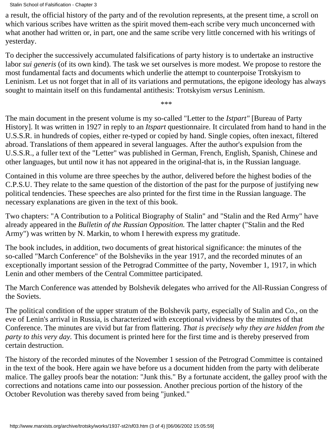a result, the official history of the party and of the revolution represents, at the present time, a scroll on which various scribes have written as the spirit moved them-each scribe very much unconcerned with what another had written or, in part, one and the same scribe very little concerned with his writings of yesterday.

To decipher the successively accumulated falsifications of party history is to undertake an instructive labor *sui generis* (of its own kind). The task we set ourselves is more modest. We propose to restore the most fundamental facts and documents which underlie the attempt to counterpoise Trotskyism to Leninism. Let us not forget that in all of its variations and permutations, the epigone ideology has always sought to maintain itself on this fundamental antithesis: Trotskyism *versus* Leninism.

\*\*\*

The main document in the present volume is my so-called "Letter to the *Istpart"* [Bureau of Party History]. It was written in 1927 in reply to an *Itspart* questionnaire. It circulated from hand to hand in the U.S.S.R. in hundreds of copies, either re-typed or copied by hand. Single copies, often inexact, filtered abroad. Translations of them appeared in several languages. After the author's expulsion from the U.S.S.R., a fuller text of the "Letter" was published in German, French, English, Spanish, Chinese and other languages, but until now it has not appeared in the original-that is, in the Russian language.

Contained in this volume are three speeches by the author, delivered before the highest bodies of the C.P.S.U. They relate to the same question of the distortion of the past for the purpose of justifying new political tendencies. These speeches are also printed for the first time in the Russian language. The necessary explanations are given in the text of this book.

Two chapters: "A Contribution to a Political Biography of Stalin" and "Stalin and the Red Army" have already appeared in the *Bulletin of the Russian Opposition.* The latter chapter ("Stalin and the Red Army") was written by N. Markin, to whom I herewith express my gratitude.

The book includes, in addition, two documents of great historical significance: the minutes of the so-called "March Conference" of the Bolsheviks in the year 1917, and the recorded minutes of an exceptionally important session of the Petrograd Committee of the party, November 1, 1917, in which Lenin and other members of the Central Committee participated.

The March Conference was attended by Bolshevik delegates who arrived for the All-Russian Congress of the Soviets.

The political condition of the upper stratum of the Bolshevik party, especially of Stalin and Co., on the eve of Lenin's arrival in Russia, is characterized with exceptional vividness by the minutes of that Conference. The minutes are vivid but far from flattering. *That is precisely why they are hidden from the party to this very day.* This document is printed here for the first time and is thereby preserved from certain destruction.

The history of the recorded minutes of the November 1 session of the Petrograd Committee is contained in the text of the book. Here again we have before us a document hidden from the party with deliberate malice. The galley proofs bear the notation: "Junk this." By a fortunate accident, the galley proof with the corrections and notations came into our possession. Another precious portion of the history of the October Revolution was thereby saved from being "junked."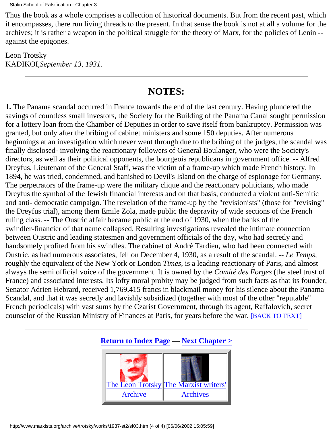Thus the book as a whole comprises a collection of historical documents. But from the recent past, which it encompasses, there run living threads to the present. In that sense the book is not at all a volume for the archives; it is rather a weapon in the political struggle for the theory of Marx, for the policies of Lenin - against the epigones.

Leon Trotsky KADIKOI,*September 13, 1931.*

## **NOTES:**

<span id="page-30-0"></span>**1.** The Panama scandal occurred in France towards the end of the last century. Having plundered the savings of countless small investors, the Society for the Building of the Panama Canal sought permission for a lottery loan from the Chamber of Deputies in order to save itself from bankruptcy. Permission was granted, but only after the bribing of cabinet ministers and some 150 deputies. After numerous beginnings at an investigation which never went through due to the bribing of the judges, the scandal was finally disclosed- involving the reactionary followers of General Boulanger, who were the Society's directors, as well as their political opponents, the bourgeois republicans in government office. -- Alfred Dreyfus, Lieutenant of the General Staff, was the victim of a frame-up which made French history. In 1894, he was tried, condemned, and banished to Devil's Island on the charge of espionage for Germany. The perpetrators of the frame-up were the military clique and the reactionary politicians, who made Dreyfus the symbol of the Jewish financial interests and on that basis, conducted a violent anti-Semitic and anti- democratic campaign. The revelation of the frame-up by the "revisionists" (those for "revising" the Dreyfus trial), among them Emile Zola, made public the depravity of wide sections of the French ruling class. -- The Oustric affair became public at the end of 1930, when the banks of the swindler-financier of that name collapsed. Resulting investigations revealed the intimate connection between Oustric and leading statesmen and government officials of the day, who had secretly and handsomely profited from his swindles. The cabinet of André Tardieu, who had been connected with Oustric, as had numerous associates, fell on December 4, 1930, as a result of the scandal. -- *Le Temps,* roughly the equivalent of the New York or London *Times,* is a leading reactionary of Paris, and almost always the semi official voice of the government. It is owned by the *Comité des Forges* (the steel trust of France) and associated interests. Its lofty moral probity may be judged from such facts as that its founder, Senator Adrien Hebrard, received 1,769,415 francs in blackmail money for his silence about the Panama Scandal, and that it was secretly and lavishly subsidized (together with most of the other "reputable" French periodicals) with vast sums by the Czarist Government, through its agent, Raffalovich, secret counselor of the Russian Ministry of Finances at Paris, for years before the war. [\[BACK TO TEXT\]](#page-27-1)

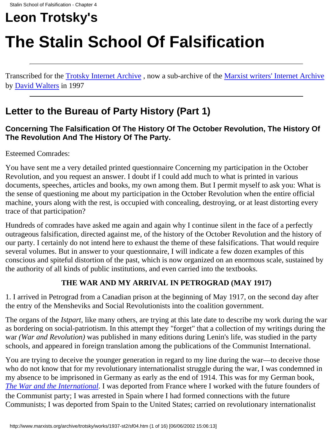## <span id="page-31-0"></span>**Leon Trotsky's**

# **The Stalin School Of Falsification**

Transcribed for the [Trotsky Internet Archive](#page-214-0) , now a sub-archive of the [Marxist writers' Internet Archive](#page-6-0) by [David Walters](mailto:dwalters@marxists.org) in 1997

## **Letter to the Bureau of Party History (Part 1)**

### **Concerning The Falsification Of The History Of The October Revolution, The History Of The Revolution And The History Of The Party.**

Esteemed Comrades:

You have sent me a very detailed printed questionnaire Concerning my participation in the October Revolution, and you request an answer. I doubt if I could add much to what is printed in various documents, speeches, articles and books, my own among them. But I permit myself to ask you: What is the sense of questioning me about my participation in the October Revolution when the entire official machine, yours along with the rest, is occupied with concealing, destroying, or at least distorting every trace of that participation?

Hundreds of comrades have asked me again and again why I continue silent in the face of a perfectly outrageous falsification, directed against me, of the history of the October Revolution and the history of our party. I certainly do not intend here to exhaust the theme of these falsifications. That would require several volumes. But in answer to your questionnaire, I will indicate a few dozen examples of this conscious and spiteful distortion of the past, which is now organized on an enormous scale, sustained by the authority of all kinds of public institutions, and even carried into the textbooks.

## **THE WAR AND MY ARRIVAL IN PETROGRAD (MAY 1917)**

1. I arrived in Petrograd from a Canadian prison at the beginning of May 1917, on the second day after the entry of the Mensheviks and Social Revolutionists into the coalition government.

The organs of the *Istpart,* like many others, are trying at this late date to describe my work during the war as bordering on social-patriotism. In this attempt they "forget" that a collection of my writings during the war *(War and Revolution)* was published in many editions during Lenin's life, was studied in the party schools, and appeared in foreign translation among the publications of the Communist International.

You are trying to deceive the younger generation in regard to my line during the war—to deceive those who do not know that for my revolutionary internationalist struggle during the war, I was condemned in my absence to be imprisoned in Germany as early as the end of 1914. This was for my German book, *[The War and the International](http://www.marxists.org/archive/trotsky/works/1914-war/index.htm).* I was deported from France where I worked with the future founders of the Communist party; I was arrested in Spain where I had formed connections with the future Communists; I was deported from Spain to the United States; carried on revolutionary internationalist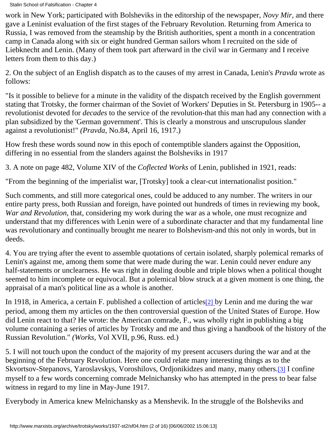work in New York; participated with Bolsheviks in the editorship of the newspaper, *Novy Mir,* and there gave a Leninist evaluation of the first stages of the February Revolution. Returning from America to Russia, I was removed from the steamship by the British authorities, spent a month in a concentration camp in Canada along with six or eight hundred German sailors whom I recruited on the side of Liebknecht and Lenin. (Many of them took part afterward in the civil war in Germany and I receive letters from them to this day.)

2. On the subject of an English dispatch as to the causes of my arrest in Canada, Lenin's *Pravda* wrote as follows:

"Is it possible to believe for a minute in the validity of the dispatch received by the English government stating that Trotsky, the former chairman of the Soviet of Workers' Deputies in St. Petersburg in 1905-- a revolutionist devoted for *decades* to the service of the revolution-that this man had any connection with a plan subsidized by the 'German government'. This is clearly a monstrous and unscrupulous slander against a revolutionist!" *(Pravda,* No.84, April 16, 1917.)

How fresh these words sound now in this epoch of contemptible slanders against the Opposition, differing in no essential from the slanders against the Bolsheviks in 1917

3. A note on page 482, Volume XIV of the *Coflected Works* of Lenin, published in 1921, reads:

"From the beginning of the imperialist war, [Trotsky] took a clear-cut internationalist position."

Such comments, and still more categorical ones, could be adduced to any number. The writers in our entire party press, both Russian and foreign, have pointed out hundreds of times in reviewing my book, *War and Revolution,* that, considering my work during the war as a whole, one must recognize and understand that my differences with Lenin were of a subordinate character and that my fundamental line was revolutionary and continually brought me nearer to Bolshevism-and this not only in words, but in deeds.

4. You are trying after the event to assemble quotations of certain isolated, sharply polemical remarks of Lenin's against me, among them some that were made during the war. Lenin could never endure any half-statements or unclearness. He was right in dealing double and triple blows when a political thought seemed to him incomplete or equivocal. But a polemical blow struck at a given moment is one thing, the appraisal of a man's political line as a whole is another.

In 1918, in America, a certain F. published a collection of articles<sup>[2]</sup> by Lenin and me during the war period, among them my articles on the then controversial question of the United States of Europe. How did Lenin react to that? He wrote: the American comrade, F., was wholly right in publishing a big volume containing a series of articles by Trotsky and me and thus giving a handbook of the history of the Russian Revolution." *(Works,* Vol XVII, p.96, Russ. ed.)

5. I will not touch upon the conduct of the majority of my present accusers during the war and at the beginning of the February Revolution. Here one could relate many interesting things as to the Skvortsov-Stepanovs, Yaroslavskys, Voroshilovs, Ordjonikidzes and many, many others.[3] I confine myself to a few words concerning comrade Melnichansky who has attempted in the press to bear false witness in regard to my line in May-June 1917.

Everybody in America knew Melnichansky as a Menshevik. In the struggle of the Bolsheviks and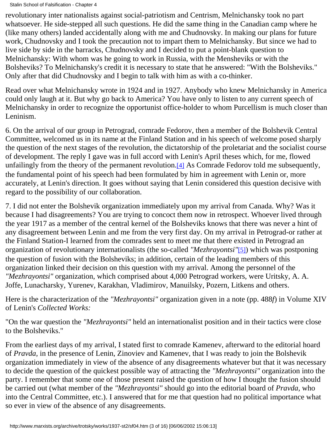revolutionary inter nationalists against social-patriotism and Centrism, Melnichansky took no part whatsoever. He side-stepped all such questions. He did the same thing in the Canadian camp where he (like many others) landed accidentally along with me and Chudnovsky. In making our plans for future work, Chudnovsky and I took the precaution not to impart them to Melnichansky. But since we had to live side by side in the barracks, Chudnovsky and I decided to put a point-blank question to Melnichansky: With whom was he going to work in Russia, with the Mensheviks or with the Bolsheviks? To Melnichansky's credit it is necessary to state that he answered: "With the Bolsheviks." Only after that did Chudnovsky and I begin to talk with him as with a co-thinker.

Read over what Melnichansky wrote in 1924 and in 1927. Anybody who knew Melnichansky in America could only laugh at it. But why go back to America? You have only to listen to any current speech of Melnichansky in order to recognize the opportunist office-holder to whom Purcellism is much closer than Leninism.

6. On the arrival of our group in Petrograd, comrade Fedorov, then a member of the Bolshevik Central Committee, welcomed us in its name at the Finland Station and in his speech of welcome posed sharply the question of the next stages of the revolution, the dictatorship of the proletariat and the socialist course of development. The reply I gave was in full accord with Lenin's April theses which, for me, flowed unfailingly from the theory of the permanent revolution.[4] As Comrade Fedorov told me subsequently, the fundamental point of his speech had been formulated by him in agreement with Lenin or, more accurately, at Lenin's direction. It goes without saying that Lenin considered this question decisive with regard to the possibility of our collaboration.

7. I did not enter the Bolshevik organization immediately upon my arrival from Canada. Why? Was it because I had disagreements? You are trying to concoct them now in retrospect. Whoever lived through the year 1917 as a member of the central kernel of the Bolsheviks knows that there was never a hint of any disagreement between Lenin and me from the very first day. On my arrival in Petrograd-or rather at the Finland Station-I learned from the comrades sent to meet me that there existed in Petrograd an organization of revolutionary internationalists (the so-called *"Mezhrayontsi"*[5]) which was postponing the question of fusion with the Bolsheviks; in addition, certain of the leading members of this organization linked their decision on this question with my arrival. Among the personnel of the *"Mezhrayontsi"* organization, which comprised about 4,000 Petrograd workers, were Uritsky, A. A. Joffe, Lunacharsky, Yurenev, Karakhan, Vladimirov, Manuilsky, Pozern, Litkens and others.

Here is the characterization of the *"Mezhrayontsi"* organization given in a note (pp. 488*f*) in Volume XIV of Lenin's *Collected Works:*

"On the war question the *"Mezhrayontsi"* held an internationalist position and in their tactics were close to the Bolsheviks."

From the earliest days of my arrival, I stated first to comrade Kamenev, afterward to the editorial hoard of *Pravda,* in the presence of Lenin, Zinoviev and Kamenev, that I was ready to join the Bolshevik organization immediately in view of the absence of any disagreements whatever but that it was necessary to decide the question of the quickest possible way of attracting the *"Mezhrayontsi"* organization into the party. I remember that some one of those present raised the question of how I thought the fusion should be carried out (what member of the *"Mezhrayontsi"* should go into the editorial board of *Pravda,* who into the Central Committee, etc.). I answered that for me that question had no political importance what so ever in view of the absence of any disagreements.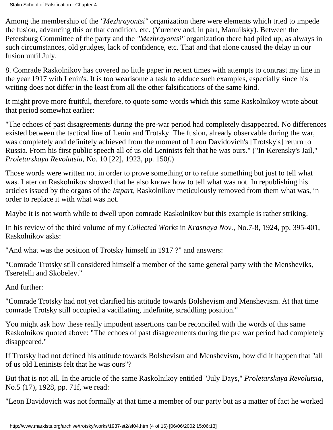Among the membership of the *"Mezhrayontsi"* organization there were elements which tried to impede the fusion, advancing this or that condition, etc. (Yurenev and, in part, Manuilsky). Between the Petersburg Committee of the party and the *"Mezhrayontsi"* organization there had piled up, as always in such circumstances, old grudges, lack of confidence, etc. That and that alone caused the delay in our fusion until July.

8. Comrade Raskolnikov has covered no little paper in recent times with attempts to contrast my line in the year 1917 with Lenin's. It is too wearisome a task to adduce such examples, especially since his writing does not differ in the least from all the other falsifications of the same kind.

It might prove more fruitful, therefore, to quote some words which this same Raskolnikoy wrote about that period somewhat earlier:

"The echoes of past disagreements during the pre-war period had completely disappeared. No differences existed between the tactical line of Lenin and Trotsky. The fusion, already observable during the war, was completely and definitely achieved from the moment of Leon Davidovich's [Trotsky's] return to Russia. From his first public speech all of us old Leninists felt that he was ours." ("In Kerensky's Jail," *Proletarskaya Revolutsia,* No. 10 [22], 1923, pp. 150*f*.)

Those words were written not in order to prove something or to refute something but just to tell what was. Later on Raskolnikov showed that he also knows how to tell what was not. In republishing his articles issued by the organs of the *Istpart,* Raskolnikov meticulously removed from them what was, in order to replace it with what was not.

Maybe it is not worth while to dwell upon comrade Raskolnikov but this example is rather striking.

In his review of the third volume of my *Collected Works* in *Krasnaya Nov.,* No.7-8, 1924, pp. 395-401, Raskolnikov asks:

"And what was the position of Trotsky himself in 1917 ?" and answers:

"Comrade Trotsky still considered himself a member of the same general party with the Mensheviks, Tseretelli and Skobelev."

And further:

"Comrade Trotsky had not yet clarified his attitude towards Bolshevism and Menshevism. At that time comrade Trotsky still occupied a vacillating, indefinite, straddling position."

You might ask how these really impudent assertions can be reconciled with the words of this same Raskolnikov quoted above: "The echoes of past disagreements during the pre war period had completely disappeared."

If Trotsky had not defined his attitude towards Bolshevism and Menshevism, how did it happen that "all of us old Leninists felt that he was ours"?

But that is not all. In the article of the same Raskolnikoy entitled "July Days," *Proletarskaya Revolutsia,* No.5 (17), 1928, pp. 71f, we read:

"Leon Davidovich was not formally at that time a member of our party but as a matter of fact he worked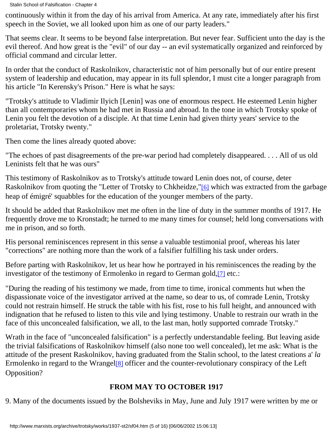continuously within it from the day of his arrival from America. At any rate, immediately after his first speech in the Soviet, we all looked upon him as one of our party leaders."

That seems clear. It seems to be beyond false interpretation. But never fear. Sufficient unto the day is the evil thereof. And how great is the "evil" of our day -- an evil systematically organized and reinforced by official command and circular letter.

In order that the conduct of Raskolnikov, characteristic not of him personally but of our entire present system of leadership and education, may appear in its full splendor, I must cite a longer paragraph from his article "In Kerensky's Prison." Here is what he says:

"Trotsky's attitude to Vladimir Ilyich [Lenin] was one of enormous respect. He esteemed Lenin higher than all contemporaries whom he had met in Russia and abroad. In the tone in which Trotsky spoke of Lenin you felt the devotion of a disciple. At that time Lenin had given thirty years' service to the proletariat, Trotsky twenty."

Then come the lines already quoted above:

"The echoes of past disagreements of the pre-war period had completely disappeared. . . . All of us old Leninists felt that he was ours"

This testimony of Raskolnikov as to Trotsky's attitude toward Lenin does not, of course, deter Raskolnikov from quoting the "Letter of Trotsky to Chkheidze,"<sup>[6]</sup> which was extracted from the garbage heap of émigré' squabbles for the education of the younger members of the party.

It should be added that Raskolnikov met me often in the line of duty in the summer months of 1917. He frequently drove me to Kronstadt; he turned to me many times for counsel; held long conversations with me in prison, and so forth.

His personal reminiscences represent in this sense a valuable testimonial proof, whereas his later "corrections" are nothing more than the work of a falsifier fulfilling his task under orders.

Before parting with Raskolnikov, let us hear how he portrayed in his reminiscences the reading by the investigator of the testimony of Ermolenko in regard to German gold,[7] etc.:

"During the reading of his testimony we made, from time to time, ironical comments hut when the dispassionate voice of the investigator arrived at the name, so dear to us, of comrade Lenin, Trotsky could not restrain himself. He struck the table with his fist, rose to his full height, and announced with indignation that he refused to listen to this vile and lying testimony. Unable to restrain our wrath in the face of this unconcealed falsification, we all, to the last man, hotly supported comrade Trotsky."

Wrath in the face of "unconcealed falsification" is a perfectly understandable feeling. But leaving aside the trivial falsifications of Raskolnikov himself (also none too well concealed), let me ask: What is the attitude of the present Raskolnikov, having graduated from the Stalin school, to the latest creations a' *la* Ermolenko in regard to the Wrangel<sup>[8]</sup> officer and the counter-revolutionary conspiracy of the Left Opposition?

## **FROM MAY TO OCTOBER 1917**

9. Many of the documents issued by the Bolsheviks in May, June and July 1917 were written by me or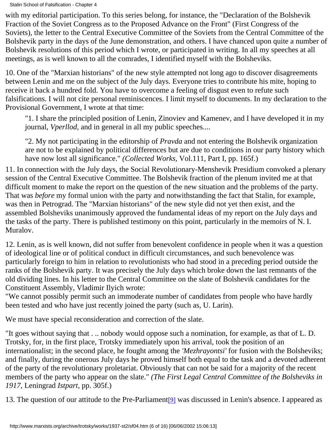with my editorial participation. To this series belong, for instance, the "Declaration of the Bolshevik Fraction of the Soviet Congress as to the Proposed Advance on the Front" (First Congress of the Soviets), the letter to the Central Executive Committee of the Soviets from the Central Committee of the Bolshevik party in the days of the June demonstration, and others. I have chanced upon quite a number of Bolshevik resolutions of this period which I wrote, or participated in writing. In all my speeches at all meetings, as is well known to all the comrades, I identified myself with the Bolsheviks.

10. One of the "Marxian historians" of the new style attempted not long ago to discover disagreements between Lenin and me on the subject of the July days. Everyone tries to contribute his mite, hoping to receive it back a hundred fold. You have to overcome a feeling of disgust even to refute such falsifications. I will not cite personal reminiscences. I limit myself to documents. In my declaration to the Provisional Government, I wrote at that time:

"1. I share the principled position of Lenin, Zinoviev and Kamenev, and I have developed it in my journal, *Vperllod,* and in general in all my public speeches....

"2. My not participating in the editorship of *Pravda* and not entering the Bolshevik organization are not to be explained by political differences but are due to conditions in our party history which have now lost all significance." *(Collected Works,* Vol.111, Part I, pp. 165f.)

11. In connection with the July days, the Social Revolutionary-Menshevik Presidium convoked a plenary session of the Central Executive Committee. The Bolshevik fraction of the plenum invited me at that difficult moment to make the report on the question of the new situation and the problems of the party. That was *before* my formal union with the party and notwithstanding the fact that Stalin, for example, was then in Petrograd. The "Marxian historians" of the new style did not yet then exist, and the assembled Bolsheviks unanimously approved the fundamental ideas of my report on the July days and the tasks of the party. There is published testimony on this point, particularly in the memoirs of N. I. Muralov.

12. Lenin, as is well known, did not suffer from benevolent confidence in people when it was a question of ideological line or of political conduct in difficult circumstances, and such benevolence was particularly foreign to him in relation to revolutionists who had stood in a preceding period outside the ranks of the Bolshevik party. It was precisely the July days which broke down the last remnants of the old dividing lines. In his letter to the Central Committee on the slate of Bolshevik candidates for the Constituent Assembly, Vladimir Ilyich wrote:

"We cannot possibly permit such an immoderate number of candidates from people who have hardly been tested and who have just recently joined the party (such as, U. Larin).

We must have special reconsideration and correction of the slate.

"It goes without saying that . .. nobody would oppose such a nomination, for example, as that of L. D. Trotsky, for, in the first place, Trotsky immediately upon his arrival, took the position of an internationalist; in the second place, he fought among the *'Mezhrayontsi'* for fusion with the Bolsheviks; and finally, during the onerous July days he proved himself both equal to the task and a devoted adherent of the party of the revolutionary proletariat. Obviously that can not be said for a majority of the recent members of the party who appear on the slate." *(The First Legal Central Committee of the Bolsheviks in 1917,* Leningrad *Istpart,* pp. 305f.)

13. The question of our attitude to the Pre-Parliament[9] was discussed in Lenin's absence. I appeared as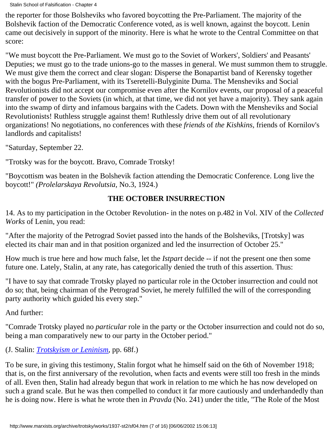the reporter for those Bolsheviks who favored boycotting the Pre-Parliament. The majority of the Bolshevik faction of the Democratic Conference voted, as is well known, against the boycott. Lenin came out decisively in support of the minority. Here is what he wrote to the Central Committee on that score:

"We must boycott the Pre-Parliament. We must go to the Soviet of Workers', Soldiers' and Peasants' Deputies; we must go to the trade unions-go to the masses in general. We must summon them to struggle. We must give them the correct and clear slogan: Disperse the Bonapartist band of Kerensky together with the bogus Pre-Parliament, with its Tseretelli-Bulyginite Duma. The Mensheviks and Social Revolutionists did not accept our compromise even after the Kornilov events, our proposal of a peaceful transfer of power to the Soviets (in which, at that time, we did not yet have a majority). They sank again into the swamp of dirty and infamous bargains with the Cadets. Down with the Mensheviks and Social Revolutionists! Ruthless struggle against them! Ruthlessly drive them out of all revolutionary organizations! No negotiations, no conferences with these *friends* of *the Kishkins,* friends of Kornilov's landlords and capitalists!

"Saturday, September 22.

"Trotsky was for the boycott. Bravo, Comrade Trotsky!

"Boycottism was beaten in the Bolshevik faction attending the Democratic Conference. Long live the boycott!" *(Prolelarskaya Revolutsia,* No.3, 1924.)

#### **THE OCTOBER INSURRECTION**

14. As to my participation in the October Revolution- in the notes on p.482 in Vol. XIV of the *Collected Works* of Lenin, you read:

"After the majority of the Petrograd Soviet passed into the hands of the Bolsheviks, [Trotsky] was elected its chair man and in that position organized and led the insurrection of October 25."

How much is true here and how much false, let the *Istpart* decide -- if not the present one then some future one. Lately, Stalin, at any rate, has categorically denied the truth of this assertion. Thus:

"I have to say that comrade Trotsky played no particular role in the October insurrection and could not do so; that, being chairman of the Petrograd Soviet, he merely fulfilled the will of the corresponding party authority which guided his every step."

And further:

"Comrade Trotsky played no *particular* role in the party or the October insurrection and could not do so, being a man comparatively new to our party in the October period."

(J. Stalin: *[Trotskyism or Leninism](http://www.marxists.org/reference/archive/stalin/works/1924/11_19.htm),* pp. 68f.)

To be sure, in giving this testimony, Stalin forgot what he himself said on the 6th of November 1918; that is, on the first anniversary of the revolution, when facts and events were still too fresh in the minds of all. Even then, Stalin had already begun that work in relation to me which he has now developed on such a grand scale. But he was then compelled to conduct it far more cautiously and underhandedly than he is doing now. Here is what he wrote then in *Pravda* (No. 241) under the title, "The Role of the Most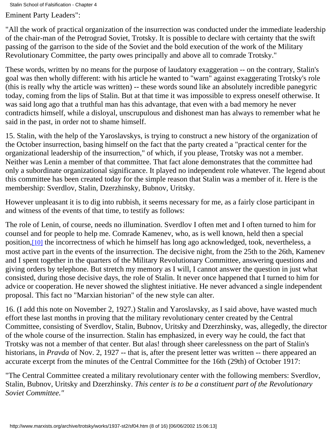Eminent Party Leaders":

"All the work of practical organization of the insurrection was conducted under the immediate leadership of the chair-man of the Petrograd Soviet, Trotsky. It is possible to declare with certainty that the swift passing of the garrison to the side of the Soviet and the bold execution of the work of the Military Revolutionary Committee, the party owes principally and above all to comrade Trotsky."

These words, written by no means for the purpose of laudatory exaggeration -- on the contrary, Stalin's goal was then wholly different: with his article he wanted to "warn" against exaggerating Trotsky's role (this is really why the article was written) -- these words sound like an absolutely incredible panegyric today, coming from the lips of Stalin. But at that time it was impossible to express oneself otherwise. It was said long ago that a truthful man has this advantage, that even with a bad memory he never contradicts himself, while a disloyal, unscrupulous and dishonest man has always to remember what he said in the past, in order not to shame himself.

15. Stalin, with the help of the Yaroslavskys, is trying to construct a new history of the organization of the October insurrection, basing himself on the fact that the party created a "practical center for the organizational leadership of the insurrection," of which, if you please, Trotsky was not a member. Neither was Lenin a member of that committee. That fact alone demonstrates that the committee had only a subordinate organizational significance. It played no independent role whatever. The legend about this committee has been created today for the simple reason that Stalin was a member of it. Here is the membership: Sverdlov, Stalin, Dzerzhinsky, Bubnov, Uritsky.

However unpleasant it is to dig into rubbish, it seems necessary for me, as a fairly close participant in and witness of the events of that time, to testify as follows:

The role of Lenin, of course, needs no illumination. Sverdlov I often met and I often turned to him for counsel and for people to help me. Comrade Kamenev, who, as is well known, held then a special position,[10] the incorrectness of which he himself has long ago acknowledged, took, nevertheless, a most active part in the events of the insurrection. The decisive night, from the 25th to the 26th, Kamenev and I spent together in the quarters of the Military Revolutionary Committee, answering questions and giving orders by telephone. But stretch my memory as I will, I cannot answer the question in just what consisted, during those decisive days, the role of Stalin. It never once happened that I turned to him for advice or cooperation. He never showed the slightest initiative. He never advanced a single independent proposal. This fact no "Marxian historian" of the new style can alter.

16. (I add this note on November 2, 1927.) Stalin and Yaroslavsky, as I said above, have wasted much effort these last months in proving that the military revolutionary center created by the Central Committee, consisting of Sverdlov, Stalin, Bubnov, Uritsky and Dzerzhinsky, was, allegedly, the director of the whole course of the insurrection. Stalin has emphasized, in every way he could, the fact that Trotsky was not a member of that center. But alas! through sheer carelessness on the part of Stalin's historians, in *Pravda* of Nov. 2, 1927 -- that is, after the present letter was written -- there appeared an accurate excerpt from the minutes of the Central Committee for the 16th (29th) of October 1917:

"The Central Committee created a military revolutionary center with the following members: Sverdlov, Stalin, Bubnov, Uritsky and Dzerzhinsky. *This center is to be a constituent part of the Revolutionary Soviet Committee."*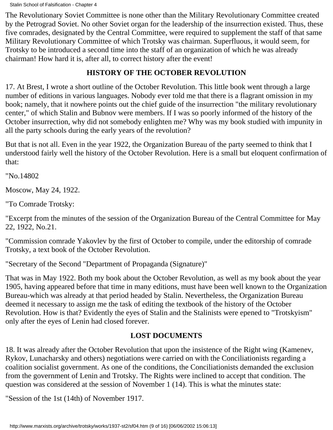The Revolutionary Soviet Committee is none other than the Military Revolutionary Committee created by the Petrograd Soviet. No other Soviet organ for the leadership of the insurrection existed. Thus, these five comrades, designated by the Central Committee, were required to supplement the staff of that same Military Revolutionary Committee of which Trotsky was chairman. Superfluous, it would seem, for Trotsky to be introduced a second time into the staff of an organization of which he was already chairman! How hard it is, after all, to correct history after the event!

#### **HISTORY OF THE OCTOBER REVOLUTION**

17. At Brest, I wrote a short outline of the October Revolution. This little book went through a large number of editions in various languages. Nobody ever told me that there is a flagrant omission in my book; namely, that it nowhere points out the chief guide of the insurrection "the military revolutionary center," of which Stalin and Bubnov were members. If I was so poorly informed of the history of the October insurrection, why did not somebody enlighten me? Why was my book studied with impunity in all the party schools during the early years of the revolution?

But that is not all. Even in the year 1922, the Organization Bureau of the party seemed to think that I understood fairly well the history of the October Revolution. Here is a small but eloquent confirmation of that:

"No.14802

Moscow, May 24, 1922.

"To Comrade Trotsky:

"Excerpt from the minutes of the session of the Organization Bureau of the Central Committee for May 22, 1922, No.21.

"Commission comrade Yakovlev by the first of October to compile, under the editorship of comrade Trotsky, a text book of the October Revolution.

"Secretary of the Second "Department of Propaganda (Signature)"

That was in May 1922. Both my book about the October Revolution, as well as my book about the year 1905, having appeared before that time in many editions, must have been well known to the Organization Bureau-which was already at that period headed by Stalin. Nevertheless, the Organization Bureau deemed it necessary to assign me the task of editing the textbook of the history of the October Revolution. How is that? Evidently the eyes of Stalin and the Stalinists were epened to "Trotskyism" only after the eyes of Lenin had closed forever.

#### **LOST DOCUMENTS**

18. It was already after the October Revolution that upon the insistence of the Right wing (Kamenev, Rykov, Lunacharsky and others) negotiations were carried on with the Conciliationists regarding a coalition socialist government. As one of the conditions, the Conciliationists demanded the exclusion from the government of Lenin and Trotsky. The Rights were inclined to accept that condition. The question was considered at the session of November 1 (14). This is what the minutes state:

"Session of the 1st (14th) of November 1917.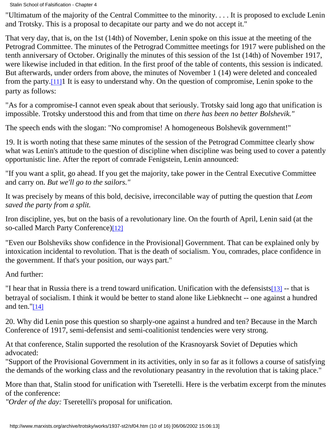"Ultimatum of the majority of the Central Committee to the minority. . . . It is proposed to exclude Lenin and Trotsky. This is a proposal to decapitate our party and we do not accept it."

That very day, that is, on the 1st (14th) of November, Lenin spoke on this issue at the meeting of the Petrograd Committee. The minutes of the Petrograd Committee meetings for 1917 were published on the tenth anniversary of October. Originally the minutes of this session of the 1st (14th) of November 1917, were likewise included in that edition. In the first proof of the table of contents, this session is indicated. But afterwards, under orders from above, the minutes of November 1 (14) were deleted and concealed from the party.[11]1 It is easy to understand why. On the question of compromise, Lenin spoke to the party as follows:

"As for a compromise-I cannot even speak about that seriously. Trotsky said long ago that unification is impossible. Trotsky understood this and from that time on *there has been no better Bolshevik."*

The speech ends with the slogan: "No compromise! A homogeneous Bolshevik government!"

19. It is worth noting that these same minutes of the session of the Petrograd Committee clearly show what was Lenin's attitude to the question of discipline when discipline was being used to cover a patently opportunistic line. After the report of comrade Fenigstein, Lenin announced:

"If you want a split, go ahead. If you get the majority, take power in the Central Executive Committee and carry on. *But we'll go to the sailors."*

It was precisely by means of this bold, decisive, irreconcilable way of putting the question that *Leom saved the party from a split.*

Iron discipline, yes, but on the basis of a revolutionary line. On the fourth of April, Lenin said (at the so-called March Party Conference)[12]

"Even our Bolsheviks show confidence in the Provisional] Government. That can be explained only by intoxication incidental to revolution. That is the death of socialism. You, comrades, place confidence in the government. If that's your position, our ways part."

And further:

"I hear that in Russia there is a trend toward unification. Unification with the defensists[13] -- that is betrayal of socialism. I think it would be better to stand alone like Liebknecht -- one against a hundred and ten." $[14]$ 

20. Why did Lenin pose this question so sharply-one against a hundred and ten? Because in the March Conference of 1917, semi-defensist and semi-coalitionist tendencies were very strong.

At that conference, Stalin supported the resolution of the Krasnoyarsk Soviet of Deputies which advocated:

"Support of the Provisional Government in its activities, only in so far as it follows a course of satisfying the demands of the working class and the revolutionary peasantry in the revolution that is taking place."

More than that, Stalin stood for unification with Tseretelli. Here is the verbatim excerpt from the minutes of the conference:

*"Order of the day:* Tseretelli's proposal for unification.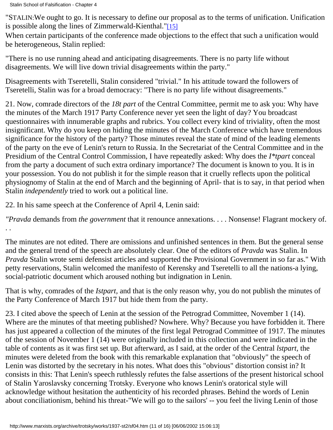"STALIN:We ought to go. It is necessary to define our proposal as to the terms of unification. Unification is possible along the lines of Zimmerwald-Kienthal."[15]

When certain participants of the conference made objections to the effect that such a unification would be heterogeneous, Stalin replied:

"There is no use running ahead and anticipating disagreements. There is no party life without disagreements. We will live down trivial disagreements within the party."

Disagreements with Tseretelli, Stalin considered "trivial." In his attitude toward the followers of Tseretelli, Stalin was for a broad democracy: "There is no party life without disagreements."

21. Now, comrade directors of the *18t part* of the Central Committee, permit me to ask you: Why have the minutes of the March 1917 Party Conference never yet seen the light of day? You broadcast questionnaires with innumerable graphs and rubrics. You collect every kind of triviality, often the most insignificant. Why do you keep on hiding the minutes of the March Conference which have tremendous significance for the history of the party? Those minutes reveal the state of mind of the leading elements of the party on the eve of Lenin's return to Russia. In the Secretariat of the Central Committee and in the Presidium of the Central Control Commission, I have repeatedly asked: Why does the *I\*tpart* conceal from the party a document of such extra ordinary importance? The document is known to you. It is in your possession. You do not publish it for the simple reason that it cruelly reflects upon the political physiognomy of Stalin at the end of March and the beginning of April- that is to say, in that period when Stalin *independently* tried to work out a political line.

22. In his same speech at the Conference of April 4, Lenin said:

*"Pravda* demands from *the government* that it renounce annexations. . . . Nonsense! Flagrant mockery of. . .

The minutes are not edited. There are omissions and unfinished sentences in them. But the general sense and the general trend of the speech are absolutely clear. One of the editors of *Pravda* was Stalin. In *Pravda* Stalin wrote semi defensist articles and supported the Provisional Government in so far as." With petty reservations, Stalin welcomed the manifesto of Kerensky and Tseretelli to all the nations-a lying, social-patriotic document which aroused nothing but indignation in Lenin.

That is why, comrades of the *Istpart,* and that is the only reason why, you do not publish the minutes of the Party Conference of March 1917 but hide them from the party.

23. I cited above the speech of Lenin at the session of the Petrograd Committee, November 1 (14). Where are the minutes of that meeting published? Nowhere. Why? Because you have forbidden it. There has just appeared a collection of the minutes of the first legal Petrograd Committee of 1917. The minutes of the session of November 1 (14) were originally included in this collection and were indicated in the table of contents as it was first set up. But afterward, as I said, at the order of the Central *lstpart,* the minutes were deleted from the book with this remarkable explanation that "obviously" the speech of Lenin was distorted by the secretary in his notes. What does this "obvious" distortion consist in? It consists in this: That Lenin's speech ruthlessly refutes the false assertions of the present historical school of Stalin Yaroslavsky concerning Trotsky. Everyone who knows Lenin's oratorical style will acknowledge without hesitation the authenticity of his recorded phrases. Behind the words of Lenin about conciliationism, behind his threat-"We will go to the sailors' -- you feel the living Lenin of those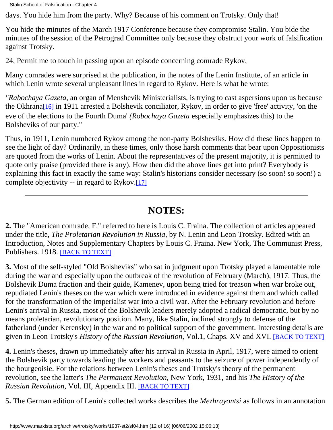days. You hide him from the party. Why? Because of his comment on Trotsky. Only that!

You hide the minutes of the March 1917 Conference because they compromise Stalin. You bide the minutes of the session of the Petrograd Committee only because they obstruct your work of falsification against Trotsky.

24. Permit me to touch in passing upon an episode concerning comrade Rykov.

Many comrades were surprised at the publication, in the notes of the Lenin Institute, of an article in which Lenin wrote several unpleasant lines in regard to Rykov. Here is what he wrote:

*"Rabochaya Gazeta,* an organ of Menshevik Ministerialists, is trying to cast aspersions upon us because the Okhrana[16] in 1911 arrested a Bolshevik conciliator, Rykov, in order to give 'free' activity, 'on the eve of the elections to the Fourth Duma' *(Robochaya Gazeta* especially emphasizes this) to the Bolsheviks of our party."

Thus, in 1911, Lenin numbered Rykov among the non-party Bolsheviks. How did these lines happen to see the light of day? Ordinarily, in these times, only those harsh comments that bear upon Oppositionists are quoted from the works of Lenin. About the representatives of the present majority, it is permitted to quote only praise (provided there is any). How then did the above lines get into print? Everybody is explaining this fact in exactly the same way: Stalin's historians consider necessary (so soon! so soon!) a complete objectivity -- in regard to Rykov.[17]

## **NOTES:**

**2.** The "American comrade, F." referred to here is Louis C. Fraina. The collection of articles appeared under the title, *The Proletarian Revolution in Russia,* by N. Lenin and Leon Trotsky. Edited with an Introduction, Notes and Supplementary Chapters by Louis C. Fraina. New York, The Communist Press, Publishers. 1918. [BACK TO TEXT]

**3.** Most of the self-styled "Old Bolsheviks" who sat in judgment upon Trotsky played a lamentable role during the war and especially upon the outbreak of the revolution of February (March), 1917. Thus, the Bolshevik Duma fraction and their guide, Kamenev, upon being tried for treason when war broke out, repudiated Lenin's theses on the war which were introduced in evidence against them and which called for the transformation of the imperialist war into a civil war. After the February revolution and before Lenin's arrival in Russia, most of the Bolshevik leaders merely adopted a radical democratic, but by no means proletarian, revolutionary position. Many, like Stalin, inclined strongly to defense of the fatherland (under Kerensky) in the war and to political support of the government. Interesting details are given in Leon Trotsky's *History of the Russian Revolution,* Vol.1, Chaps. XV and XVI. [BACK TO TEXT]

**4.** Lenin's theses, drawn up immediately after his arrival in Russia in April, 1917, were aimed to orient the Bolshevik party towards leading the workers and peasants to the seizure of power independently of the bourgeoisie. For the relations between Lenin's theses and Trotsky's theory of the permanent revolution, see the latter's *The Permanent Revolution,* New York, 1931, and his *The History of the Russian Revolution,* Vol. III, Appendix III. [BACK TO TEXT]

**5.** The German edition of Lenin's collected works describes the *Mezhrayontsi* as follows in an annotation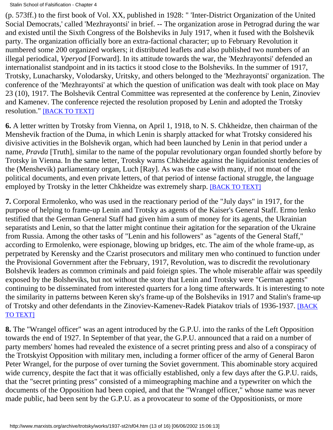(p. 573ff.) to the first book of Vol. XX, published in 1928: " 'Inter-District Organization of the United Social Democrats,' called 'Mezhrayontsi' in brief. -- The organization arose in Petrograd during the war and existed until the Sixth Congress of the Bolsheviks in July 1917, when it fused with the Bolshevik party. The organization officially bore an extra-factional character; up to February Revolution it numbered some 200 organized workers; it distributed leaflets and also published two numbers of an illegal periodical, *Vperyod* [Forward]. In its attitude towards the war, the 'Mezhrayontsi' defended an internationalist standpoint and in its tactics it stood close to the Bolsheviks. In the summer of 1917, Trotsky, Lunacharsky, Volodarsky, Uritsky, and others belonged to the 'Mezhrayontsi' organization. The conference of the 'Mezhrayontsi' at which the question of unification was dealt with took place on May 23 (10), 1917. The Bolshevik Central Committee was represented at the conference by Lenin, Zinoviev and Kamenev. The conference rejected the resolution proposed by Lenin and adopted the Trotsky resolution." [BACK TO TEXT]

**6.** A letter written by Trotsky from Vienna, on April 1, 1918, to N. S. Chkheidze, then chairman of the Menshevik fraction of the Duma, in which Lenin is sharply attacked for what Trotsky considered his divisive activities in the Bolshevik organ, which had been launched by Lenin in that period under a name, *Pravda* [Truth], similar to the name of the popular revolutionary organ founded shortly before by Trotsky in Vienna. In the same letter, Trotsky warns Chkheidze against the liquidationist tendencies of the (Menshevik) parliamentary organ, Luch [Ray]. As was the case with many, if not moat of the political documents, and even private letters, of that period of intense factional struggle, the language employed by Trotsky in the letter Chkheidze was extremely sharp. [BACK TO TEXT]

**7.** Corporal Ermolenko, who was used in the reactionary period of the "July days" in 1917, for the purpose of helping to frame-up Lenin and Trotsky as agents of the Kaiser's General Staff. Ermo lenko testified that the German General Staff had given him a sum of money for its agents, the Ukrainian separatists and Lenin, so that the latter might continue their agitation for the separation of the Ukraine from Russia. Among the other tasks of "Lenin and his followers" as "agents of the General Staff," according to Ermolenko, were espionage, blowing up bridges, etc. The aim of the whole frame-up, as perpetrated by Kerensky and the Czarist prosecutors and military men who continued to function under the Provisional Government after the February, 1917, Revolution, was to discredit the revolutionary Bolshevik leaders as common criminals and paid foieign spies. The whole miserable affair was speedily exposed by the Bolsheviks, but not without the story that Lenin and Trotsky were "German agents" continuing to be disseminated from interested quarters for a long time afterwards. It is interesting to note the similarity in patterns between Keren sky's frame-up of the Bolsheviks in 1917 and Stalin's frame-up of Trotsky and other defendants in the Zinoviev-Kamenev-Radek Piatakov trials of 1936-1937. [BACK] TO TEXT]

**8.** The "Wrangel officer" was an agent introduced by the G.P.U. into the ranks of the Left Opposition towards the end of 1927. In September of that year, the G.P.U. announced that a raid on a number of party members' homes had revealed the existence of a secret printing press and also of a conspiracy of the Trotskyist Opposition with military men, including a former officer of the army of General Baron Peter Wrangel, for the purpose of over turning the Soviet government. This abominable story acquired wide currency, despite the fact that it was officially established, only a few days after the G.P.U. raids, that the "secret printing press" consisted of a mimeographing machine and a typewriter on which the documents of the Opposition had been copied, and that the "Wrangel officer," whose name was never made public, had been sent by the G.P.U. as a provocateur to some of the Oppositionists, or more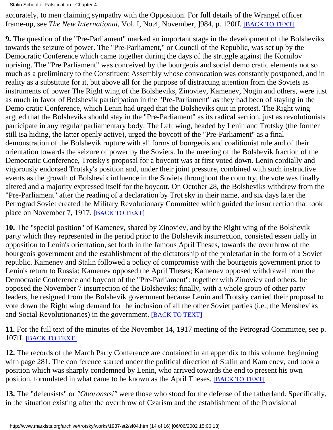accurately, to men claiming sympathy with the Opposition. For full details of the Wrangel officer frame-up, see *The New Internationai,* Vol. I, No.4, November, ]984, p. 120ff. [BACK TO TEXT]

**9.** The question of the "Pre-Parliament" marked an important stage in the development of the Bolsheviks towards the seizure of power. The "Pre-Parliament," or Council of the Republic, was set up by the Democratic Conference which came together during the days of the struggle against the Kornilov uprising. The "Pre Parliament" was conceived by the bourgeois and social demo cratic elements not so much as a preliminary to the Constituent Assembly whose convocation was constantly postponed, and in reality as a substitute for it, but above all for the purpose of distracting attention from the Soviets as instruments of power The Right wing of the Bolsheviks, Zinoviev, Kamenev, Nogin and others, were just as much in favor of BcJshevik participation in the "Pre-Parliament" as they had been of staying in the Demo cratic Conference, which Lenin had urged that the Bolsheviks quit in protest. The Right wing argued that the Bolsheviks should stay in the "Pre-Parliament" as its radical section, just as revolutionists participate in any regular parliamentary body. The Left wing, headed by Lenin and Trotsky (the former still isa hiding, the latter openly active), urged the boycott of the "Pre-Parliament" as a final demonstration of the Bolshevik rupture with all forms of bourgeois and coalitionist rule and of their orientation towards the seizure of power by the Soviets. In the meeting of the Bolshevik fraction of the Democratic Conference, Trotsky's proposal for a boycott was at first voted down. Lenin cordially and vigorously endorsed Trotsky's position and, under their joint pressure, combined with such instructive events as the growth of Bolshevik influence in the Soviets throughout the coun try, the vote was finally altered and a majority expressed itself for the boycott. On October 28, the Bolsheviks withdrew from the "Pre-Parliament" after the reading of a declaration by Trot sky in their name, and six days later the Petrograd Soviet created the Military Revolutionary Committee which guided the insur rection that took place on November 7, 1917. [BACK TO TEXT]

**10.** The "special position" of Kamenev, shared by Zinoviev, and by the Right wing of the Bolshevik party which they represented in the period prior to the Bolshevik insurrection, consisted essen tially in opposition to Lenin's orientation, set forth in the famous April Theses, towards the overthrow of the bourgeois government and the establishment of the dictatorship of the proletariat in the form of a Soviet republic. Kamenev and Stalin followed a policy of compromise with the bourgeois government prior to Lenin's return to Russia; Kamenev opposed the April Theses; Kamenev opposed withdrawal from the Democratic Conference and boycott of the "Pre-Parliament"; together with Zinoviev and others, he opposed the November 7 insurrection of the Bolsheviks; finally, with a whole group of other party leaders, he resigned from the Bolshevik government because Lenin and Trotsky carried their proposal to vote down the Right wing demand for the inclusion of all the other Soviet parties (i.e., the Mensheviks and Social Revolutionaries) in the government. [BACK TO TEXT]

**11.** For the full text of the minutes of the November 14, 1917 meeting of the Petrograd Committee, see p. 107ff. [BACK TO TEXT]

**12.** The records of the March Party Conference are contained in an appendix to this volume, beginning with page 281. The con ference started under the political direction of Stalin and Kam enev, and took a position which was sharply condemned by Lenin, who arrived towards the end to present his own position, formulated in what came to be known as the April Theses. [BACK TO TEXT]

**13.** The "defensists" or *"Oboronstsi"* were those who stood for the defense of the fatherland. Specifically, in the situation existing after the overthrow of Czarism and the establishment of the Provisional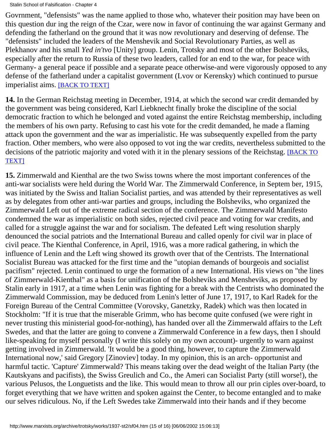Govrnment, "defensists" was the name applied to those who, whatever their position may have been on this question dur ing the reign of the Czar, were now in favor of continuing the war against Germany and defending the fatherland on the ground that it was now revolutionary and deserving of defense. The "defensists" included the leaders of the Menshevik and Social Revolutionary Parties, as well as Plekhanov and his small *Yed in'tvo* [Unity] group. Lenin, Trotsky and most of the other Bolsheviks, especially after the return to Russia of these two leaders, called for an end to the war, for peace with Germany- a general peace if possible and a separate peace otherwise-and were vigorously opposed to any defense of the fatherland under a capitalist government (Lvov or Kerensky) which continued to pursue imperialist aims. [BACK TO TEXT]

**14.** In the German Reichstag meeting in December, 1914, at which the second war credit demanded by the government was being considered, Karl Liebknecht finally broke the discipline of the social democratic fraction to which he belonged and voted against the entire Reichstag membership, including the members of his own party. Refusing to cast his vote for the credit demanded, he made a flaming attack upon the government and the war as imperialistic. He was subsequently expelled from the party fraction. Other members, who were also opposed to vot ing the war credits, nevertheless submitted to the decisions of the patriotic majority and voted with it in the plenary sessions of the Reichstag. **[BACK TO**] TEXT]

**15.** Zimmerwald and Kienthal are the two Swiss towns where the most important conferences of the anti-war socialists were held during the World War. The Zimmerwald Conference, in Septem ber, 1915, was initiated by the Swiss and Italian Socialist parties, and was attended by their representatives as well as by delegates from other anti-war parties and groups, including the Bolsheviks, who organized the Zimmerwald Left out of the extreme radical section of the conference. The Zimmerwald Manifesto condemned the war as imperialistic on both sides, rejected civil peace and voting for war credits, and called for a struggle against the war and for socialism. The defeated Left wing resolution sharply denounced the social patriots and the International Bureau and called openly for civil war in place of civil peace. The Kienthal Conference, in April, 1916, was a more radical gathering, in which the influence of Lenin and the Left wing showed its growth over that of the Centrists. The International Socialist Bureau was attacked for the first time and the "utopian demands of bourgeois and socialist pacifism" rejected. Lenin continued to urge the formation of a new International. His views on "the lines of Zimmerwald-Kienthal" as a basis for unification of the Bolsheviks and Mensheviks, as proposed by Stalin early in 1917, at a time when Lenin was fighting for a break with the Centrists who dominated the Zimmerwald Commission, may be deduced from Lenin's letter of June 17, 1917, to Karl Radek for the Foreign Bureau of the Central Committee (Vorovsky, Ganetzky, Radek) which was then located in Stockholm: "If it is true that the miserable Grimm, who has become quite confused (we were right in never trusting this ministerial good-for-nothing), has handed over all the Zimmerwald affairs to the Left Swedes, and that the latter are going to convene a Zimmerwald Conference in a few days, then I should like-speaking for myself personally (I write this solely on my own account)- urgently to warn against getting involved in Zimmerwald. 'It would be a good thing, however, to capture the Zimmerwald International now,' said Gregory [Zinoviev] today. In my opinion, this is an arch- opportunist and harmful tactic. 'Capture' Zimmerwald? This means taking over the dead weight of the Italian Party (the Kautskyans and pacifists), the Swiss Greulich and Co., the Ameri can Socialist Party (still worse!), the various Pelusos, the Longuetists and the like. This would mean to throw all our prin ciples over-board, to forget everything that we have written and spoken against the Center, to become entangled and to make our selves ridiculous. No, if the Left Swedes take Zimmerwald into their hands and if they become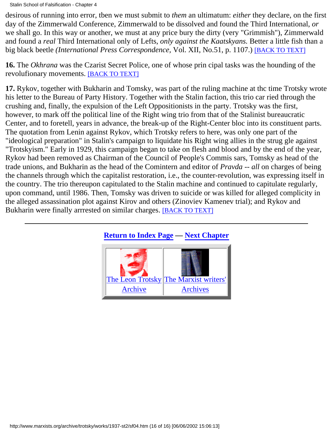desirous of running into error, tben we must submit to *them* an ultimatum: *either* they declare, on the first day of the Zimmerwald Conference, Zimmerwald to be dissolved and found the Third International, *or* we shall go. In this way or another, we must at any price bury the dirty (very "Grimmish"), Zimmerwald and found a *real* Third International only of Lefts, *only against the Kaatskyans.* Better a little fish than a big black beetle *(International Press Correspondence,* Vol. XII, No.51, p. 1107.) [BACK TO TEXT]

**16.** The *Okhrana* was the Czarist Secret Police, one of whose prin cipal tasks was the hounding of the revolufionary movements. [BACK TO TEXT]

**17.** Rykov, together with Bukharin and Tomsky, was part of the ruling machine at thc time Trotsky wrote his letter to the Bureau of Party History. Together with the Stalin faction, this trio car ried through the crushing and, finally, the expulsion of the Left Oppositionists in the party. Trotsky was the first, however, to mark off the political line of the Right wing trio from that of the Stalinist bureaucratic Center, and to foretell, years in advance, the break-up of the Right-Center bloc into its constituent parts. The quotation from Lenin against Rykov, which Trotsky refers to here, was only one part of the "ideological preparation" in Stalin's campaign to liquidate his Right wing allies in the strug gle against "Trotskyism." Early in 1929, this campaign began to take on flesh and blood and by the end of the year, Rykov had been removed as Chairman of the Council of People's Commis sars, Tomsky as head of the trade unions, and Bukharin as the head of the Comintern and editor of *Pravda -- all* on charges of being the channels through which the capitalist restoration, i.e., the counter-revolution, was expressing itself in the country. The trio thereupon capitulated to the Stalin machine and continued to capitulate regularly, upon command, until 1986. Then, Tomsky was driven to suicide or was killed for alleged complicity in the alleged assassination plot against Kirov and others (Zinoviev Kamenev trial); and Rykov and Bukharin were finally arrrested on similar charges. [BACK TO TEXT]

#### **[Return to Index Page](#page-0-0) — [Next Chapter](#page-47-0)**

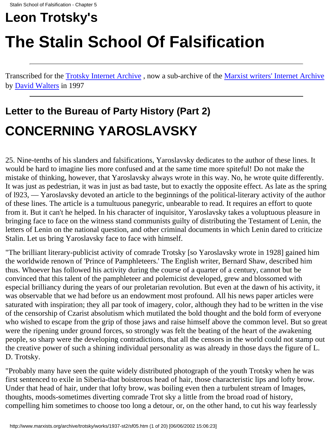# <span id="page-47-0"></span>**Leon Trotsky's**

# **The Stalin School Of Falsification**

Transcribed for the [Trotsky Internet Archive](#page-214-0) , now a sub-archive of the [Marxist writers' Internet Archive](#page-6-0) by [David Walters](mailto:dwalters@marxists.org) in 1997

# **Letter to the Bureau of Party History (Part 2) CONCERNING YAROSLAVSKY**

25. Nine-tenths of his slanders and falsifications, Yaroslavsky dedicates to the author of these lines. It would be hard to imagine lies more confused and at the same time more spiteful! Do not make the mistake of thinking, however, that Yaroslavsky always wrote in this way. No, he wrote quite differently. It was just as pedestrian, it was in just as bad taste, but to exactly the opposite effect. As late as the spring of l923, — Yaroslavsky devoted an article to the beginnings of the political-literary activity of the author of these lines. The article is a tumultuous panegyric, unbearable to read. It requires an effort to quote from it. But it can't he helped. In his character of inquisitor, Yaroslavsky takes a voluptuous pleasure in bringing face to face on the witness stand communists guilty of distributing the Testament of Lenin, the letters of Lenin on the national question, and other criminal documents in which Lenin dared to criticize Stalin. Let us bring Yaroslavsky face to face with himself.

"The brilliant literary-publicist activity of comrade Trotsky [so Yaroslavsky wrote in 1928] gained him the worldwide renown of 'Prince of Pamphleteers.' The English writer, Bernard Shaw, described him thus. Whoever has followed his activity during the course of a quarter of a century, cannot but be convinced that this talent of the pamphleteer and polemicist developed, grew and blossomed with especial brilliancy during the years of our proletarian revolution. But even at the dawn of his activity, it was observable that we had before us an endowment most profound. All his news paper articles were saturated with inspiration; they all par took of imagery, color, although they had to be written in the vise of the censorship of Czarist absolutism which mutilated the bold thought and the bold form of everyone who wished to escape from the grip of those jaws and raise himself above the common level. But so great were the ripening under ground forces, so strongly was felt the beating of the heart of the awakening people, so sharp were the developing contradictions, that all the censors in the world could not stamp out the creative power of such a shining individual personality as was already in those days the figure of L. D. Trotsky.

"Probably many have seen the quite widely distributed photograph of the youth Trotsky when he was first sentenced to exile in Siberia-that boisterous head of hair, those characteristic lips and lofty brow. Under that head of hair, under that lofty brow, was boiling even then a turbulent stream of Images, thoughts, moods-sometimes diverting comrade Trot sky a little from the broad road of history, compelling him sometimes to choose too long a detour, or, on the other hand, to cut his way fearlessly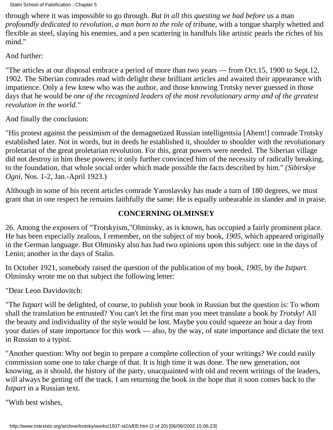through where it was impossible to go through. *But in all this questing we had before* us a man *profoundly dedicated to revolution, a man born to the role of tribune,* with a tongue sharply whetted and flexible as steel, slaying his enemies, and a pen scattering in handfuls like artistic pearls the riches of his mind."

And further:

"The articles at our disposal embrace a period of more than two years — from Oct.15, 1900 to Sept.12, 1902. The Siberian comrades read with delight these brilliant articles and awaited their appearance with impatience. Only a few knew who was the author, and those knowing Trotsky never guessed in those days that he would be *one of the recognized leaders of the most revolutionary army and of the greatest revolution in the world."*

And finally the conclusion:

"His protest against the pessimism of the demagnetized Russian intelligentsia [Ahem!] comrade Trotsky established later. Not in words, but in deeds he established it, shoulder to shoulder with the revolutionary proletariat of the great proletarian revolution. For this, great powers were needed. The Siberian village did not destroy in him these powers; it only further convinced him of the necessity of radically breaking, to the foundation, that whole social order which made possible the facts described by him." *(Sibirskye Ogni,* Nos. 1-2, Jan.-April 1923.)

Although in some of his recent articles comrade Yaroslavsky has made a turn of 180 degrees, we must grant that in one respect he remains faithfully the same: He is equally unbearable in slander and in praise.

### **CONCERNING OLMINSEY**

26. Among the exposers of "Trotskyism,"Olminsky, as is known, has occupied a fairly prominent place. He has been especially zealous, I remember, on the subject of my book, *1905,* which appeared originally in the German language. But Olminsky also has had two opinions upon this subject: one in the days of Lenin; another in the days of Stalin.

In October 1921, somebody raised the question of the publication of my book, *1905,* by the *Istpart.* Olminsky wrote me on that subject the following letter:

"Dear Leon Davidovitch:

"The *Istpart* will be delighted, of course, to publish your book in Russian but the question is: To whom shall the translation be entrusted? You can't let the first man you meet translate a book *by Trotsky!* All the beauty and individuality of the style would be lost. Maybe you could squeeze an hour a day from your duties of state importance for this work — also, by the way, of state importance and dictate the text in Russian to a typist.

"Another question: Why not begin to prepare a complete collection of your writings? We could easily commission some one to take charge of that. It is high time it was done. The new generation, not knowing, as it should, the history of the party, unacquainted with old and recent writings of the leaders, will always be getting off the track. I am returning the book in the hope that it soon comes back to the *Istpart* in a Russian text.

"With best wishes,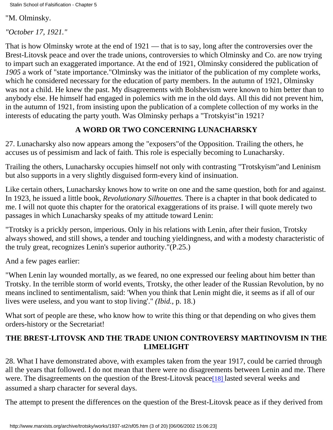"M. Olminsky.

*"October 17, 1921."*

That is how Olminsky wrote at the end of 1921 — that is to say, long after the controversies over the Brest-Litovsk peace and over the trade unions, controversies to which Olminsky and Co. are now trying to impart such an exaggerated importance. At the end of 1921, Olminsky considered the publication of *1905* a work of "state importance."Olminsky was the initiator of the publication of my complete works, which he considered necessary for the education of party members. In the autumn of 1921, Olminsky was not a child. He knew the past. My disagreements with Bolshevism were known to him better than to anybody else. He himself had engaged in polemics with me in the old days. All this did not prevent him, in the autumn of 1921, from insisting upon the publication of a complete collection of my works in the interests of educating the party youth. Was Olminsky perhaps a "Trotskyist"in 1921?

#### **A WORD OR TWO CONCERNING LUNACHARSKY**

27. Lunacharsky also now appears among the "exposers"of the Opposition. Trailing the others, he accuses us of pessimism and lack of faith. This role is especially becoming to Lunacharsky.

Trailing the others, Lunacharsky occupies himself not only with contrasting "Trotskyism"and Leninism but also supports in a very slightly disguised form-every kind of insinuation.

Like certain others, Lunacharsky knows how to write on one and the same question, both for and against. In 1923, he issued a little book, *Revolutionary Silhouettes.* There is a chapter in that book dedicated to me. I will not quote this chapter for the oratorical exaggerations of its praise. I will quote merely two passages in which Lunacharsky speaks of my attitude toward Lenin:

"Trotsky is a prickly person, imperious. Only in his relations with Lenin, after their fusion, Trotsky always showed, and still shows, a tender and touching yieldingness, and with a modesty characteristic of the truly great, recognizes Lenin's superior authority."(P.25.)

And a few pages earlier:

"When Lenin lay wounded mortally, as we feared, no one expressed our feeling about him better than Trotsky. In the terrible storm of world events, Trotsky, the other leader of the Russian Revolution, by no means inclined to sentimentalism, said: 'When you think that Lenin might die, it seems as if all of our lives were useless, and you want to stop living'." *(Ibid.,* p. 18.)

What sort of people are these, who know how to write this thing or that depending on who gives them orders-history or the Secretariat!

#### **THE BREST-LITOVSK AND THE TRADE UNION CONTROVERSY MARTINOVISM IN THE LIMELIGHT**

<span id="page-49-0"></span>28. What I have demonstrated above, with examples taken from the year 1917, could be carried through all the years that followed. I do not mean that there were no disagreements between Lenin and me. There were. The disagreements on the question of the Brest-Litovsk peace<sup>[18]</sup> lasted several weeks and assumed a sharp character for several days.

The attempt to present the differences on the question of the Brest-Litovsk peace as if they derived from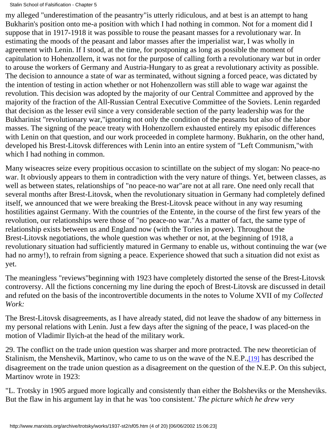my alleged "underestimation of the peasantry"is utterly ridiculous, and at best is an attempt to hang Bukharin's position onto me-a position with which I had nothing in common. Not for a moment did I suppose that in 1917-1918 it was possible to rouse the peasant masses for a revolutionary war. In estimating the moods of the peasant and labor masses after the imperialist war, I was wholly in agreement with Lenin. If I stood, at the time, for postponing as long as possible the moment of capitulation to Hohenzollern, it was not for the purpose of calling forth a revolutionary war but in order to arouse the workers of Germany and Austria-Hungary to as great a revolutionary activity as possible. The decision to announce a state of war as terminated, without signing a forced peace, was dictated by the intention of testing in action whether or not Hohenzollern was still able to wage war against the revolution. This decision was adopted by the majority of our Central Committee and approved by the majority of the fraction of the All-Russian Central Executive Committee of the Soviets. Lenin regarded that decision as the lesser evil since a very considerable section of the party leadership was for the Bukharinist "revolutionary war,"ignoring not only the condition of the peasants but also of the labor masses. The signing of the peace treaty with Hohenzollern exhausted entirely my episodic differences with Lenin on that question, and our work proceeded in complete harmony. Bukharin, on the other hand, developed his Brest-Litovsk differences with Lenin into an entire system of "Left Communism,"with which I had nothing in common.

Many wiseacres seize every propitious occasion to scintillate on the subject of my slogan: No peace-no war. It obviously appears to them in contradiction with the very nature of things. Yet, between classes, as well as between states, relationships of "no peace-no war"are not at all rare. One need only recall that several months after Brest-Litovsk, when the revolutionary situation in Germany had completely defined itself, we announced that we were breaking the Brest-Litovsk peace without in any way resuming hostilities against Germany. With the countries of the Entente, in the course of the first few years of the revolution, our relationships were those of "no peace-no war."As a matter of fact, the same type of relationship exists between us and England now (with the Tories in power). Throughout the Brest-Litovsk negotiations, the whole question was whether or not, at the beginning of 1918, a revolutionary situation had sufficiently matured in Germany to enable us, without continuing the war (we had no army!), to refrain from signing a peace. Experience showed that such a situation did not exist as yet.

The meaningless "reviews"beginning with 1923 have completely distorted the sense of the Brest-Litovsk controversy. All the fictions concerning my line during the epoch of Brest-Litovsk are discussed in detail and refuted on the basis of the incontrovertible documents in the notes to Volume XVII of my *Collected Work:*

The Brest-Litovsk disagreements, as I have already stated, did not leave the shadow of any bitterness in my personal relations with Lenin. Just a few days after the signing of the peace, I was placed-on the motion of Vladimir Ilyich-at the head of the military work.

<span id="page-50-0"></span>29. The conflict on the trade union question was sharper and more protracted. The new theoretician of Stalinism, the Menshevik, Martinov, who came to us on the wave of the N.E.P.[,\[19\]](#page-63-0) has described the disagreement on the trade union question as a disagreement on the question of the N.E.P. On this subject, Martinov wrote in 1923:

"L. Trotsky in 1905 argued more logically and consistently than either the Bolsheviks or the Mensheviks. But the flaw in his argument lay in that he was 'too consistent.' *The picture which he drew very*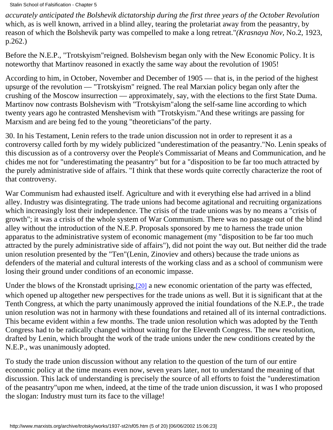*accurately anticipated the Bolshevik dictatorship during the first three years of the October Revolution* which, as is well known, arrived in a blind alley, tearing the proletariat away from the peasantry, by reason of which the Bolshevik party was compelled to make a long retreat."*(Krasnaya Nov,* No.2, 1923, p.262.)

Before the N.E.P., "Trotskyism"reigned. Bolshevism began only with the New Economic Policy. It is noteworthy that Martinov reasoned in exactly the same way about the revolution of 1905!

According to him, in October, November and December of 1905 — that is, in the period of the highest upsurge of the revolution — "Trotskyism" reigned. The real Marxian policy began only after the crushing of the Moscow insurrection — approximately, say, with the elections to the first State Duma. Martinov now contrasts Bolshevism with "Trotskyism"along the self-same line according to which twenty years ago he contrasted Menshevism with "Trotskyism."And these writings are passing for Marxism and are being fed to the young "theoreticians"of the party.

30. In his Testament, Lenin refers to the trade union discussion not in order to represent it as a controversy called forth by my widely publicized "underestimation of the peasantry."No. Lenin speaks of this discussion as of a controversy over the People's Commissariat of Means and Communication, and he chides me not for "underestimating the peasantry" but for a "disposition to be far too much attracted by the purely administrative side of affairs. "I think that these words quite correctly characterize the root of that controversy.

War Communism had exhausted itself. Agriculture and with it everything else had arrived in a blind alley. Industry was disintegrating. The trade unions had become agitational and recruiting organizations which increasingly lost their independence. The crisis of the trade unions was by no means a "crisis of growth"; it was a crisis of the whole system of War Communism. There was no passage out of the blind alley without the introduction of the N.E.P. Proposals sponsored by me to harness the trade union apparatus to the administrative system of economic management (my "disposition to be far too much attracted by the purely administrative side of affairs"), did not point the way out. But neither did the trade union resolution presented by the "Ten"(Lenin, Zinoviev and others) because the trade unions as defenders of the material and cultural interests of the working class and as a school of communism were losing their ground under conditions of an economic impasse.

<span id="page-51-0"></span>Under the blows of the Kronstadt uprising,[\[20\]](#page-64-0) a new economic orientation of the party was effected, which opened up altogether new perspectives for the trade unions as well. But it is significant that at the Tenth Congress, at which the party unanimously approved the initial foundations of the N.E.P., the trade union resolution was not in harmony with these foundations and retained all of its internal contradictions. This became evident within a few months. The trade union resolution which was adopted by the Tenth Congress had to be radically changed without waiting for the Eleventh Congress. The new resolution, drafted by Lenin, which brought the work of the trade unions under the new conditions created by the N.E.P., was unanimously adopted.

To study the trade union discussion without any relation to the question of the turn of our entire economic policy at the time means even now, seven years later, not to understand the meaning of that discussion. This lack of understanding is precisely the source of all efforts to foist the "underestimation of the peasantry"upon me when, indeed, at the time of the trade union discussion, it was I who proposed the slogan: Industry must turn its face to the village!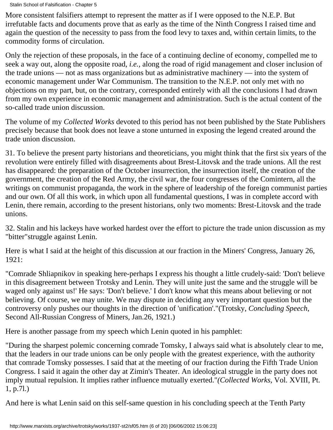More consistent falsifiers attempt to represent the matter as if I were opposed to the N.E.P. But irrefutable facts and documents prove that as early as the time of the Ninth Congress I raised time and again the question of the necessity to pass from the food levy to taxes and, within certain limits, to the commodity forms of circulation.

Only the rejection of these proposals, in the face of a continuing decline of economy, compelled me to seek a way out, along the opposite road, *i.e.,* along the road of rigid management and closer inclusion of the trade unions — not as mass organizations but as administrative machinery — into the system of economic management under War Communism. The transition to the N.E.P. not only met with no objections on my part, but, on the contrary, corresponded entirely with all the conclusions I had drawn from my own experience in economic management and administration. Such is the actual content of the so-called trade union discussion.

The volume of my *Collected Works* devoted to this period has not been published by the State Publishers precisely because that book does not leave a stone unturned in exposing the legend created around the trade union discussion.

31. To believe the present party historians and theoreticians, you might think that the first six years of the revolution were entirely filled with disagreements about Brest-Litovsk and the trade unions. All the rest has disappeared: the preparation of the October insurrection, the insurrection itself, the creation of the government, the creation of the Red Army, the civil war, the four congresses of the Comintern, all the writings on communist propaganda, the work in the sphere of leadership of the foreign communist parties and our own. Of all this work, in which upon all fundamental questions, I was in complete accord with Lenin, there remain, according to the present historians, only two moments: Brest-Litovsk and the trade unions.

32. Stalin and his lackeys have worked hardest over the effort to picture the trade union discussion as my "bitter"struggle against Lenin.

Here is what I said at the height of this discussion at our fraction in the Miners' Congress, January 26, 1921:

"Comrade Shliapnikov in speaking here-perhaps I express his thought a little crudely-said: 'Don't believe in this disagreement between Trotsky and Lenin. They will unite just the same and the struggle will be waged only against us!' He says: 'Don't believe.' I don't know what this means about believing or not believing. Of course, we may unite. We may dispute in deciding any very important question but the controversy only pushes our thoughts in the direction of 'unification'."(Trotsky, *Concluding Speech,* Second All-Russian Congress of Miners, Jan.26, 1921.)

Here is another passage from my speech which Lenin quoted in his pamphlet:

"During the sharpest polemic concerning comrade Tomsky, I always said what is absolutely clear to me, that the leaders in our trade unions can be only people with the greatest experience, with the authority that comrade Tomsky possesses. I said that at the meeting of our fraction during the Fifth Trade Union Congress. I said it again the other day at Zimin's Theater. An ideological struggle in the party does not imply mutual repulsion. It implies rather influence mutually exerted."*(Collected Works,* Vol. XVIII, Pt. 1, p.7l.)

And here is what Lenin said on this self-same question in his concluding speech at the Tenth Party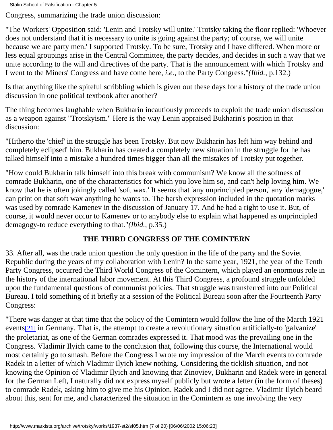Congress, summarizing the trade union discussion:

"The Workers' Opposition said: 'Lenin and Trotsky will unite.' Trotsky taking the floor replied: 'Whoever does not understand that it is necessary to unite is going against the party; of course, we will unite because we are party men.' I supported Trotsky. To be sure, Trotsky and I have differed. When more or less equal groupings arise in the Central Committee, the party decides, and decides in such a way that we unite according to the will and directives of the party. That is the announcement with which Trotsky and I went to the Miners' Congress and have come here, *i.e.,* to the Party Congress."*(Ibid.,* p.132.)

Is that anything like the spiteful scribbling which is given out these days for a history of the trade union discussion in one political textbook after another?

The thing becomes laughable when Bukharin incautiously proceeds to exploit the trade union discussion as a weapon against "Trotskyism." Here is the way Lenin appraised Bukharin's position in that discussion:

"Hitherto the 'chief' in the struggle has been Trotsky. But now Bukharin has left him way behind and completely eclipsed' him. Bukharin has created a completely new situation in the struggle for he has talked himself into a mistake a hundred times bigger than all the mistakes of Trotsky put together.

"How could Bukharin talk himself into this break with communism? We know all the softness of comrade Bukharin, one of the characteristics for which you love him so, and can't help loving him. We know that he is often jokingly called 'soft wax.' It seems that 'any unprincipled person,' any 'demagogue,' can print on that soft wax anything he wants to. The harsh expression included in the quotation marks was used by comrade Kamenev in the discussion of January 17. And he had a right to use it. But, of course, it would never occur to Kamenev or to anybody else to explain what happened as unprincipled demagogy-to reduce everything to that."*(Ibid.,* p.35.)

#### **THE THIRD CONGRESS OF THE COMINTERN**

33. After all, was the trade union question the only question in the life of the party and the Soviet Republic during the years of my collaboration with Lenin? In the same year, 1921, the year of the Tenth Party Congress, occurred the Third World Congress of the Comintern, which played an enormous role in the history of the international labor movement. At this Third Congress, a profound struggle unfolded upon the fundamental questions of communist policies. That struggle was transferred into our Political Bureau. I told something of it briefly at a session of the Political Bureau soon after the Fourteenth Party Congress:

<span id="page-53-0"></span>"There was danger at that time that the policy of the Comintern would follow the line of the March 1921 events<sup>[21]</sup> in Germany. That is, the attempt to create a revolutionary situation artificially-to 'galvanize' the proletariat, as one of the German comrades expressed it. That mood was the prevailing one in the Congress. Vladimir Ilyich came to the conclusion that, following this course, the International would most certainly go to smash. Before the Congress I wrote my impression of the March events to comrade Radek in a letter of which Vladimir Ilyich knew nothing. Considering the ticklish situation, and not knowing the Opinion of Vladimir Ilyich and knowing that Zinoviev, Bukharin and Radek were in general for the German Left, I naturally did not express myself publicly but wrote a letter (in the form of theses) to comrade Radek, asking him to give me his Opinion. Radek and I did not agree. Vladimir Ilyich beard about this, sent for me, and characterized the situation in the Comintern as one involving the very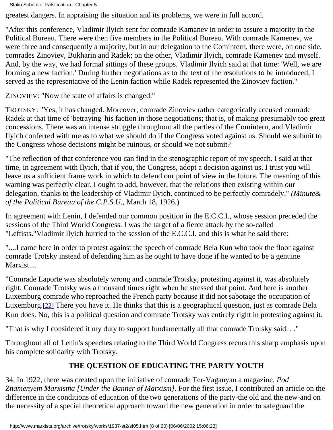greatest dangers. In appraising the situation and its problems, we were in full accord.

"After this conference, Vladimir Ilyich sent for comrade Kamanev in order to assure a majority in the Political Bureau. There were then five members in the Political Bureau. With comrade Kamenev, we were three and consequently a majority, but in our delegation to the Comintern, there were, on one side, comrades Zinoviev, Bukharin and Radek; on the other, Vladimir Ilyich, comrade Kamenev and myself. And, by the way, we had formal sittings of these groups. Vladimir Ilyich said at that time: 'Well, we are forming a new faction.' During further negotiations as to the text of the resolutions to be introduced, I served as the representative of the Lenin faction while Radek represented the Zinoviev faction."

ZINOVIEV: "Now the state of affairs is changed."

TROTSKY: "Yes, it has changed. Moreover, comrade Zinoviev rather categorically accused comrade Radek at that time of 'betraying' his faction in those negotiations; that is, of making presumably too great concessions. There was an intense struggle throughout all the parties of the Comintern, and Vladimir Ilyich conferred with me as to what we should do if the Congress voted against us. Should we submit to the Congress whose decisions might be ruinous, or should we not submit?

"The reflection of that conference you can find in the stenographic report of my speech. I said at that time, in agreement with Ilyich, that if you, the Congress, adopt a decision against us, I trust you will leave us a sufficient frame work in which to defend our point of view in the future. The meaning of this warning was perfectly clear. I ought to add, however, that the relations then existing within our delegation, thanks to the leadership of Vladimir Ilyich, continued to be perfectly comradely." *(Minute& of the Political Bureau of the C.P.S.U.,* March 18, 1926.)

In agreement with Lenin, I defended our common position in the E.C.C.I., whose session preceded the sessions of the Third World Congress. I was the target of a fierce attack by the so-called "Leftists."Vladimir Ilyich hurried to the session of the E.C.C.I. and this is what he said there:

"....I came here in order to protest against the speech of comrade Bela Kun who took the floor against comrade Trotsky instead of defending him as he ought to have done if he wanted to be a genuine Marxist....

"Comrade Laporte was absolutely wrong and comrade Trotsky, protesting against it, was absolutely right. Comrade Trotsky was a thousand times right when he stressed that point. And here is another Luxemburg comrade who reproached the French party because it did not sabotage the occupation of Luxemburg.[\[22\]](#page-65-0) There you have it. He thinks that this is a geographical question, just as comrade Bela Kun does. No, this is a political question and comrade Trotsky was entirely right in protesting against it.

<span id="page-54-0"></span>"That is why I considered it my duty to support fundamentally all that comrade Trotsky said. . ."

Throughout all of Lenin's speeches relating to the Third World Congress recurs this sharp emphasis upon his complete solidarity with Trotsky.

## **THE QUESTION OE EDUCATING THE PARTY YOUTH**

34. In 1922, there was created upon the initiative of comrade Ter-Vaganyan a magazine, *Pod Znamenyem Marxisma [Under the Banner of Marxism].* For the first issue, I contributed an article on the difference in the conditions of education of the two generations of the party-the old and the new-and on the necessity of a special theoretical approach toward the new generation in order to safeguard the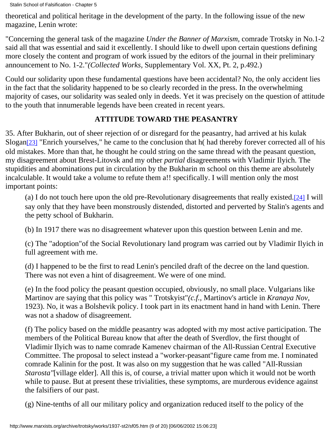theoretical and political heritage in the development of the party. In the following issue of the new magazine, Lenin wrote:

"Concerning the general task of the magazine *Under the Banner of Marxism,* comrade Trotsky in No.1-2 said all that was essential and said it excellently. I should like to dwell upon certain questions defining more closely the content and program of work issued by the editors of the journal in their preliminary announcement to No. 1-2."*(Collected Works,* Supplementary Vol. XX, Pt. 2, p.492.)

Could our solidarity upon these fundamental questions have been accidental? No, the only accident lies in the fact that the solidarity happened to be so clearly recorded in the press. In the overwhelming majority of cases, our solidarity was sealed only in deeds. Yet it was precisely on the question of attitude to the youth that innumerable legends have been created in recent years.

#### **ATTITUDE TOWARD THE PEASANTRY**

<span id="page-55-0"></span>35. After Bukharin, out of sheer rejection of or disregard for the peasantry, had arrived at his kulak Slogan<sup>[\[23\]](#page-65-1)</sup> "Enrich yourselves," he came to the conclusion that h( had thereby forever corrected all of his old mistakes. More than that, he thought he could string on the same thread with the peasant question, my disagreement about Brest-Litovsk and my other *partial* disagreements with Vladimir Ilyich. The stupidities and abominations put in circulation by the Bukharin m school on this theme are absolutely incalculable. It would take a volume to refute them a!! specifically. I will mention only the most important points:

<span id="page-55-1"></span>(a) I do not touch here upon the old pre-Revolutionary disagreements that really existed.[\[24\]](#page-65-2) I will say only that they have been monstrously distended, distorted and perverted by Stalin's agents and the petty school of Bukharin.

(b) In 1917 there was no disagreement whatever upon this question between Lenin and me.

(c) The "adoption"of the Social Revolutionary land program was carried out by Vladimir Ilyich in full agreement with me.

(d) I happened to be the first to read Lenin's penciled draft of the decree on the land question. There was not even a hint of disagreement. We were of one mind.

(e) In the food policy the peasant question occupied, obviously, no small place. Vulgarians like Martinov are saying that this policy was " Trotskyist"*(c.f.,* Martinov's article in *Kranaya Nov,* 1923). No, it was a Bolshevik policy. I took part in its enactment hand in hand with Lenin. There was not a shadow of disagreement.

(f) The policy based on the middle peasantry was adopted with my most active participation. The members of the Political Bureau know that after the death of Sverdlov, the first thought of Vladimir Ilyich was to name comrade Kamenev chairman of the All-Russian Central Executive Committee. The proposal to select instead a "worker-peasant"figure came from me. I nominated comrade Kalinin for the post. It was also on my suggestion that he was called "All-Russian *Starosta"*[village elder]. All this is, of course, a trivial matter upon which it would not be worth while to pause. But at present these trivialities, these symptoms, are murderous evidence against the falsifiers of our past.

(g) Nine-tenths of all our military policy and organization reduced itself to the policy of the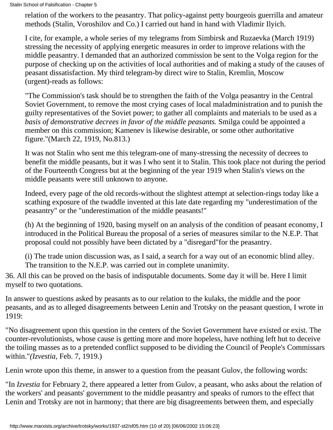relation of the workers to the peasantry. That policy-against petty bourgeois guerrilla and amateur methods (Stalin, Voroshilov and Co.) I carried out hand in hand with Vladimir Ilyich.

I cite, for example, a whole series of my telegrams from Simbirsk and Ruzaevka (March 1919) stressing the necessity of applying energetic measures in order to improve relations with the middle peasantry. I demanded that an authorized commission be sent to the Volga region for the purpose of checking up on the activities of local authorities and of making a study of the causes of peasant dissatisfaction. My third telegram-by direct wire to Stalin, Kremlin, Moscow (urgent)-reads as follows:

"The Commission's task should be to strengthen the faith of the Volga peasantry in the Central Soviet Government, to remove the most crying cases of local maladministration and to punish the guilty representatives of the Soviet power; to gather all complaints and materials to be used as a *basis of demonstrative decrees in favor of the middle peasants.* Smilga could be appointed a member on this commission; Kamenev is likewise desirable, or some other authoritative figure."(March 22, 1919, No.813.)

It was not Stalin who sent me this telegram-one of many-stressing the necessity of decrees to benefit the middle peasants, but it was I who sent it to Stalin. This took place not during the period of the Fourteenth Congress but at the beginning of the year 1919 when Stalin's views on the middle peasants were still unknown to anyone.

Indeed, every page of the old records-without the slightest attempt at selection-rings today like a scathing exposure of the twaddle invented at this late date regarding my "underestimation of the peasantry" or the "underestimation of the middle peasants!"

(h) At the beginning of 1920, basing myself on an analysis of the condition of peasant economy, I introduced in the Political Bureau the proposal of a series of measures similar to the N.E.P. That proposal could not possibly have been dictated by a "disregard"for the peasantry.

(i) The trade union discussion was, as I said, a search for a way out of an economic blind alley. The transition to the N.E.P. was carried out in complete unanimity.

36. All this can be proved on the basis of indisputable documents. Some day it will be. Here I limit myself to two quotations.

In answer to questions asked by peasants as to our relation to the kulaks, the middle and the poor peasants, and as to alleged disagreements between Lenin and Trotsky on the peasant question, I wrote in 1919:

"No disagreement upon this question in the centers of the Soviet Government have existed or exist. The counter-revolutionists, whose cause is getting more and more hopeless, have nothing left hut to deceive the toiling masses as to a pretended conflict supposed to be dividing the Council of People's Commissars within."*(Izvestia,* Feb. 7, 1919.)

Lenin wrote upon this theme, in answer to a question from the peasant Gulov, the following words:

"In *Izvestia* for February 2, there appeared a letter from Gulov, a peasant, who asks about the relation of the workers' and peasants' government to the middle peasantry and speaks of rumors to the effect that Lenin and Trotsky are not in harmony; that there are big disagreements between them, and especially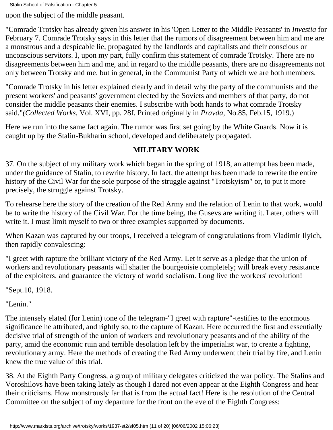upon the subject of the middle peasant.

"Comrade Trotsky has already given his answer in his 'Open Letter to the Middle Peasants' in *Investia* for February 7. Comrade Trotsky says in this letter that the rumors of disagreement between him and me are a monstrous and a despicable lie, propagated by the landlords and capitalists and their conscious or unconscious servitors. I, upon my part, fully confirm this statement of comrade Trotsky. There are no disagreements between him and me, and in regard to the middle peasants, there are no disagreements not only between Trotsky and me, but in general, in the Communist Party of which we are both members.

"Comrade Trotsky in his letter explained clearly and in detail why the party of the communists and the present workers' and peasants' government elected by the Soviets and members of that party, do not consider the middle peasants their enemies. I subscribe with both hands to what comrade Trotsky said."*(Collected Works,* Vol. XVI, pp. 28f. Printed originally in *Pravda,* No.85, Feb.15, 1919.)

Here we run into the same fact again. The rumor was first set going by the White Guards. Now it is caught up by the Stalin-Bukharin school, developed and deliberately propagated.

#### **MILITARY WORK**

37. On the subject of my military work which began in the spring of 1918, an attempt has been made, under the guidance of Stalin, to rewrite history. In fact, the attempt has been made to rewrite the entire history of the Civil War for the sole purpose of the struggle against "Trotskyism" or, to put it more precisely, the struggle against Trotsky.

To rehearse here the story of the creation of the Red Army and the relation of Lenin to that work, would be to write the history of the Civil War. For the time being, the Gusevs are writing it. Later, others will write it. I must limit myself to two or three examples supported by documents.

When Kazan was captured by our troops, I received a telegram of congratulations from Vladimir Ilyich, then rapidly convalescing:

"I greet with rapture the brilliant victory of the Red Army. Let it serve as a pledge that the union of workers and revolutionary peasants will shatter the bourgeoisie completely; will break every resistance of the exploiters, and guarantee the victory of world socialism. Long live the workers' revolution!

"Sept.10, 1918.

"Lenin."

The intensely elated (for Lenin) tone of the telegram-"I greet with rapture"-testifies to the enormous significance he attributed, and rightly so, to the capture of Kazan. Here occurred the first and essentially decisive trial of strength of the union of workers and revolutionary peasants and of the ability of the party, amid the economic ruin and terrible desolation left by the imperialist war, to create a fighting, revolutionary army. Here the methods of creating the Red Army underwent their trial by fire, and Lenin knew the true value of this trial.

38. At the Eighth Party Congress, a group of military delegates criticized the war policy. The Stalins and Voroshilovs have been taking lately as though I dared not even appear at the Eighth Congress and hear their criticisms. How monstrously far that is from the actual fact! Here is the resolution of the Central Committee on the subject of my departure for the front on the eve of the Eighth Congress: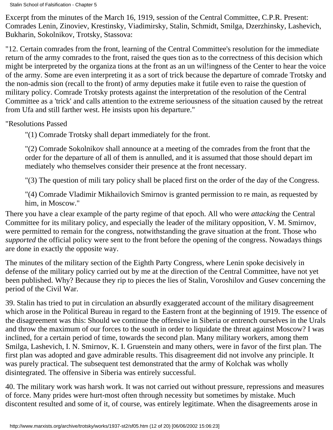Excerpt from the minutes of the March 16, 1919, session of the Central Committee, C.P.R. Present: Comrades Lenin, Zinoviev, Krestinsky, Viadimirsky, Stalin, Schmidt, Smilga, Dzerzhinsky, Lashevich, Bukharin, Sokolnikov, Trotsky, Stassova:

"12. Certain comrades from the front, learning of the Central Committee's resolution for the immediate return of the army comrades to the front, raised the ques tion as to the correctness of this decision which might be interpreted by the organiza tions at the front as an un wil!ingness of the Center to hear the voice of the army. Some are even interpreting it as a sort of trick because the departure of comrade Trotsky and the non-admis sion (recall to the front) of army deputies make it futile even to raise the question of military policy. Comrade Trotsky protests against the interpretation of the resolution of the Central Committee as a 'trick' and calls attention to the extreme seriousness of the situation caused by the retreat from Ufa and still farther west. He insists upon his departure."

"Resolutions Passed

"(1) Comrade Trotsky shall depart immediately for the front.

"(2) Comrade Sokolnikov shall announce at a meeting of the comrades from the front that the order for the departure of all of them is annulled, and it is assumed that those should depart im mediately who themselves consider their presence at the front necessary.

"(3) The question of mili tary policy shall be placed first on the order of the day of the Congress.

"(4) Comrade Vladimir Mikhailovich Smirnov is granted permission to re main, as requested by him, in Moscow."

There you have a clear example of the party regime of that epoch. All who were *attacking* the Central Committee for its military policy, and especially the leader of the military opposition, V. M. Smirnov, were permitted to remain for the congress, notwithstanding the grave situation at the front. Those who *supported* the official policy were sent to the front before the opening of the congress. Nowadays things are done in exactly the opposite way.

The minutes of the military section of the Eighth Party Congress, where Lenin spoke decisively in defense of the military policy carried out by me at the direction of the Central Committee, have not yet been published. Why? Because they rip to pieces the lies of Stalin, Voroshilov and Gusev concerning the period of the Civil War.

39. Stalin has tried to put in circulation an absurdly exaggerated account of the military disagreement which arose in the Political Bureau in regard to the Eastern front at the beginning of 1919. The essence of the disagreement was this: Should we continue the offensive in Siberia or entrench ourselves in the Urals and throw the maximum of our forces to the south in order to liquidate the threat against Moscow? I was inclined, for a certain period of time, towards the second plan. Many military workers, among them Smilga, Lashevich, I. N. Smirnov, K. I. Gruenstein and many others, were in favor of the first plan. The first plan was adopted and gave admirable results. This disagreement did not involve any principle. It was purely practical. The subsequent test demonstrated that the army of Kolchak was wholly disintegrated. The offensive in Siberia was entirely successful.

40. The military work was harsh work. It was not carried out without pressure, repressions and measures of force. Many prides were hurt-most often through necessity but sometimes by mistake. Much discontent resulted and some of it, of course, was entirely legitimate. When the disagreements arose in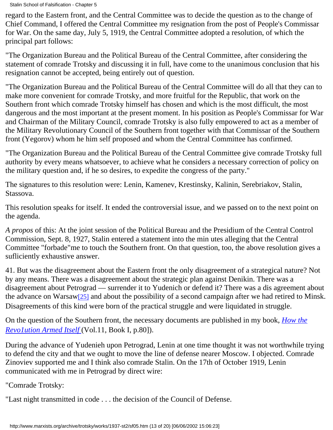regard to the Eastern front, and the Central Committee was to decide the question as to the change of Chief Command, I offered the Central Committee my resignation from the post of People's Commissar for War. On the same day, July 5, 1919, the Central Committee adopted a resolution, of which the principal part follows:

"The Organization Bureau and the Political Bureau of the Central Committee, after considering the statement of comrade Trotsky and discussing it in full, have come to the unanimous conclusion that his resignation cannot be accepted, being entirely out of question.

"The Organization Bureau and the Political Bureau of the Central Committee will do all that they can to make more convenient for comrade Trotsky, and more fruitful for the Republic, that work on the Southern front which comrade Trotsky himself has chosen and which is the most difficult, the most dangerous and the most important at the present moment. In his position as People's Commissar for War and Chairman of the Military Council, comrade Trotsky is also fully empowered to act as a member of the Military Revolutionary Council of the Southern front together with that Commissar of the Southern front (Yegorov) whom he him self proposed and whom the Central Committee has confirmed.

"The Organization Bureau and the Political Bureau of the Central Committee give comrade Trotsky full authority by every means whatsoever, to achieve what he considers a necessary correction of policy on the military question and, if he so desires, to expedite the congress of the party."

The signatures to this resolution were: Lenin, Kamenev, Krestinsky, Kalinin, Serebriakov, Stalin, Stassova.

This resolution speaks for itself. It ended the controversial issue, and we passed on to the next point on the agenda.

*A propos* of this: At the joint session of the Political Bureau and the Presidium of the Central Control Commission, Sept. 8, 1927, Stalin entered a statement into the min utes alleging that the Central Committee "forbade"me to touch the Southern front. On that question, too, the above resolution gives a sufliciently exhaustive answer.

41. But was the disagreement about the Eastern front the only disagreement of a strategical nature? Not by any means. There was a disagreement about the strategic plan against Denikin. There was a disagreement about Petrograd — surrender it to Yudenich or defend it? There was a dis agreement about the advance on Warsa[w\[25\]](#page-66-0) and about the possibility of a second campaign after we had retired to Minsk. Disagreements of this kind were born of the practical struggle and were liquidated in struggle.

<span id="page-59-0"></span>On the question of the Southern front, the necessary documents are published in my book, *[How the](http://www.marxists.org/archive/trotsky/works/1918-mil/index.htm) [Revo1ution Armed Itself](http://www.marxists.org/archive/trotsky/works/1918-mil/index.htm)* (Vol.11, Book I, p.80]).

During the advance of Yudenieh upon Petrograd, Lenin at one time thought it was not worthwhile trying to defend the city and that we ought to move the line of defense nearer Moscow. I objected. Comrade Zinoviev supported me and I think also comrade Stalin. On the 17th of October 1919, Lenin communicated with me in Petrograd by direct wire:

"Comrade Trotsky:

"Last night transmitted in code . . . the decision of the Council of Defense.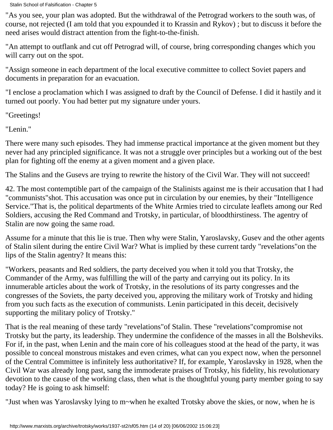"As you see, your plan was adopted. But the withdrawal of the Petrograd workers to the south was, of course, not rejected (I am told that you expounded it to Krassin and Rykov) ; but to discuss it before the need arises would distract attention from the fight-to-the-finish.

"An attempt to outflank and cut off Petrograd will, of course, bring corresponding changes which you will carry out on the spot.

"Assign someone in each department of the local executive committee to collect Soviet papers and documents in preparation for an evacuation.

"I enclose a proclamation which I was assigned to draft by the Council of Defense. I did it hastily and it turned out poorly. You had better put my signature under yours.

"Greetings!

"Lenin."

There were many such episodes. They had immense practical importance at the given moment but they never had any principled significance. It was not a struggle over principles but a working out of the best plan for fighting off the enemy at a given moment and a given place.

The Stalins and the Gusevs are trying to rewrite the history of the Civil War. They will not succeed!

42. The most contemptible part of the campaign of the Stalinists against me is their accusation that I had "communists"shot. This accusation was once put in circulation by our enemies, by their "Intelligence Service."That is, the political departments of the White Armies tried to circulate leaflets among our Red Soldiers, accusing the Red Command and Trotsky, in particular, of bloodthirstiness. The agentry of Stalin are now going the same road.

Assume for a minute that this lie is true. Then why were Stalin, Yaroslavsky, Gusev and the other agents of Stalin silent during the entire Civil War? What is implied by these current tardy "revelations"on the lips of the Stalin agentry? It means this:

"Workers, peasants and Red soldiers, the party deceived you when it told you that Trotsky, the Commander of the Army, was fulfilling the will of the party and carrying out its policy. In its innumerable articles about the work of Trotsky, in the resolutions of its party congresses and the congresses of the Soviets, the party deceived you, approving the military work of Trotsky and hiding from you such facts as the execution of communists. Lenin participated in this deceit, decisively supporting the military policy of Trotsky."

That is the real meaning of these tardy "revelations"of Stalin. These "revelations"compromise not Trotsky but the party, its leadership. They undermine the confidence of the masses in all the Bolsheviks. For if, in the past, when Lenin and the main core of his colleagues stood at the head of the party, it was possible to conceal monstrous mistakes and even crimes, what can you expect now, when the personnel of the Central Committee is infinitely less authoritative? If, for example, Yaroslavsky in 1928, when the Civil War was already long past, sang the immoderate praises of Trotsky, his fidelity, his revolutionary devotion to the cause of the working class, then what is the thoughtful young party member going to say today? He is going to ask himself:

"Just when was Yaroslavsky lying to m~when he exalted Trotsky above the skies, or now, when he is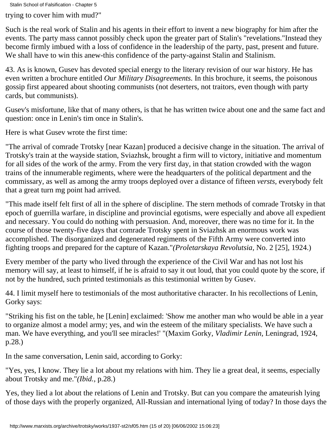```
Stalin School of Falsification - Chapter 5
```
trying to cover him with mud?"

Such is the real work of Stalin and his agents in their effort to invent a new biography for him after the events. The party mass cannot possibly check upon the greater part of Stalin's "revelations."Instead they become firmly imbued with a loss of confidence in the leadership of the party, past, present and future. We shall have to win this anew-this confidence of the party-against Stalin and Stalinism.

43. As is known, Gusev has devoted special energy to the literary revision of our war history. He has even written a brochure entitled *Our Military Disagreements.* In this brochure, it seems, the poisonous gossip first appeared about shooting communists (not deserters, not traitors, even though with party cards, but communists).

Gusev's misfortune, like that of many others, is that he has written twice about one and the same fact and question: once in Lenin's tim once in Stalin's.

Here is what Gusev wrote the first time:

"The arrival of comrade Trotsky [near Kazan] produced a decisive change in the situation. The arrival of Trotsky's train at the wayside station, Sviazhsk, brought a firm will to victory, initiative and momentum for all sides of the work of the army. From the very first day, in that station crowded with the wagon trains of the innumerable regiments, where were the headquarters of the political department and the commissary, as well as among the army troops deployed over a distance of fifteen *versts,* everybody felt that a great turn mg point had arrived.

"This made itself felt first of all in the sphere of discipline. The stern methods of comrade Trotsky in that epoch of guerrilla warfare, in discipline and provincial egotisms, were especially and above all expedient and necessary. You could do nothing with persuasion. And, moreover, there was no time for it. In the course of those twenty-five days that comrade Trotsky spent in Sviazhsk an enormous work was accomplished. The disorganized and degenerated regiments of the Fifth Army were converted into fighting troops and prepared for the capture of Kazan."*(Proletarskaya Revolutsia,* No. 2 [25], 1924.)

Every member of the party who lived through the experience of the Civil War and has not lost his memory will say, at least to himself, if he is afraid to say it out loud, that you could quote by the score, if not by the hundred, such printed testimonials as this testimonial written by Gusev.

44. I limit myself here to testimonials of the most authoritative character. In his recollections of Lenin, Gorky says:

"Striking his fist on the table, he [Lenin] exclaimed: 'Show me another man who would be able in a year to organize almost a model army; yes, and win the esteem of the military specialists. We have such a man. We have everything, and you'll see miracles!' "(Maxim Gorky, *Vladimir Lenin,* Leningrad, 1924, p.28.)

In the same conversation, Lenin said, according to Gorky:

"Yes, yes, I know. They lie a lot about my relations with him. They lie a great deal, it seems, especially about Trotsky and me."*(Ibid.,* p.28.)

Yes, they lied a lot about the relations of Lenin and Trotsky. But can you compare the amateurish lying of those days with the properly organized, All-Russian and international lying of today? In those days the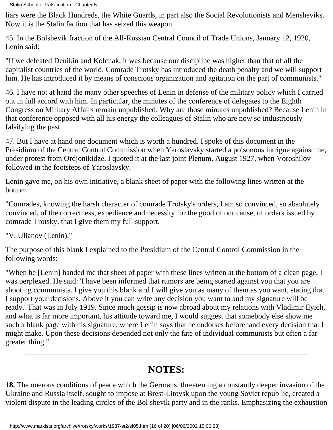liars were the Black Hundreds, the White Guards, in part also the Social Revolutionists and Mensheviks. Now it is the Stalin faction that has seized this weapon.

45. In the Bolshevik fraction of the All-Russian Central Council of Trade Unions, January 12, 1920, Lenin said:

"If we defeated Denikin and Kolchak, it was because our discipline was higher than that of all the capitalist countries of the world. Comrade Trotsky has introduced the death penalty and we will support him. He has introduced it by means of conscious organization and agitation on the part of communists."

46. I have not at hand the many other speeches of Lenin in defense of the military policy which I carried out in full accord with him. In particular, the minutes of the conference of delegates to the Eighth Congress on Military Affairs remain unpublished. Why are those minutes unpublished? Because Lenin in that conference opposed with all his energy the colleagues of Stalin who are now so industriously falsifying the past.

47. But I have at hand one document which is worth a hundred. I spoke of this document in the Presidium of the Central Control Commission when Yaroslavsky started a poisonous intrigue against me, under protest from Ordjonikidze. I quoted it at the last joint Plenum, August 1927, when Voroshilov followed in the footsteps of Yaroslavsky.

Lenin gave me, on his own initiative, a blank sheet of paper with the following lines written at the bottom:

"Comrades, knowing the harsh character of comrade Trotsky's orders, I am so convinced, so absolutely convinced, of the correctness, expedience and necessity for the good of our cause, of orders issued by comrade Trotsky, that I give them my full support.

"V. Ulianov (Lenin)."

The purpose of this blank I explained to the Presidium of the Central Control Commission in the following words:

"When he [Lenin] handed me that sheet of paper with these lines written at the bottom of a clean page, I was perplexed. He said: 'I have been informed that rumors are being started against you that you are shooting communists. I give you this blank and I will give you as many of them as you want, stating that I support your decisions. Above it you can write any decision you want to and my signature will be ready.' That was in July 1919. Since much gossip is now abroad about my relations with Vladimir Ilyich, and what is far more important, his attitude toward me, I would suggest that somebody else show me such a blank page with his signature, where Lenin says that he endorses beforehand every decision that I might make. Upon these decisions depended not only the fate of individual communists but often a far greater thing."

## **NOTES:**

<span id="page-62-0"></span>**18.** The onerous conditions of peace which the Germans, threaten ing a constantly deeper invasion of the Ukraine and Russia itself, sought to impose at Brest-Litovsk upon the young Soviet repub lic, created a violent dispute in the leading circles of the Bol shevik party and in the ranks. Emphasizing the exhaustion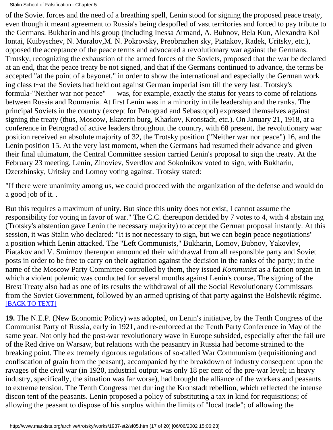of the Soviet forces and the need of a breathing spell, Lenin stood for signing the proposed peace treaty, even though it meant agreement to Russia's being despofled of vast territories and forced to pay tribute to the Germans. Bukharin and his group (including Inessa Armand, A. Bubnov, Bela Kun, Alexandra Kol lontai, Kuibyschev, N. Muralov,M. N. Pokrovsky, Preobrazhen sky, Piatakov, Radek, Uritsky, etc.), opposed the acceptance of the peace terms and advocated a revolutionary war against the Germans. Trotsky, recognizing the exhaustion of the armed forces of the Soviets, proposed that the war be declared at an end, that the peace treaty be not signed, and that if the Germans continued to advance, the terms be accepted "at the point of a bayonet," in order to show the international and especially the German work ing class t~at the Soviets had held out against German imperial ism till the very last. Trotsky's formula-"Neither war nor peace" — was, for example, exactly the status for years to come of relations between Russia and Roumania. At first Lenin was in a minority in tile leadership and the ranks. The principal Soviets in the country (except for Petrograd and Sebastopol) expressed themselves against signing the treaty (thus, Moscow, Ekaterin burg, Kharkov, Kronstadt, etc.). On January 21, 1918, at a conference in Petrograd of active leaders throughout the country, with 68 present, the revolutionary war position received an absolute majority of 32, the Trotsky position ("Neither war nor peace") 16, and the Lenin position 15. At the very last moment, when the Germans had resumed their advance and given their final ultimatum, the Central Committee session carried Lenin's proposal to sign the treaty. At the February 23 meeting, Lenin, Zinoviev, Sverdlov and Sokolnikov voted to sign, with Bukharin, Dzerzhinsky, Uritsky and Lomoy voting against. Trotsky stated:

"If there were unanimity among us, we could proceed with the organization of the defense and would do a good job of it. .

But this requires a maximum of unity. But since this unity does not exist, I cannot assume the responsibility for voting in favor of war." The C.C. thereupon decided by 7 votes to 4, with 4 abstain ing (Trotsky's abstention gave Lenin the necessary majority) to accept the German proposal instantly. At this session, it was Stalin who declared: "It is not necessary to sign, but we can begin peace negotiations" a position which Lenin attacked. The "Left Communists," Bukharin, Lomov, Bubnov, Yakovlev, Piatakov and V. Smirnov thereupon announced their withdrawal from all responsible party and Soviet posts in order to be free to carry on their agitation against the decision in the ranks of the party; in the name of the Moscow Party Committee controlled by them, they issued *Kommunist* as a faction organ in which a violent polemic was conducted for several months against Lenin's course. The signing of the Brest Treaty also had as one of its results the withdrawal of all the Social Revolutionary Commissars from the Soviet Government, followed by an armed uprising of that party against the Bolshevik régime. [\[BACK TO TEXT\]](#page-49-0)

<span id="page-63-0"></span>**19.** The N.E.P. (New Economic Policy) was adopted, on Lenin's initiative, by the Tenth Congress of the Communist Party of Russia, early in 1921, and re-enforced at the Tenth Party Conference in May of the same year. Not only had the post-war revolutionary wave in Europe subsided, especially after the fail ure of the Red drive on Warsaw, but relations with the peasantry in Russia had become strained to the breaking point. The ex tremely rigorous regulations of so-called War Communism (requisitioning and confiscation of grain from the peasant), accompanied by the breakdown of industry consequent upon the ravages of the civil war (in 1920, industrial output was only 18 per cent of the pre-war level; in heavy industry, specifically, the situation was far worse), had brought the alliance of the workers and peasants to extreme tension. The Tenth Congress met dur ing the Kronstadt rebellion, which reflected the intense discon tent of the peasants. Lenin proposed a policy of substituting a tax in kind for requisitions; of allowing the peasant to dispose of his surplus within the limits of "local trade"; of allowing the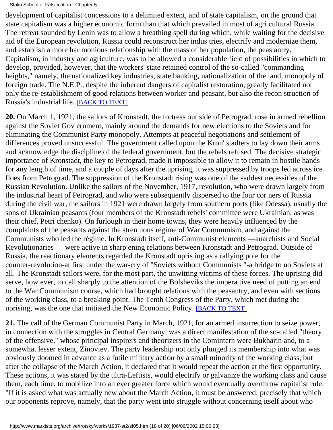development of capitalist concessions to a delimited extent, and of state capitalism, on the ground that state capitalism was a higher economic form than that which prevailed in most of agri cultural Russia. The retreat sounded by Lenin was to allow a breathing spell during which, while waiting for the decisive aid of the European revolution, Russia could reconstruct her indus tries, electrify and modernize them, and establish a more har monious relationship with the mass of her population, the peas antry. Capitalism, in industry and agriculture, was to be allowed a considerable field of possibilities in which to develop, provided, however, that the workers' state retained control of the so-called "commanding heights," namely, the nationalized key industries, state banking, nationalization of the land, monopoly of foreign trade. The N.E.P., despite the inherent dangers of capitalist restoration, greatly facilitated not only the re-establishment of good relations between worker and peasant, but also the recon struction of Russia's industrial life. [\[BACK TO TEXT\]](#page-50-0)

<span id="page-64-0"></span>**20.** On March 1, 1921, the sailors of Kronstadt, the fortress out side of Petrograd, rose in armed rebellion against the Soviet Gov ernment, mainly around the demands for new elections to the Soviets and for eliminating the Communist Party monopoly. Attempts at peaceful negotiations and settlement of differences proved unsuccessful. The government called upon the Kron' stadters to lay down their arms and acknowledge the discipline of the federal government, but the rebels refused. The decisive strategic importance of Kronstadt, the key to Petrograd, made it impossible to allow it to remain in hostile hands for any length of time, and a couple of days after the uprising, it was suppressed by troops led across ice floes from Petrograd. The suppression of the Kronstadt rising was one of the saddest necessities of the Russian Revolution. Unlike the sailors of the November, 1917, revolution, who were drawn largely from the industrial heart of Petrograd, and who were subsequently dispersed to the four cor ners of Russia during the civil war, the sailors in 1921 were drawn largely from southern ports (like Odessa), usually the sons of Ukrainian peasants (four members of the Kronstadt rebels' committee were Ukrainian, as was their chief, Petri chenko). On furlough in their home towns, they were heavily influenced by the complaints of the peasants against the stren uous régime of War Communism, and against the Communists who led the régime. In Kronstadt itself, anti-Communist elements —anarchists and Social Revolutionaries — were active in sharp ening relations between Kronstadt and Petrograd. Outside of Russia, the reactionary elements regarded the Kronstadt upris ing as a rallying pole for the counter-revolution-at first under the war-cry of "Soviets without Communists "-a bridge to no Soviets at all. The Kronstadt sailors were, for the most part, the unwitting victims of these forces. The uprising did serve, how ever, to call sharply to the attention of the Bolsheviks the impera tive need of putting an end to the War Communism course, which had brought relations with the peasantry, and even with sections of the working class, to a breaking point. The Tenth Congress of the Party, which met during the uprising, was the one that initiated the New Economic Policy. [\[BACK TO TEXT\]](#page-51-0)

<span id="page-64-1"></span>**21.** The call of the German Communist Party in March, 1921, for an armed insurrection to seize power, in connection with the struggles in Central Germany, was a direct manifestation of the so-called "theory of the offensive," whose principal inspirers and theorizers in the Comintern were Bukharin and, to a somewhat lesser extent, Zinoviev. The party leadership not only plunged its membership into what was obviously doomed in advance as a futile military action by a small minority of the working class, but after the collapse of the March Action, it declared that it would repeat the action at the first opportunity. These actions, it was stated by the ultra-Leftists, would electrify or galvanize the working class and cause them, each time, to mobilize into an ever greater force which would eventually overthrow capitalist rule. "If it is asked what was actually new about the March Action, it must be answered: precisely that which our opponents reprove, namely, that the party went into struggle without concerning itself about who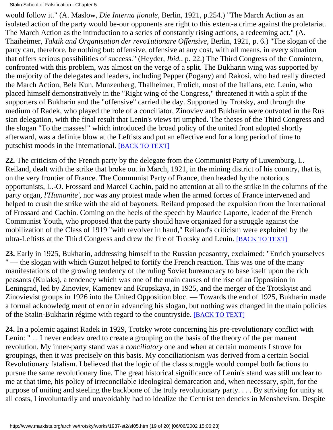would follow it." (A. Maslow, *Die Interna jionale,* Berlin, 1921, p.254.) "The March Action as an isolated action of the party would be-our opponents are right to this extent-a crime against the proletariat. The March Action as the introduction to a series of constantly rising actions, a redeeming act." (A. Thaiheimer, *Taktik and Organisation der revo1utionare Offensive,* Berlin, 1921, p. 6.) "The slogan of the party can, therefore, be nothing but: offensive, offensive at any cost, with all means, in every situation that offers serious possibilities of success." (Heyder, *Ibid.,* p. 22.) The Third Congress of the Comintern, confronted with this problem, was almost on the verge of a split. The Bukharin wing was supported by the majority of the delegates and leaders, including Pepper (Pogany) and Rakosi, who had really directed the March Action, Bela Kun, Munzenherg, Thalheimer, Frolich, most of the Italians, etc. Lenin, who placed himself demonstratively in the "Right wing of the Congress," threatened it with a split if the supporters of Bukharin and the "offensive" carried the day. Supported by Trotsky, and through the medium of Radek, who played the role of a conciliator, Zinoviev and Bukharin were outvoted in the Rus sian delegation, with the final result that Lenin's views tri umphed. The theses of the Third Congress and the slogan "To the masses!" which introduced the broad policy of the united front adopted shortly afterward, was a definite blow at the Leftists and put an effective end for a long period of time to putschist moods in the International. [\[BACK TO TEXT\]](#page-53-0)

<span id="page-65-0"></span>**22.** The criticism of the French party by the delegate from the Communist Party of Luxemburg, L. Reiland, dealt with the strike that broke out in March, 1921, in the mining district of his country, that is, on the very frontier of France. The Communist Party of France, then headed by the notorious opportunists, L.-O. Frossard and Marcel Cachin, paid no attention at all to the strike in the columns of the party organ, *l'Humanite',* nor was any protest made when the armed forces of France intervened and helped to crush the strike with the aid of bayonets. Reiland proposed the expulsion from the International of Frossard and Cachin. Coming on the heels of the speech by Maurice Laporte, leader of the French Communist Youth, who proposed that the party should have organized for a struggle against the mobilization of the Class of 1919 "with revolver in hand," Reiland's criticism were exploited by the ultra-Leftists at the Third Congress and drew the fire of Trotsky and Lenin. [\[BACK TO TEXT\]](#page-54-0)

<span id="page-65-1"></span>**23.** Early in 1925, Bukharin, addressing himself to the Russian peasantry, exclaimed: "Enrich yourselves " — the slogan with which Guizot helped to fortify the French reaction. This was one of the many manifestations of the growing tendency of the ruling Soviet bureaucracy to base itself upon the rich peasants (Kulaks), a tendency which was one of the main causes of the rise of an Opposition in Leningrad, led by Zinoviev, Kamenev and Krupskaya, in 1925, and the merger of the Trotskyist and Zinovievist groups in 1926 into the United Opposition bloc. — Towards the end of 1925, Bukharin made a formal acknowledg ment of error in advancing his slogan, but nothing was changed in the main policies of the Stalin-Bukharin régime with regard to the countryside. [\[BACK TO TEXT\]](#page-55-0)

<span id="page-65-2"></span>**24.** In a polemic against Radek in 1929, Trotsky wrote concerning his pre-revolutionary conflict with Lenin: " . . I never endeav ored to create a grouping on the basis of the theory of the per manent revolution. My inner-party stand was a *conciliatory* one and when at certain moments I strove for groupings, then it was precisely on this basis. My conciliationism was derived from a certain Social Revolutionary fatalism. I believed that the logic of the class struggle would compel both factions to pursue the same revolutionary line. The great historical significance of Lenin's stand was still unclear to me at that time, his policy of irreconcilable ideological demarcation and, when necessary, split, for the purpose of uniting and steeling the backbone of the truly revolutionary party. . . . By striving for unity at all costs, I involuntarily and unavoidably had to idealize the Centrist ten dencies in Menshevism. Despite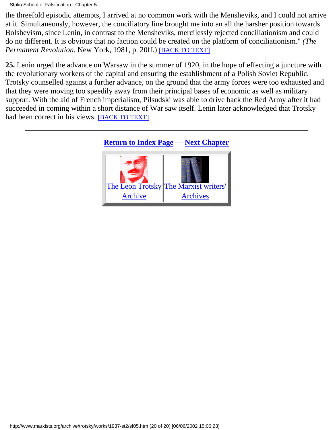the threefold episodic attempts, I arrived at no common work with the Mensheviks, and I could not arrive at it. Simultaneously, however, the conciliatory line brought me into an all the harsher position towards Bolshevism, since Lenin, in contrast to the Mensheviks, mercilessly rejected conciliationism and could do no different. It is obvious that no faction could be created on the platform of conciliationism." *(The Permanent Revolution, New York, 1981, p. 20ff.)* [\[BACK TO TEXT\]](#page-55-1)

<span id="page-66-0"></span>**25.** Lenin urged the advance on Warsaw in the summer of 1920, in the hope of effecting a juncture with the revolutionary workers of the capital and ensuring the establishment of a Polish Soviet Republic. Trotsky counselled against a further advance, on the ground that the army forces were too exhausted and that they were moving too speedily away from their principal bases of economic as well as military support. With the aid of French imperialism, Pilsudski was able to drive back the Red Army after it had succeeded in coming within a short distance of War saw itself. Lenin later acknowledged that Trotsky had been correct in his views. [\[BACK TO TEXT\]](#page-59-0)

## **[Return to Index Page](#page-0-0) — [Next Chapter](#page-67-0)**

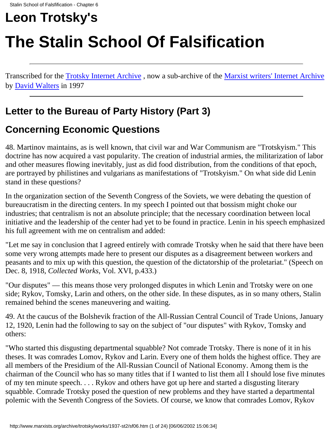## <span id="page-67-0"></span>**Leon Trotsky's**

# **The Stalin School Of Falsification**

Transcribed for the [Trotsky Internet Archive](#page-214-0) , now a sub-archive of the [Marxist writers' Internet Archive](#page-6-0) by [David Walters](mailto:dwalters@marxists.org) in 1997

## **Letter to the Bureau of Party History (Part 3)**

## **Concerning Economic Questions**

48. Martinov maintains, as is well known, that civil war and War Communism are "Trotskyism." This doctrine has now acquired a vast popularity. The creation of industrial armies, the militarization of labor and other measures flowing inevitably, just as did food distribution, from the conditions of that epoch, are portrayed by philistines and vulgarians as manifestations of "Trotskyism." On what side did Lenin stand in these questions?

In the organization section of the Seventh Congress of the Soviets, we were debating the question of bureaucratism in the directing centers. In my speech I pointed out that bossism might choke our industries; that centralism is not an absolute principle; that the necessary coordination between local initiative and the leadership of the center had yet to be found in practice. Lenin in his speech emphasized his full agreement with me on centralism and added:

"Let me say in conclusion that I agreed entirely with comrade Trotsky when he said that there have been some very wrong attempts made here to present our disputes as a disagreement between workers and peasants and to mix up with this question, the question of the dictatorship of the proletariat." (Speech on Dec. 8, 1918, *Collected Works,* Vol. XVI, p.433.)

"Our disputes" — this means those very prolonged disputes in which Lenin and Trotsky were on one side; Rykov, Tomsky, Larin and others, on the other side. In these disputes, as in so many others, Stalin remained behind the scenes maneuvering and waiting.

49. At the caucus of the Bolshevik fraction of the All-Russian Central Council of Trade Unions, January 12, 1920, Lenin had the following to say on the subject of "our disputes" with Rykov, Tomsky and others:

"Who started this disgusting departmental squabble? Not comrade Trotsky. There is none of it in his theses. It was comrades Lomov, Rykov and Larin. Every one of them holds the highest office. They are all members of the Presidium of the All-Russian Council of National Economy. Among them is the chairman of the Council who has so many titles that if I wanted to list them all I should lose five minutes of my ten minute speech. . . . Rykov and others have got up here and started a disgusting literary squabble. Comrade Trotsky posed the question of new problems and they have started a departmental polemic with the Seventh Congress of the Soviets. Of course, we know that comrades Lomov, Rykov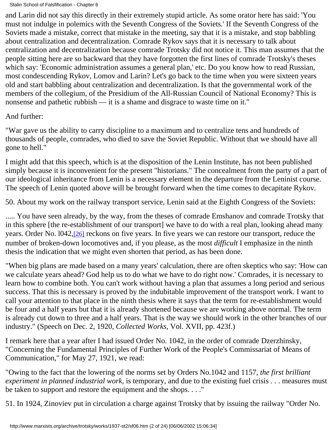and Larin did not say this directly in their extremely stupid article. As some orator here has said: 'You must not indulge in polemics with the Seventh Congress of the Soviets.' If the Seventh Congress of the Soviets made a mistake, correct that mistake in the meeting, say that it is a mistake, and stop babbling about centralization and decentralization. Comrade Rykov says that it is necessary to talk about centralization and decentralization because comrade Trotsky did not notice it. This man assumes that the people sitting here are so backward that they have forgotten the first lines of comrade Trotsky's theses which say: 'Economic administration assumes a general plan,' etc. Do you know how to read Russian, most condescending Rykov, Lomov and Larin? Let's go back to the time when you were sixteen years old and start babbling about centralization and decentralization. Is that the governmental work of the members of the collegium, of the Presidium of the All-Russian Council of National Economy? This is nonsense and pathetic rubbish — it is a shame and disgrace to waste time on it."

#### And further:

"War gave us the ability to carry discipline to a maximum and to centralize tens and hundreds of thousands of people, comrades, who died to save the Soviet Republic. Without that we should have all gone to hell."

I might add that this speech, which is at the disposition of the Lenin Institute, has not been published simply because it is inconvenient for the present "historians." The concealment from the party of a part of our ideological inheritance from Lenin is a necessary element in the departure from the Leninist course. The speech of Lenin quoted above will be brought forward when the time comes to decapitate Rykov.

50. About my work on the railway transport service, Lenin said at the Eighth Congress of the Soviets:

..... You have seen already, by the way, from the theses of comrade Emshanov and comrade Trotsky that in this sphere [the re-establishment of our transport] we have to do with a real plan, looking ahead many years. Order No. l042[,\[26\]](#page-89-0) reckons on five years. In five years we can restore our transport, reduce the number of broken-down locomotives and, if you please, as the most *difficult* I emphasize in the ninth thesis the indication that we might even shorten that period, as has been done.

"When big plans are made based on a many years' calculation, there are often skeptics who say: 'How can we calculate years ahead? God help us to do what we have to do right now.' Comrades, it is necessary to learn how to combine both. You can't work without having a plan that assumes a long period and serious success. That this is necessary is proved by the indubitable improvement of the transport work. I want to call your attention to that place in the ninth thesis where it says that the term for re-establishment would be four and a half years but that it is already shortened because we are working above normal. The term is already cut down to three and a half years. That is the way we should work in the other branches of our industry." (Speech on Dec. 2, 1920, *Collected Works,* Vol. XVII, pp. 423f.)

I remark here that a year after I had issued Order No. 1042, in the order of comrade Dzerzhinsky, "Concerning the Fundamental Principles of Further Work of the People's Commissariat of Means of Communication," for May 27, 1921, we read:

"Owing to the fact that the lowering of the norms set by Orders No.1042 and 1157, *the first brilliant experiment in planned industrial work,* is temporary, and due to the existing fuel crisis . . . measures must be taken to support and restore the equipment and the shops. . . ."

51. In 1924, Zinoviev put in circulation a charge against Trotsky that by issuing the railway "Order No.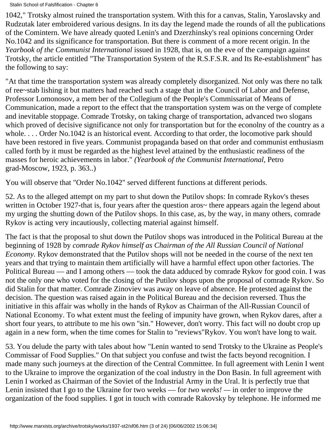1042," Trotsky almost ruined the transportation system. With this for a canvas, Stalin, Yaroslavsky and Rudzutak later embroidered various designs. In its day the legend made the rounds of all the publications of the Comintern. We have already quoted Lenin's and Dzerzhinsky's real opinions concerning Order No.1042 and its significance for transportation. But there is comment of a more recent origin. In the *Yearbook of the Communist International* issued in 1928, that is, on the eve of the campaign against Trotsky, the article entitled "The Transportation System of the R.S.F.S.R. and Its Re-establishment" has the following to say:

"At that time the transportation system was already completely disorganized. Not only was there no talk of ree~stab lishing it but matters had reached such a stage that in the Council of Labor and Defense, Professor Lomonosov, a mem ber of the Collegium of the People's Commissariat of Means of Communication, made a report to the effect that the transportation system was on the verge of complete and inevitable stoppage. Comrade Trotsky, on taking charge of transportation, advanced two slogans which proved of decisive significance not only for transportation but for the econolny of the country as a whole. . . . Order No.1042 is an historical event. According to that order, the locomotive park should have been restored in five years. Communist propaganda based on that order and communist enthusiasm called forth by it must be regarded as the highest level attained by the enthusiastic readiness of the masses for heroic achievements in labor." *(Yearbook of the Communist International,* Petro grad-Moscow, 1923, p. 363..)

You will observe that "Order No.1042" served different functions at different periods.

52. As to the alleged attempt on my part to shut down the Putilov shops: In comrade Rykov's theses written in October 1927-that is, four years after the question aros~ there appears again the legend about my urging the shutting down of the Putilov shops. In this case, as, by the way, in many others, comrade Rykov is acting very incautiously, collecting material against himself.

The fact is that the proposal to shut down the Putilov shops was introduced in the Political Bureau at the beginning of 1928 by *comrade Rykov himself as Chairman of the All Russian Council of National Economy.* Rykov demonstrated that the Putilov shops will not be needed in the course of the next ten years and that trying to maintain them artificially will have a harmful effect upon other factories. The Political Bureau — and I among others — took the data adduced by comrade Rykov for good coin. I was not the only one who voted for the closing of the Putilov shops upon the proposal of comrade Rykov. So did Stalin for that matter. Comrade Zinoviev was away on leave of absence. He protested against the decision. The question was raised again in the Political Bureau and the decision reversed. Thus the initiative in this affair was wholly in the hands of Rykov as Chairman of the All-Russian Council of National Economy. To what extent must the feeling of impunity have grown, when Rykov dares, after a short four years, to attribute to me his own ''sin." However, don't worry. This fact will no doubt crop up again in a new form, when the time comes for Stalin to "reviews"Rykov. You won't have long to wait.

53. You delude the party with tales about how "Lenin wanted to send Trotsky to the Ukraine as People's Commissar of Food Supplies." On that subject you confuse and twist the facts beyond recognition. I made many such journeys at the direction of the Central Committee. In full agreement with Lenin I went to the Ukraine to improve the organization of the coal industry in the Don Basin. In full agreement with Lenin I worked as Chairman of the Soviet of the Industrial Army in the Ural. It is perfectly true that Lenin insisted that I go to the Ukraine for two weeks — for *two weeks! —* in order to improve the organization of the food supplies. I got in touch with comrade Rakovsky by telephone. He informed me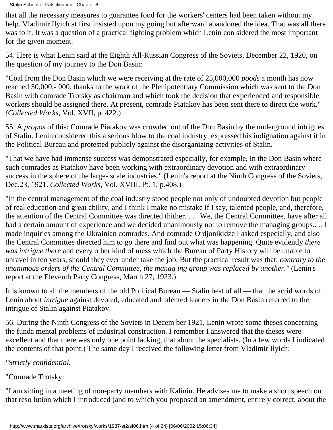that all the necessary measures to guarantee food for the workers' centers had been taken without my help. Vladimir Ilyich at first insisted upon my going but afterward abandoned the idea. That was all there was to it. It was a question of a practical fighting problem which Lenin con sidered the most important for the given moment.

54. Here is what Lenin said at the Eighth All-Russian Congress of the Soviets, December 22, 1920, on the question of my journey to the Don Basin:

"Coal from the Don Basin which we were receiving at the rate of 25,000,000 *poods* a month has now reached 50,000,- 000, thanks to the work of the Plenipotentiary Commission which was sent to the Don Basin with comrade Trotsky as chairman and which took the decision that experienced and responsible workers should be assigned there. At present, comrade Piatakov has been sent there to direct the work." *(Collected Works,* Vol. XVII, p. 422.)

55. A *propos* of this: Comrade Piatakov was crowded out of the Don Basin by the underground intrigues of Stalin. Lenin considered this a serious blow to the coal industry, expressed his indignation against it in the Political Bureau and protested publicly against the disorganizing activities of Stalin.

"That we have had immense success was demonstrated especially, for example, in the Don Basin where such comrades as Piatakov have been working with extraordinary devotion and with extraordinary success in the sphere of the large- scale industries." (Lenin's report at the Ninth Congress of the Soviets, Dec.23, 1921. *Collected Works,* Vol. XVIII, Pt. 1, p.408.)

"In the central management of the coal industry stood people not only of undoubted devotion but people of real education and great ability, and I think I make no mistake if I say, talented people, and, therefore, the attention of the Central Committee was directed thither. . . . We, the Central Committee, have after all had a certain amount of experience and we decided unanimously not to remove the managing groups.. .. I made inquiries among the Ukrainian comrades. And comrade Ordjonikidze I asked especially, and also the Central Committee directed him to go there and find out what was happening. Quite evidently *there was intrigne there* and every other kind of mess which the Bureau of Party History will be unable to unravel in ten years, should they ever under take the job. But the practical result was that, *contrary to the unanimous orders of the Central Committee, the manag ing group was replaced by another."* (Lenin's report at the Eleventh Party Congress, March 27, 1923.)

It is known to all the members of the old Political Bureau — Stalin best of all — that the acrid words of Lenin about *intrigue* against devoted, educated and talented leaders in the Don Basin referred to the intrigue of Stalin against Piatakov.

56. During the Ninth Congress of the Soviets in Decem ber 1921, Lenin wrote some theses concerning the funda mental problems of industrial construction. I remember I answered that the theses were excellent and that there was only one point lacking, that about the specialists. (In a few words I indicated the contents of that point.) The same day I received the following letter from Vladimir Ilyich:

### *"Strictly confidential.*

### "Comrade Trotsky:

"I am sitting in a meeting of non-party members with Kalinin. He advises me to make a short speech on that reso lution which I introduced (and to which you proposed an amendment, entirely correct, about the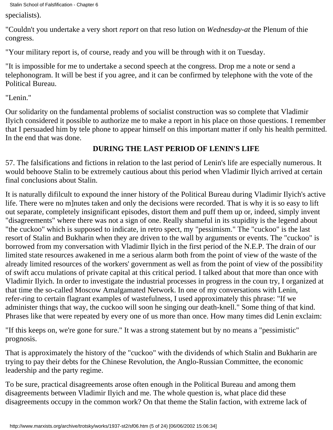specialists).

"Couldn't you undertake a very short *report* on that reso lution on *Wednesday-at* the Plenum of thie congress.

"Your military report is, of course, ready and you will be through with it on Tuesday.

"It is impossible for me to undertake a second speech at the congress. Drop me a note or send a telephonogram. It will be best if you agree, and it can be confirmed by telephone with the vote of the Political Bureau.

"Lenin."

Our solidarity on the fundamental problems of socialist construction was so complete that Vladimir Ilyich considered it possible to authorize me to make a report in his place on those questions. I remember that I persuaded him by tele phone to appear himself on this important matter if only his health permitted. In the end that was done.

### **DURING THE LAST PERIOD OF LENIN'S LIFE**

57. The falsifications and fictions in relation to the last period of Lenin's life are especially numerous. It would behoove Stalin to be extremely cautious about this period when Vladimir Ilyich arrived at certain final conclusions about Stalin.

It is naturally difilcult to expound the inner history of the Political Bureau during Vladimir Ilyich's active life. There were no m]nutes taken and only the decisions were recorded. That is why it is so easy to lift out separate, completely insignificant episodes, distort them and puff them up or, indeed, simply invent "disagreements" where there was not a sign of one. Really shameful in its stupidity is the legend about "the cuckoo" which is supposed to indicate, in retro spect, my "pessimism." The "cuckoo" is the last resort of Stalin and Bukharin when they are driven to the wall by arguments or events. The "cuckoo" is borrowed from my conversation with Vladimir Ilyich in the first period of the N.E.P. The drain of our limited state resources awakened in me a serious alarm both from the point of view of the waste of the already limited resources of the workers' government as well as from the point of view of the possibi!ity of swift accu mulations of private capital at this critical period. I talked about that more than once with Vladimir Ilyich. In order to investigate the industrial processes in progress in the coun try, I organized at that time the so-called Moscow Amalgamated Network. In one of my conversations with Lenin, refer-ring to certain flagrant examples of wastefulness, I used approximately this phrase: "If we administer things that way, the cuckoo will soon he singing our death-knell." Some thing of that kind. Phrases like that were repeated by every one of us more than once. How many times did Lenin exclaim:

"If this keeps on, we're gone for sure." It was a strong statement but by no means a "pessimistic" prognosis.

That is approximately the history of the "cuckoo" with the dividends of which Stalin and Bukharin are trying to pay their debts for the Chinese Revolution, the Anglo-Russian Committee, the economic leadership and the party regime.

To be sure, practical disagreements arose often enough in the Political Bureau and among them disagreements between Vladimir Ilyich and me. The whole question is, what place did these disagreements occupy in the common work? On that theme the Stalin faction, with extreme lack of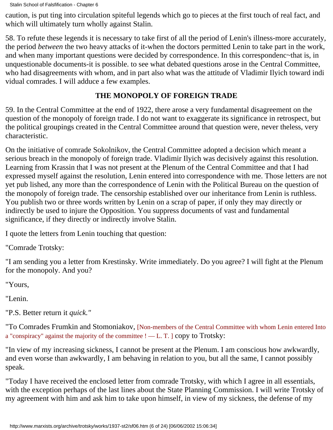caution, is put ting into circulation spiteful legends which go to pieces at the first touch of real fact, and which will ultimately turn wholly against Stalin.

58. To refute these legends it is necessary to take first of all the period of Lenin's illness-more accurately, the period *between* the two heavy attacks of it-when the doctors permitted Lenin to take part in the work, and when many important questions were decided by correspondence. In this correspondenc~that is, in unquestionable documents-it is possible. to see what debated questions arose in the Central Committee, who had disagreements with whom, and in part also what was the attitude of Vladimir Ilyich toward indi vidual comrades. I will adduce a few examples.

#### **THE MONOPOLY OF FOREIGN TRADE**

59. In the Central Committee at the end of 1922, there arose a very fundamental disagreement on the question of the monopoly of foreign trade. I do not want to exaggerate its significance in retrospect, but the political groupings created in the Central Committee around that question were, never theless, very characteristic.

On the initiative of comrade Sokolnikov, the Central Committee adopted a decision which meant a serious breach in the monopoly of foreign trade. Vladimir Ilyich was decisively against this resolution. Learning from Krassin that I was not present at the Plenum of the Central Committee and that I had expressed myself against the resolution, Lenin entered into correspondence with me. Those letters are not yet pub lished, any more than the correspondence of Lenin with the Political Bureau on the question of the monopoly of foreign trade. The censorship established over our inheritance from Lenin is ruthless. You publish two or three words written by Lenin on a scrap of paper, if only they may directly or indirectly be used to injure the Opposition. You suppress documents of vast and fundamental significance, if they directly or indirectly involve Stalin.

I quote the letters from Lenin touching that question:

"Comrade Trotsky:

"I am sending you a letter from Krestinsky. Write immediately. Do you agree? I will fight at the Plenum for the monopoly. And you?

"Yours,

"Lenin.

"P.S. Better return it *quick."*

"To Comrades Frumkin and Stomoniakov, [Non-members of the Central Committee with whom Lenin entered Into a "conspiracy" against the majority of the committee  $! -L$ . T.  $]$  copy to Trotsky:

"In view of my increasing sickness, I cannot be present at the Plenum. I am conscious how awkwardly, and even worse than awkwardly, I am behaving in relation to you, but all the same, I cannot possibly speak.

"Today I have received the enclosed letter from comrade Trotsky, with which I agree in all essentials, with the exception perhaps of the last lines about the State Planning Commission. I will write Trotsky of my agreement with him and ask him to take upon himself, in view of my sickness, the defense of my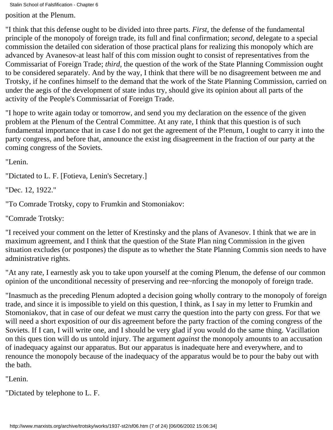position at the Plenum.

"I think that this defense ought to be divided into three parts. *First,* the defense of the fundamental principle of the monopoly of foreign trade, its full and final confirmation; *second,* delegate to a special commission the detailed con sideration of those practical plans for realizing this monopoly which are advanced by Avanesov-at least half of this com mission ought to consist of representatives from the Commissariat of Foreign Trade; *third,* the question of the work of the State Planning Commission ought to be considered separately. And by the way, I think that there will be no disagreement between me and Trotsky, if he confines himself to the demand that the work of the State Planning Commission, carried on under the aegis of the development of state indus try, should give its opinion about all parts of the activity of the People's Commissariat of Foreign Trade.

"I hope to write again today or tomorrow, and send you my declaration on the essence of the given problem at the Plenum of the Central Committee. At any rate, I think that this question is of such fundamental importance that in case I do not get the agreement of the P!enum, I ought to carry it into the party congress, and before that, announce the exist ing disagreement in the fraction of our party at the coming congress of the Soviets.

"Lenin.

"Dictated to L. F. [Fotieva, Lenin's Secretary.]

"Dec. 12, 1922."

"To Comrade Trotsky, copy to Frumkin and Stomoniakov:

"Comrade Trotsky:

"I received your comment on the letter of Krestinsky and the plans of Avanesov. I think that we are in maximum agreement, and I think that the question of the State Plan ning Commission in the given situation excludes (or postpones) the dispute as to whether the State Planning Commis sion needs to have administrative rights.

"At any rate, I earnestly ask you to take upon yourself at the coming Plenum, the defense of our common opinion of the unconditional necessity of preserving and ree~nforcing the monopoly of foreign trade.

"Inasmuch as the preceding Plenum adopted a decision going wholly contrary to the monopoly of foreign trade, and since it is impossible to yield on this question, I think, as I say in my letter to Frumkin and Stomoniakov, that in case of our defeat we must carry the question into the party con gress. For that we will need a short exposition of our dis agreement before the party fraction of the coming congress of the Soviets. If I can, I will write one, and I should be very glad if you would do the same thing. Vacillation on this ques tion will do us untold injury. The argument *against* the monopoly amounts to an accusation of inadequacy against our apparatus. But our apparatus is inadequate here and everywhere, and to renounce the monopoly because of the inadequacy of the apparatus would be to pour the baby out with the bath.

"Lenin.

"Dictated by telephone to L. F.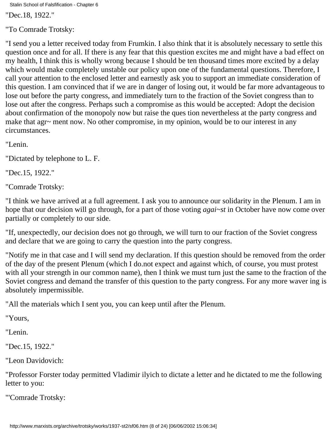"Dec.18, 1922."

"To Comrade Trotsky:

"I send you a letter received today from Frumkin. I also think that it is absolutely necessary to settle this question once and for all. If there is any fear that this question excites me and might have a bad effect on my health, I think this is wholly wrong because I should be ten thousand times more excited by a delay which would make completely unstable our policy upon one of the fundamental questions. Therefore, I call your attention to the enclosed letter and earnestly ask you to support an immediate consideration of this question. I am convinced that if we are in danger of losing out, it would be far more advantageous to lose out before the party congress, and immediately turn to the fraction of the Soviet congress than to lose out after the congress. Perhaps such a compromise as this would be accepted: Adopt the decision about confirmation of the monopoly now but raise the ques tion nevertheless at the party congress and make that agr~ ment now. No other compromise, in my opinion, would be to our interest in any circumstances.

"Lenin.

"Dictated by telephone to L. F.

"Dec.15, 1922."

"Comrade Trotsky:

"I think we have arrived at a full agreement. I ask you to announce our solidarity in the Plenum. I am in hope that our decision will go through, for a part of those voting *agai~st* in October have now come over partially or completely to our side.

"If, unexpectedly, our decision does not go through, we will turn to our fraction of the Soviet congress and declare that we are going to carry the question into the party congress.

"Notify me in that case and I will send my declaration. If this question should be removed from the order of the day of the present Plenum (which I do.not expect and against which, of course, you must protest with all your strength in our common name), then I think we must turn just the same to the fraction of the Soviet congress and demand the transfer of this question to the party congress. For any more waver ing is absolutely impermissible.

"All the materials which I sent you, you can keep until after the Plenum.

"Yours,

"Lenin.

"Dec.15, 1922."

"Leon Davidovich:

"Professor Forster today permitted Vladimir ilyich to dictate a letter and he dictated to me the following letter to you:

"'Comrade Trotsky: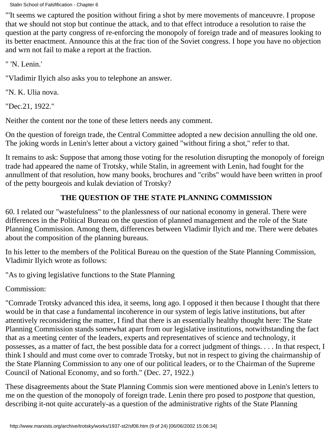"'It seems we captured the position without firing a shot by mere movements of manceuvre. I propose that we should not stop but continue the attack, and to that effect introduce a resolution to raise the question at the party congress of re-enforcing the monopoly of foreign trade and of measures looking to its better enactment. Announce this at the frac tion of the Soviet congress. I hope you have no objection and wrn not fail to make a report at the fraction.

" 'N. Lenin.'

"Vladimir Ilyich also asks you to telephone an answer.

"N. K. Ulia nova.

"Dec.21, 1922."

Neither the content nor the tone of these letters needs any comment.

On the question of foreign trade, the Central Committee adopted a new decision annulling the old one. The joking words in Lenin's letter about a victory gained "without firing a shot," refer to that.

It remains to ask: Suppose that among those voting for the resolution disrupting the monopoly of foreign trade had appeared the name of Trotsky, while Stalin, in agreement with Lenin, had fought for the annullment of that resolution, how many books, brochures and "cribs" would have been written in proof of the petty bourgeois and kulak deviation of Trotsky?

#### **THE QUESTION OF THE STATE PLANNING COMMISSION**

60. I related our "wastefulness" to the planlessness of our national economy in general. There were differences in the Political Bureau on the question of planned management and the role of the State Planning Commission. Among them, differences between Vladimir Ilyich and me. There were debates about the composition of the planning bureaus.

In his letter to the members of the Political Bureau on the question of the State Planning Commission, Vladimir Ilyich wrote as follows:

"As to giving legislative functions to the State Planning

Commission:

"Comrade Trotsky advanced this idea, it seems, long ago. I opposed it then because I thought that there would be in that case a fundamental incoherence in our system of legis lative institutions, but after attentively reconsidering the matter, I find that there is an essentially healthy thought here: The State Planning Commission stands somewhat apart from our legislative institutions, notwithstanding the fact that as a meeting center of the leaders, experts and representatives of science and technology, it possesses, as a matter of fact, the best possible data for a correct judgment of things. . . . In that respect, I think I should and must come over to comrade Trotsky, but not in respect to giving the chairmanship of the State Planning Commission to any one of our political leaders, or to the Chairman of the Supreme Council of National Economy, and so forth." (Dec. 27, 1922.)

These disagreements about the State Planning Commis sion were mentioned above in Lenin's letters to me on the question of the monopoly of foreign trade. Lenin there pro posed to *postpone* that question, describing it-not quite accurately-as a question of the administrative rights of the State Planning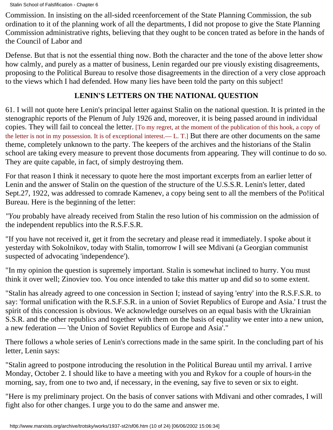Commission. In insisting on the all-sided rceenforcement of the State Planning Commission, the sub ordination to it of the planning work of all the departments, I did not propose to give the State Planning Commission administrative rights, believing that they ought to be concen trated as before in the hands of the Council of Labor and

Defense. But that is not the essential thing now. Both the character and the tone of the above letter show how calmly, and purely as a matter of business, Lenin regarded our pre viously existing disagreements, proposing to the Political Bureau to resolve those disagreements in the direction of a very close approach to the views which I had defended. How many lies have been told the party on this subject!

#### **LENIN'S LETTERS ON THE NATIONAL QUESTION**

61. I will not quote here Lenin's principal letter against Stalin on the national question. It is printed in the stenographic reports of the Plenum of July 1926 and, moreover, it is being passed around in individual copies. They will fail to conceal the letter. [To my regret, at the moment of the publication of this hook, a copy of the letter is not in my possession. It is of exceptional interest.— L. T.] But there are other documents on the same theme, completely unknown to the party. The keepers of the archives and the historians of the Stalin school are taking every measure to prevent those documents from appearing. They will continue to do so. They are quite capable, in fact, of simply destroying them.

For that reason I think it necessary to quote here the most important excerpts from an earlier letter of Lenin and the answer of Stalin on the question of the structure of the U.S.S.R. Lenin's letter, dated Sept.27, 1922, was addressed to comrade Kamenev, a copy being sent to all the members of the Po!itical Bureau. Here is the beginning of the letter:

*"You* probably have already received from Stalin the reso lution of his commission on the admission of the independent republics into the R.S.F.S.R.

"If you have not received it, get it from the secretary and please read it immediately. I spoke about it yesterday with Sokolnikov, today with Stalin, tomorrow I will see Mdivani (a Georgian communist suspected of advocating 'independence').

"In my opinion the question is supremely important. Stalin is somewhat inclined to hurry. You must think it over well; Zinoviev too. You once intended to take this matter up and did so to some extent.

"Stalin has already agreed to one concession in Section I; instead of saying 'entry' into the R.S.F.S.R. to say: 'formal unification with the R.S.F.S.R. in a union of Soviet Republics of Europe and Asia.' I trust the spirit of this concession is obvious. We acknowledge ourselves on an equal basis with the Ukrainian S.S.R. and the other republics and together with them on the basis of equality we enter into a new union, a new federation — 'the Union of Soviet Republics of Europe and Asia'."

There follows a whole series of Lenin's corrections made in the same spirit. In the concluding part of his letter, Lenin says:

"Stalin agreed to postpone introducing the resolution in the Political Bureau until my arrival. I arrive Monday, October 2. I should like to have a meeting with you and Rykov for a couple of hours-in the morning, say, from one to two and, if necessary, in the evening, say five to seven or six to eight.

"Here is my preliminary project. On the basis of conver sations with Mdivani and other comrades, I will fight also for other changes. I urge you to do the same and answer me.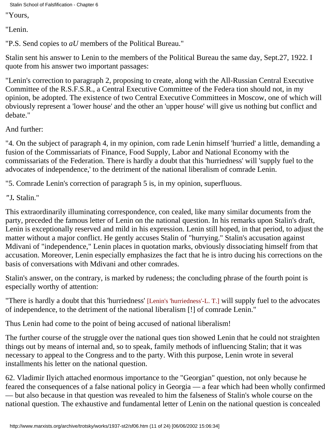"Yours,

"Lenin.

"P.S. Send copies to *aU* members of the Political Bureau."

Stalin sent his answer to Lenin to the members of the Political Bureau the same day, Sept.27, 1922. I quote from his answer two important passages:

"Lenin's correction to paragraph 2, proposing to create, along with the All-Russian Central Executive Committee of the R.S.F.S.R., a Central Executive Committee of the Federa tion should not, in my opinion, be adopted. The existence of two Central Executive Committees in Moscow, one of which will obviously represent a 'lower house' and the other an 'upper house' will give us nothing but conflict and debate."

And further:

"4*.* On the subject of paragraph 4, in my opinion, com rade Lenin himself 'hurried' a little, demanding a fusion of the Commissariats of Finance, Food Supply, Labor and National Economy with the commissariats of the Federation. There is hardly a doubt that this 'hurriedness' will 'supply fuel to the advocates of independence,' to the detriment of the national liberalism of comrade Lenin.

"5. Comrade Lenin's correction of paragraph 5 is, in my opinion, superfluous.

*"*J*.* Stalin."

This extraordinarily illuminating correspondence, con cealed, like many similar documents from the party, preceded the famous letter of Lenin on the national question. In his remarks upon Stalin's draft, Lenin is exceptionally reserved and mild in his expression. Lenin still hoped, in that period, to adjust the matter without a major conflict. He gently accuses Stalin of "hurrying." Stalin's accusation against Mdivani of "independence," Lenin places in quotation marks, obviously dissociating himself from that accusation. Moreover, Lenin especially emphasizes the fact that he is intro ducing his corrections on the basis of conversations with Mdivani and other comrades.

Stalin's answer, on the contrary, is marked by rudeness; the concluding phrase of the fourth point is especially worthy of attention:

"There is hardly a doubt that this 'hurriedness' [Lenin's 'hurriedness'-L. T.] will supply fuel to the advocates of independence, to the detriment of the national liberalism [!] of comrade Lenin."

Thus Lenin had come to the point of being accused of national liberalism!

The further course of the struggle over the national ques tion showed Lenin that he could not straighten things out by means of internal and, so to speak, family methods of influencing Stalin; that it was necessary to appeal to the Congress and to the party. With this purpose, Lenin wrote in several installments his letter on the national question.

62. Vladimir Ilyich attached enormous importance to the "Georgian" question, not only because he feared the consequences of a false national policy in Georgia — a fear which had been wholly confirmed — but also because in that question was revealed to him the falseness of Stalin's whole course on the national question. The exhaustive and fundamental letter of Lenin on the national question is concealed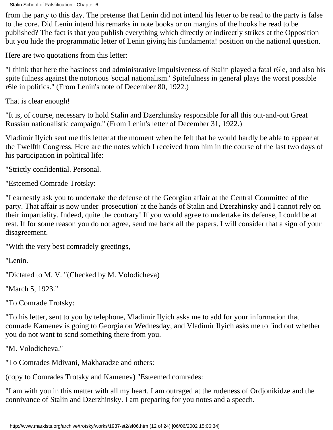from the party to this day. The pretense that Lenin did not intend his letter to be read to the party is false to the core. Did Lenin intend his remarks in note books or on margins of the hooks he read to be published? The fact is that you publish everything which directly or indirectly strikes at the Opposition but you hide the programmatic letter of Lenin giving his fundamenta! position on the national question.

Here are two quotations from this letter:

"I think that here the hastiness and administrative impulsiveness of Stalin played a fatal r6le, and also his spite fulness against the notorious 'social nationalism.' Spitefulness in general plays the worst possible r6le in politics." (From Lenin's note of December 80, 1922.)

That is clear enough!

"It is, of course, necessary to hold Stalin and Dzerzhinsky responsible for all this out-and-out Great Russian nationalistic campaign." (From Lenin's letter of December 31, 1922.)

Vladimir Ilyich sent me this letter at the moment when he felt that he would hardly be able to appear at the Twelfth Congress. Here are the notes which I received from him in the course of the last two days of his participation in political life:

"Strictly confidential. Personal.

"Esteemed Comrade Trotsky:

"I earnestly ask you to undertake the defense of the Georgian affair at the Central Committee of the party. That affair is now under 'prosecution' at the hands of Stalin and Dzerzhinsky and I cannot rely on their impartiality. Indeed, quite the contrary! If you would agree to undertake its defense, I could be at rest. If for some reason you do not agree, send me back all the papers. I will consider that a sign of your disagreement.

"With the very best comradely greetings,

"Lenin.

"Dictated to M. V. "(Checked by M. Volodicheva)

"March 5, 1923."

"To Comrade Trotsky:

"To his letter, sent to you by telephone, Vladimir Ilyich asks me to add for your information that comrade Kamenev is going to Georgia on Wednesday, and Vladimir Ilyich asks me to find out whether you do not want to scnd something there from you.

"M. Volodicheva."

"To Comrades Mdivani, Makharadze and others:

(copy to Comrades Trotsky and Kamenev) "Esteemed comrades:

"I am with you in this matter with all my heart. I am outraged at the rudeness of Ordjonikidze and the connivance of Stalin and Dzerzhinsky. I am preparing for you notes and a speech.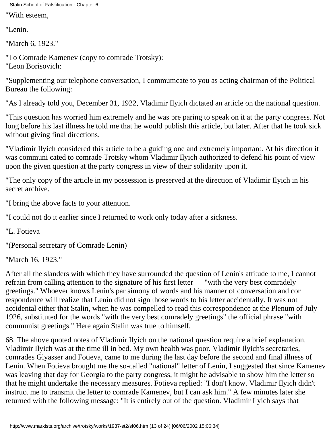"With esteem,

"Lenin.

"March 6, 1923."

"To Comrade Kamenev (copy to comrade Trotsky): "Leon Borisovich:

"Supplementing our telephone conversation, I commumcate to you as acting chairman of the Political Bureau the following:

"As I already told you, December 31, 1922, Vladimir Ilyich dictated an article on the national question.

"This question has worried him extremely and he was pre paring to speak on it at the party congress. Not long before his last illness he told me that he would publish this article, but later. After that he took sick without giving final directions.

"Vladimir Ilyich considered this article to be a guiding one and extremely important. At his direction it was communi cated to comrade Trotsky whom Vladimir Ilyich authorized to defend his point of view upon the given question at the party congress in view of their solidarity upon it.

"The only copy of the article in my possession is preserved at the direction of Vladimir Ilyich in his secret archive.

"I bring the above facts to your attention.

"I could not do it earlier since I returned to work only today after a sickness.

"L. Fotieva

"(Personal secretary of Comrade Lenin)

"March 16, 1923."

After all the slanders with which they have surrounded the question of Lenin's attitude to me, I cannot refrain from calling attention to the signature of his first letter — "with the very best comradely greetings." Whoever knows Lenin's par simony of words and his manner of conversation and cor respondence will realize that Lenin did not sign those words to his letter accidentally. It was not accidental either that Stalin, when he was compelled to read this correspondence at the Plenum of July 1926, substituted for the words "with the very best comradely greetings" the official phrase "with communist greetings." Here again Stalin was true to himself.

68. The ahove quoted notes of Vladimir Ilyich on the national question require a brief explanation. Vladimir Ilyich was at the time ill in bed. My own health was poor. Vladimir Ilyich's secretaries, comrades Glyasser and Fotieva, came to me during the last day before the second and final illness of Lenin. When Fotieva brought me the so-called "national" letter of Lenin, I suggested that since Kamenev was leaving that day for Georgia to the party congress, it might be advisable to show him the letter so that he might undertake the necessary measures. Fotieva replied: "I don't know. Vladimir Ilyich didn't instruct me to transmit the letter to comrade Kamenev, but I can ask him." A few minutes later she returned with the following message: "It is entirely out of the question. Vladimir Ilyich says that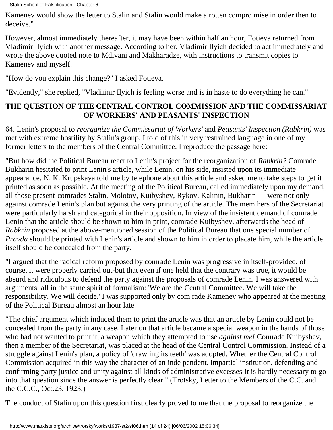Kamenev would show the letter to Stalin and Stalin would make a rotten compro mise in order then to deceive."

However, almost immediately thereafter, it may have been within half an hour, Fotieva returned from Vladimir Ilyich with another message. According to her, Vladimir Ilyich decided to act immediately and wrote the above quoted note to Mdivani and Makharadze, with instructions to transmit copies to Kamenev and myself.

"How do you explain this change?" I asked Fotieva.

"Evidently," she replied, "Vladiiinir Ilyich is feeling worse and is in haste to do everything he can."

#### **THE QUESTION OF THE CENTRAL CONTROL COMMISSION AND THE COMMISSARIAT OF WORKERS' AND PEASANTS' INSPECTION**

64. Lenin's proposal to *reorganize the Commissariat of Workers'* and *Peasants' Inspection (Rabkrin)* was met with extreme hostility by Stalin's group. I told of this in very restrained language in one of my former letters to the members of the Central Committee. I reproduce the passage here:

"But how did the Political Bureau react to Lenin's project for the reorganization of *Rabkrin?* Comrade Bukharin hesitated to print Lenin's article, while Lenin, on his side, insisted upon its immediate appearance. N. K. Krupskaya told me by telephone about this article and asked me to take steps to get it printed as soon as possible. At the meeting of the Political Bureau, called immediately upon my demand, all those present-comrades Stalin, Molotov, Kuibyshev, Rykov, Kalinin, Bukharin — were not only against comrade Lenin's plan but against the very printing of the article. The mem hers of the Secretariat were particularly harsh and categorical in their opposition. In view of the insistent demand of comrade Lenin that the article should be shown to him in print, comrade Kuibyshev, afterwards the head of *Rabkrin* proposed at the above-mentioned session of the Political Bureau that one special number of *Pravda* should be printed with Lenin's article and shown to him in order to placate him, while the article itself should be concealed from the party.

"I argued that the radical reform proposed by comrade Lenin was progressive in itself-provided, of course, it were properly carried out-but that even if one held that the contrary was true, it would be absurd and ridiculous to defend the party against the proposals of comrade Lenin. I was answered with arguments, all in the same spirit of formalism: 'We are the Central Committee. We will take the responsibility. We will decide.' I was supported only by com rade Kamenev who appeared at the meeting of the Political Bureau almost an hour late.

"The chief argument which induced them to print the article was that an article by Lenin could not be concealed from the party in any case. Later on that article became a special weapon in the hands of those who had not wanted to print it, a weapon which they attempted to use *against me!* Comrade Kuibyshev, then a member of the Secretariat, was placed at the head of the Central Control Commission. Instead of a struggle against Lenin's plan, a policy of 'draw ing its teeth' was adopted. Whether the Central Control Commission acquired in this way the character of an inde pendent, impartial institution, defending and confirming party justice and unity against all kinds of administrative excesses-it is hardly necessary to go into that question since the answer is perfectly clear." (Trotsky, Letter to the Members of the C.C. and the C.C.C., Oct.23, 1923.)

The conduct of Stalin upon this question first clearly proved to me that the proposal to reorganize the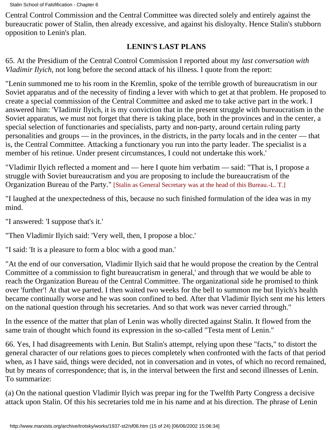Central Control Commission and the Central Committee was directed solely and entirely against the bureaucratic power of Stalin, then already excessive, and against his disloyalty. Hence Stalin's stubborn opposition to Lenin's plan.

#### **LENIN'S LAST PLANS**

65. At the Presidium of the Central Control Commission I reported about my *last conversation with Vladimir Ilyich*, not long before the second attack of his illness. I quote from the report:

"Lenin summoned me to his room in the Kremlin, spoke of the terrible growth of bureaucratism in our Soviet apparatus and of the necessity of finding a lever with which to get at that problem. He proposed to create a special commission of the Central Committee and asked me to take active part in the work. I answered him: 'VIadimir Ilyich, it is my conviction that in the present struggle with bureaucratism in the Soviet apparatus, we must not forget that there is taking place, both in the provinces and in the center, a special selection of functionaries and specialists, party and non-party, around certain ruling party personalities and groups — in the provinces, in the districts, in the party locals and in the center — that is, the Central Committee. Attacking a functionary you run into the party leader. The specialist is a member of his retinue. Under present circumstances, I could not undertake this work.'

"Vladimir Ilyich reflected a moment and — here I quote him verbatim — said: "That is, I propose a struggle with Soviet bureaucratism and you are proposing to include the bureaucratism of the Organization Bureau of the Party." [Stalin as General Secretary was at the head of this Bureau.-L. T.]

"I laughed at the unexpectedness of this, because no such finished formulation of the idea was in my mind.

"I answered: 'I suppose that's it.'

"Then Vladimir Ilyich said: 'Very well, then, I propose a bloc.'

"I said: 'It is a pleasure to form a bloc with a good man.'

"At the end of our conversation, Vladimir Ilyich said that he would propose the creation by the Central Committee of a commission to fight bureaucratism in general,' and through that we would be able to reach the Organization Bureau of the Central Committee. The organizational side he promised to think over 'further'! At that we parted. I then waited two weeks for the bell to summon me but Ilyich's health became continually worse and he was soon confined to bed. After that Vladimir Ilyich sent me his letters on the national question through his secretaries. And so that work was never carried through."

In the essence of the matter that plan of Lenin was wholly directed against Stalin. It flowed from the same train of thought which found its expression in the so-called "Testa ment of Lenin."

66. Yes, I had disagreements with Lenin. But Stalin's attempt, relying upon these "facts," to distort the general character of our relations goes to pieces completely when confronted with the facts of that period when, as I have said, things were decided, not in conversation and in votes, of which no record remained, but by means of correspondence; that is, in the interval between the first and second illnesses of Lenin. To summarize:

(a) On the national question Vladimir Ilyich was prepar ing for the Twelfth Party Congress a decisive attack upon Stalin. Of this his secretaries told me in his name and at his direction. The phrase of Lenin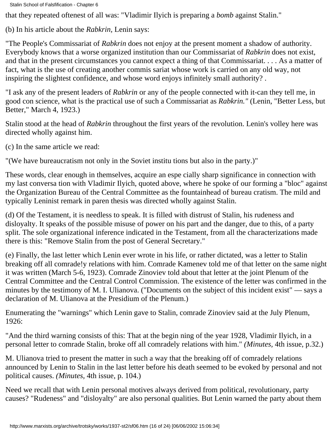that they repeated oftenest of all was: "Vladimir Ilyich is preparing a *bomb* against Stalin."

(b) In his article about the *Rabkrin,* Lenin says:

"The People's Commissariat of *Rabkrin* does not enjoy at the present moment a shadow of authority. Everybody knows that a worse organized institution than our Commissariat of *Rabkrin* does not exist, and that in the present circumstances you cannot expect a thing of that Commissariat. . . . As a matter of fact, what is the use of creating another commis sariat whose work is carried on any old way, not inspiring the slightest confidence, and whose word enjoys infinitely small authority? .

"I ask any of the present leaders of *Rabkrin* or any of the people connected with it-can they tell me, in good con science, what is the practical use of such a Commissariat as *Rabkrin."* (Lenin, "Better Less, but Better," March 4, 1923.)

Stalin stood at the head of *Rabkrin* throughout the first years of the revolution. Lenin's volley here was directed wholly against him.

(c) In the same article we read:

"(We have bureaucratism not only in the Soviet institu tions but also in the party.)"

These words, clear enough in themselves, acquire an espe cially sharp significance in connection with my last conversa tion with Vladimir Ilyich, quoted above, where he spoke of our forming a "bloc" against the Organization Bureau of the Central Committee as the fountainhead of bureau cratism. The mild and typically Leninist remark in paren thesis was directed wholly against Stalin.

(d) Of the Testament, it is needless to speak. It is filled with distrust of Stalin, his rudeness and disloyalty. It speaks of the possible misuse of power on his part and the danger, due to this, of a party split. The sole organizational inference indicated in the Testament, from all the characterizations made there is this: "Remove Stalin from the post of General Secretary."

(e) Finally, the last letter which Lenin ever wrote in his life, or rather dictated, was a letter to Stalin breaking off all comrade!y relations with him. Comrade Kamenev told me of that letter on the same night it was written (March 5-6, 1923). Comrade Zinoviev told about that letter at the joint Plenum of the Central Committee and the Central Control Commission. The existence of the letter was confirmed in the minutes by the testimony of M. I. Ulianova. ("Documents on the subject of this incident exist" — says a declaration of M. Ulianova at the Presidium of the Plenum.)

Enumerating the "warnings" which Lenin gave to Stalin, comrade Zinoviev said at the July Plenum, 1926:

"And the third warning consists of this: That at the begin ning of the year 1928, Vladimir Ilyich, in a personal letter to comrade Stalin, broke off all comradely relations with him." *(Minutes,* 4th issue, p.32.)

M. Ulianova tried to present the matter in such a way that the breaking off of comradely relations announced by Lenin to Stalin in the last letter before his death seemed to be evoked by personal and not political causes. *(Minutes,* 4th issue, p. 104.)

Need we recall that with Lenin personal motives always derived from political, revolutionary, party causes? "Rudeness" and "disloyalty" are also personal qualities. But Lenin warned the party about them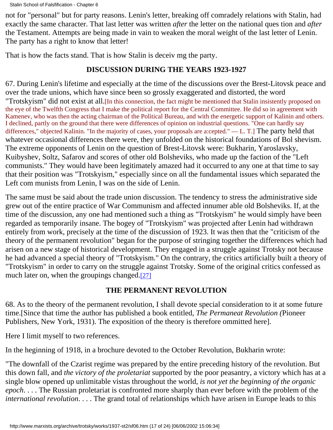not for "personal" but for party reasons. Lenin's letter, breaking off comradely relations with Stalin, had exactly the same character. That last letter was written *after* the letter on the national ques tion and *after* the Testament. Attempts are being made in vain to weaken the moral weight of the last letter of Lenin. The party has a right to know that letter!

That is how the facts stand. That is how Stalin is deceiv mg the party.

#### **DISCUSSION DURING THE YEARS 1923-1927**

67. During Lenin's lifetime and especially at the time of the discussions over the Brest-Litovsk peace and over the trade unions, which have since been so grossly exaggerated and distorted, the word "Trotskyism" did not exist at all.[In this connection, the fact might be mentioned that Stalin insistently proposed on the eye of the Twelfth Congress that I make the political report for the Central Committee. He did so in agreement with Kamenev, who was then the acting chairman of the Political Bureau, and with the energetic support of Kalinin and others. I declined, partly on the ground that there were differences of opinion on industrial questions. "One can hardly say differences," objected Kalinin. "In the majority of cases, your proposals are a:cepted." — L. T.] The party held that whatever occasional differences there were, they unfolded on the historical foundations of Bol shevism. The extreme opponents of Lenin on the question of Brest-Litovsk were: Bukharin, Yaroslavsky, Kuibyshev, Soltz, Safarov and scores of other old Bolsheviks, who made up the faction of the "Left communists." They would have been legitimately amazed had it occurred to any one at that time to say that their position was "Trotskyism," especially since on all the fundamental issues which separated the Left com munists from Lenin, I was on the side of Lenin.

The same must be said about the trade union discussion. The tendency to stress the administrative side grew out of the entire practice of War Communism and affected innumer able old Bolsheviks. If, at the time of the discussion, any one had mentioned such a thing as "Trotskyism" he would simply have been regarded as temporarily insane. The bogey of "Trotskyism" was projected after Lenin had withdrawn entirely from work, precisely at the time of the discussion of 1923. It was then that the "criticism of the theory of the permanent revolution" began for the purpose of stringing together the differences which had arisen on a new stage of historical development. They engaged in a struggle against Trotsky not because he had advanced a special theory of "Trotskyism." On the contrary, the critics artificially built a theory of "Trotskyism" in order to carry on the struggle against Trotsky. Some of the original critics confessed as much later on, when the groupings changed[.\[27\]](#page-89-0)

#### **THE PERMANENT REVOLUTION**

<span id="page-83-0"></span>68. As to the theory of the permanent revolution, I shall devote special consideration to it at some future time.[Since that time the author has published a book entitled, *The Permaneat Revolution (*Pioneer Publishers, New York, 1931). The exposition of the theory is therefore ommitted here].

Here I limit myself to two references.

In the heginning of 1918, in a brochure devoted to the October Revolution, Bukharin wrote:

"The downfall of the Czarist regime was prepared by the entire preceding history of the revolution. But this down fall, and *the victory of the proletariat* supported by the poor peasantry, a victory which has at a single blow opened up unlimitable vistas throughout the world, *is not yet the beginning of the organic epoch*. . . . The Russian proletariat is confronted more sharply than ever before with the problem of the *international revolution*. . . . The grand total of relationships which have arisen in Europe leads to this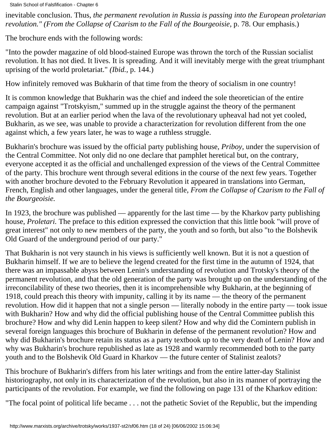inevitable conclusion. Thus, *the permanent revolution in Russia is passing into the European proletarian revolution." (From the Collapse of Czarism to the Fall of the Bourgeoisie,* p. 78. Our emphasis.)

The brochure ends with the following words:

"Into the powder magazine of old blood-stained Europe was thrown the torch of the Russian socialist revolution. It has not died. It lives. It is spreading. And it will inevitably merge with the great triumphant uprising of the world proletariat." *(Ibid.,* p. 144.)

How infinitely removed was Bukharin of that time from the theory of socialism in one country!

It is common knowledge that Bukharin was the chief and indeed the sole theoretician of the entire campaign against "Trotskyism," summed up in the struggle against the theory of the permanent revolution. But at an earlier period when the lava of the revolutionary upheaval had not yet cooled, Bukharin, as we see, was unable to provide a characterization for revolution different from the one against which, a few years later, he was to wage a ruthless struggle.

Bukharin's brochure was issued by the official party publishing house, *Priboy,* under the supervision of the Central Committee. Not only did no one declare that pamphlet heretical but, on the contrary, everyone accepted it as the official and unchallenged expression of the views of the Central Committee of the party. This brochure went through several editions in the course of the next few years. Together with another brochure devoted to the February Revolution it appeared in translations into German, French, English and other languages, under the general title, *From the Collapse of Czarism to the Fall of the Bourgeoisie.*

In 1923, the brochure was published — apparently for the last time — by the Kharkov party publishing house, *Proletari.* The preface to this edition expressed the conviction that this little book "will prove of great interest" not only to new members of the party, the youth and so forth, but also "to the Bolshevik Old Guard of the underground period of our party."

That Bukharin is not very staunch in his views is sufficiently well known. But it is not a question of Bukharin himself. If we are to believe the legend created for the first time in the autumn of 1924, that there was an impassable abyss between Lenin's understanding of revolution and Trotsky's theory of the permanent revolution, and that the old generation of the party was brought up on the understanding of the irreconcilability of these two theories, then it is incomprehensible why Bukharin, at the beginning of 1918, could preach this theory with impunity, calling it by its name — the theory of the permanent revolution. How did it happen that not a single person — literally nobody in the entire party — took issue with Bukharin? How and why did the official publishing house of the Central Committee publish this brochure? How and why did Lenin happen to keep silent? How and why did the Comintern publish in several foreign languages this brochure of Bukharin in defense of the permanent revolution? How and why did Bukharin's brochure retain its status as a party textbook up to the very death of Lenin? How and why was Bukharin's brochure republished as late as 1928 and warmly recommended both to the party youth and to the Bolshevik Old Guard in Kharkov — the future center of Stalinist zealots?

This brochure of Bukharin's differs from his later writings and from the entire latter-day Stalinist historiography, not only in its characterization of the revolution, but also in its manner of portraying the participants of the revolution. For example, we find the following on page 131 of the Kharkov edition:

"The focal point of political life became . . . not the pathetic Soviet of the Republic, but the impending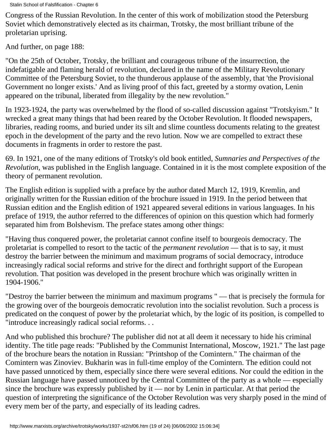```
Stalin School of Falsfification - Chapter 6
```
Congress of the Russian Revolution. In the center of this work of mobilization stood the Petersburg Soviet which demonstratively elected as its chairman, Trotsky, the most brilliant tribune of the proletarian uprising.

And further, on page 188:

"On the 25th of October, Trotsky, the brilliant and courageous tribune of the insurrection, the indefatigable and flaming herald of revolution, declared in the name of the Military Revolutionary Committee of the Petersburg Soviet, to the thunderous applause of the assembly, that 'the Provisional Government no longer exists.' And as living proof of this fact, greeted by a stormy ovation, Lenin appeared on the tribunal, liberated from illegality by the new revolution."

In 1923-1924, the party was overwhelmed by the flood of so-called discussion against "Trotskyism." It wrecked a great many things that had been reared by the October Revolution. It flooded newspapers, libraries, reading rooms, and buried under its silt and slime countless documents relating to the greatest epoch in the development of the party and the revo lution. Now we are compelled to extract these documents in fragments in order to restore the past.

69. In 1921, one of the many editions of Trotsky's old book entitled, *Sumnaries and Perspectives of the Revolution,* was published in the English language. Contained in it is the most complete exposition of the theory of permanent revolution.

The English edition is supplied with a preface by the author dated March 12, 1919, Kremlin, and originally written for the Russian edition of the brochure issued in 1919. In the period between that Russian edition and the English edition of 1921 appeared several editions in various languages. In his preface of 1919, the author referred to the differences of opinion on this question which had formerly separated him from Bolshevism. The preface states among other things:

"Having thus conquered power, the proletariat cannot confine itself to bourgeois democracy. The proletariat is compelled to resort to the tactic of the *permanent revolution* — that is to say, it must destroy the barrier between the minimum and maximum programs of social democracy, introduce increasingly radical social reforms and strive for the direct and forthright support of the European revolution. That position was developed in the present brochure which was originally written in 1904-1906."

"Destroy the barrier between the minimum and maximum programs " — that is precisely the formula for the growing over of the bourgeois democratic revolution into the socialist revolution. Such a process is predicated on the conquest of power by the proletariat which, by the logic of its position, is compelled to "introduce increasingly radical social reforms. . .

And who published this brochure? The publisher did not at all deem it necessary to hide his criminal identity. The title page reads: "Published by the Communist International, Moscow, 1921." The last page of the brochure bears the notation in Russian: "Printshop of the Comintern." The chairman of the Comintern was Zinoviev. Bukharin was in full-time employ of the Comintern. The edition could not have passed unnoticed by them, especially since there were several editions. Nor could the edition in the Russian language have passed unnoticed by the Central Committee of the party as a whole — especially since the brochure was expressly published by it — nor by Lenin in particular. At that period the question of interpreting the significance of the October Revolution was very sharply posed in the mind of every mem ber of the party, and especially of its leading cadres.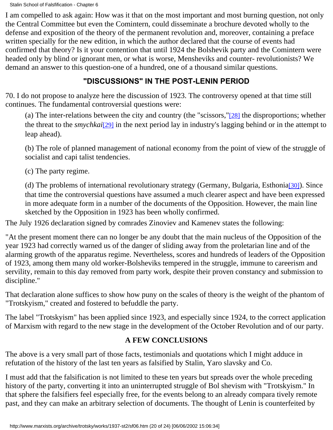I am compelled to ask again: How was it that on the most important and most burning question, not only the Central Committee but even the Comintern, could disseminate a brochure devoted wholly to the defense and exposition of the theory of the permanent revolution and, moreover, containing a preface written specially for the new edition, in which the author declared that the course of events had confirmed that theory? Is it your contention that until 1924 the Bolshevik party and the Comintern were headed only by blind or ignorant men, or what is worse, Mensheviks and counter- revolutionists? We demand an answer to this question-one of a hundred, one of a thousand similar questions.

#### **"DISCUSSIONS" IN THE POST-LENIN PERIOD**

<span id="page-86-0"></span>70. I do not propose to analyze here the discussion of 1923. The controversy opened at that time still continues. The fundamental controversial questions were:

<span id="page-86-1"></span>(a) The inter-relations between the city and country (the "scissors," $[28]$  the disproportions; whether the threat to the *smychkai*[\[29\]](#page-89-2) in the next period lay in industry's lagging behind or in the attempt to leap ahead).

(b) The role of planned management of national economy from the point of view of the struggle of socialist and capi talist tendencies.

(c) The party regime.

<span id="page-86-2"></span>(d) The problems of international revolutionary strategy (Germany, Bulgaria, Esthonia[\[30\]\)](#page-89-3). Since that time the controversial questions have assumed a much clearer aspect and have been expressed in more adequate form in a number of the documents of the Opposition. However, the main line sketched by the Opposition in 1923 has been wholly confirmed.

The July 1926 declaration signed by comrades Zinoviev and Kamenev states the following:

"At the present moment there can no longer be any doubt that the main nucleus of the Opposition of the year 1923 had correctly warned us of the danger of sliding away from the proletarian line and of the alarming growth of the apparatus regime. Nevertheless, scores and hundreds of leaders of the Opposition of 1923, among them many old worker-Bolsheviks tempered in the struggle, immune to careerism and servility, remain to this day removed from party work, despite their proven constancy and submission to discipline."

That declaration alone suffices to show how puny on the scales of theory is the weight of the phantom of "Trotskyism," created and fostered to befuddle the party.

The label "Trotskyism" has been applied since 1923, and especially since 1924, to the correct application of Marxism with regard to the new stage in the development of the October Revolution and of our party.

#### **A FEW CONCLUSIONS**

The above is a very small part of those facts, testimonials and quotations which I might adduce in refutation of the history of the last ten years as falsified by Stalin, Yaro slavsky and Co.

I must add that the falsification is not limited to these ten years but spreads over the whole preceding history of the party, converting it into an uninterrupted struggle of Bol shevism with "Trotskyism." In that sphere the falsifiers feel especially free, for the events belong to an already compara tively remote past, and they can make an arbitrary selection of documents. The thought of Lenin is counterfeited by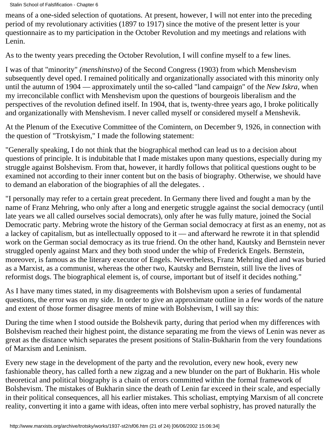means of a one-sided selection of quotations. At present, however, I will not enter into the preceding period of my revolutionary activities (1897 to 1917) since the motive of the present letter is your questionnaire as to my participation in the October Revolution and my meetings and relations with Lenin.

As to the twenty years preceding the October Revolution, I will confine myself to a few lines.

I was of that "minority" *(menshinstvo)* of the Second Congress (1903) from which Menshevism subsequently devel oped. I remained politically and organizationally associated with this minority only until the autumn of 1904 — approximately until the so-called "land campaign" of the *New Iskra,* when my irreconcilable conflict with Menshevism upon the questions of bourgeois liberalism and the perspectives of the revolution defined itself. In 1904, that is, twenty-three years ago, I broke politically and organizationally with Menshevism. I never called myself or considered myself a Menshevik.

At the Plenum of the Executive Committee of the Comintern, on December 9, 1926, in connection with the question of "Trotskyism," I made the following statement:

"Generally speaking, I do not think that the biographical method can lead us to a decision about questions of principle. It is indubitable that I made mistakes upon many questions, especially during my struggle against Bolshevism. From that, however, it hardly follows that political questions ought to be examined not according to their inner content but on the basis of biography. Otherwise, we should have to demand an elaboration of the biographies of all the delegates. .

"I personally may refer to a certain great precedent. In Germany there lived and fought a man by the name of Franz Mehring, who only after a long and energetic struggle against the social democracy (until late years we all called ourselves social democrats), only after he was fully mature, joined the Social Democratic party. Mebring wrote the history of the German social democracy at first as an enemy, not as a lackey of capitalism, but as intellectually opposed to it — and afterward he rewrote it in that splendid work on the German social democracy as its true friend. On the other hand, Kautsky and Bernstein never struggled openly against Marx and they both stood under the whip of Frederick Engels. Bernstein, moreover, is famous as the literary executor of Engels. Nevertheless, Franz Mehring died and was buried as a Marxist, as a communist, whereas the other two, Kautsky and Bernstein, still live the lives of reformist dogs. The biographical element is, of course, important but of itself it decides nothing."

As I have many times stated, in my disagreements with Bolshevism upon a series of fundamental questions, the error was on my side. In order to give an approximate outline in a few words of the nature and extent of those former disagree ments of mine with Bolshevism, I will say this:

During the time when I stood outside the Bolshevik party, during that period when my differences with Bolshevism reached their highest point, the distance separating me from the views of Lenin was never as great as the distance which separates the present positions of Stalin-Bukharin from the very foundations of Marxism and Leninism.

Every new stage in the development of the party and the revolution, every new hook, every new fashionable theory, has called forth a new zigzag and a new blunder on the part of Bukharin. His whole theoretical and political biography is a chain of errors committed within the formal framework of Bolshevism. The mistakes of Bukharin since the death of Lenin far exceed in their scale, and especially in their political consequences, all his earlier mistakes. This scholiast, emptying Marxism of all concrete reality, converting it into a game with ideas, often into mere verbal sophistry, has proved naturally the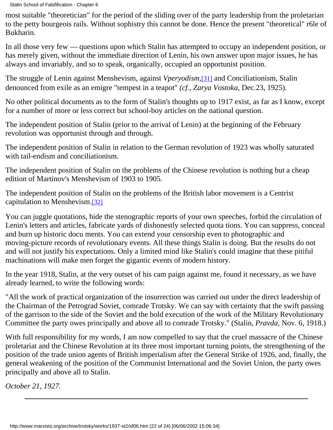most suitable "theoretician" for the period of the sliding over of the party leadership from the proletarian to the petty bourgeois rails. Without sophistry this cannot be done. Hence the present "theoretical" r6le of Bukharin.

In all those very few — questions upon which Stalin has attempted to occupy an independent position, or has merely given, without the immediate direction of Lenin, his own answer upon major issues, he has always and invariably, and so to speak, organically, occupied an opportunist position.

<span id="page-88-0"></span>The struggle of Lenin against Menshevism, against *Vperyodism,*[\[31\]](#page-89-4) and Conciliationism, Stalin denounced from exile as an emigre "tempest in a teapot" *(cf., Zarya Vostoka,* Dec.23, 1925).

No other political documents as to the form of Stalin's thoughts up to 1917 exist, as far as I know, except for a number of more or less correct but school-boy articles on the national question.

The independent position of Stalin (prior to the arrival of Lenin) at the beginning of the February revolution was opportunist through and through.

The independent position of Stalin in relation to the German revolution of 1923 was wholly saturated with tail-endism and conciliationism.

The independent position of Stalin on the problems of the Chinese revolution is nothing but a cheap edition of Martinov's Menshevism of 1903 to 1905.

<span id="page-88-1"></span>The independent position of Stalin on the problems of the British labor movement is a Centrist capitulation to Menshevism[.\[32\]](#page-89-5)

You can juggle quotations, hide the stenographic reports of your own speeches, forbid the circulation of Lenin's letters and articles, fabricate yards of dishonestly selected quota tions. You can suppress, conceal and burn up historic docu ments. You can extend your censorship even to photographic and moving-picture records of revolutionary events. All these things Stalin is doing. But the results do not and will not justify his expectations. Only a limited mind like Stalin's could imagine that these pitiful machinations will make men forget the gigantic events of modern history.

In the year 1918, Stalin, at the very outset of his cam paign against me, found it necessary, as we have already learned, to write the following words:

"All the work of practical organization of the insurrection was carried out under the direct leadership of the Chairman of the Petrograd Soviet, comrade Trotsky. We can say with certainty that the swift passing of the garrison to the side of the Soviet and the bold execution of the work of the Military Revolutionary Committee the party owes principally and above all to comrade Trotsky." (Stalin, *Pravda,* Nov. 6, 1918.)

With full responsibility for my words, I am now compelled to say that the cruel massacre of the Chinese proletariat and the Chinese Revolution at its three most important turning points, the strengthening of the position of the trade union agents of British imperialism after the General Strike of 1926, and, finally, the general weakening of the position of the Communist International and the Soviet Union, the party owes principally and above all to Stalin.

*October 21, 1927.*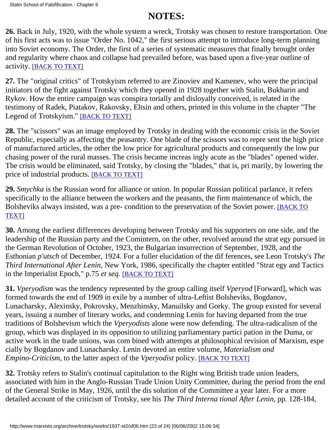### **NOTES:**

**26.** Back in July, 1920, with the whole system a wreck, Trotsky was chosen to restore transportation. One of his first acts was to issue "Order No. 1042," the first serious attempt to introduce long-term planning into Soviet economy. The Order, the first of a series of systematic measures that finally brought order and regularity where chaos and collapse had prevailed before, was based upon a five-year outline of activity. [\[BACK TO TEXT\]](#page-68-0)

<span id="page-89-0"></span>**27.** The "original critics" of Trotskyism referred to are Zinoviev and Kamenev, who were the principal initiators of the fight against Trotsky which they opened in 1928 together with Stalin, Bukharin and Rykov. How the entire campaign was conspira torially and disloyally conceived, is related in the testimony of Radek, Piatakov, Rakovsky, Eltsin and others, printed in this volume in the chapter "The Legend of Trotskyism." [\[BACK TO TEXT\]](#page-83-0)

<span id="page-89-1"></span>**28.** The "scissors" was an image employed by Trotsky in dealing with the economic crisis in the Soviet Republic, especially as affecting the peasantry. One blade of the scissors was to repre sent the high price of manufactured articles, the other the low price for agricultural products and consequently the low pur chasing power of the rural masses. The crisis became increas ingly acute as the "blades" opened wider. The crisis would be eliminated, said Trotsky, by closing the "blades," that is, pri marily, by lowering the price of industrial products. [\[BACK TO TEXT\]](#page-86-0)

<span id="page-89-2"></span>**29.** *Smychka* is the Russian word for alliance or union. In popular Russian political parlance, it refers specifically to the alliance between the workers and the peasants, the firm maintenance of which, the Bolsheviks always insisted, was a pre- condition to the preservation of the Soviet power. [\[BACK TO](#page-86-1) [TEXT\]](#page-86-1)

<span id="page-89-3"></span>**30.** Among the earliest differences developing between Trotsky and his supporters on one side, and the leadership of the Russian party and the Comintern, on the other, revolved around the strat egy pursued in the German Revolution of October, 1923, the Bulgarian insurrection of September, 1928, and the Esthonian *p'utsch* of December, 1924. For a fuller elucidation of the dif ferences, see Leon Trotsky's *The Third International After Lenin,* New York, 1986, specifically the chapter entitled "Strat egy and Tactics in the Imperialist Epoch," p.75 *et seq.* [\[BACK TO TEXT\]](#page-86-2)

<span id="page-89-4"></span>**31.** *Vperyodism* was the tendency represented by the group calling itself *Vperyod* [Forward], which was formed towards the end of 1909 in exile by a number of ultra-Leftist Bolsheviks, Bogdanov, Lunacharsky, Alexinsky, Pokrovsky, Menzhinsky, Manuilsky and Gorky. The group existed for several years, issuing a number of literary works, and condemning Lenin for having departed from the true traditions of Bolshevism which the *Vperyodists* alone were now defending. The ultra-radicalism of the group, which was displayed in its opposition to utilizing parliamentary partici pation in the Duma, or active work in the trade unions, was com bined with attempts at philosophical revision of Marxism, espe cially by Bogdanov and Lunacharsky. Lenin devoted an entire volume, *Materialism and Empino-Criticism,* to the latter aspect of the *Vperyodist* policy. [\[BACK TO TEXT\]](#page-88-0)

<span id="page-89-5"></span>**32.** Trotsky refers to Stalin's continual capitulation to the Right wing British trade union leaders, associated with him in the Anglo-Russian Trade Union Unity Committee, during the period from the end of the General Strike in May, 1926, until the dis solution of the Committee a year later. For a more detailed account of the criticism of Trotsky, see his *The Third Interna tional After Lenin,* pp. 128-184,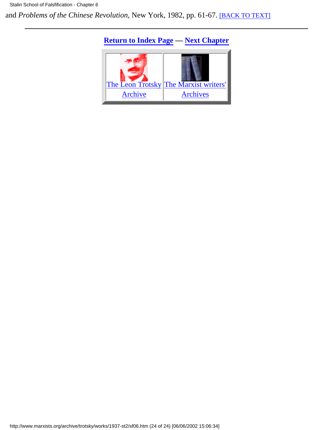and *Problems of the Chinese Revolution,* New York, 1982, pp. 61-67. [\[BACK TO TEXT\]](#page-88-1)

#### **[Return to Index Page](#page-0-0) — [Next Chapter](#page-91-0)**

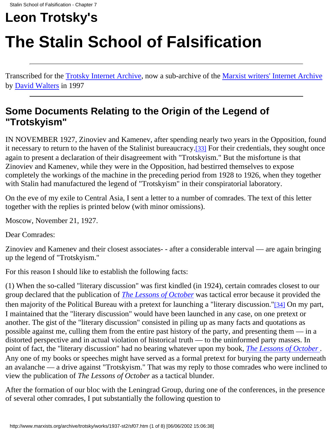# <span id="page-91-0"></span>**Leon Trotsky's**

# **The Stalin School of Falsification**

Transcribed for the [Trotsky Internet Archive,](#page-214-0) now a sub-archive of the [Marxist writers' Internet Archive](#page-6-0) by [David Walters](mailto:dwalters@marxists.org) in 1997

### **Some Documents Relating to the Origin of the Legend of "Trotskyism"**

IN NOVEMBER 1927, Zinoviev and Kamenev, after spending nearly two years in the Opposition, found it necessary to return to the haven of the Stalinist bureaucracy.[\[33\]](#page-96-0) For their credentials, they sought once again to present a declaration of their disagreement with "Trotskyism." But the misfortune is that Zinoviev and Kamenev, while they were in the Opposition, had bestirred themselves to expose completely the workings of the machine in the preceding period from 1928 to 1926, when they together with Stalin had manufactured the legend of "Trotskyism" in their conspiratorial laboratory.

On the eve of my exile to Central Asia, I sent a letter to a number of comrades. The text of this letter together with the replies is printed below (with minor omissions).

Moscow, November 21, 1927.

Dear Comrades:

Zinoviev and Kamenev and their closest associates- - after a considerable interval — are again bringing up the legend of "Trotskyism."

For this reason I should like to establish the following facts:

(1) When the so-called "literary discussion" was first kindled (in 1924), certain comrades closest to our group declared that the publication of *[The Lessons of October](http://www.marxists.org/archive/trotsky/works/1924/1924-les.htm)* was tactical error because it provided the then majority of the Political Bureau with a pretext for launching a "literary discussion."[34] On my part, I maintained that the "literary discussion" would have been launched in any case, on one pretext or another. The gist of the "literary discussion" consisted in piling up as many facts and quotations as possible against me, culling them from the entire past history of the party, and presenting them — in a distorted perspective and in actual violation of historical truth — to the uninformed party masses. In point of fact, the "literary discussion" had no bearing whatever upon my book, *[The Lessons of October](http://www.marxists.org/archive/trotsky/works/1924/1924-les.htm) .* Any one of my books or speeches might have served as a formal pretext for burying the party underneath an avalanche — a drive against "Trotskyism." That was my reply to those comrades who were inclined to view the publication of *The Lessons of October* as a tactical blunder.

After the formation of our bloc with the Leningrad Group, during one of the conferences, in the presence of several other comrades, I put substantially the following question to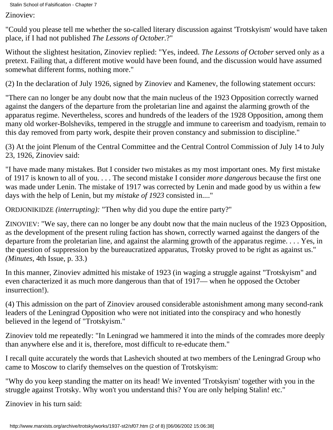Zinoviev:

"Could you please tell me whether the so-called literary discussion against 'Trotskyism' would have taken place, if I had not published *The Lessons of October.*?"

Without the slightest hesitation, Zinoviev replied: "Yes, indeed. *The Lessons of October* served only as a pretext. Failing that, a different motive would have been found, and the discussion would have assumed somewhat different forms, nothing more."

(2) In the declaration of July 1926, signed by Zinoviev and Kamenev, the following statement occurs:

"There can no longer be any doubt now that the main nucleus of the 1923 Opposition correctly warned against the dangers of the departure from the proletarian line and against the alarming growth of the apparatus regime. Nevertheless, scores and hundreds of the leaders of the 1928 Opposition, among them many old worker-Bolsheviks, tempered in the struggle and immune to careerism and toadyism, remain to this day removed from party work, despite their proven constancy and submission to discipline."

(3) At the joint Plenum of the Central Committee and the Central Control Commission of July 14 to July 23, 1926, Zinoviev said:

"I have made many mistakes. But I consider two mistakes as my most important ones. My first mistake of 1917 is known to all of you. . . . The second mistake I consider *more dangerous* because the first one was made under Lenin. The mistake of 1917 was corrected by Lenin and made good by us within a few days with the help of Lenin, but my *mistake of 1923* consisted in...."

ORDJONIKIDZE *(interrupting):* "Then why did you dupe the entire party?"

ZINOVIEV: "We say, there can no longer be any doubt now that the main nucleus of the 1923 Opposition, as the development of the present ruling faction has shown, correctly warned against the dangers of the departure from the proletarian line, and against the alarming growth of the apparatus regime. . . . Yes, in the question of suppression by the bureaucratized apparatus, Trotsky proved to be right as against us." *(Minutes,* 4th Issue, p. 33.)

In this manner, Zinoviev admitted his mistake of 1923 (in waging a struggle against "Trotskyism" and even characterized it as much more dangerous than that of 1917— when he opposed the October insurrection!).

(4) This admission on the part of Zinoviev aroused considerable astonishment among many second-rank leaders of the Leningrad Opposition who were not initiated into the conspiracy and who honestly believed in the legend of "Trotskyism."

Zinoviev told me repeatedly: "In Leningrad we hammered it into the minds of the comrades more deeply than anywhere else and it is, therefore, most difficult to re-educate them."

I recall quite accurately the words that Lashevich shouted at two members of the Leningrad Group who came to Moscow to clarify themselves on the question of Trotskyism:

"Why do you keep standing the matter on its head! We invented 'Trotskyism' together with you in the struggle against Trotsky. Why won't you understand this? You are only helping Stalin! etc."

Zinoviev in his turn said: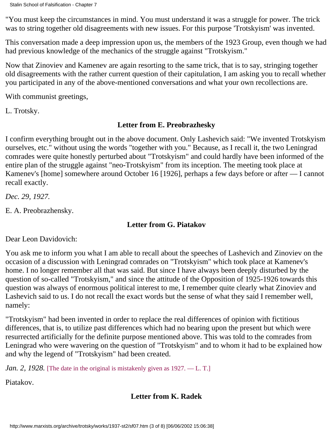"You must keep the circumstances in mind. You must understand it was a struggle for power. The trick was to string together old disagreements with new issues. For this purpose 'Trotskyism' was invented.

This conversation made a deep impression upon us, the members of the 1923 Group, even though we had had previous knowledge of the mechanics of the struggle against "Trotskyism."

Now that Zinoviev and Kamenev are again resorting to the same trick, that is to say, stringing together old disagreements with the rather current question of their capitulation, I am asking you to recall whether you participated in any of the above-mentioned conversations and what your own recollections are.

With communist greetings,

L. Trotsky.

#### **Letter from E. Preobrazhesky**

I confirm everything brought out in the above document. Only Lashevich said: "We invented Trotskyism ourselves, etc." without using the words "together with you." Because, as I recall it, the two Leningrad comrades were quite honestly perturbed about "Trotskyism" and could hardly have been informed of the entire plan of the struggle against "neo-Trotskyism" from its inception. The meeting took place at Kamenev's [home] somewhere around October 16 [1926], perhaps a few days before or after — I cannot recall exactly.

*Dec. 29, 1927.*

E. A. Preobrazhensky.

#### **Letter from G. Piatakov**

Dear Leon Davidovich:

You ask me to inform you what I am able to recall about the speeches of Lashevich and Zinoviev on the occasion of a discussion with Leningrad comrades on "Trotskyism" which took place at Kamenev's home. I no longer remember all that was said. But since I have always been deeply disturbed by the question of so-called "Trotskyism," and since the attitude of the Opposition of 1925-1926 towards this question was always of enormous political interest to me, I remember quite clearly what Zinoviev and Lashevich said to us. I do not recall the exact words but the sense of what they said I remember well, namely:

"Trotskyism" had been invented in order to replace the real differences of opinion with fictitious differences, that is, to utilize past differences which had no bearing upon the present but which were resurrected artificially for the definite purpose mentioned above. This was told to the comrades from Leningrad who were wavering on the question of "Trotskyism" and to whom it had to be explained how and why the legend of "Trotskyism" had been created.

*Jan. 2, 1928.* [The date in the original is mistakenly given as 1927. — L. T.]

Piatakov.

#### **Letter from K. Radek**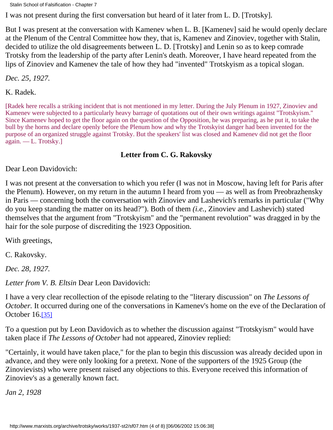I was not present during the first conversation but heard of it later from L. D. [Trotsky].

But I was present at the conversation with Kamenev when L. B. [Kamenev] said he would openly declare at the Plenum of the Central Committee how they, that is, Kamenev and Zinoviev, together with Stalin, decided to utilize the old disagreements between L. D. [Trotsky] and Lenin so as to keep comrade Trotsky from the leadership of the party after Lenin's death. Moreover, I have heard repeated from the lips of Zinoviev and Kamenev the tale of how they had "invented" Trotskyism as a topical slogan.

*Dec. 25, 1927.*

K. Radek.

[Radek here recalls a striking incident that is not mentioned in my letter. During the July Plenum in 1927, Zinoviev and Kamenev were subjected to a particularly heavy barrage of quotations out of their own writings against "Trotskyism." Since Kamenev hoped to get the floor again on the question of the Opposition, he was preparing, as he put it, to take the bull by the horns and declare openly before the Plenum how and why the Trotskyist danger had been invented for the purpose of an organized struggle against Trotsky. But the speakers' list was closed and Kamenev did not get the floor again. — L. Trotsky.]

#### **Letter from C. G. Rakovsky**

Dear Leon Davidovich:

I was not present at the conversation to which you refer (I was not in Moscow, having left for Paris after the Plenum). However, on my return in the autumn I heard from you — as well as from Preobrazhensky in Paris — concerning both the conversation with Zinoviev and Lashevich's remarks in particular ("Why do you keep standing the matter on its head?"). Both of them *(i.e.,* Zinoviev and Lashevich) stated themselves that the argument from "Trotskyism" and the "permanent revolution" was dragged in by the hair for the sole purpose of discrediting the 1923 Opposition.

With greetings,

C. Rakovsky.

*Dec. 28, 1927.*

*Letter from V. B. Eltsin* Dear Leon Davidovich:

I have a very clear recollection of the episode relating to the "literary discussion" on *The Lessons of October*. It occurred during one of the conversations in Kamenev's home on the eve of the Declaration of October 16.[35]

To a question put by Leon Davidovich as to whether the discussion against "Trotskyism" would have taken place if *The Lessons of October* had not appeared, Zinoviev replied:

"Certainly, it would have taken place," for the plan to begin this discussion was already decided upon in advance, and they were only looking for a pretext. None of the supporters of the 1925 Group (the Zinovievists) who were present raised any objections to this. Everyone received this information of Zinoviev's as a generally known fact.

*Jan 2, 1928*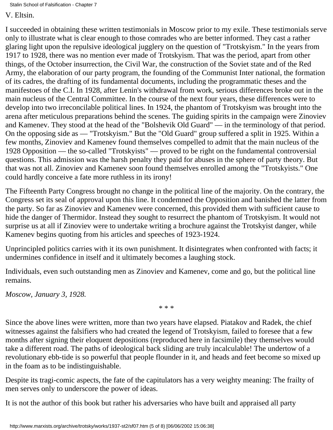V. Eltsin.

I succeeded in obtaining these written testimonials in Moscow prior to my exile. These testimonials serve only to illustrate what is clear enough to those comrades who are better informed. They cast a rather glaring light upon the repulsive ideological jugglery on the question of "Trotskyism." In the years from 1917 to 1928, there was no mention ever made of Trotskyism. That was the period, apart from other things, of the October insurrection, the Civil War, the construction of the Soviet state and of the Red Army, the elaboration of our party program, the founding of the Communist Inter national, the formation of its cadres, the drafting of its fundamental documents, including the programmatic theses and the manifestoes of the C.I. In 1928, after Lenin's withdrawal from work, serious differences broke out in the main nucleus of the Central Committee. In the course of the next four years, these differences were to develop into two irreconcilable political lines. In 1924, the phantom of Trotskyism was brought into the arena after meticulous preparations behind the scenes. The guiding spirits in the campaign were Zinoviev and Kamenev. They stood at the head of the "Bolshevik Old Guard" — in the terminology of that period. On the opposing side as — "Trotskyism." But the "Old Guard" group suffered a split in 1925. Within a few months, Zinoviev and Kamenev found themselves compelled to admit that the main nucleus of the 1928 Opposition — the so-called "Trotskyists" — proved to be right on the fundamental controversial questions. This admission was the harsh penalty they paid for abuses in the sphere of party theory. But that was not all. Zinoviev and Kamenev soon found themselves enrolled among the "Trotskyists." One could hardly conceive a fate more ruthless in its irony!

The Fifteenth Party Congress brought no change in the political line of the majority. On the contrary, the Congress set its seal of approval upon this line. It condemned the Opposition and banished the latter from the party. So far as Zinoviev and Kamenev were concerned, this provided them with sufficient cause to hide the danger of Thermidor. Instead they sought to resurrect the phantom of Trotskyism. It would not surprise us at all if Zinoviev were to undertake writing a brochure against the Trotskyist danger, while Kamenev begins quoting from his articles and speeches of 1923-1924.

Unprincipled politics carries with it its own punishment. It disintegrates when confronted with facts; it undermines confidence in itself and it ultimately becomes a laughing stock.

Individuals, even such outstanding men as Zinoviev and Kamenev, come and go, but the political line remains.

*Moscow, January 3, 1928.*

\* \* \*

Since the above lines were written, more than two years have elapsed. Piatakov and Radek, the chief witnesses against the falsifiers who had created the legend of Trotskyism, failed to foresee that a few months after signing their eloquent depositions (reproduced here in facsimile) they themselves would take a different road. The paths of ideological back sliding are truly incalculable! The undertow of a revolutionary ebb-tide is so powerful that people flounder in it, and heads and feet become so mixed up in the foam as to be indistinguishable.

Despite its tragi-comic aspects, the fate of the capitulators has a very weighty meaning: The frailty of men serves only to underscore the power of ideas.

It is not the author of this book but rather his adversaries who have built and appraised all party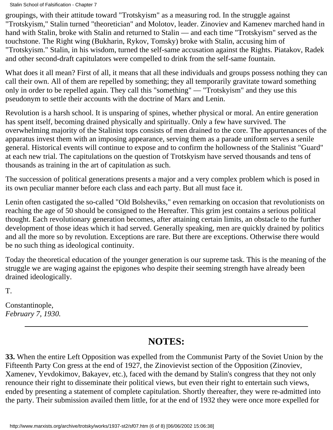groupings, with their attitude toward "Trotskyism" as a measuring rod. In the struggle against "Trotskyism," Stalin turned "theoretician" and Molotov, leader. Zinoviev and Kamenev marched hand in hand with Stalin, broke with Stalin and returned to Stalin — and each time "Trotskyism" served as the touchstone. The Right wing (Bukharin, Rykov, Tomsky) broke with Stalin, accusing him of "Trotskyism." Stalin, in his wisdom, turned the self-same accusation against the Rights. Piatakov, Radek and other second-draft capitulators were compelled to drink from the self-same fountain.

What does it all mean? First of all, it means that all these individuals and groups possess nothing they can call their own. All of them are repelled by something; they all temporarily gravitate toward something only in order to be repelled again. They call this "something" — "Trotskyism" and they use this pseudonym to settle their accounts with the doctrine of Marx and Lenin.

Revolution is a harsh school. It is unsparing of spines, whether physical or moral. An entire generation has spent itself, becoming drained physically and spiritually. Only a few have survived. The overwhelming majority of the Stalinist tops consists of men drained to the core. The appurtenances of the apparatus invest them with an imposing appearance, serving them as a parade uniform serves a senile general. Historical events will continue to expose and to confirm the hollowness of the Stalinist "Guard" at each new trial. The capitulations on the question of Trotskyism have served thousands and tens of thousands as training in the art of capitulation as such.

The succession of political generations presents a major and a very complex problem which is posed in its own peculiar manner before each class and each party. But all must face it.

Lenin often castigated the so-called "Old Bolsheviks," even remarking on occasion that revolutionists on reaching the age of 50 should be consigned to the Hereafter. This grim jest contains a serious political thought. Each revolutionary generation becomes, after attaining certain limits, an obstacle to the further development of those ideas which it had served. Generally speaking, men are quickly drained by politics and all the more so by revolution. Exceptions are rare. But there are exceptions. Otherwise there would be no such thing as ideological continuity.

Today the theoretical education of the younger generation is our supreme task. This is the meaning of the struggle we are waging against the epigones who despite their seeming strength have already been drained ideologically.

T.

Constantinople, *February 7, 1930.*

## **NOTES:**

<span id="page-96-0"></span>**33.** When the entire Left Opposition was expelled from the Communist Party of the Soviet Union by the Fifteenth Party Con gress at the end of 1927, the Zinovievist section of the Opposition (Zinoviev, Xamenev, Yevdokimov, Bakayev, etc.), faced with the demand by Stalin's congress that they not only renounce their right to disseminate their political views, but even their right to entertain such views, ended by presenting a statement of complete capitulation. Shortly thereafter, they were re-admitted into the party. Their submission availed them little, for at the end of 1932 they were once more expelled for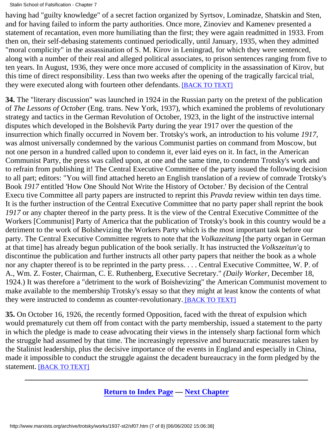having had "guilty knowledge" of a secret faction organized by Syrtsov, Lominadze, Shatskin and Sten, and for having failed to inform the party authorities. Once more, Zinoviev and Kamenev presented a statement of recantation, even more humiliating than the first; they were again readmitted in 1933. From then on, their self-debasing statements continued periodically, until January, 1935, when they admitted "moral complicity" in the assassination of S. M. Kirov in Leningrad, for which they were sentenced, along with a number of their real and alleged political associates, to prison sentences ranging from five to ten years. In August, 1936, they were once more accused of complicity in the assassination of Kirov, but this time of direct responsibility. Less than two weeks after the opening of the tragically farcical trial, they were executed along with fourteen other defendants. [BACK TO TEXT]

**34.** The "literary discussion" was launched in 1924 in the Russian party on the pretext of the publication of *The Lessons of October* (Eng. trans. New York, 1937), which examined the problems of revolutionary strategy and tactics in the German Revolution of October, 1923, in the light of the instructive internal disputes which developed in the Bolshevik Party during the year 1917 over the question of the insurrection which finally occurred in Novem ber. Trotsky's work, an introduction to his volume *1917,* was almost universally condemned by the various Communist parties on command from Moscow, but not one person in a hundred called upon to condemn it, ever laid eyes on it. In fact, in the American Communist Party, the press was called upon, at one and the same time, to condemn Trotsky's work and to refrain from publishing it! The Central Executive Committee of the party issued the following decision to all part; editors: "You will find attached hereto an English translation of a review of comrade Trotsky's Book *1917* entitled 'How One Should Not Write the History of October.' By decision of the Central Execu tive Committee all party papers are instructed to reprint this *Pravda* review within ten days time. It is the further instruction of the Central Executive Committee that no party paper shall reprint the book *1917* or any chapter thereof in the party press. It is the view of the Central Executive Committee of the Workers [Communist] Party of America that the publication of Trotsky's book in this country would be a detriment to the work of Bolshevizing the Workers Party which is the most important task before our party. The Central Executive Committee regrets to note that the *Volkazeitung* [the party organ in German at that time] has already begun publication of the book serially. It has instructed the *Volkszeitun'q* to discontinue the publication and further instructs all other party papers that neither the book as a whole nor any chapter thereof is to be reprinted in the party press. . . . Central Executive Committee, W. P. of A., Wm. Z. Foster, Chairman, C. E. Ruthenberg, Executive Secretary." *(Daily Worker,* December 18, 1924.) It was therefore a "detriment to the work of Boishevizing" the American Communist movement to make available to the membership Trotsky's essay so that they might at least know the contents of what they were instructed to condemn as counter-revolutionary. [BACK TO TEXT]

**35.** On October 16, 1926, the recently formed Opposition, faced with the threat of expulsion which would prematurely cut them off from contact with the party membership, issued a statement to the party in which the pledge is made to cease advocating their views in the intensely sharp factional form which the struggle had assumed by that time. The increasingly repressive and bureaucratic measures taken by the Stalinist leadership, plus the decisive importance of the events in England and especially in China, made it impossible to conduct the struggle against the decadent bureaucracy in the form pledged by the statement. [BACK TO TEXT]

**[Return to Index Page](#page-0-0) — [Next Chapter](#page-99-0)**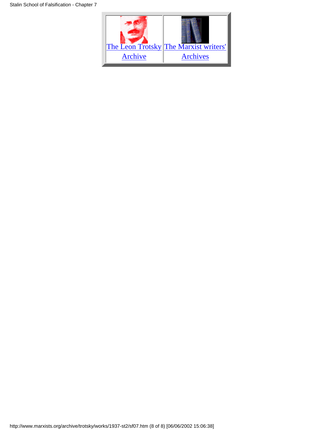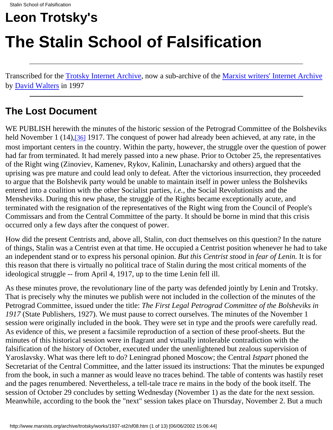# <span id="page-99-0"></span>**Leon Trotsky's**

# **The Stalin School of Falsification**

Transcribed for the [Trotsky Internet Archive,](#page-214-0) now a sub-archive of the [Marxist writers' Internet Archive](#page-6-0) by [David Walters](mailto:dwalters@marxists.org) in 1997

## **The Lost Document**

WE PUBLISH herewith the minutes of the historic session of the Petrograd Committee of the Bolsheviks held November 1 (14),<sup>[36]</sup> 1917. The conquest of power had already been achieved, at any rate, in the most important centers in the country. Within the party, however, the struggle over the question of power had far from terminated. It had merely passed into a new phase. Prior to October 25, the representatives of the Right wing (Zinoviev, Kamenev, Rykov, Kalinin, Lunacharsky and others) argued that the uprising was pre mature and could lead only to defeat. After the victorious insurrection, they proceeded to argue that the Bolshevik party would be unable to maintain itself in power unless the Bolsheviks entered into a coalition with the other Socialist parties, *i.e.,* the Social Revolutionists and the Mensheviks. During this new phase, the struggle of the Rights became exceptionally acute, and terminated with the resignation of the representatives of the Right wing from the Council of People's Commissars and from the Central Committee of the party. It should be borne in mind that this crisis occurred only a few days after the conquest of power.

How did the present Centrists and, above all, Stalin, con duct themselves on this question? In the nature of things, Stalin was a Centrist even at that time. He occupied a Centrist position whenever he had to take an independent stand or to express his personal opinion. *But this Centrist stood* in *fear of Lenin.* It is for this reason that there is virtually no political trace of Stalin during the most critical moments of the ideological struggle -- from April 4, 1917, up to the time Lenin fell ill.

As these minutes prove, the revolutionary line of the party was defended jointly by Lenin and Trotsky. That is precisely why the minutes we publish were not included in the collection of the minutes of the Petrograd Committee, issued under the title: *The First Legal Petrograd Committee of the Bolsheviks in 1917* (State Publishers, 1927). We must pause to correct ourselves. The minutes of the November 1 session were originally included in the book. They were set in type and the proofs were carefully read. As evidence of this, we present a facsimile reproduction of a section of these proof-sheets. But the minutes of this historical session were in flagrant and virtually intolerable contradiction with the falsification of the history of October, executed under the unenlightened but zealous supervision of Yaroslavsky. What was there left to do? Leningrad phoned Moscow; the Central *Istpart* phoned the Secretariat of the Central Committee, and the latter issued its instructions: That the minutes be expunged from the book, in such a manner as would leave no traces behind. The table of contents was hastily reset and the pages renumbered. Nevertheless, a tell-tale trace re mains in the body of the book itself. The session of October 29 concludes by setting Wednesday (November 1) as the date for the next session. Meanwhile, according to the book the "next" session takes place on Thursday, November 2. But a much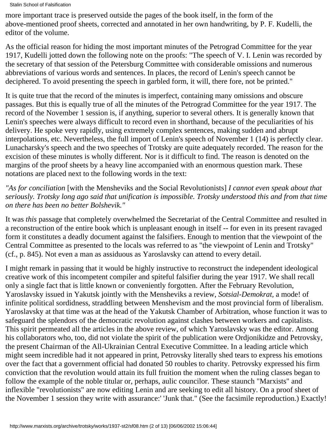```
Stalin School of Falsification
```
more important trace is preserved outside the pages of the book itself, in the form of the above-mentioned proof sheets, corrected and annotated in her own handwriting, by P. F. Kudelli, the editor of the volume.

As the official reason for hiding the most important minutes of the Petrograd Committee for the year 1917, Kudelli jotted down the following note on the proofs: "The speech of V. I. Lenin was recorded by the secretary of that session of the Petersburg Committee with considerable omissions and numerous abbreviations of various words and sentences. In places, the record of Lenin's speech cannot be deciphered. To avoid presenting the speech in garbled form, it will, there fore, not be printed."

It is quite true that the record of the minutes is imperfect, containing many omissions and obscure passages. But this is equally true of all the minutes of the Petrograd Committee for the year 1917. The record of the November 1 session is, if anything, superior to several others. It is generally known that Lenin's speeches were always difficult to record even in shorthand, because of the peculiarities of his delivery. He spoke very rapidly, using extremely complex sentences, making sudden and abrupt interpolations, etc. Nevertheless, the full import of Lenin's speech of November 1 (14) is perfectly clear. Lunacharsky's speech and the two speeches of Trotsky are quite adequately recorded. The reason for the excision of these minutes is wholly different. Nor is it difficult to find. The reason is denoted on the margins of the proof sheets by a heavy line accompanied with an enormous question mark. These notations are placed next to the following words in the text:

*"As for conciliation* [with the Mensheviks and the Social Revolutionists] *I cannot even speak about that seriously. Trotsky long ago said that unification is impossible. Trotsky understood this and from that time on there has been no better Bolshevik."*

It was *this* passage that completely overwhelmed the Secretariat of the Central Committee and resulted in a reconstruction of the entire book which is unpleasant enough in itself -- for even in its present ravaged form it constitutes a deadly document against the falsifiers. Enough to mention that the viewpoint of the Central Committee as presented to the locals was referred to as "the viewpoint of Lenin and Trotsky" (cf., p. 845). Not even a man as assiduous as Yaroslavsky can attend to every detail.

I might remark in passing that it would be highly instructive to reconstruct the independent ideological creative work of this incompetent compiler and spiteful falsifier during the year 1917. We shall recall only a single fact that is little known or conveniently forgotten. After the February Revolution, Yaroslavsky issued in Yakutsk jointly with the Mensheviks a review, *Sotsial-Demokrat,* a mode! of infinite political sordidness, straddling between Menshevism and the most provincial form of liberalism. Yaroslavsky at that time was at the head of the Yakutsk Chamber of Arbitration, whose function it was to safeguard the splendors of the democratic revolution against clashes between workers and capitalists. This spirit permeated all the articles in the above review, of which Yaroslavsky was the editor. Among his collaborators who, too, did not violate the spirit of the publication were Ordjonikidze and Petrovsky, the present Chairman of the All-Ukrainian Central Executive Committee. In a leading article which might seem incredible had it not appeared in print, Petrovsky literally shed tears to express his emotions over the fact that a government official had donated 50 roubles to charity. Petrovsky expressed his firm conviction that the revolution would attain its full fruition the moment when the ruling classes began to follow the example of the noble titular or, perhaps, aulic councilor. These staunch "Marxists" and inflexible "revolutionists" are now editing Lenin and are seeking to edit all history. On a proof sheet of the November 1 session they write with assurance:' 'Junk that." (See the facsimile reproduction.) Exactly!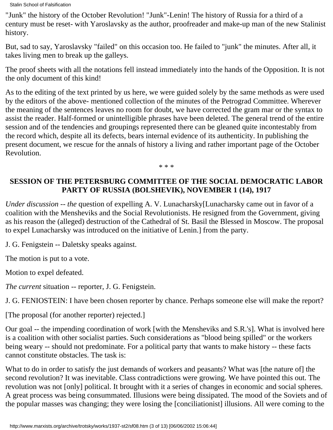```
Stalin School of Falsification
```
"Junk" the history of the October Revolution! "Junk"-Lenin! The history of Russia for a third of a century must be reset- with Yaroslavsky as the author, proofreader and make-up man of the new Stalinist history.

But, sad to say, Yaroslavsky "failed" on this occasion too. He failed to "junk" the minutes. After all, it takes living men to break up the galleys.

The proof sheets with all the notations fell instead immediately into the hands of the Opposition. It is not the only document of this kind!

As to the editing of the text printed by us here, we were guided solely by the same methods as were used by the editors of the above- mentioned collection of the minutes of the Petrograd Committee. Wherever the meaning of the sentences leaves no room for doubt, we have corrected the gram mar or the syntax to assist the reader. Half-formed or unintelligible phrases have been deleted. The general trend of the entire session and of the tendencies and groupings represented there can be gleaned quite incontestably from the record which, despite all its defects, bears internal evidence of its authenticity. In publishing the present document, we rescue for the annals of history a living and rather important page of the October Revolution.

\* \* \*

#### **SESSION OF THE PETERSBURG COMMITTEE OF THE SOCIAL DEMOCRATIC LABOR PARTY OF RUSSIA (BOLSHEVIK), NOVEMBER 1 (14), 1917**

*Under discussion -- the* question of expelling A. V. Lunacharsky[Lunacharsky came out in favor of a coalition with the Mensheviks and the Social Revolutionists. He resigned from the Government, giving as his reason the (alleged) destruction of the Cathedral of St. Basil the Blessed in Moscow. The proposal to expel Lunacharsky was introduced on the initiative of Lenin.] from the party.

J. G. Fenigstein -- Daletsky speaks against.

The motion is put to a vote.

Motion to expel defeated.

*The current* situation -- reporter, J. G. Fenigstein.

J. G. FENIOSTEIN: I have been chosen reporter by chance. Perhaps someone else will make the report?

[The proposal (for another reporter) rejected.]

Our goal -- the impending coordination of work [with the Mensheviks and S.R.'s]. What is involved here is a coalition with other socialist parties. Such considerations as "blood being spilled" or the workers being weary -- should not predominate. For a political party that wants to make history -- these facts cannot constitute obstacles. The task is:

What to do in order to satisfy the just demands of workers and peasants? What was [the nature of] the second revolution? It was inevitable. Class contradictions were growing. We have pointed this out. The revolution was not [only] political. It brought with it a series of changes in economic and social spheres. A great process was being consummated. Illusions were being dissipated. The mood of the Soviets and of the popular masses was changing; they were losing the [conciliationist] illusions. All were coming to the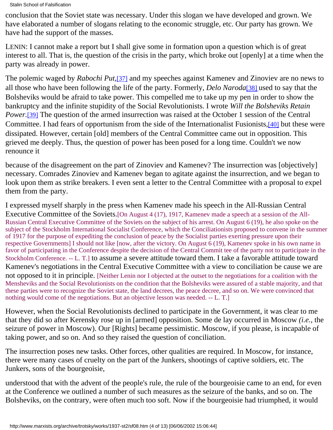conclusion that the Soviet state was necessary. Under this slogan we have developed and grown. We have elaborated a number of slogans relating to the economic struggle, etc. Our party has grown. We have had the support of the masses.

LENIN: I cannot make a report but I shall give some in formation upon a question which is of great interest to all. That is, the question of the crisis in the party, which broke out [openly] at a time when the party was already in power.

The polemic waged by *Rabochi Put,*[\[37\]](#page-110-1) and my speeches against Kamenev and Zinoviev are no news to all those who have been following the life of the party. Formerly, *Delo Naroda*[\[38\]](#page-110-2) used to say that the Bolsheviks would be afraid to take power. This compelled me to take up my pen in order to show the bankruptcy and the infinite stupidity of the Social Revolutionists. I wrote *Will the Bolsheviks Retain Power.*[\[39\]](#page-110-3) The question of the armed insurrection was raised at the October 1 session of the Central Committee. I had fears of opportunism from the side of the Internationalist Fusionists,[\[40\]](#page-110-4) but these were dissipated. However, certain [old] members of the Central Committee came out in opposition. This grieved me deeply. Thus, the question of power has been posed for a long time. Couldn't we now renounce it

because of the disagreement on the part of Zinoviev and Kamenev? The insurrection was [objectively] necessary. Comrades Zinoviev and Kamenev began to agitate against the insurrection, and we began to look upon them as strike breakers. I even sent a letter to the Central Committee with a proposal to expel them from the party.

I expressed myself sharply in the press when Kamenev made his speech in the All-Russian Central Executive Committee of the Soviets.[On August 4 (17), 1917, Kamenev made a speech at a session of the All-Russian Central Executive Committee of the Soviets on the subject of his arrest. On August 6 (19), he also spoke on the subject of the Stockholm International Socialist Conference, which the Conciliationists proposed to convene in the summer of 1917 for the purpose of expediting the conclusion of peace by the Socialist parties exerting pressure upon their respective Governments] I should not like [now, after the victory. On August 6 (19), Kamenev spoke in his own name in favor of participating in the Conference despite the decision of the Central Commit tee of the party not to participate in the Stockholm Conference. -- L. T.] to assume a severe attitude toward them. I take a favorable attitude toward Kamenev's negotiations in the Central Executive Committee with a view to conciliation be cause we are not opposed to it in principle. [Neither Lenin nor I objected at the outset to the negotiations for a coalition with the Mensheviks and the Social Revolutionists on the condition that the Bolsheviks were assured of a stable majority, and that these parties were to recognize the Soviet state, the land decrees, the peace decree, and so on. We were convinced that nothing would come of the negotiations. But an objective lesson was needed. -- L. T.]

However, when the Social Revolutionists declined to participate in the Government, it was clear to me that they did so after Kerensky rose up in [armed] opposition. Some de lay occurred in Moscow *(i.e.,* the seizure of power in Moscow). Our [Rights] became pessimistic. Moscow, if you please, is incapable of taking power, and so on. And so they raised the question of conciliation.

The insurrection poses new tasks. Other forces, other qualities are required. In Moscow, for instance, there were many cases of cruelty on the part of the Junkers, shootings of captive soldiers, etc. The Junkers, sons of the bourgeoisie,

understood that with the advent of the people's rule, the rule of the bourgeoisie came to an end, for even at the Conference we outlined a number of such measures as the seizure of the banks, and so on. The Bolsheviks, on the contrary, were often much too soft. Now if the bourgeoisie had triumphed, it would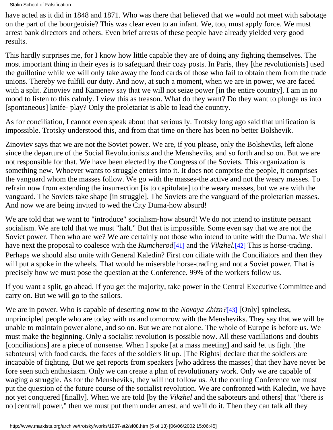```
Stalin School of Falsification
```
have acted as it did in 1848 and 1871. Who was there that believed that we would not meet with sabotage on the part of the bourgeoisie? This was clear even to an infant. We, too, must apply force. We must arrest bank directors and others. Even brief arrests of these people have already yielded very good results.

This hardly surprises me, for I know how little capable they are of doing any fighting themselves. The most important thing in their eyes is to safeguard their cozy posts. In Paris, they [the revolutionists] used the guillotine while we will only take away the food cards of those who fail to obtain them from the trade unions. Thereby we fulfill our duty. And now, at such a moment, when we are in power, we are faced with a split. Zinoviev and Kamenev say that we will not seize power [in the entire country]. I am in no mood to listen to this calmly. I view this as treason. What do they want? Do they want to plunge us into [spontaneous] knife- play? Only the proletariat is able to lead the country.

As for conciliation, I cannot even speak about that serious ly. Trotsky long ago said that unification is impossible. Trotsky understood this, and from that time on there has been no better Bolshevik.

Zinoviev says that we are not the Soviet power. We are, if you please, only the Bolsheviks, left alone since the departure of the Social Revolutionists and the Mensheviks, and so forth and so on. But we are not responsible for that. We have been elected by the Congress of the Soviets. This organization is something new. Whoever wants to struggle enters into it. It does not comprise the people, it comprises the vanguard whom the masses follow. We go with the masses-the active and not the weary masses. To refrain now from extending the insurrection [is to capitulate] to the weary masses, but we are with the vanguard. The Soviets take shape [in struggle]. The Soviets are the vanguard of the proletarian masses. And now we are being invited to wed the City Duma-how absurd!

We are told that we want to "introduce" socialism-how absurd! We do not intend to institute peasant socialism. We are told that we must "halt." But that is impossible. Some even say that we are not the Soviet power. Then who are we? We are certainly not those who intend to unite with the Duma. We shall have next the proposal to coalesce with the *Rumcherod*[\[41\]](#page-110-5) and the *Vikzhel.*[\[42\]](#page-110-6) This is horse-trading. Perhaps we should also unite with General Kaledin? First con ciliate with the Conciliators and then they will put a spoke in the wheels. That would he miserable horse-trading and not a Soviet power. That is precisely how we must pose the question at the Conference. 99% of the workers follow us.

If you want a split, go ahead. If you get the majority, take power in the Central Executive Committee and carry on. But we will go to the sailors.

We are in power. Who is capable of deserting now to the *Novaya Zhizn?*[\[43\]](#page-110-7) [Only] spineless, unprincipled people who are today with us and tomorrow with the Mensheviks. They say that we will be unable to maintain power alone, and so on. But we are not alone. The whole of Europe is before us. We must make the beginning. Only a socialist revolution is possible now. All these vacillations and doubts [conciliations] are a piece of nonsense. When I spoke [at a mass meeting] and said !et us fight [the saboteurs] with food cards, the faces of the soldiers lit up. [The Rights] declare that the soldiers are incapable of fighting. But we get reports from speakers [who address the masses] that they have never be fore seen such enthusiasm. Only we can create a plan of revolutionary work. Only we are capable of waging a struggle. As for the Mensheviks, they will not follow us. At the coming Conference we must put the question of the future course of the socialist revolution. We are confronted with Kaledin, we have not yet conquered [finally]. When we are told [by the *Vikzhel* and the saboteurs and others] that "there is no [central] power," then we must put them under arrest, and we'll do it. Then they can talk all they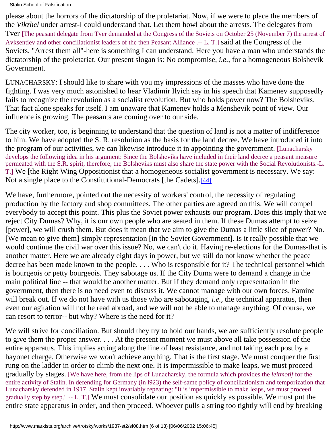please about the horrors of the dictatorship of the proletariat. Now, if we were to place the members of the *Vikzhel* under arrest-I could understand that. Let them howl about the arrests. The delegates from Tver [The peasant delegate from Tver demanded at the Congress of the Soviets on October 25 (November 7) the arrest of Avksentiev and other conciliationist leaders of the then Peasant Alliance .-- L. T.] said at the Congress of the Soviets, "Arrest them all"-here is something I can understand. Here you have a man who understands the dictatorship of the proletariat. Our present slogan is: No compromise, *i.e.,* for a homogeneous Bolshevik Government.

LUNACHARSKY: I should like to share with you my impressions of the masses who have done the fighting. I was very much astonished to hear Vladimir Ilyich say in his speech that Kamenev supposedly fails to recognize the revolution as a socialist revolution. But who holds power now? The Bolsheviks. That fact alone speaks for itself. I am unaware that Kamenev holds a Menshevik point of view. Our influence is growing. The peasants are coming over to our side.

The city worker, too, is beginning to understand that the question of land is not a matter of indifference to him. We have adopted the S. R. resolution as the basis for the land decree. We have introduced it into the program of our activities, we can likewise introduce it in appointing the government. [Lunacharsky develops the following idea in his argument: Since the Bolsheviks have included in their land decree a peasant measure permeated with the S.R. spirit, therefore, the Bolsheviks must also share the state power with the Social Revolutionists.-L. T.] We [the Right Wing Oppositionist that a homogeneous socialist government is necessary. We say: Not a single place to the Constitutional-Democrats [the Cadets].[\[44\]](#page-111-0)

We have, furthermore, pointed out the necessity of workers' control, the necessity of regulating production by the factory and shop committees. The other parties are agreed on this. We will compel everybody to accept this point. This plus the Soviet power exhausts our program. Does this imply that we reject City Dumas? Why, it is our own people who are seated in them. If these Dumas attempt to seize [power], we will crush them. But does it mean that we aim to give the Dumas a little slice of power? No. [We mean to give them] simply representation [in the Soviet Government]. Is it really possible that we would continue the civil war over this issue? No, we can't do it. Having re-elections for the Dumas-that is another matter. Here we are already eight days in power, but we still do not know whether the peace decree has been made known to the people. . . . Who is responsible for it? The technical personnel which is bourgeois or petty bourgeois. They sabotage us. If the City Duma were to demand a change in the main political line -- that would be another matter. But if they demand only representation in the government, then there is no need even to discuss it. We cannot manage with our own forces. Famine will break out. If we do not have with us those who are sabotaging, *i.e.,* the technical apparatus, then even our agitation will not he read abroad, and we will not be able to manage anything. Of course, we can resort to terror-- but why? Where is the need for it?

We will strive for conciliation. But should they try to hold our hands, we are sufficiently resolute people to give them the proper answer. . . . At the present moment we must above all take possession of the entire apparatus. This implies acting along the line of least resistance, and not taking each post by a bayonet charge. Otherwise we won't achieve anything. That is the first stage. We must conquer the first rung on the ladder in order to climb the next one. It is impermissible to make leaps, we must proceed gradually by stages. [We have here, from the lips of Lunacharsky, the formula which provides the *leitmotif* for the entire activity of Stalin. In defending for Germany (in l923) the self-same policy of conciliationism and temporization that Lunacharsky defended in 1917, Stalin kept invariably repeating: "It is impermissible to make leaps, we must proceed gradually step by step." -- L. T.] We must consolidate our position as quickly as possible. We must put the entire state apparatus in order, and then proceed. Whoever pulls a string too tightly will end by breaking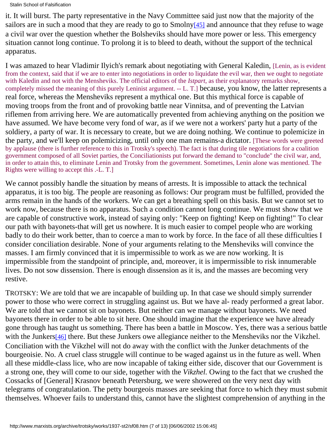it. It will burst. The party representative in the Navy Committee said just now that the majority of the sailors are in such a mood that they are ready to go to Smolny<sup>[45]</sup> and announce that they refuse to wage a civil war over the question whether the Bolsheviks should have more power or less. This emergency situation cannot long continue. To prolong it is to bleed to death, without the support of the technical apparatus.

I was amazed to hear Vladimir Ilyich's remark about negotiating with General Kaledin, [Lenin, as is evident from the context, said that if we are to enter into negotiations in order to liquidate the evil war, then we ought to negotiate with Kaledin and not with the Mensheviks. The official editors of the *Istpart*, as their explanatory remarks show, completely missed the meaning of this purely Leninist argument. -- L. T.] because, you know, the latter represents a real force, whereas the Mensheviks represent a mythical one. But this mythical force is capable of moving troops from the front and of provoking battle near Vinnitsa, and of preventing the Latvian riflemen from arriving here. We are automatically prevented from achieving anything on the position we have assumed. We have become very fond of war, as if we were not a workers' party hut a party of the soldiery, a party of war. It is necessary to create, but we are doing nothing. We continue to polemicize in the party, and we'll keep on polemicizing, until only one man remains-a dictator. [These words were greeted by applause (there is further reference to this in Trotsky's speech). The fact is that during tile negotiations for a coalition government composed of all Soviet parties, the Conciliationists put forward the demand to "conclude" the civil war, and, in order to attain this, to eliminate Lenin and Trotsky from the government. Sometimes, Lenin alone was mentioned. The Rights were willing to accept this .-L. T.]

We cannot possibly handle the situation by means of arrests. It is impossible to attack the technical apparatus, it is too big. The people are reasoning as follows: Our program must be fulfilled, provided the arms remain in the hands of the workers. We can get a breathing spell on this basis. But we cannot set to work now, because there is no apparatus. Such a condition cannot long continue. We must show that we are capable of constructive work, instead of saying only: "Keep on fighting! Keep on fighting!" To clear our path with bayonets-that will get us nowhere. It is much easier to compel people who are working badly to do their work better, than to coerce a man to work by force. In the face of all these difficulties I consider conciliation desirable. None of your arguments relating to the Mensheviks will convince the masses. I am firmly convinced that it is impermissible to work as we are now working. It is impermissible from the standpoint of principle, and, moreover, it is impermissible to risk innumerable lives. Do not sow dissension. There is enough dissension as it is, and the masses are becoming very restive.

TROTSKY: We are told that we are incapable of building up. In that case we should simply surrender power to those who were correct in struggling against us. But we have al- ready performed a great labor. We are told that we cannot sit on bayonets. But neither can we manage without bayonets. We need bayonets there in order to be able to sit here. One should imagine that the experience we have already gone through has taught us something. There has been a battle in Moscow. Yes, there was a serious battle with the Junkers<sup>[46]</sup> there. But these Junkers owe allegiance neither to the Mensheviks nor the Vikzhel. Conciliation with the Vikzhel will not do away with the conflict with the Junker detachments of the bourgeoisie. No. A cruel class struggle will continue to be waged against us in the future as well. When all these middle-class lice, who are now incapable of taking either side, discover that our Government is a strong one, they will come to our side, together with the *Vikzhel.* Owing to the fact that we crushed the Cossacks of [General] Krasnov beneath Petersburg, we were showered on the very next day with telegrams of congratulation. The petty bourgeois masses are seeking that force to which they must submit themselves. Whoever fails to understand this, cannot have the slightest comprehension of anything in the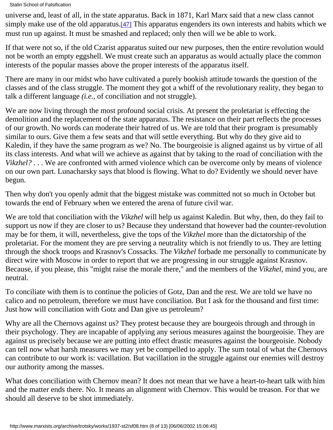#### Stalin School of Falsification

universe and, least of all, in the state apparatus. Back in 1871, Karl Marx said that a new class cannot simply make use of the old apparatus.<sup>[47]</sup> This apparatus engenders its own interests and habits which we must run up against. It must be smashed and replaced; only then will we be able to work.

If that were not so, if the old Czarist apparatus suited our new purposes, then the entire revolution would not be worth an empty eggshell. We must create such an apparatus as would actually place the common interests of the popular masses above the proper interests of the apparatus itself.

There are many in our midst who have cultivated a purely bookish attitude towards the question of the classes and of the class struggle. The moment they got a whiff of the revolutionary reality, they began to talk a different language *(i.e.,* of conciliation and not struggle).

We are now living through the most profound social crisis. At present the proletariat is effecting the demolition and the replacement of the state apparatus. The resistance on their part reflects the processes of our growth. No words can moderate their hatred of us. We are told that their program is presumably similar to ours. Give them a few seats and that will settle everything. But why do they give aid to Kaledin, if they have the same program as we? No. The bourgeoisie is aligned against us by virtue of all its class interests. And what will we achieve as against that by taking to the road of conciliation with the *Vikzhel?* . . . We are confronted with armed violence which can be overcome only by means of violence on our own part. Lunacharsky says that blood is flowing. What to do? Evidently we should never have begun.

Then why don't you openly admit that the biggest mistake was committed not so much in October but towards the end of February when we entered the arena of future civil war.

We are told that conciliation with the *Vikzhel* will help us against Kaledin. But why, then, do they fail to support us now if they are closer to us? Because they understand that however bad the counter-revolution may be for them, it will, nevertheless, give the tops of the *Vikzhel* more than the dictatorship of the proletariat. For the moment they are pre serving a neutrality which is not friendly to us. They are letting through the shock troops and Krasnov's Cossacks. The *Vikzhel* forbade me personally to communicate by direct wire with Moscow in order to report that we are progressing in our struggle against Krasnov. Because, if you please, this "might raise the morale there," and the members of the *Vikzhel,* mind you, are neutral.

To conciliate with them is to continue the policies of Gotz, Dan and the rest. We are told we have no calico and no petroleum, therefore we must have conciliation. But I ask for the thousand and first time: Just how will conciliation with Gotz and Dan give us petroleum?

Why are all the Chernovs against us? They protest because they are bourgeois through and through in their psychology. They are incapable of applying any serious measures against the bourgeoisie. They are against us precisely because we are putting into effect drastic measures against the bourgeoisie. Nobody can tell now what harsh measures we may yet be compelled to apply. The sum total of what the Chernovs can contribute to our work is: vacillation. But vacillation in the struggle against our enemies will destroy our authority among the masses.

What does conciliation with Chernov mean? It does not mean that we have a heart-to-heart talk with him and the matter ends there. No. It means an alignment with Chernov. This would be treason. For that we should all deserve to be shot immediately.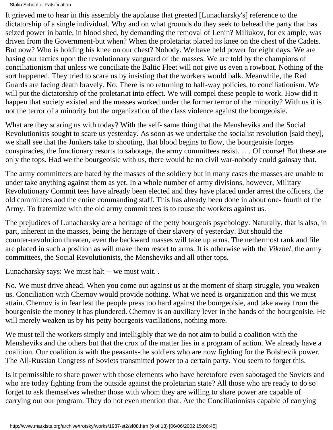#### Stalin School of Falsification

It grieved me to hear in this assembly the applause that greeted [Lunacharsky's] reference to the dictatorship of a single individual. Why and on what grounds do they seek to behead the party that has seized power in battle, in blood shed, by demanding the removal of Lenin? Miliukov, for ex ample, was driven from the Government-but when? When the proletariat placed its knee on the chest of the Cadets. But now? Who is holding his knee on our chest? Nobody. We have held power for eight days. We are basing our tactics upon the revolutionary vanguard of the masses. We are told by the champions of conciliationism that unless we conciliate the Baltic Fleet will not give us even a rowboat. Nothing of the sort happened. They tried to scare us by insisting that the workers would balk. Meanwhile, the Red Guards are facing death bravely. No. There is no returning to half-way policies, to conciliationism. We will put the dictatorship of the proletariat into effect. We will compel these people to work. How did it happen that society existed and the masses worked under the former terror of the minority? With us it is not the terror of a minority but the organization of the class violence against the bourgeoisie.

What are they scaring us with today? With the self- same thing that the Mensheviks and the Social Revolutionists sought to scare us yesterday. As soon as we undertake the socialist revolution [said they], we shall see that the Junkers take to shooting, that blood begins to flow, the bourgeoisie forges conspiracies, the functionary resorts to sabotage, the army committees resist. . . . Of course! But these are only the tops. Had we the bourgeoisie with us, there would be no civil war-nobody could gainsay that.

The army committees are hated by the masses of the soldiery but in many cases the masses are unable to under take anything against them as yet. In a whole number of army divisions, however, Military Revolutionary Commit tees have already been elected and they have placed under arrest the officers, the old committees and the entire commanding staff. This has already been done in about one- fourth of the Army. To fraternize with the old army commit tees is to rouse the workers against us.

The prejudices of Lunacharsky are a heritage of the petty bourgeois psychology. Naturally, that is also, in part, inherent in the masses, being the heritage of their slavery of yesterday. But should the counter-revolution threaten, even the backward masses will take up arms. The nethermost rank and file are placed in such a position as will make them resort to arms. It is otherwise with the *Vikzhel,* the army committees, the Social Revolutionists, the Mensheviks and all other tops.

Lunacharsky says: We must halt -- we must wait. .

No. We must drive ahead. When you come out against us at the moment of sharp struggle, you weaken us. Conciliation with Chernov would provide nothing. What we need is organization and this we must attain. Chernov is in fear lest the people press too hard against the bourgeoisie, and take away from the bourgeoisie the money it has plundered. Chernov is an auxiliary lever in the hands of the bourgeoisie. He will merely weaken us by his petty bourgeois vacillations, nothing more.

We must tell the workers simply and intelligibly that we do not aim to build a coalition with the Mensheviks and the others but that the crux of the matter lies in a program of action. We already have a coalition. Our coalition is with the peasants-the soldiers who are now fighting for the Bolshevik power. The All-Russian Congress of Soviets transmitted power to a certain party. You seem to forget this.

Is it permissible to share power with those elements who have heretofore even sabotaged the Soviets and who are today fighting from the outside against the proletarian state? All those who are ready to do so forget to ask themselves whether those with whom they are willing to share power are capable of carrying out our program. They do not even mention that. Are the Conciliationists capable of carrying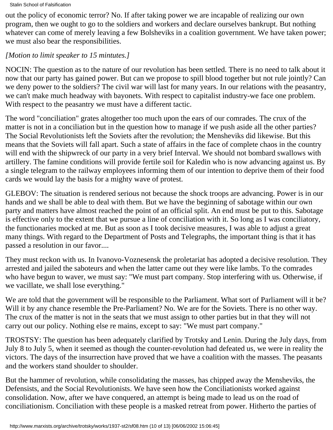out the policy of economic terror? No. If after taking power we are incapable of realizing our own program, then we ought to go to the soldiers and workers and declare ourselves bankrupt. But nothing whatever can come of merely leaving a few Bolsheviks in a coalition government. We have taken power; we must also bear the responsibilities.

### *[Motion to limit speaker to 15 mintutes.]*

NOCIN: The question as to the nature of our revolution has been settled. There is no need to talk about it now that our party has gained power. But can we propose to spill blood together but not rule jointly? Can we deny power to the soldiers? The civil war will last for many years. In our relations with the peasantry, we can't make much headway with bayonets. With respect to capitalist industry-we face one problem. With respect to the peasantry we must have a different tactic.

The word "conciliation" grates altogether too much upon the ears of our comrades. The crux of the matter is not in a conciliation but in the question how to manage if we push aside all the other parties? The Social Revolutionists left the Soviets after the revolution; the Mensheviks did likewise. But this means that the Soviets will fall apart. Such a state of affairs in the face of complete chaos in the country will end with the shipwreck of our party in a very brief Interval. We should not bombard swallows with artillery. The famine conditions will provide fertile soil for Kaledin who is now advancing against us. By a single telegram to the railway employees informing them of our intention to deprive them of their food cards we would lay the basis for a mighty wave of protest.

GLEBOV: The situation is rendered serious not because the shock troops are advancing. Power is in our hands and we shall be able to deal with them. But we have the beginning of sabotage within our own party and matters have almost reached the point of an official split. An end must be put to this. Sabotage is effective only to the extent that we pursue a line of conciliation with it. So long as I was conciliatory, the functionaries mocked at me. But as soon as I took decisive measures, I was able to adjust a great many things. With regard to the Department of Posts and Telegraphs, the important thing is that it has passed a resolution in our favor....

They must reckon with us. In Ivanovo-Voznesensk the proletariat has adopted a decisive resolution. They arrested and jailed the saboteurs and when the latter came out they were like lambs. To the comrades who have begun to waver, we must say: "We must part company. Stop interfering with us. Otherwise, if we vacillate, we shall lose everything."

We are told that the government will be responsible to the Parliament. What sort of Parliament will it be? Will it by any chance resemble the Pre-Parliament? No. We are for the Soviets. There is no other way. The crux of the matter is not in the seats that we must assign to other parties but in that they will not carry out our policy. Nothing else re mains, except to say: "We must part company."

TROSTSY: The question has been adequately clarified by Trotsky and Lenin. During the July days, from July 8 to July 5, when it seemed as though the counter-revolution had defeated us, we were in reality the victors. The days of the insurrection have proved that we have a coalition with the masses. The peasants and the workers stand shoulder to shoulder.

But the hammer of revolution, while consolidating the masses, has chipped away the Mensheviks, the Defensists, and the Social Revolutionists. We have seen how the Conciliationists worked against consolidation. Now, after we have conquered, an attempt is being made to lead us on the road of conciliationism. Conciliation with these people is a masked retreat from power. Hitherto the parties of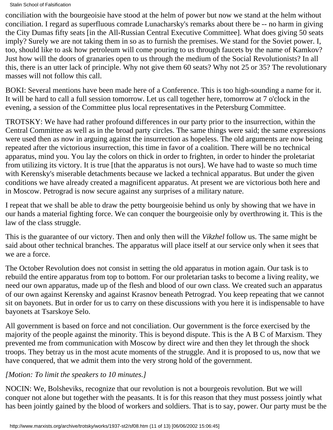#### Stalin School of Falsification

conciliation with the bourgeoisie have stood at the helm of power but now we stand at the helm without conciliation. I regard as superfluous comrade Lunacharsky's remarks about there be -- no harm in giving the City Dumas fifty seats [in the All-Russian Central Executive Committee]. What does giving 50 seats imply? Surely we are not taking them in so as to furnish the premises. We stand for the Soviet power. I, too, should like to ask how petroleum will come pouring to us through faucets by the name of Kamkov? Just how will the doors of granaries open to us through the medium of the Social Revolutionists? In all this, there is an utter lack of principle. Why not give them 60 seats? Why not 25 or 35? The revolutionary masses will not follow this call.

BOKI: Several mentions have been made here of a Conference. This is too high-sounding a name for it. It will be hard to call a full session tomorrow. Let us call together here, tomorrow at 7 o'clock in the evening, a session of the Committee plus local representatives in the Petersburg Committee.

TROTSKY: We have had rather profound differences in our party prior to the insurrection, within the Central Committee as well as in the broad party circles. The same things were said; the same expressions were used then as now in arguing against the insurrection as hopeless. The old arguments are now being repeated after the victorious insurrection, this time in favor of a coalition. There will be no technical apparatus, mind you. You lay the colors on thick in order to frighten, in order to hinder the proletariat from utilizing its victory. It is true [that the apparatus is not ours]. We have had to waste so much time with Kerensky's miserable detachments because we lacked a technical apparatus. But under the given conditions we have already created a magnificent apparatus. At present we are victorious both here and in Moscow. Petrograd is now secure against any surprises of a military nature.

I repeat that we shall be able to draw the petty bourgeoisie behind us only by showing that we have in our hands a material fighting force. We can conquer the bourgeoisie only by overthrowing it. This is the law of the class struggle.

This is the guarantee of our victory. Then and only then will the *Vikzhel* follow us. The same might be said about other technical branches. The apparatus will place itself at our service only when it sees that we are a force.

The October Revolution does not consist in setting the old apparatus in motion again. Our task is to rebuild the entire apparatus from top to bottom. For our proletarian tasks to become a living reality, we need our own apparatus, made up of the flesh and blood of our own class. We created such an apparatus of our own against Kerensky and against Krasnov beneath Petrograd. You keep repeating that we cannot sit on bayonets. But in order for us to carry on these discussions with you here it is indispensable to have bayonets at Tsarskoye Selo.

All government is based on force and not conciliation. Our government is the force exercised by the majority of the people against the minority. This is beyond dispute. This is the A B C of Marxism. They prevented me from communication with Moscow by direct wire and then they let through the shock troops. They betray us in the most acute moments of the struggle. And it is proposed to us, now that we have conquered, that we admit them into the very strong hold of the government.

### *[Motion: To limit the speakers to 10 minutes.]*

NOCIN: We, Bolsheviks, recognize that our revolution is not a bourgeois revolution. But we will conquer not alone but together with the peasants. It is for this reason that they must possess jointly what has been jointly gained by the blood of workers and soldiers. That is to say, power. Our party must be the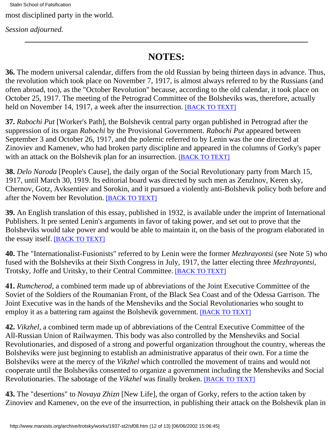most disciplined party in the world. Stalin School of Falsification

*Session adjourned.*

## **NOTES:**

**36.** The modern universal calendar, differs from the old Russian by being thirteen days in advance. Thus, the revolution which took place on November 7, 1917, is almost always referred to by the Russians (and often abroad, too), as the "October Revolution" because, according to the old calendar, it took place on October 25, 1917. The meeting of the Petrograd Committee of the Bolsheviks was, therefore, actually held on November 14, 1917, a week after the insurrection. [\[BACK TO TEXT\]](#page-99-0)

**37.** *Rabochi Put* [Worker's Path], the Bolshevik central party organ published in Petrograd after the suppression of its organ *Rabochi* by the Provisional Government. *Rabochi Put* appeared between September 3 and October 26, 1917, and the polemic referred to by Lenin was the one directed at Zinoviev and Kamenev, who had broken party discipline and appeared in the columns of Gorky's paper with an attack on the Bolshevik plan for an insurrection. [\[BACK TO TEXT\]](#page-102-0)

**38.** *Delo Naroda* [People's Cause], the daily organ of the Social Revolutionary party from March 15, 1917, until March 30, 1919. Its editorial board was directed by such men as Zenzlnov, Keren sky, Chernov, Gotz, Avksentiev and Sorokin, and it pursued a violently anti-Bolshevik policy both before and after the Novem ber Revolution. [\[BACK TO TEXT\]](#page-102-1)

**39.** An English translation of this essay, published in 1932, is available under the imprint of International Publishers. It pre sented Lenin's arguments in favor of taking power, and set out to prove that the Bolsheviks would take power and would be able to maintain it, on the basis of the program elaborated in the essay itself. [\[BACK TO TEXT\]](#page-102-2)

**40.** The "Internationalist-Fusionists" referred to by Lenin were the former *Mezhrayontsi* (see Note 5) who fused with the Bolsheviks at their Sixth Congress in July, 1917, the latter electing three *Mezhrayontsi,* Trotsky, Joffe and Uritsky, to their Central Committee. [\[BACK TO TEXT\]](#page-102-3)

**41.** *Rumcherod,* a combined term made up of abbreviations of the Joint Executive Committee of the Soviet of the Soldiers of the Roumanian Front, of the Black Sea Coast and of the Odessa Garrison. The Joint Executive was in the hands of the Mensheviks and the Social Revolutionaries who sought to employ it as a battering ram against the Bolshevik government. [\[BACK TO TEXT\]](#page-103-0)

**42.** *Vikzhel,* a combined term made up of abbreviations of the Central Executive Committee of the All-Russian Union of Railwaymen. This body was also controlled by the Mensheviks and Social Revolutionaries, and disposed of a strong and powerful organization throughout the country, whereas the Bolsheviks were just beginning to establish an administrative apparatus of their own. For a time the Bolsheviks were at the mercy of the *Vikzhel* which controlled the movement of trains and would not cooperate until the Bolsheviks consented to organize a government including the Mensheviks and Social Revolutionaries. The sabotage of the *Vikzhel* was finally broken. [\[BACK TO TEXT\]](#page-103-0)

**43.** The "desertions" to *Novaya Zhizn* [New Life], the organ of Gorky, refers to the action taken by Zinoviev and Kamenev, on the eve of the insurrection, in publishing their attack on the Bolshevik plan in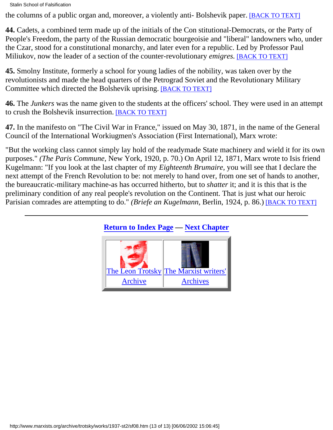Stalin School of Falsification

the columns of a public organ and, moreover, a violently anti- Bolshevik paper. [\[BACK TO TEXT\]](#page-103-1)

**44.** Cadets, a combined term made up of the initials of the Con stitutional-Democrats, or the Party of People's Freedom, the party of the Russian democratic bourgeoisie and "liberal" landowners who, under the Czar, stood for a constitutional monarchy, and later even for a republic. Led by Professor Paul Miliukov, now the leader of a section of the counter-revolutionary *emigres.* [\[BACK TO TEXT\]](#page-104-0)

**45.** Smolny Institute, formerly a school for young ladies of the nobility, was taken over by the revolutionists and made the head quarters of the Petrograd Soviet and the Revolutionary Military Committee which directed the Bolshevik uprising. [\[BACK TO TEXT\]](#page-105-0)

**46.** The *Junkers* was the name given to the students at the officers' school. They were used in an attempt to crush the Bolshevik insurrection. [\[BACK TO TEXT\]](#page-105-1)

**47.** In the manifesto on "The Civil War in France," issued on May 30, 1871, in the name of the General Council of the International Workiugmen's Association (First International), Marx wrote:

"But the working class cannot simply lay hold of the readymade State machinery and wield it for its own purposes." *(The Paris Commune,* New York, 1920, p. 70.) On April 12, 1871, Marx wrote to Isis friend Kugelmann: "If you look at the last chapter of my *Eighteenth Brumaire,* you will see that I declare the next attempt of the French Revolution to be: not merely to hand over, from one set of hands to another, the bureaucratic-military machine-as has occurred hitherto, but to *shatter* it; and it is this that is the preliminary condition of any real people's revolution on the Continent. That is just what our heroic Parisian comrades are attempting to do." *(Briefe an Kugelmann,* Berlin, 1924, p. 86.) [\[BACK TO TEXT\]](#page-106-0)

#### **[Return to Index Page](#page-0-0) — [Next Chapter](#page-112-0)**

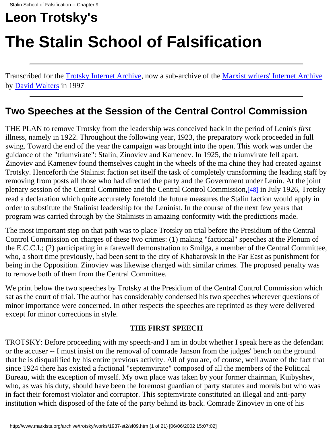## <span id="page-112-0"></span>**Leon Trotsky's**

# **The Stalin School of Falsification**

Transcribed for the [Trotsky Internet Archive,](#page-214-0) now a sub-archive of the [Marxist writers' Internet Archive](#page-6-0) by [David Walters](mailto:dwalters@marxists.org) in 1997

## **Two Speeches at the Session of the Central Control Commission**

THE PLAN to remove Trotsky from the leadership was conceived back in the period of Lenin's *first* illness, namely in 1922. Throughout the following year, 1923, the preparatory work proceeded in full swing. Toward the end of the year the campaign was brought into the open. This work was under the guidance of the "triumvirate": Stalin, Zinoviev and Kamenev. In 1925, the triumvirate fell apart. Zinoviev and Kamenev found themselves caught in the wheels of the ma chine they had created against Trotsky. Henceforth the Stalinist faction set itself the task of completely transforming the leading staff by removing from posts all those who had directed the party and the Government under Lenin. At the joint plenary session of the Central Committee and the Central Control Commission[,\[48\]](#page-129-0) in July 1926, Trotsky read a declaration which quite accurately foretold the future measures the Stalin faction would apply in order to substitute the Stalinist leadership for the Leninist. In the course of the next few years that program was carried through by the Stalinists in amazing conformity with the predictions made.

<span id="page-112-1"></span>The most important step on that path was to place Trotsky on trial before the Presidium of the Central Control Commission on charges of these two crimes: (1) making "factional" speeches at the Plenum of the E.C.C.I.; (2) participating in a farewell demonstration to Smilga, a member of the Central Committee, who, a short time previously, had been sent to the city of Khabarovsk in the Far East as punishment for being in the Opposition. Zinoviev was likewise charged with similar crimes. The proposed penalty was to remove both of them from the Central Committee.

We print below the two speeches by Trotsky at the Presidium of the Central Control Commission which sat as the court of trial. The author has considerably condensed his two speeches wherever questions of minor importance were concerned. In other respects the speeches are reprinted as they were delivered except for minor corrections in style.

#### **THE FIRST SPEECH**

TROTSKY: Before proceeding with my speech-and I am in doubt whether I speak here as the defendant or the accuser -- I must insist on the removal of comrade Janson from the judges' bench on the ground that he is disqualified by his entire previous activity. All of you are, of course, well aware of the fact that since 1924 there has existed a factional "septemvirate" composed of all the members of the Political Bureau, with the exception of myself. My own place was taken by your former chairman, Kuibyshev, who, as was his duty, should have been the foremost guardian of party statutes and morals but who was in fact their foremost violator and corruptor. This septemvirate constituted an illegal and anti-party institution which disposed of the fate of the party behind its back. Comrade Zinoviev in one of his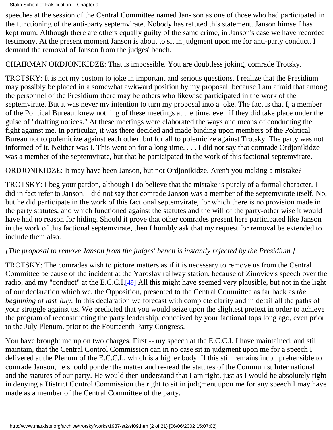speeches at the session of the Central Committee named Jan- son as one of those who had participated in the functioning of the anti-party septemvirate. Nobody has refuted this statement. Janson himself has kept mum. Although there are others equally guilty of the same crime, in Janson's case we have recorded testimony. At the present moment Janson is about to sit in judgment upon me for anti-party conduct. I demand the removal of Janson from the judges' bench.

CHAIRMAN ORDJONIKIDZE: That is impossible. You are doubtless joking, comrade Trotsky.

TROTSKY: It is not my custom to joke in important and serious questions. I realize that the Presidium may possibly be placed in a somewhat awkward position by my proposal, because I am afraid that among the personnel of the Presidium there may be others who likewise participated in the work of the septemvirate. But it was never my intention to turn my proposal into a joke. The fact is that I, a member of the Political Bureau, knew nothing of these meetings at the time, even if they did take place under the guise of "drafting notices." At these meetings were elaborated the ways and means of conducting the fight against me. In particular, it was there decided and made binding upon members of the Political Bureau not to polemicize against each other, but for all to polemicize against Trotsky. The party was not informed of it. Neither was I. This went on for a long time. . . . I did not say that comrade Ordjonikidze was a member of the septemvirate, but that he participated in the work of this factional septemvirate.

ORDJONIKIDZE: It may have been Janson, but not Ordjonikidze. Aren't you making a mistake?

TROTSKY: I beg your pardon, although I do believe that the mistake is purely of a formal character. I did in fact refer to Janson. I did not say that comrade Janson was a member of the septemvirate itself. No, but he did participate in the work of this factional septemvirate, for which there is no provision made in the party statutes, and which functioned against the statutes and the will of the party-other wise it would have had no reason for hiding. Should it prove that other comrades present here participated like Janson in the work of this factional septemvirate, then I humbly ask that my request for removal be extended to include them also.

### *[The proposal to remove Janson from the judges' bench is instantly rejected by the Presidium.]*

<span id="page-113-0"></span>TROTSKY: The comrades wish to picture matters as if it is necessary to remove us from the Central Committee be cause of the incident at the Yaroslav railway station, because of Zinoviev's speech over the radio, and my "conduct" at the E.C.C.I[.\[49\]](#page-129-1) All this might have seemed very plausible, but not in the light of our declaration which we, the Opposition, presented to the Central Committee as far back as *the beginning of last July.* In this declaration we forecast with complete clarity and in detail all the paths of your struggle against us. We predicted that you would seize upon the slightest pretext in order to achieve the program of reconstructing the party leadership, conceived by your factional tops long ago, even prior to the July Plenum, prior to the Fourteenth Party Congress.

You have brought me up on two charges. First -- my speech at the E.C.C.I. I have maintained, and still maintain, that the Central Control Commission can in no case sit in judgment upon me for a speech I delivered at the Plenum of the E.C.C.I., which is a higher body. If this still remains incomprehensible to comrade Janson, he should ponder the matter and re-read the statutes of the Communist Inter national and the statutes of our party. He would then understand that I am right, just as I would be absolutely right in denying a District Control Commission the right to sit in judgment upon me for any speech I may have made as a member of the Central Committee of the party.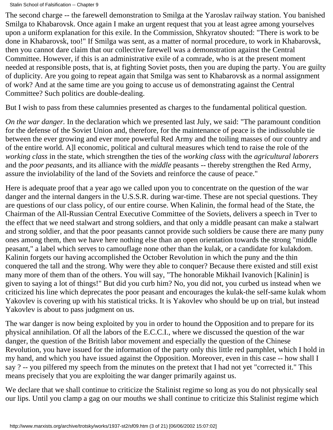The second charge -- the farewell demonstration to Smilga at the Yaroslav railway station. You banished Smilga to Khabarovsk. Once again I make an urgent request that you at least agree among yourselves upon a uniform explanation for this exile. In the Commission, Shkyratov shouted: "There is work to be done in Khabarovsk, too!" If Smilga was sent, as a matter of normal procedure, to work in Khabarovsk, then you cannot dare claim that our collective farewell was a demonstration against the Central Committee. However, if this is an administrative exile of a comrade, who is at the present moment needed at responsible posts, that is, at fighting Soviet posts, then you are duping the party. You are guilty of duplicity. Are you going to repeat again that Smilga was sent to Khabarovsk as a normal assignment of work? And at the same time are you going to accuse us of demonstrating against the Central Committee? Such politics are double-dealing.

But I wish to pass from these calumnies presented as charges to the fundamental political question.

*On the war danger.* In the declaration which we presented last July, we said: "The paramount condition for the defense of the Soviet Union and, therefore, for the maintenance of peace is the indissoluble tie between the ever growing and ever more powerful Red Army and the toiling masses of our country and of the entire world. A]l economic, political and cultural measures which tend to raise the role of the *working class* in the state, which strengthen the ties of the *working class* with the *agricultural laborers* and the *poor peasants,* and its alliance with the *middle* peasants -- thereby strengthen the Red Army, assure the inviolability of the land of the Soviets and reinforce the cause of peace."

Here is adequate proof that a year ago we called upon you to concentrate on the question of the war danger and the internal dangers in the U.S.S.R. during war-time. These are not special questions. They are questions of our class policy, of our entire course. When Kalinin, the formal head of the State, the Chairman of the All-Russian Central Executive Committee of the Soviets, delivers a speech in Tver to the effect that we need stalwart and strong soldiers, and that only a middle peasant can make a stalwart and strong soldier, and that the poor peasants cannot provide such soldiers be cause there are many puny ones among them, then we have here nothing else than an open orientation towards the strong "middle peasant," a label which serves to camouflage none other than the kulak, or a candidate for kulakdom. Kalinin forgets our having accomplished the October Revolution in which the puny and the thin conquered the tall and the strong. Why were they able to conquer? Because there existed and still exist many more of them than of the others. You will say, "The honorable Mikhail Ivanovich [Kalinin] is given to saying a lot of things!" But did you curb him? No, you did not, you curbed us instead when we criticized his line which deprecates the poor peasant and encourages the kulak-the self-same kulak whom Yakovlev is covering up with his statistical tricks. It is Yakovlev who should be up on trial, but instead Yakovlev is about to pass judgment on us.

The war danger is now being exploited by you in order to hound the Opposition and to prepare for its physical annihilation. Of all the labors of the E.C.C.I., where we discussed the question of the war danger, the question of the British labor movement and especially the question of the Chinese Revolution, you have issued for the information of the party only this little red pamphlet, which I hold in my hand, and which you have issued against the Opposition. Moreover, even in this case -- how shall I say ? -- you pilfered my speech from the minutes on the pretext that I had not yet "corrected it." This means precisely that you are exploiting the war danger primarily against us.

We declare that we shall continue to criticize the Stalinist regime so long as you do not physically seal our lips. Until you clamp a gag on our mouths we shall continue to criticize this Stalinist regime which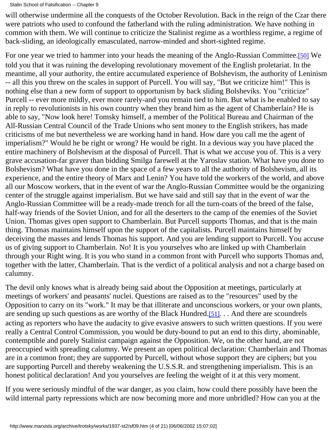will otherwise undermine all the conquests of the October Revolution. Back in the reign of the Czar there were patriots who used to confound the fatherland with the ruling administration. We have nothing in common with them. We will continue to criticize the Stalinist regime as a worthless regime, a regime of back-sliding, an ideologically emasculated, narrow-minded and short-sighted regime.

<span id="page-115-0"></span>For one year we tried to hammer into your heads the meaning of the Anglo-Russian Committee[.\[50\]](#page-130-0) We told you that it was ruining the developing revolutionary movement of the English proletariat. In the meantime, all your authority, the entire accumulated experience of Bolshevism, the authority of Leninism -- all this you threw on the scales in support of Purcell. You will say, "But we criticize him!" This is nothing else than a new form of support to opportunism by back sliding Bolsheviks. You "criticize" Purcell -- ever more mildly, ever more rarely-and you remain tied to him. But what is he enabled to say in reply to revolutionists in his own country when they brand him as the agent of Chamberlain? He is able to say, "Now look here! Tomsky himself, a member of the Political Bureau and Chairman of the All-Russian Central Council of the Trade Unions who sent money to the English strikers, has made criticisms of me but nevertheless we are working hand in hand. How dare you call me the agent of imperialism?" Would he be right or wrong? He would be right. In a devious way you have placed the entire machinery of Bolshevism at the disposal of Purcell. That is what we accuse you of. This is a very grave accusation-far graver than bidding Smilga farewell at the Yaroslav station. What have you done to Bolshevism? What have you done in the space of a few years to all the authority of Bolshevism, all its experience, and the entire theory of Marx and Lenin? You have told the workers of the world, and above all our Moscow workers, that in the event of war the Anglo-Russian Committee would be the organizing center of the struggle against imperialism. But we have said and still say that in the event of war the Anglo-Russian Committee will be a ready-made trench for all the turn-coats of the breed of the false, half-way friends of the Soviet Union, and for all the deserters to the camp of the enemies of the Soviet Union. Thomas gives open support to Chamberlain. But Purcell supports Thomas, and that is the main thing. Thomas maintains himself upon the support of the capitalists. Purcell maintains himself by deceiving the masses and lends Thomas his support. And you are lending support to Purcell. You accuse us of giving support to Chamberlain. No! It is you yourselves who are linked up with Chamberlain through your Right wing. It is you who stand in a common front with Purcell who supports Thomas and, together with the latter, Chamberlain. That is the verdict of a political analysis and not a charge based on calumny.

<span id="page-115-1"></span>The devil only knows what is already being said about the Opposition at meetings, particularly at meetings of workers' and peasants' nuclei. Questions are raised as to the "resources" used by the Opposition to carry on its "work." It may be that illiterate and unconscious workers, or your own plants, are sending up such questions as are worthy of the Black Hundred[.\[51\]](#page-130-1). . . And there are scoundrels acting as reporters who have the audacity to give evasive answers to such written questions. If you were really a Central Control Commission, you would be duty-bound to put an end to this dirty, abominable, contemptible and purely Stalinist campaign against the Opposition. We, on the other hand, are not preoccupied with spreading calumny. We present an open political declaration: Chamberlain and Thomas are in a common front; they are supported by Purcell, without whose support they are ciphers; but you are supporting Purcell and thereby weakening the U.S.S.R. and strengthening imperialism. This is an honest political declaration! And you yourselves are feeling the weight of it at this very moment.

If you were seriously mindful of the war danger, as you claim, how could there possibly have been the wild internal party repressions which are now becoming more and more unbridled? How can you at the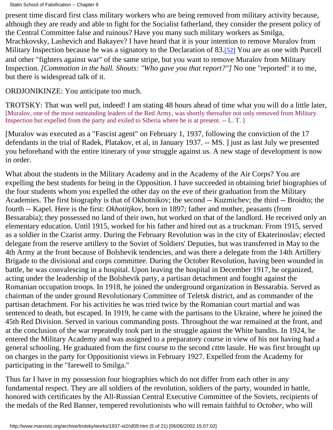<span id="page-116-0"></span>present time discard first class military workers who are being removed from military activity because, although they are ready and able to fight for the Socialist fatherland, they consider the present policy of the Central Committee false and ruinous? Have you many such military workers as Smilga, Mrachkovsky, Lashevich and Bakayev? I have heard that it is your intention to remove Muralov from Military Inspection because he was a signatory to the Declaration of 83.[\[52\]](#page-130-2) You are as one with Purcell and other "fighters against war" of the same stripe, but you want to remove Muralov from Military Inspection. *[Commotion in the hall. Shouts: "Who gave you that report?"]* No one "reported" it to me, but there is widespread talk of it.

ORDJONIKINZE: You anticipate too much.

TROTSKY: That was well put, indeed! I am stating 48 hours ahead of time what you will do a little later, [Muralov, one of the most outstanding leaders of the Red Army, was shortly thereafter not only removed from Military Inspection but expelled from the party and exiled to Siberia where he is at present. -- L. T. ]

[Muralov was executed as a "Fascist agent" on February 1, 1937, following the conviction of the 17 defendants in the trial of Radek, Platakov, et al, in January 1937. -- MS. ] just as last July we presented you beforehand with the entire itinerary of your struggle against us. A new stage of development is now in order.

What about the students in the Military Academy and in the Academy of the Air Corps? You are expelling the best students for being in the Opposition. I have succeeded in obtaining brief biographies of the four students whom you expelled the other day on the eve of their graduation from the Military Academies. The first biography is that of Okhotnikov; the second -- Kuzmichev; the third -- Broidto; the fourth -- Kapel. Here is the first: *Okhotitjkov,* born in 1897; father and mother, peasants (from Bessarabia); they possessed no land of their own, hut worked on that of the landlord. He received only an elementary education. Until 1915, worked for his father and hired out as a truckman. From 1915, served as a soldier in the Czarist army. During the February Revolution was in the city of Ekaterinoslav; elected delegate from the reserve artillery to the Soviet of Soldiers' Deputies, but was transferred in May to the 4th Army at the front because of Bolshevik tendencies, and was there a delegate from the 14th Artillery Brigade to the divisional and corps committee. During the October Revolution, having been wounded in battle, he was convalescing in a hospital. Upon leaving the hospital in December 1917, he organized, acting under the leadership of the Bolshevik party, a partisan detachment and fought against the Romanian occupation troops. In 1918, he joined the underground organization in Bessarabia. Served as chairman of the under ground Revolutionary Committee of Teletsk district, and as commander of the partisan detachment. For his activities he was tried twice by the Romanian court martial and was sentenced to death, but escaped. In 1919, he came with the partisans to the Ukraine, where he joined the 45th Red Division. Served in various commanding posts. Throughout the war remained at the front, and at the conclusion of the war repeatedly took part in the struggle against the White bandits. In 1924, he entered the Military Academy and was assigned to a preparatory course in view of his not having had a general schooling. He graduated from the first course to the second *cttm* lasule. He was first brought up on charges in the party for Oppositionist views in February 1927. Expelled from the Academy for participating in the "farewell to Smilga."

Thus far I have in my possession four biographies which do not differ from each other in any fundamental respect. They are all soldiers of the revolution, soldiers of the party, wounded in battle, honored with certificates by the All-Russian Central Executive Committee of the Soviets, recipients of the medals of the Red Banner, tempered revolutionists who will remain faithful to *October,* who will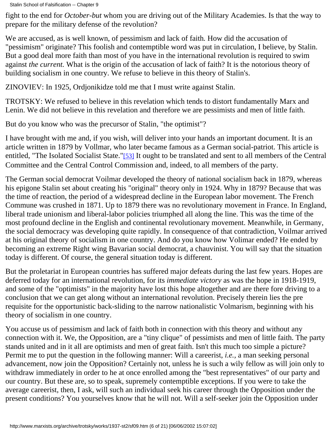fight to the end for *October-but* whom you are driving out of the Military Academies. Is that the way to prepare for the military defense of the revolution?

We are accused, as is well known, of pessimism and lack of faith*.* How did the accusation of "pessimism" originate? This foolish and contemptible word was put in circulation, I believe, by Stalin. But a good deal more faith than most of you have in the international revolution is required to swim against *the current.* What is the origin of the accusation of lack of faith? It is the notorious theory of building socialism in one country. We refuse to believe in this theory of Stalin's.

ZINOVIEV: In 1925, Ordjonikidze told me that I must write against Stalin.

TROTSKY: We refused to believe in this revelation which tends to distort fundamentally Marx and Lenin. We did not believe in this revelation and therefore we are pessimists and men of little faith.

But do you know who was the precursor of Stalin, "the optimist"?

<span id="page-117-0"></span>I have brought with me and, if you wish, will deliver into your hands an important document. It is an article written in 1879 by Vollmar, who later became famous as a German social-patriot. This article is entitled, "The Isolated Socialist State."[\[53\]](#page-130-3) It ought to be translated and sent to all members of the Central Committee and the Central Control Commission and, indeed, to all members of the party.

The German social democrat Voilmar developed the theory of national socialism back in 1879, whereas his epigone Stalin set about creating his "original" theory only in 1924. Why in 1879? Because that was the time of reaction, the period of a widespread decline in the European labor movement. The French Commune was crushed in 1871. Up to 1879 there was no revolutionary movement in France. In England, liberal trade unionism and liberal-labor policies triumphed all along the line. This was the time of the most profound decline in the English and continental revolutionary movement. Meanwhile, in Germany, the social democracy was developing quite rapidly. In consequence of that contradiction, Voilmar arrived at his original theory of socialism in one country. And do you know how Volimar ended? He ended by becoming an extreme Right wing Bavarian social democrat, a chauvinist. You will say that the situation today is different. Of course, the general situation today is different.

But the proletariat in European countries has suffered major defeats during the last few years. Hopes are deferred today for an international revolution, for its *immediate victory* as was the hope in 1918-1919, and some of the "optimists" in the majority have lost this hope altogether and are there fore driving to a conclusion that we can get along without an international revolution. Precisely therein lies the pre requisite for the opportunistic back-sliding to the narrow nationalistic Volmarism, beginning with his theory of socialism in one country.

You accuse us of pessimism and lack of faith both in connection with this theory and without any connection with it. We, the Opposition, are a "tiny clique" of pessimists and men of little faith. The party stands united and in it all are optimists and men of great faith. Isn't this much too simple a picture? Permit me to put the question in the following manner: Will a careerist, *i.e.,* a man seeking personal advancement, now join the Opposition? Certainly not, unless he is such a wily fellow as will join only to withdraw immediately in order to he at once enrolled among the "best representatives" of our party and our country. But these are, so to speak, supremely contemptible exceptions. If you were to take the average careerist, then, I ask, will such an individual seek his career through the Opposition under the present conditions? You yourselves know that he will not. Will a self-seeker join the Opposition under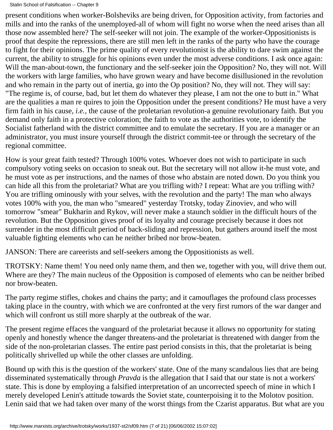present conditions when worker-Bolsheviks are being driven, for Opposition activity, from factories and mills and into the ranks of the unemployed-all of whom will fight no worse when the need arises than all those now assembled here? The self-seeker will not join. The example of the worker-Oppositionists is proof that despite the repressions, there are still men left in the ranks of the party who have the courage to fight for their opinions. The prime quality of every revolutionist is the ability to dare swim against the current, the ability to struggle for his opinions even under the most adverse conditions. I ask once again: Will the man-about-town, the functionary and the self-seeker join the Opposition? No, they will not. Will the workers with large families, who have grown weary and have become disillusioned in the revolution and who remain in the party out of inertia, go into the Op position? No, they will not. They will say: "The regime is, of course, bad, but let them do whatever they please, I am not the one to butt in." What are the qualities a man re quires to join the Opposition under the present conditions? He must have a very firm faith in his cause, *i.e.,* the cause of the proletarian revolution-a genuine revolutionary faith. But you demand only faith in a protective coloration; the faith to vote as the authorities vote, to identify the Socialist fatherland with the district committee and to emulate the secretary. If you are a manager or an administrator, you must insure yourself through the district commit-tee or through the secretary of the regional committee.

How is your great faith tested? Through 100% votes. Whoever does not wish to participate in such compulsory voting seeks on occasion to sneak out. But the secretary will not allow it-he must vote, and he must vote as per instructions, and the names of those who abstain are noted down. Do you think you can hide all this from the proletariat? What are you trifling with? I repeat: What are you trifling with? You are trifling ominously with your selves, with the revolution and the party! The man who always votes 100% with you, the man who "smeared" yesterday Trotsky, today Zinoviev, and who will tomorrow "smear" Bukharin and Rykov, will never make a staunch soldier in the difficult hours of the revolution. But the Opposition gives proof of its loyalty and courage precisely because it does not surrender in the most difficult period of back-sliding and repression, but gathers around itself the most valuable fighting elements who can he neither bribed nor brow-beaten.

JANSON: There are careerists and self-seekers among the Oppositionists as well.

TROTSKY: Name them! You need only name them, and then we, together with you, will drive them out. Where are they? The main nucleus of the Opposition is composed of elements who can be neither bribed nor brow-beaten.

The party regime stifles, chokes and chains the party; and it camouflages the profound class processes taking place in the country, with which we are confronted at the very first rumors of the war danger and which will confront us still more sharply at the outbreak of the war.

The present regime effaces the vanguard of the proletariat because it allows no opportunity for stating openly and honestly whence the danger threatens-and the proletariat is threatened with danger from the side of the non-proletarian classes. The entire past period consists in this, that the proletariat is being politically shrivelled up while the other classes are unfolding.

Bound up with this is the question of the workers' state. One of the many scandalous lies that are being disseminated systematically through *Pravda* is the allegation that I said that our state is not a workers' state. This is done by employing a falsified interpretation of an uncorrected speech of mine in which I merely developed Lenin's attitude towards the Soviet state, counterpoising it to the Molotov position. Lenin said that we had taken over many of the worst things from the Czarist apparatus. But what are you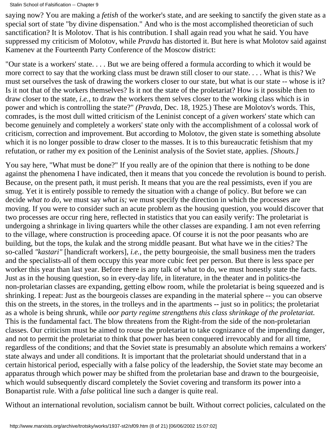saying now? You are making a *fetish* of the worker's state, and are seeking to sanctify the given state as a special sort of state "by divine dispensation." And who is the most accomplished theoretician of such sanctification? It is Molotov. That is his contribution. I shall again read you what he said. You have suppressed my criticism of Molotov, while *Pravda* has distorted it. But here is what Molotov said against Kamenev at the Fourteenth Party Conference of the Moscow district:

"Our state is a workers' state. . . . But we are being offered a formula according to which it would be more correct to say that the working class must be drawn still closer to our state. . . . What is this? We must set ourselves the task of drawing the workers closer to our state, but what is our state -- whose is it? Is it not that of the workers themselves? Is it not the state of the proletariat? How is it possible then to draw closer to the state, *i.e.,* to draw the workers them selves closer to the working class which is in power and which is controlling the state?" *(Pravda,* Dec. 18, 1925.) These are Molotov's words. This, comrades, is the most dull witted criticism of the Leninist concept of a *given* workers' state which can become genuinely and completely a workers' state only with the accomplishment of a colossal work of criticism, correction and improvement. But according to Molotov, the given state is something absolute which it is no longer possible to draw closer to the masses. It is to this bureaucratic fetishism that my refutation, or rather my ex position of the Leninist analysis of the Soviet state, applies. *[Shouts.]*

You say here, "What must be done?" If you really are of the opinion that there is nothing to be done against the phenomena I have indicated, then it means that you concede the revolution is bound to perish. Because, on the present path, it must perish. It means that you are the real pessimists, even if you are smug. Yet it is entirely possible to remedy the situation with a change of policy. But before we can decide *what to do,* we must say *what is;* we must specify the direction in which the processes are moving. If you were to consider such an acute problem as the housing question, you would discover that two processes are occur ring here, reflected in statistics that you can easily verify: The proletariat is undergoing a shrinkage in living quarters while the other classes are expanding. I am not even referring to the village, where construction is proceeding apace. Of course it is not the poor peasants who are building, but the tops, the kulak and the strong middle peasant. But what have we in the cities? The so-called *"kastari"* [handicraft workers], *i.e.,* the petty bourgeoisie, the small business men the traders and the specialists-all of them occupy this year more cubic feet per person. But there is less space per worker this year than last year. Before there is any talk of what to do, we must honestly state the facts. Just as in the housing question, so in every-day life, in literature, in the theater and in politics-the non-proletarian classes are expanding, getting elbow room, while the proletariat is being squeezed and is shrinking. I repeat: Just as the bourgeois classes are expanding in the material sphere -- you can observe this on the streets, in the stores, in the trolleys and in the apartments -- just so in politics; the proletariat as a whole is being shrunk, while *oor party regime strengthens this class shrinkage of the proletariat.* This is the fundamental fact. The blow threatens from the Right-from the side of the non-proletarian classes. Our criticism must be aimed to rouse the proletariat to take cognizance of the impending danger, and not to permit the proletariat to think that power has been conquered irrevocably and for all time, regardless of the conditions; and that the Soviet state is presumably an absolute which remains a workers' state always and under all conditions. It is important that the proletariat should understand that in a certain historical period, especially with a false policy of the leadership, the Soviet state may become an apparatus through which power may be shifted from the proletarian base and drawn to the bourgeoisie, which would subsequently discard completely the Soviet covering and transform its power into a Bonapartist rule. With a *false* political line such a danger is quite real.

Without an international revolution, socialism cannot be built. Without correct policies, calculated on the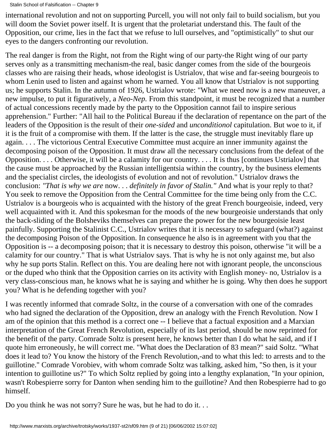international revolution and not on supporting Purcell, you will not only fail to build socialism, but you will doom the Soviet power itself. It is urgent that the proletariat understand this. The fault of the Opposition, our crime, lies in the fact that we refuse to lull ourselves, and "optimistically" to shut our eyes to the dangers confronting our revolution.

The real danger is from the Right, not from the Right wing of our party-the Right wing of our party serves only as a transmitting mechanism-the real, basic danger comes from the side of the bourgeois classes who are raising their heads, whose ideologist is Ustrialov, that wise and far-seeing bourgeois to whom Lenin used to listen and against whom he warned. You all know that Ustrialov is not supporting us; he supports Stalin. In the autumn of 1926, Ustrialov wrote: "What we need now is a new maneuver, a new impulse, to put it figuratively, a *Neo-Nep.* From this standpoint, it must be recognized that a number of actual concessions recently made by the party to the Opposition cannot fail to inspire serious apprehension." Further: "All hail to the Political Bureau if the declaration of repentance on the part of the leaders of the Opposition is the result of their *one-sided* and *unconditionol* capitulation. But woe to it, if it is the fruit of a compromise with them. If the latter is the case, the struggle must inevitably flare up again. . . . The victorious Central Executive Committee must acquire an inner immunity against the decomposing poison of the Opposition. It must draw all the necessary conclusions from the defeat of the Opposition. . . . Otherwise, it will be a calamity for our country. . . . It is thus [continues Ustrialov] that the cause must be approached by the Russian intelligentsia within the country, by the business elements and the specialist circles, the ideologists of evolution and not of revolution." Ustrialov draws the conclusion: *"That is why we are* now. . . *definitely in favor of Stalin."* And what is your reply to that? You seek to remove the Opposition from the Central Committee for the time being only from the C.C. Ustrialov is a bourgeois who is acquainted with the history of the great French bourgeoisie, indeed, very well acquainted with it. And this spokesman for the moods of the new bourgeoisie understands that only the back-sliding of the Bolsheviks themselves can prepare the power for the new bourgeoisie least painfully. Supporting the Stalinist C.C., Ustrialov writes that it is necessary to safeguard (what?) against the decomposing Poison of the Opposition. In consequence he also is in agreement with you that the Opposition is -- a decomposing poison; that it is necessary to destroy this poison, otherwise "it will be a calamity for our country." That is what Ustrialov says. That is why he is not only against me, but also why he sup ports Stalin. Reflect on this. You are dealing here not with ignorant people, the unconscious or the duped who think that the Opposition carries on its activity with English money- no, Ustrialov is a very class-conscious man, he knows what he is saying and whither he is going. Why then does he support you? What is he defending together with you?

I was recently informed that comrade Soltz, in the course of a conversation with one of the comrades who had signed the declaration of the Opposition, drew an analogy with the French Revolution. Now I am of the opinion that this method is a correct one -- I believe that a factual exposition and a Marxian interpretation of the Great French Revolution, especially of its last period, should be now reprinted for the benefit of the party. Comrade Soltz is present here, he knows better than I do what he said, and if I quote him erroneously, he will correct me. "What does the Declaration of 83 mean?" said Soltz. "What does it lead to? You know the history of the French Revolution,-and to what this led: to arrests and to the guillotine." Comrade Vorobiev, with whom comrade Soltz was talking, asked him, "So then, is it your intention to guillotine us?" To which Soltz replied by going into a lengthy explanation, "In your opinion, wasn't Robespierre sorry for Danton when sending him to the guillotine? And then Robespierre had to go himself.

Do you think he was not sorry? Sure he was, but he had to do it. . .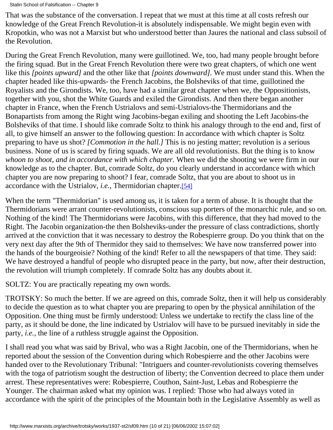That was the substance of the conversation. I repeat that we must at this time at all costs refresh our knowledge of the Great French Revolution-it is absolutely indispensable. We might begin even with Kropotkin, who was not a Marxist but who understood better than Jaures the national and class subsoil of the Revolution.

During the Great French Revolution, many were guillotined. We, too, had many people brought before the firing squad. But in the Great French Revolution there were two great chapters, of which one went like this *[points upward]* and the other like that *[points downward].* We must under stand this. When the chapter headed like this-upwards- the French Jacobins, the Bolsheviks of that time, guillotined the Royalists and the Girondists. We, too, have had a similar great chapter when we, the Oppositionists, together with you, shot the White Guards and exiled the Girondists. And then there began another chapter in France, when the French Ustrialovs and semi-Ustrialovs-the Thermidorians and the Bonapartists from among the Right wing Jacobins-began exiling and shooting the Left Jacobins-the Bolsheviks of that time. I should like comrade Soltz to think his analogy through to the end and, first of all, to give himself an answer to the following question: In accordance with which chapter is Soltz preparing to have us shot? *[Commotion in the hall.]* This is no jesting matter; revolution is a serious business. None of us is scared by firing squads. We are all old revolutionists. But the thing is to know *whoon to shoot, and in accordance with which chapter.* When we did the shooting we were firm in our knowledge as to the chapter. But, comrade Soltz, do you clearly understand in accordance with which chapter you are now preparing to shoot? I fear, comrade Soltz, that you are about to shoot us in accordance with the Ustrialov, *i.e.,* Thermidorian chapter.[\[54\]](#page-130-4)

<span id="page-121-0"></span>When the term "Thermidorian" is used among us, it is taken for a term of abuse. It is thought that the Thermidorians were arrant counter-revolutionists, conscious sup porters of the monarchic rule, and so on. Nothing of the kind! The Thermidorians were Jacobins, with this difference, that they had moved to the Right. The Jacobin organization-the then Bolsheviks-under the pressure of class contradictions, shortly arrived at the conviction that it was necessary to destroy the Robespierre group. Do you think that on the very next day after the 9th of Thermidor they said to themselves: We have now transferred power into the hands of the bourgeoisie? Nothing of the kind! Refer to all the newspapers of that time. They said: We have destroyed a handful of people who disrupted peace in the party, but now, after their destruction, the revolution will triumph completely. If comrade Soltz has any doubts about it.

SOLTZ: You are practically repeating my own words.

TROTSKY: So much the better. If we are agreed on this, comrade Soltz, then it will help us considerably to decide the question as to what chapter you are preparing to open by the physical annihilation of the Opposition. One thing must be firmly understood: Unless we undertake to rectify the class line of the party, as it should be done, the line indicated by Ustrialov will have to be pursued inevitably in side the party, *i.e.,* the line of a ruthless struggle against the Opposition.

I shall read you what was said by Brival, who was a Right Jacobin, one of the Thermidorians, when he reported about the session of the Convention during which Robespierre and the other Jacobins were handed over to the Revolutionary Tribunal: "Intriguers and counter-revolutionists covering themselves with the toga of patriotism sought the destruction of liberty; the Convention decreed to place them under arrest. These representatives were: Robespierre, Couthon, Saint-Just, Lebas and Robespierre the Younger. The chairman asked what my opinion was. I replied: Those who had always voted in accordance with the spirit of the principles of the Mountain both in the Legislative Assembly as well as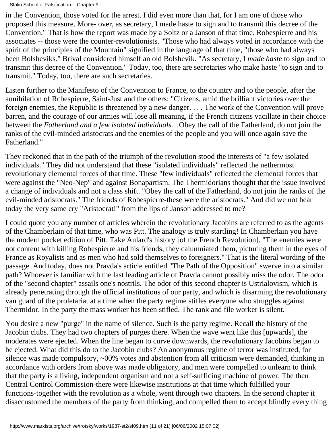in the Convention, those voted for the arrest. I did even more than that, for I am one of those who proposed this measure. More- over, as secretary, I made haste to sign and to transmit this decree of the Convention." That is how the report was made by a Soltz or a Janson of that time. Robespierre and his associates -- those were the counter-revolutionists. "Those who had always voted in accordance with the spirit of the principles of the Mountain" signified in the language of that time, "those who had always been Bolsheviks." Brival considered himself an old Bolshevik. "As secretary, I *made haste* to sign and to transmit this decree of the Convention." Today, too, there are secretaries who make haste "to sign and to transmit." Today, too, there are such secretaries.

Listen further to the Manifesto of the Convention to France, to the country and to the people, after the annihilation of Rcbespierre, Saint-Just and the others: "Citizens, amid the brilliant victories over the foreign enemies, the Republic is threatened by a new danger. . . . The work of the Convention will prove barren, and the courage of our armies will lose all meaning, if the French citizens vacillate in their choice between the *Fatherland and a few isolated individuals....*Obey the call of the Fatherland, do not join the ranks of the evil-minded aristocrats and the enemies of the people and you will once again save the Fatherland."

They reckoned that in the path of the triumph of the revolution stood the interests of "a few isolated individuals." They did not understand that these "isolated individuals" reflected the nethermost revolutionary elemental forces of that time. These "few individuals" reflected the elemental forces that were against the "Neo-Nep" and against Bonapartism. The Thermidorians thought that the issue involved a change of individuals and not a class shift. "Obey the call of the Fatherland, do not join the ranks of the evil-minded aristocrats." The friends of Robespierre-these were the aristocrats." And did we not hear today the very same cry "Aristocrat!" from the lips of Janson addressed to me?

I could quote you any number of articles wherein the revolutionary Jacobins are referred to as the agents of the Chamberlain of that time, who was Pitt. The analogy is truly startling! In Chamberlain you have the modern pocket edition of Pitt. Take Aulard's history [of the French Revolution]. "The enemies were not content with killing Robespierre and his friends; they calumniated them, picturing them in the eyes of France as Royalists and as men who had sold themselves to foreigners." That is the literal wording of the passage. And today, does not Pravda's article entitled "The Path of the Opposition" swerve into a similar path? Whoever is familiar with the last leading article of Pravda cannot possibly miss the odor. The odor of the "second chapter" assails one's nostrils. The odor of this second chapter is Ustrialovism, which is already penetrating through the official institutions of our party, and which is disarming the revolutionary van guard of the proletariat at a time when the party regime stifles everyone who struggles against Thermidor. In the party the mass worker has been stifled. The rank and file worker is silent.

You desire a new "purge" in the name of silence. Such is the party regime. Recall the history of the Jacobin clubs. They had two chapters of purges there. When the wave went like this [upwards], the moderates were ejected. When the line began to curve downwards, the revolutionary Jacobins began to be ejected. What did this do to the Jacobin clubs? An anonymous regime of terror was instituted, for silence was made compulsory, ~00% votes and abstention from all criticism were demanded, thinking in accordance with orders from above was made obligatory, and men were compelled to unlearn to think that the party is a living, independent organism and not a self-sufficing machine of power. The then Central Control Commission-there were likewise institutions at that time which fulfilled your functions-together with the revolution as a whole, went through two chapters. In the second chapter it disaccustomed the members of the party from thinking, and compelled them to accept blindly every thing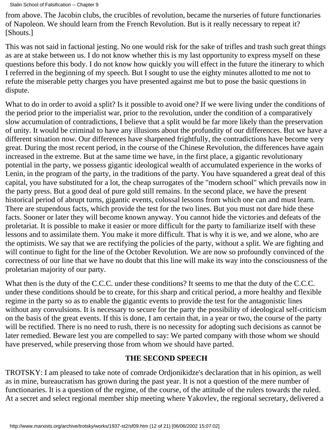from above. The Jacobin clubs, the crucibles of revolution, became the nurseries of future functionaries of Napoleon. We should learn from the French Revolution. But is it really necessary to repeat it? [Shouts.]

This was not said in factional jesting. No one would risk for the sake of trifles and trash such great things as are at stake between us. I do not know whether this is my last opportunity to express myself on these questions before this body. I do not know how quickly you will effect in the future the itinerary to which I referred in the beginning of my speech. But I sought to use the eighty minutes allotted to me not to refute the miserable petty charges you have presented against me but to pose the basic questions in dispute.

What to do in order to avoid a split? Is it possible to avoid one? If we were living under the conditions of the period prior to the imperialist war, prior to the revolution, under the condition of a comparatively slow accumulation of contradictions, I believe that a split would be far more likely than the preservation of unity. It would be criminal to have any illusions about the profundity of our differences. But we have a different situation now. Our differences have sharpened frightfully, the contradictions have become very great. During the most recent period, in the course of the Chinese Revolution, the differences have again increased in the extreme. But at the same time we have, in the first place, a gigantic revolutionary potential in the party, we possess gigantic ideological wealth of accumulated experience in the works of Lenin, in the program of the party, in the traditions of the party. You have squandered a great deal of this capital, you have substituted for a lot, the cheap surrogates of the "modern school" which prevails now in the party press. But a good deal of pure gold still remains. In the second place, we have the present historical period of abrupt turns, gigantic events, colossal lessons from which one can and must learn. There are stupendous facts, which provide the test for the two lines. But you must not dare hide these facts. Sooner or later they will become known anyway. You cannot hide the victories and defeats of the proletariat. It is possible to make it easier or more difficult for the party to familiarize itself with these lessons and to assimilate them. You make it more difficult. That is why it is we, and we alone, who are the optimists. We say that we are rectifying the policies of the party, without a split. We are fighting and will continue to fight for the line of the October Revolution. We are now so profoundly convinced of the correctness of our line that we have no doubt that this line will make its way into the consciousness of the proletarian majority of our party.

What then is the duty of the C.C.C. under these conditions? It seems to me that the duty of the C.C.C. under these conditions should be to create, for this sharp and critical period, a more healthy and flexible regime in the party so as to enable the gigantic events to provide the test for the antagonistic lines without any convulsions. It is necessary to secure for the party the possibility of ideological self-criticism on the basis of the great events. If this is done, I am certain that, in a year or two, the course of the party will be rectified. There is no need to rush, there is no necessity for adopting such decisions as cannot be later remedied. Beware lest you are compelled to say: We parted company with those whom we should have preserved, while preserving those from whom we should have parted.

#### **THE SECOND SPEECH**

TROTSKY: I am pleased to take note of comrade Ordjonikidze's declaration that in his opinion, as well as in mine, bureaucratism has grown during the past year. It is not a question of the mere number of functionaries. It is a question of the regime, of the course, of the attitude of the rulers towards the ruled. At a secret and select regional member ship meeting where Yakovlev, the regional secretary, delivered a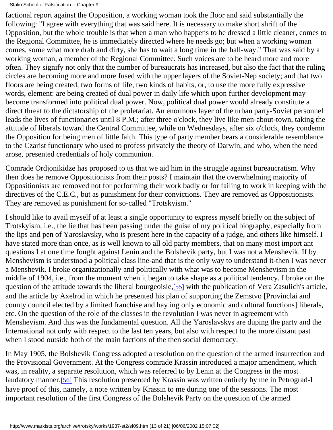factional report against the Opposition, a working woman took the floor and said substantially the following: "I agree with everything that was said here. It is necessary to make short shrift of the Opposition, but the whole trouble is that when a man who happens to be dressed a little cleaner, comes to the Regional Committee, he is immediately directed where he needs go; but when a working woman comes, some what more drab and dirty, she has to wait a long time in the hall-way." That was said by a working woman, a member of the Regional Committee. Such voices are to be heard more and more often. They signify not only that the number of bureaucrats has increased, but also the fact that the ruling circles are becoming more and more fused with the upper layers of the Soviet-Nep society; and that two floors are being created, two forms of life, two kinds of habits, or, to use the more fully expressive words, element: are being created of dual power in daily life which upon further development may become transformed into political dual power. Now, political dual power would already constitute a direct threat to the dictatorship of the proletariat. An enormous layer of the urban party-Soviet personnel leads the lives of functionaries until 8 P.M.; after three o'clock, they live like men-about-town, taking the attitude of liberals toward the Central Committee, while on Wednesdays, after six o'clock, they condemn the Opposition for being men of little faith. This type of party member bears a considerable resemblance to the Czarist functionary who used to profess privately the theory of Darwin, and who, when the need arose, presented credentials of holy communion.

Comrade Ordjonikidze has proposed to us that we aid him in the struggle against bureaucratism. Why then does he remove Oppositionists from their posts? I maintain that the overwhelming majority of Oppositionists are removed not for performing their work badly or for failing to work in keeping with the directives of the C.E.C., but as punishment for their convictions. They are removed as Oppositionists. They are removed as punishment for so-called "Trotskyism."

I should like to avail myself of at least a single opportunity to express myself briefly on the subject of Trotskyism, i.e., the lie that has been passing under the guise of my political biography, especially from the lips and pen of Yaroslavsky, who is present here in the capacity of a judge, and others like himself. I have stated more than once, as is well known to all old party members, that on many most import ant questions I at one time fought against Lenin and the Bolshevik party, but I was not a Menshevik. If by Menshevism is understood a political class line-and that is the only way to understand it-then I was never a Menshevik. I broke organizationally and politically with what was to become Menshevism in the middle of 1904, i.e., from the moment when it began to take shape as a political tendency. I broke on the question of the attitude towards the liberal bourgeoisie,[\[55\]](#page-130-5) with the publication of Vera Zasulich's article, and the article by Axelrod in which he presented his plan of supporting the Zemstvo [Provinclai and county council elected by a limited franchise and hay ing only economic and cultural functions] liberals, etc. On the question of the role of the classes in the revolution I was never in agreement with Menshevism. And this was the fundamental question. All the Yaroslavskys are duping the party and the International not only with respect to the last ten years, but also with respect to the more distant past when I stood outside both of the main factions of the then social democracy.

<span id="page-124-1"></span><span id="page-124-0"></span>In May 1905, the Bolshevik Congress adopted a resolution on the question of the armed insurrection and the Provisional Government. At the Congress comrade Krassin introduced a major amendment, which was, in reality, a separate resolution, which was referred to by Lenin at the Congress in the most laudatory manner.<sup>[56]</sup> This resolution presented by Krassin was written entirely by me in Petrograd-I have proof of this, namely, a note written by Krassin to me during one of the sessions. The most important resolution of the first Congress of the Bolshevik Party on the question of the armed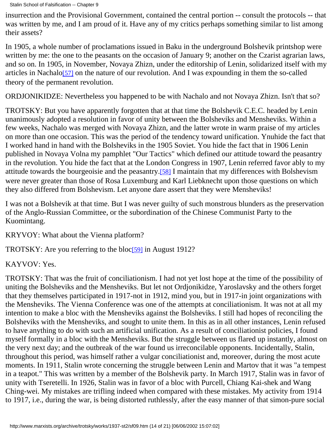insurrection and the Provisional Government, contained the central portion -- consult the protocols -- that was written by me, and I am proud of it. Have any of my critics perhaps something similar to list among their assets?

In 1905, a whole number of proclamations issued in Baku in the underground Bolshevik printshop were written by me: the one to the peasants on the occasion of January 9; another on the Czarist agrarian laws, and so on. In 1905, in November, Novaya Zhizn, under the editorship of Lenin, solidarized itself with my articles in Nachalo<sup>[57]</sup> on the nature of our revolution. And I was expounding in them the so-called theory of the permanent revolution.

<span id="page-125-0"></span>ORDJONIKIDZE: Nevertheless you happened to be with Nachalo and not Novaya Zhizn. Isn't that so?

TROTSKY: But you have apparently forgotten that at that time the Bolshevik C.E.C. headed by Lenin unanimously adopted a resolution in favor of unity between the Bolsheviks and Mensheviks. Within a few weeks, Nachalo was merged with Novaya Zhizn, and the latter wrote in warm praise of my articles on more than one occasion. This was the period of the tendency toward unification. Ynuhide the fact that I worked hand in hand with the Bolsheviks in the 1905 Soviet. You hide the fact that in 1906 Lenin published in Novaya Volna my pamphlet "Our Tactics" which defined our attitude toward the peasantry in the revolution. You hide the fact that at the London Congress in 1907, Lenin referred favor ably to my attitude towards the bourgeoisie and the peasantry[.\[58\]](#page-132-0) I maintain that my differences with Bolshevism were never greater than those of Rosa Luxemburg and Karl Liebknecht upon those questions on which they also differed from Bolshevism. Let anyone dare assert that they were Mensheviks!

<span id="page-125-1"></span>I was not a Bolshevik at that time. But I was never guilty of such monstrous blunders as the preservation of the Anglo-Russian Committee, or the subordination of the Chinese Communist Party to the Kuomintang.

KRYVOY: What about the Vienna platform?

<span id="page-125-2"></span>TROTSKY: Are you referring to the bloc<sup>[59]</sup> in August 1912?

KAYVOV: Yes.

TROTSKY: That was the fruit of conciliationism. I had not yet lost hope at the time of the possibility of uniting the Bolsheviks and the Mensheviks. But let not Ordjonikidze, Yaroslavsky and the others forget that they themselves participated in 1917-not in 1912, mind you, but in 1917-in joint organizations with the Mensheviks. The Vienna Conference was one of the attempts at conciliationism. It was not at all my intention to make a bloc with the Mensheviks against the Bolsheviks. I still had hopes of reconciling the Bolsheviks with the Mensheviks, and sought to unite them. In this as in all other instances, Lenin refused to have anything to do with such an artificial unification. As a result of conciliationist policies, I found myself formally in a bloc with the Mensheviks. But the struggle between us flared up instantly, almost on the very next day; and the outbreak of the war found us irreconcilable opponents. Incidentally, Stalin, throughout this period, was himself rather a vulgar conciliationist and, moreover, during the most acute moments. In 1911, Stalin wrote concerning the struggle between Lenin and Martov that it was "a tempest in a teapot." This was written by a member of the Bolshevik party. In March 1917, Stalin was in favor of unity with Tseretelli. In 1926, Stalin was in favor of a bloc with Purcell, Chiang Kai-shek and Wang Ching-wei. My mistakes are trifling indeed when compared with these mistakes. My activity from 1914 to 1917, i.e., during the war, is being distorted ruthlessly, after the easy manner of that simon-pure social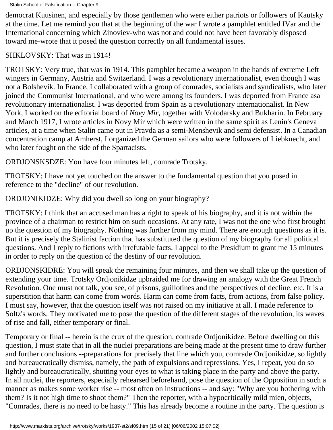```
Stalin School of Falsification -- Chapter 9
```
democrat Kuusinen, and especially by those gentlemen who were either patriots or followers of Kautsky at the time. Let me remind you that at the beginning of the war I wrote a pamphlet entitled IVar and the International concerning which Zinoviev-who was not and could not have been favorably disposed toward me-wrote that it posed the question correctly on all fundamental issues.

SHKLOVSKY: That was in 1914!

TROTSKY: Very true, that was in 1914. This pamphlet became a weapon in the hands of extreme Left wingers in Germany, Austria and Switzerland. I was a revolutionary internationalist, even though I was not a Bolshevik. In France, I collaborated with a group of comrades, socialists and syndicalists, who later joined the Communist International, and who were among its founders. I was deported from France asa revolutionary internationalist. I was deported from Spain as a revolutionary internationalist. In New York, I worked on the editorial board of *Novy Mir,* together with Volodarsky and Bukharin. In February and March 1917, I wrote articles in Novy Mir which were written in the same spirit as Lenin's Geneva articles, at a time when Stalin came out in Pravda as a semi-Menshevik and semi defensist. In a Canadian concentration camp at Amherst, I organized the German sailors who were followers of Liebknecht, and who later fought on the side of the Spartacists.

ORDJONSKSDZE: You have four minutes left, comrade Trotsky.

TROTSKY: I have not yet touched on the answer to the fundamental question that you posed in reference to the "decline" of our revolution.

ORDJONIKIDZE: Why did you dwell so long on your biography?

TROTSKY: I think that an accused man has a right to speak of his biography, and it is not within the province of a chairman to restrict him on such occasions. At any rate, I was not the one who first brought up the question of my biography. Nothing was further from my mind. There are enough questions as it is. But it is precisely the Stalinist faction that has substituted the question of my biography for all political questions. And I reply to fictions with irrefutable facts. I appeal to the Presidium to grant me 15 minutes in order to reply on the question of the destiny of our revolution.

ORDJONSKIDRE: You will speak the remaining four minutes, and then we shall take up the question of extending your time. Trotsky Ordjonikidze upbraided me for drawing an analogy with the Great French Revolution. One must not talk, you see, of prisons, guillotines and the perspectives of decline, etc. It is a superstition that harm can come from words. Harm can come from facts, from actions, from false policy. I must say, however, that the question itself was not raised on my initiative at all. I made reference to Soltz's words. They motivated me to pose the question of the different stages of the revolution, its waves of rise and fall, either temporary or final.

Temporary or final -- herein is the crux of the question, comrade Ordjonikidze. Before dwelling on this question, I must state that in all the nuclei preparations are being made at the present time to draw further and further conclusions --preparations for precisely that line which you, comrade Ordjonikidze, so lightly and bureaucratically dismiss, namely, the path of expulsions and repressions. Yes, I repeat, you do so lightly and bureaucratically, shutting your eyes to what is taking place in the party and above the party. In all nuclei, the reporters, especially rehearsed beforehand, pose the question of the Opposition in such a manner as makes some worker rise -- most often on instructions -- and say: "Why are you bothering with them? Is it not high time to shoot them?" Then the reporter, with a hypocritically mild mien, objects, "Comrades, there is no need to be hasty." This has already become a routine in the party. The question is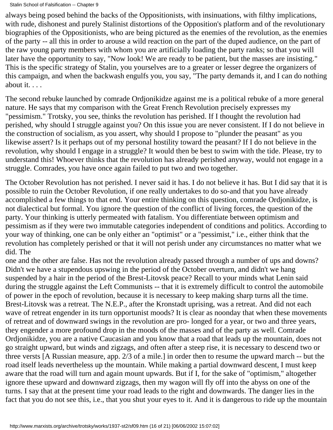always being posed behind the backs of the Oppositionists, with insinuations, with filthy implications, with rude, dishonest and purely Stalinist distortions of the Opposition's platform and of the revolutionary biographies of the Oppositionists, who are being pictured as the enemies of the revolution, as the enemies of the party -- all this in order to arouse a wild reaction on the part of the duped audience, on the part of the raw young party members with whom you are artificially loading the party ranks; so that you will later have the opportunity to say, "Now look! We are ready to be patient, but the masses are insisting." This is the specific strategy of Stalin, you yourselves are to a greater or lesser degree the organizers of this campaign, and when the backwash engulfs you, you say, "The party demands it, and I can do nothing about it. . . .

The second rebuke launched by comrade Ordjonikidze against me is a political rebuke of a more general nature. He says that my comparison with the Great French Revolution precisely expresses my "pessimism." Trotsky, you see, thinks the revolution has perished. If I thought the revolution had perished, why should I struggle against you? On this issue you are never consistent. If I do not believe in the construction of socialism, as you assert, why should I propose to "plunder the peasant" as you likewise assert? Is it perhaps out of my personal hostility toward the peasant? If I do not believe in the revolution, why should I engage in a struggle? It would then be best to swim with the tide. Please, try to understand this! Whoever thinks that the revolution has already perished anyway, would not engage in a struggle. Comrades, you have once again failed to put two and two together.

The October Revolution has not perished. I never said it has. I do not believe it has. But I did say that it is possible to ruin the October Revolution, if one really undertakes to do so-and that you have already accomplished a few things to that end. Your entire thinking on this question, comrade Ordjonikidze, is not dialectical but formal. You ignore the question of the conflict of living forces, the question of the party. Your thinking is utterly permeated with fatalism. You differentiate between optimism and pessimism as if they were two immutable categories independent of conditions and politics. According to your way of thinking, one can be only either an "optimist" or a "pessimist," i.e., either think that the revolution has completely perished or that it will not perish under any circumstances no matter what we did. The

one and the other are false. Has not the revolution already passed through a number of ups and downs? Didn't we have a stupendous upswing in the period of the October overturn, and didn't we hang suspended by a hair in the period of the Brest-Litovsk peace? Recall to your minds what Lenin said during the struggle against the Left Communists -- that it is extremely difficult to control the automobile of power in the epoch of revolution, because it is necessary to keep making sharp turns all the time. Brest-Litovsk was a retreat. The N.E.P., after the Kronstadt uprising, was a retreat. And did not each wave of retreat engender in its turn opportunist moods? It is clear as noonday that when these movements of retreat and of downward swings in the revolution are pro- longed for a year, or two and three years, they engender a more profound drop in the moods of the masses and of the party as well. Comrade Ordjonikidze, you are a native Caucasian and you know that a road that leads up the mountain, does not go straight upward, but winds and zigzags, and often after a steep rise, it is necessary to descend two or three versts [A Russian measure, app. 2/3 of a mile.] in order then to resume the upward march -- but the road itself leads nevertheless up the mountain. While making a partial downward descent, I must keep aware that the road will turn and again mount upwards. But if I, for the sake of "optimism," altogether ignore these upward and downward zigzags, then my wagon will fly off into the abyss on one of the turns. I say that at the present time your road leads to the right and downwards. The danger lies in the fact that you do not see this, i.e., that you shut your eyes to it. And it is dangerous to ride up the mountain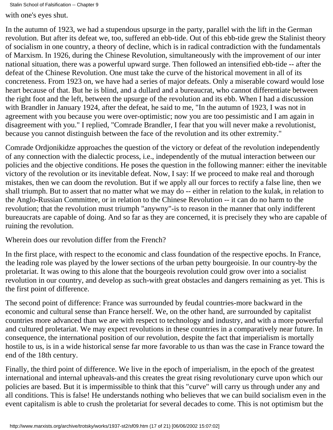with one's eyes shut.

In the autumn of 1923, we had a stupendous upsurge in the party, parallel with the lift in the German revolution. But after its defeat we, too, suffered an ebb-tide. Out of this ebb-tide grew the Stalinist theory of socialism in one country, a theory of decline, which is in radical contradiction with the fundamentals of Marxism. In 1926, during the Chinese Revolution, simultaneously with the improvement of our inter national situation, there was a powerful upward surge. Then followed an intensified ebb-tide -- after the defeat of the Chinese Revolution. One must take the curve of the historical movement in all of its concreteness. From 1923 on, we have had a series of major defeats. Only a miserable coward would lose heart because of that. But he is blind, and a dullard and a bureaucrat, who cannot differentiate between the right foot and the left, between the upsurge of the revolution and its ebb. When I had a discussion with Brandler in January 1924, after the defeat, he said to me, "In the autumn of 1923, I was not in agreement with you because you were over-optimistic; now you are too pessimistic and I am again in disagreement with you." I replied, "Comrade Brandler, I fear that you will never make a revolutionist, because you cannot distinguish between the face of the revolution and its other extremity."

Comrade Ordjonikidze approaches the question of the victory or defeat of the revolution independently of any connection with the dialectic process, i.e., independently of the mutual interaction between our policies and the objective conditions. He poses the question in the following manner: either the inevitable victory of the revolution or its inevitable defeat. Now, I say: If we proceed to make real and thorough mistakes, then we can doom the revolution. But if we apply all our forces to rectify a false line, then we shall triumph. But to assert that no matter what we may do -- either in relation to the kulak, in relation to the Anglo-Russian Committee, or in relation to the Chinese Revolution -- it can do no harm to the revolution; that the revolution must triumph "anywny"-is to reason in the manner that only indifferent bureaucrats are capable of doing. And so far as they are concerned, it is precisely they who are capable of ruining the revolution.

Wherein does our revolution differ from the French?

In the first place, with respect to the economic and class foundation of the respective epochs. In France, the leading role was played by the lower sections of the urban petty bourgeoisie. In our country-by the proletariat. It was owing to this alone that the bourgeois revolution could grow over into a socialist revolution in our country, and develop as such-with great obstacles and dangers remaining as yet. This is the first point of difference.

The second point of difference: France was surrounded by feudal countries-more backward in the economic and cultural sense than France herself. We, on the other hand, are surrounded by capitalist countries more advanced than we are with respect to technology and industry, and with a more powerful and cultured proletariat. We may expect revolutions in these countries in a comparatively near future. In consequence, the international position of our revolution, despite the fact that imperialism is mortally hostile to us, is in a wide historical sense far more favorable to us than was the case in France toward the end of the 18th century.

Finally, the third point of difference. We live in the epoch of imperialism, in the epoch of the greatest international and internal upheavals-and this creates the great rising revolutionary curve upon which our policies are based. But it is impermissible to think that this "curve" will carry us through under any and all conditions. This is false! He understands nothing who believes that we can build socialism even in the event capitalism is able to crush the proletariat for several decades to come. This is not optimism but the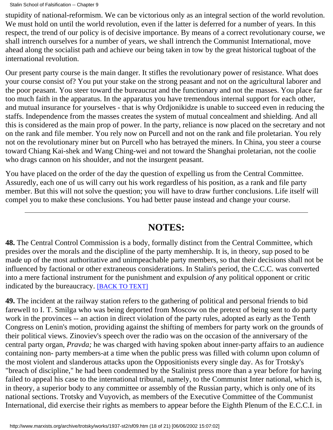stupidity of national-reformism. We can be victorious only as an integral section of the world revolution. We must hold on until the world revolution, even if the latter is deferred for a number of years. In this respect, the trend of our policy is of decisive importance. By means of a correct revolutionary course, we shall intrench ourselves for a number of years, we shall intrench the Communist International, move ahead along the socialist path and achieve our being taken in tow by the great historical tugboat of the international revolution.

Our present party course is the main danger. It stifles the revolutionary power of resistance. What does your course consist of? You put your stake on the strong peasant and not on the agricultural laborer and the poor peasant. You steer toward the bureaucrat and the functionary and not the masses. You place far too much faith in the apparatus. In the apparatus you have tremendous internal support for each other, and mutual insurance for yourselves - that is why Ordjonikidze is unable to succeed even in reducing the staffs. Independence from the masses creates the system of mutual concealment and shielding. And all this is considered as the main prop of power. In the party, reliance is now placed on the secretary and not on the rank and file member. You rely now on Purcell and not on the rank and file proletarian. You rely not on the revolutionary miner but on Purcell who has betrayed the miners. In China, you steer a course toward Chiang Kai-shek and Wang Ching-wei and not toward the Shanghai proletarian, not the coolie who drags cannon on his shoulder, and not the insurgent peasant.

You have placed on the order of the day the question of expelling us from the Central Committee. Assuredly, each one of us will carry out his work regardless of his position, as a rank and file party member. But this will not solve the question; you will have to draw further conclusions. Life itself will compel you to make these conclusions. You had better pause instead and change your course.

## **NOTES:**

<span id="page-129-0"></span>**48.** The Central Control Commission is a body, formally distinct from the Central Committee, which presides over the morals and the discipline of the party memhership. It is, in theory, sup posed to be made up of the most authoritative and unimpeachable party members, so that their decisions shall not be influenced by factional or other extraneous considerations. In Stalin's period, the C.C.C. was converted into a mere factional instrument for the punishment and expulsion *of* any political opponent or critic indicated by the bureaucracy. [\[BACK TO TEXT\]](#page-112-1)

<span id="page-129-1"></span>**49.** The incident at the railway station refers to the gathering of political and personal friends to bid farewell to I. T. Smilga who was being deported from Moscow on the pretext of being sent to do party work in the provinces -- an action in direct violation of the party rules, adopted as early as the Tenth Congress on Lenin's motion, providing against the shifting of members for party work on the grounds of their political views. Zinoviev's speech over the radio was on the occasion of the anniversary of the central party organ, *Pravda;* he was charged with having spoken about inner-party affairs to an audience containing non- party members-at a time when the public press was filled with column upon column of the most violent and slanderous attacks upon the Oppositionists every single day. As for Trotsky's "breach of discipline," he had been condemned by the Stalinist press more than a year before for having failed to appeal his case to the international tribunal, namely, to the Communist Inter national, which is, in theory, a superior body to any committee or assembly of the Russian party, which is only one of its national sections. Trotsky and Vuyovich, as members of the Executive Committee of the Communist International, did exercise their rights as members to appear before the Eighth Plenum of the E.C.C.I. in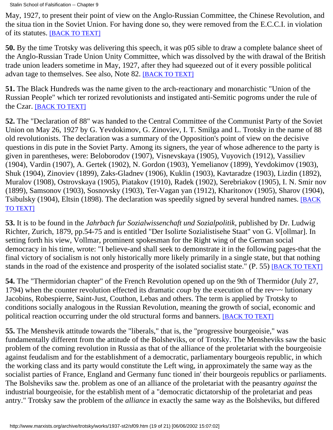May, 1927, to present their point of view on the Anglo-Russian Committee, the Chinese Revolution, and the situa tion in the Soviet Union. For having done so, they were removed from the E.C.C.I. in violation of its statutes. [\[BACK TO TEXT\]](#page-113-0)

<span id="page-130-0"></span>**50.** By the time Trotsky was delivering this speech, it was p05 sible to draw a complete balance sheet of the Anglo-Russian Trade Union Unity Committee, which was dissolved by the with drawal of the British trade union leaders sometime in May, 1927, after they had squeezed out of it every possible political advan tage to themselves. See also, Note 82. [\[BACK TO TEXT\]](#page-115-0)

<span id="page-130-1"></span>**51.** The Black Hundreds was the name given to the arch-reactionary and monarchistic "Union of the Russian People" which ter rorized revolutionists and instigated anti-Semitic pogroms under the rule of the Czar. [\[BACK TO TEXT\]](#page-115-1)

<span id="page-130-2"></span>**52.** The "Declaration of 88" was handed to the Central Committee of the Communist Party of the Soviet Union on May 26, 1927 by G. Yevdokimov, G. Zinoviev, I. T. Smilga and L. Trotsky in the name of 88 old revolutionists. The declaration was a summary of the Opposition's point of view on the decisive questions in dis pute in the Soviet Party. Among its signers, the year of whose adherence to the party is given in parentheses, were: Beloborodov (1907), Visnevskaya (1905), Vuyovich (1912), Vassiliev (1904), Vardin (1907), A. Gertek (1902), N. Gordon (1903), Yemelianov (1899), Yevdokimov (1903), Shuk (1904), Zinoviev (1899), Zaks-Gladnev (1906), Kuklin (1903), Kavtaradze (1903), Lizdin (1892), Muralov (1908), Ostrovskaya (1905), Piatakov (1910), Radek (1902), Serebriakov (1905), I. N. Smir nov (1899), Samsonov (1903), Sosnovsky (1903), Ter-Vagan yan (1912), Kharitonov (1905), Sharov (1904), Tsibulsky (1904), Eltsin (1898). The declaration was speedily signed by several hundred names. [\[BACK](#page-116-0)] [TO TEXT\]](#page-116-0)

<span id="page-130-3"></span>**53.** It is to be found in the *Jahrbach fur Sozialwissenchaft und Sozialpolitik,* published by Dr. Ludwig Richter, Zurich, 1879, pp.54-75 and is entitled "Der Isolirte Sozialistisehe Staat" von G. V[ollmar]. In setting forth his view, Vollmar, prominent spokesman for the Right wing of the German social democracy in his time, wrote: "I believe-and shall seek to demonstrate it in the following pages-that the final victory of socialism is not only historically more likely primarily in a single state, but that nothing stands in the road of the existence and prosperity of the isolated socialist state." (P. 55) [\[BACK TO TEXT\]](#page-117-0)

<span id="page-130-4"></span>**54.** The "Thermidorian chapter" of the French Revolution opened up on the 9th of Thermidor (July 27, 1794) when the counter revolution effected its dramatic *coup* by the execution of the rev~~ lutionary Jacobins, Robespierre, Saint-Just, Couthon, Lebas and others. The term is applied by Trotsky to conditions socially analogous in the Russian Revolution, meaning the growth of social, economic and political reaction occurring under the old structural forms and banners. [\[BACK TO TEXT\]](#page-121-0)

<span id="page-130-5"></span>**55.** The Menshevik attitude towards the "liberals," that is, the "progressive bourgeoisie," was fundamentally different from the attitude of the Bolsheviks, or of Trotsky. The Mensheviks saw the basic problem of the coming revolution in Russia as that of the alliance of the proletariat with the bourgeoisie against feudalism and for the establishment of a democratic, parliamentary bourgeois republic, in which the working class and its party would constitute the Left wing, in approximately the same way as the socialist parties of France, England and Germany func tioned in' their bourgeois republics or parliaments. The Bolsheviks saw the. problem as one of an alliance of the proletariat with the peasantry *against* the industrial bourgeoisie, for the establish ment of a "democratic dictatorship of the proletariat and peas antry." Trotsky saw the problem of the *alliance* in exactly the same way as the Bolsheviks, but differed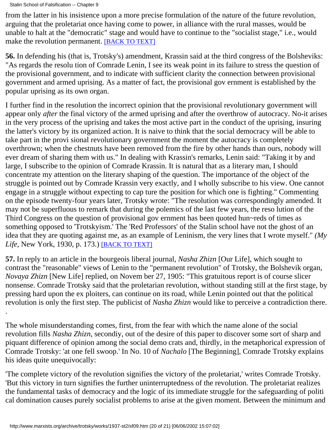.

from the latter in his insistence upon a more precise formulation of the nature of the future revolution, arguing that the proletariat once having come to power, in alliance with the rural masses, would be unable to halt at the "democratic" stage and would have to continue to the "socialist stage," i.e., would make the revolution permanent. [\[BACK TO TEXT\]](#page-124-0)

**56.** In defending his (that is, Trotsky's) amendment, Krassin said at the third congress of the Bolsheviks: "As regards the resolu tion of Comrade Lenin, I see its weak point in its failure to stress the question of the provisional government, and to indicate with sufficient clarity the connection between provisional government and armed uprising. As a matter of fact, the provisional gov ernment is established by the popular uprising as its own organ.

I further find in the resolution the incorrect opinion that the provisional revolutionary government will appear only *after* the final victory of the armed uprising and after the overthrow of autocracy. No-it arises in the very process of the uprising and takes the most active part in the conduct of the uprising, insuring the latter's victory by its organized action. It is naive to think that the social democracy will be able to take part in the provi sional revolutionary government the moment the autocracy is completely overthrown; when the chestnuts have been removed from the fire by other hands than ours, nobody will ever dream of sharing them with us." In dealing with Krassin's remarks, Lenin said: "Taking it by and large, I subscribe to the opinion of Comrade Krassin. It is natural that as a literary man, I should concentrate my attention on the literary shaping of the question. The importance of the object of the struggle is pointed out by Comrade Krassin very exactly, and I wholly subscribe to his view. One cannot engage in a struggle without expecting to cap ture the position for which one is fighting." Commenting on the episode twenty-four years later, Trotsky wrote: "The resolution was correspondingly amended. It may not be superfluous to remark that during the polemics of the last few years, the reso lution of the Third Congress on the question of provisional gov ernment has been quoted hun~reds of times as something opposed to 'Trotskyism.' The 'Red Professors' of the Stalin school have not the ghost of an idea that they are quoting against me, as an example of Leninism, the very lines that I wrote myself." *(My Life,* New York, 1930, p. 173.) [\[BACK TO TEXT\]](#page-124-1)

<span id="page-131-0"></span>**57.** In reply to an article in the bourgeois liberal journal, *Nasha Zhizn* [Our Life], which sought to contrast the "reasonable" views of Lenin to the "permanent revolution" of Trotsky, the Bolshevik organ, *Novaya Zhizn* [New Life] replied, on Novem ber 27, 1905: "This gratuitous report is of course slicer nonsense. Comrade Trotsky said that the proletarian revolution, without standing still at the first stage, by pressing hard upon the ex ploiters, can continue on its road, while Lenin pointed out that the political revolution is only the first step. The publicist of *Nasha Zhizn* would like to perceive a contradiction there.

The whole misunderstanding comes, first, from the fear with which the name alone of the social revolution fills *Nasha Zhizn,* secondiy, out of the desire of this paper to discover some sort of sharp and piquant difference of opinion among the social demo crats and, thirdly, in the metaphorical expression of Comrade Trotsky: 'at one fell swoop.' In No. 10 of *Nachalo* [The Beginning], Comrade Trotsky explains his ideas quite unequivocally:

'The complete victory of the revolution signifies the victory of the proletariat,' writes Comrade Trotsky. 'But this victory in turn signifies the further uninterruptedness of the revolution. The proletariat realizes the fundamental tasks of democracy and the logic of its immediate struggle for the safeguarding of politi cal domination causes purely socialist problems to arise at the given moment. Between the minimum and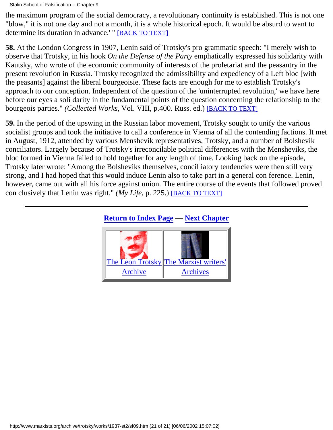the maximum program of the social democracy, a revolutionary continuity is established. This is not one "blow," it is not one day and not a month, it is a whole historical epoch. It would be absurd to want to determine its duration in advance.' " [\[BACK TO TEXT\]](#page-125-0)

<span id="page-132-0"></span>**58.** At the London Congress in 1907, Lenin said of Trotsky's pro grammatic speech: "I merely wish to observe that Trotsky, in his hook *On the Defense of the Party* emphatically expressed his solidarity with Kautsky, who wrote of the economic community of interests of the proletariat and the peasantry in the present revolution in Russia. Trotsky recognized the admissibility and expediency of a Left bloc [with the peasants] against the liberal bourgeoisie. These facts are enough for me to establish Trotsky's approach to our conception. Independent of the question of the 'uninterrupted revolution,' we have here before our eyes a soli darity in the fundamental points of the question concerning the relationship to the bourgeois parties." *(Collected Works,* Vol. VIII, p.400. Russ. ed.) [\[BACK TO TEXT\]](#page-125-1)

<span id="page-132-1"></span>**59.** In the period of the upswing in the Russian labor movement, Trotsky sought to unify the various socialist groups and took the initiative to call a conference in Vienna of all the contending factions. It met in August, 1912, attended by various Menshevik representatives, Trotsky, and a number of Bolshevik conciliators. Largely because of Trotsky's irreconcilable political differences with the Mensheviks, the bloc formed in Vienna failed to hold together for any length of time. Looking back on the episode, Trotsky later wrote: "Among the Bolsheviks themselves, concil iatory tendencies were then still very strong, and I had hoped that this would induce Lenin also to take part in a general con ference. Lenin, however, came out with all his force against union. The entire course of the events that followed proved con clusively that Lenin was right." *(My Life,* p. 225.) [\[BACK TO TEXT\]](#page-125-2)

# **[Return to Index Page](#page-0-0) — [Next Chapter](#page-133-0)**

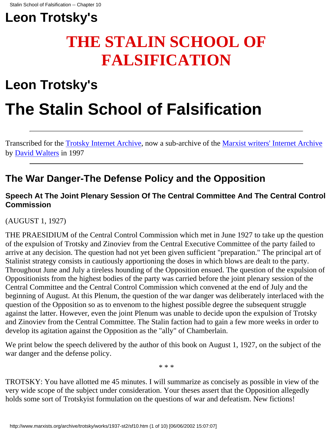<span id="page-133-0"></span>

## **THE STALIN SCHOOL OF FALSIFICATION**

## **Leon Trotsky's**

# **The Stalin School of Falsification**

Transcribed for the [Trotsky Internet Archive,](#page-214-0) now a sub-archive of the [Marxist writers' Internet Archive](#page-6-0) by [David Walters](mailto:dwalters@marxists.org) in 1997

## **The War Danger-The Defense Policy and the Opposition**

### **Speech At The Joint Plenary Session Of The Central Committee And The Central Control Commission**

(AUGUST 1, 1927)

THE PRAESIDIUM of the Central Control Commission which met in June 1927 to take up the question of the expulsion of Trotsky and Zinoviev from the Central Executive Committee of the party failed to arrive at any decision. The question had not yet been given sufficient "preparation." The principal art of Stalinist strategy consists in cautiously apportioning the doses in which blows are dealt to the party. Throughout June and July a tireless hounding of the Opposition ensued. The question of the expulsion of Oppositionists from the highest bodies of the party was carried before the joint plenary session of the Central Committee and the Central Control Commission which convened at the end of July and the beginning of August. At this Plenum, the question of the war danger was deliberately interlaced with the question of the Opposition so as to envenom to the highest possible degree the subsequent struggle against the latter. However, even the joint Plenum was unable to decide upon the expulsion of Trotsky and Zinoviev from the Central Committee. The Stalin faction had to gain a few more weeks in order to develop its agitation against the Opposition as the "ally" of Chamberlain.

We print below the speech delivered by the author of this book on August 1, 1927, on the subject of the war danger and the defense policy.

\* \* \*

TROTSKY: You have allotted me 45 minutes. I will summarize as concisely as possible in view of the very wide scope of the subject under consideration. Your theses assert that the Opposition allegedly holds some sort of Trotskyist formulation on the questions of war and defeatism. New fictions!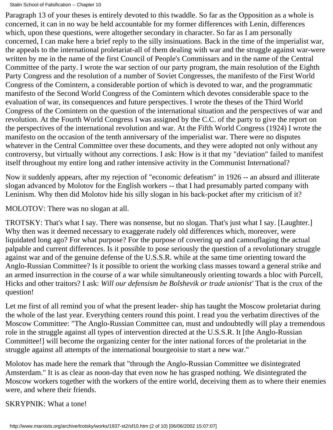Paragraph 13 of your theses is entirely devoted to this twaddle. So far as the Opposition as a whole is concerned, it can in no way be held accountable for my former differences with Lenin, differences which, upon these questions, were altogether secondary in character. So far as I am personally concerned, I can make here a brief reply to the silly insinuations. Back in the time of the imperialist war, the appeals to the international proletariat-all of them dealing with war and the struggle against war-were written by me in the name of the first Council of People's Commissars and in the name of the Central Committee of the party. I wrote the war section of our party program, the main resolution of the Eighth Party Congress and the resolution of a number of Soviet Congresses, the manifesto of the First World Congress of the Comintern, a considerable portion of which is devoted to war, and the programmatic manifesto of the Second World Congress of the Comintern which devotes considerable space to the evaluation of war, its consequences and future perspectives. I wrote the theses of the Third World Congress of the Comintern on the question of the international situation and the perspectives of war and revolution. At the Fourth World Congress I was assigned by the C.C. of the party to give the report on the perspectives of the international revolution and war. At the Fifth World Congress (1924) I wrote the manifesto on the occasion of the tenth anniversary of the imperialist war. There were no disputes whatever in the Central Committee over these documents, and they were adopted not only without any controversy, but virtually without any corrections. I ask: How is it that my "deviation" failed to manifest itself throughout my entire long and rather intensive activity in the Communist International?

Now it suddenly appears, after my rejection of "economic defeatism" in 1926 -- an absurd and illiterate slogan advanced by Molotov for the English workers -- that I had presumably parted company with Leninism. Why then did Molotov hide his silly slogan in his back-pocket after my criticism of it?

MOLOTOV: There was no slogan at all.

TROTSKY: That's what I say. There was nonsense, but no slogan. That's just what I say. [Laughter.] Why then was it deemed necessary to exaggerate rudely old differences which, moreover, were liquidated long ago? For what purpose? For the purpose of covering up and camouflaging the actual palpable and current differences. Is it possible to pose seriously the question of a revolutionary struggle against war and of the genuine defense of the U.S.S.R. while at the same time orienting toward the Anglo-Russian Committee? Is it possible to orient the working class masses toward a general strike and an armed insurrection in the course of a war while simultaneously orienting towards a bloc with Purcell, Hicks and other traitors? I ask: *Will our defensism be Bolshevik or trade unionist'* That is the crux of the question!

Let me first of all remind you of what the present leader- ship has taught the Moscow proletariat during the whole of the last year. Everything centers round this point. I read you the verbatim directives of the Moscow Committee: "The Anglo-Russian Committee can, must and undoubtedly will play a tremendous role in the struggle against all types of intervention directed at the U.S.S.R. It [the Anglo-Russian Committee!] will become the organizing center for the inter national forces of the proletariat in the struggle against all attempts of the international bourgeoisie to start a new war."

Molotov has made here the remark that "through the Anglo-Russian Committee we disintegrated Amsterdam." It is as clear as noon-day that even now he has grasped nothing. We disintegrated the Moscow workers together with the workers of the entire world, deceiving them as to where their enemies were, and where their friends.

SKRYPNIK: What a tone!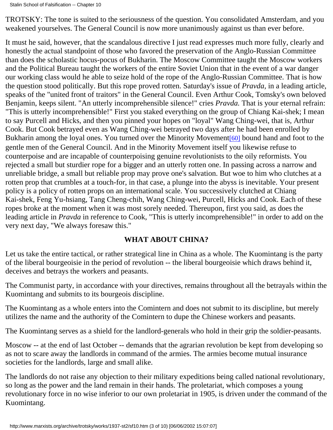TROTSKY: The tone is suited to the seriousness of the question. You consolidated Amsterdam, and you weakened yourselves. The General Council is now more unanimously against us than ever before.

It must he said, however, that the scandalous directive I just read expresses much more fully, clearly and honestly the actual standpoint of those who favored the preservation of the Anglo-Russian Committee than does the scholastic hocus-pocus of Bukharin. The Moscow Committee taught the Moscow workers and the Political Bureau taught the workers of the entire Soviet Union that in the event of a war danger our working class would he able to seize hold of the rope of the Anglo-Russian Committee. That is how the question stood politically. But this rope proved rotten. Saturday's issue of *Pravda,* in a leading article, speaks of the "united front of traitors" in the General Council. Even Arthur Cook, Tomsky's own beloved Benjamin, keeps silent. "An utterly incomprehensible silence!" cries *Pravda.* That is your eternal refrain: "This is utterly incomprehensible!" First you staked everything on the group of Chiang Kai-shek; I mean to say Purcell and Hicks, and then you pinned your hopes on "loyal" Wang Ching-wei, that is, Arthur Cook. But Cook betrayed even as Wang Ching-wei betrayed two days after he had been enrolled by Bukharin among the loyal ones. You turned over the Minority Movement<sup>[60]</sup> bound hand and foot to the gentle men of the General Council. And in the Minority Movement itself you likewise refuse to counterpoise and are incapable of counterpoising genuine revolutionists to the oily reformists. You rejected a small but sturdier rope for a bigger and an utterly rotten one. In passing across a narrow and unreliable bridge, a small but reliable prop may prove one's salvation. But woe to him who clutches at a rotten prop that crumbles at a touch-for, in that case, a plunge into the abyss is inevitable. Your present policy is a policy of rotten props on an international scale. You successively clutched at Chiang Kai-shek, Feng Yu-hsiang, Tang Cheng-chih, Wang Ching-wei, Purcell, Hicks and Cook. Each of these ropes broke at the moment when it was most sorely needed. Thereupon, first you said, as does the leading article in *Pravda* in reference to Cook, "This is utterly incomprehensible!" in order to add on the very next day, "We always foresaw this."

### **WHAT ABOUT CHINA?**

Let us take the entire tactical, or rather strategical line in China as a whole. The Kuomintang is the party of the liberal bourgeoisie in the period of revolution -- the liberal bourgeoisie which draws behind it, deceives and betrays the workers and peasants.

The Communist party, in accordance with your directives, remains throughout all the betrayals within the Kuomintang and submits to its bourgeois discipline.

The Kuomintang as a whole enters into the Comintern and does not submit to its discipline, but merely utilizes the name and the authority of the Comintern to dupe the Chinese workers and peasants.

The Kuomintang serves as a shield for the landlord-generals who hold in their grip the soldier-peasants.

Moscow -- at the end of last October -- demands that the agrarian revolution be kept from developing so as not to scare away the landlords in command of the armies. The armies become mutual insurance societies for the landlords, large and small alike.

The landlords do not raise any objection to their military expeditions being called national revolutionary, so long as the power and the land remain in their hands. The proletariat, which composes a young revolutionary force in no wise inferior to our own proletariat in 1905, is driven under the command of the Kuomintang.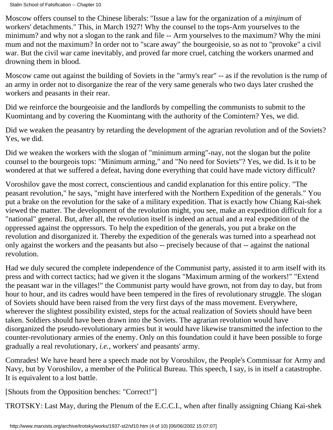Moscow offers counsel to the Chinese liberals: "Issue a law for the organization of a *minjinum* of workers' detachments." This, in March 1927! Why the counsel to the tops-Arm yourselves to the minimum? and why not a slogan to the rank and file -- Arm yourselves to the maximum? Why the mini mum and not the maximum? In order not to "scare away" the bourgeoisie, so as not to "provoke" a civil war. But the civil war came inevitably, and proved far more cruel, catching the workers unarmed and drowning them in blood.

Moscow came out against the building of Soviets in the "army's rear" -- as if the revolution is the rump of an army in order not to disorganize the rear of the very same generals who two days later crushed the workers and peasants in their rear.

Did we reinforce the bourgeoisie and the landlords by compelling the communists to submit to the Kuomintang and by covering the Kuomintang with the authority of the Comintern? Yes, we did.

Did we weaken the peasantry by retarding the development of the agrarian revolution and of the Soviets? Yes, we did.

Did we weaken the workers with the slogan of "minimum arming"-nay, not the slogan but the polite counsel to the bourgeois tops: "Minimum arming," and "No need for Soviets"? Yes, we did. Is it to be wondered at that we suffered a defeat, having done everything that could have made victory difficult?

Voroshilov gave the most correct, conscientious and candid explanation for this entire policy. "The peasant revolution," he says, "might have interfered with the Northern Expedition of the generals." You put a brake on the revolution for the sake of a military expedition. That is exactly how Chiang Kai-shek viewed the matter. The development of the revolution might, you see, make an expedition difficult for a "national" general. But, after all, the revolution itself is indeed an actual and a real expedition of the oppressed against the oppressors. To help the expedition of the generals, you put a brake on the revolution and disorganized it. Thereby the expedition of the generals was turned into a spearhead not only against the workers and the peasants but also -- precisely because of that -- against the national revolution.

Had we duly secured the complete independence of the Communist party, assisted it to arm itself with its press and with correct tactics; had we given it the slogans "Maximum arming of the workers!" "Extend the peasant war in the villages!" the Communist party would have grown, not from day to day, but from hour to hour, and its cadres would have been tempered in the fires of revolutionary struggle. The slogan of Soviets should have been raised from the very first days of the mass movement. Everywhere, wherever the slightest possibility existed, steps for the actual realization of Soviets should have been taken. Soldiers should have been drawn into the Soviets. The agrarian revolution would have disorganized the pseudo-revolutionary armies but it would have likewise transmitted the infection to the counter-revolutionary armies of the enemy. Only on this foundation could it have been possible to forge gradually a real revolutionary, *i.e.,* workers' and peasants' army.

Comrades! We have heard here a speech made not by Voroshilov, the People's Commissar for Army and Navy, but by Voroshilov, a member of the Political Bureau. This speech, I say, is in itself a catastrophe. It is equivalent to a lost battle.

[Shouts from the Opposition benches: "Correct!"]

TROTSKY: Last May, during the Plenum of the E.C.C.I., when after finally assigning Chiang Kai-shek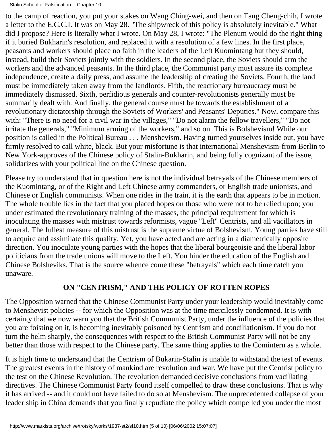to the camp of reaction, you put your stakes on Wang Ching-wei, and then on Tang Cheng-chih, I wrote a letter to the E.C.C.I. It was on May 28. "The shipwreck of this policy is absolutely inevitable." What did I propose? Here is literally what I wrote. On May 28, I wrote: "The Plenum would do the right thing if it buried Bukharin's resolution, and replaced it with a resolution of a few lines. In the first place, peasants and workers should place no faith in the leaders of the Left Kuomintang but they should, instead, build their Soviets jointly with the soldiers. In the second place, the Soviets should arm the workers and the advanced peasants. In the third place, the Communist party must assure its complete independence, create a daily press, and assume the leadership of creating the Soviets. Fourth, the land must be immediately taken away from the landlords. Fifth, the reactionary bureaucracy must be immediately dismissed. Sixth, perfidious generals and counter-revolutionists generally must be summarily dealt with. And finally, the general course must be towards the establishment of a revolutionary dictatorship through the Soviets of Workers' and Peasants' Deputies." Now, compare this with: "There is no need for a civil war in the villages," "Do not alarm the fellow travellers," "Do not irritate the generals," "Minimum arming of the workers," and so on. This is Bolshevism! While our position is called in the Political Bureau . . . Menshevism. Having turned yourselves inside out, you have firmly resolved to call white, black. But your misfortune is that international Menshevism-from Berlin to New York-approves of the Chinese policy of Stalin-Bukharin, and being fully cognizant of the issue, solidarizes with your political line on the Chinese question.

Please try to understand that in question here is not the individual betrayals of the Chinese members of the Kuomintang, or of the Right and Left Chinese army commanders, or English trade unionists, and Chinese or English communists. When one rides in the train, it is the earth that appears to be in motion. The whole trouble lies in the fact that you placed hopes on those who were not to be relied upon; you under estimated the revolutionary training of the masses, the principal requirement for which is inoculating the masses with mistrust towards reformists, vague "Left" Centrists, and all vacillators in general. The fullest measure of this mistrust is the supreme virtue of Bolshevism. Young parties have still to acquire and assimilate this quality. Yet, you have acted and are acting in a diametrically opposite direction. You inoculate young parties with the hopes that the liberal bourgeoisie and the liberal labor politicians from the trade unions will move to the Left. You hinder the education of the English and Chinese Bolsheviks. That is the source whence come these "betrayals" which each time catch you unaware.

#### **ON "CENTRISM," AND THE POLICY OF ROTTEN ROPES**

The Opposition warned that the Chinese Communist Party under your leadership would inevitably come to Menshevist policies -- for which the Opposition was at the time mercilessly condemned. It is with certainty that we now warn you that the British Communist Party, under the influence of the policies that you are foisting on it, is becoming inevitably poisoned by Centrism and conciliationism. If you do not turn the helm sharply, the consequences with respect to the British Communist Party will not be any better than those with respect to the Chinese party. The same thing applies to the Comintern as a whole.

It is high time to understand that the Centrism of Bukarin-Stalin is unable to withstand the test of events. The greatest events in the history of mankind are revolution and war. We have put the Centrist policy to the test on the Chinese Revolution. The revolution demanded decisive conclusions from vacillating directives. The Chinese Communist Party found itself compelled to draw these conclusions. That is why it has arrived -- and it could not have failed to do so at Menshevism. The unprecedented collapse of your leader ship in China demands that you finally repudiate the policy which compelled you under the most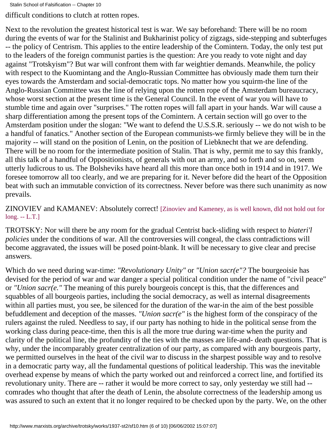difficult conditions to clutch at rotten ropes.

Next to the revolution the greatest historical test is war. We say beforehand: There will be no room during the events of war for the Stalinist and Bukharinist policy of zigzags, side-stepping and subterfuges -- the policy of Centrism. This applies to the entire leadership of the Comintern. Today, the only test put to the leaders of the foreign communist parties is the question: Are you ready to vote night and day against "Trotskyism"? But war will confront them with far weightier demands. Meanwhile, the policy with respect to the Kuomintang and the Anglo-Russian Committee has obviously made them turn their eyes towards the Amsterdam and social-democratic tops. No matter how you squirm-the line of the Anglo-Russian Committee was the line of relying upon the rotten rope of the Amsterdam bureaucracy, whose worst section at the present time is the General Council. In the event of war you will have to stumble time and again over "surprises." The rotten ropes will fall apart in your hands. War will cause a sharp differentiation among the present tops of the Comintern. A certain section will go over to the Amsterdam position under the slogan: "We want to defend the U.S.S.R. seriously -- we do not wish to be a handful of fanatics." Another section of the European communists-we firmly believe they will be in the majority -- will stand on the position of Lenin, on the position of Liebknecht that we are defending. There will be no room for the intermediate position of Stalin. That is why, permit me to say this frankly, all this talk of a handful of Oppositionists, of generals with out an army, and so forth and so on, seem utterly ludicrous to us. The Bolsheviks have heard all this more than once both in 1914 and in 1917. We foresee tomorrow all too clearly, and we are preparing for it. Never before did the heart of the Opposition beat with such an immutable conviction of its correctness. Never before was there such unanimity as now prevails.

#### ZINOVIEV and KAMANEV: Absolutely correct! [Zinoviev and Kameney, as is well known, dld not hold out for long. -- L.T.]

TROTSKY: Nor will there be any room for the gradual Centrist back-sliding with respect to *biateri'l policies* under the conditions of war. All the controversies will congeal, the class contradictions will become aggravated, the issues will be posed point-blank. It will be necessary to give clear and precise answers.

Which do we need during war-time: *"Revolutionary Unity"* or *"Union sacr(e"?* The bourgeoisie has devised for the period of war and war danger a special political condition under the name of "civil peace" or *"Union sacr(e."* The meaning of this purely bourgeois concept is this, that the differences and squabbles of all bourgeois parties, including the social democracy, as well as internal disagreements within all parties must, you see, be silenced for the duration of the war-in the aim of the best possible befuddlement and deception of the masses. *"Union sacr(e"* is the highest form of the conspiracy of the rulers against the ruled. Needless to say, if our party has nothing to hide in the political sense from the working class during peace-time, then this is all the more true during war-time when the purity and clarity of the political line, the profundity of the ties with the masses are life-and- death questions. That is why, under the incomparably greater centralization of our party, as compared with any bourgeois party, we permitted ourselves in the heat of the civil war to discuss in the sharpest possible way and to resolve in a democratic party way, all the fundamental questions of political leadership. This was the inevitable overhead expense by means of which the party worked out and reinforced a correct line, and fortified its revolutionary unity. There are -- rather it would be more correct to say, only yesterday we still had - comrades who thought that after the death of Lenin, the absolute correctness of the leadership among us was assured to such an extent that it no longer required to be checked upon by the party. We, on the other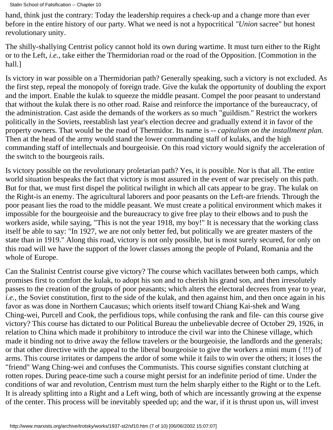hand, think just the contrary: Today the leadership requires a check-up and a change more than ever before in the entire history of our party. What we need is not a hypocritical *"Union* sacree" but honest revolutionary unity.

The shilly-shallying Centrist policy cannot hold its own during wartime. It must turn either to the Right or to the Left, *i.e.,* take either the Thermidorian road or the road of the Opposition. [Commotion in the hall.]

Is victory in war possible on a Thermidorian path? Generally speaking, such a victory is not excluded. As the first step, repeal the monopoly of foreign trade. Give the kulak the opportunity of doubling the export and the import. Enable the kulak to squeeze the middle peasant. Compel the poor peasant to understand that without the kulak there is no other road. Raise and reinforce the importance of the bureaucracy, of the administration. Cast aside the demands of the workers as so much "guildism." Restrict the workers politically in the Soviets, reestablish last year's election decree and gradually extend it in favor of the property owners. That would be the road of Thermidor. Its name is -- *capitalism on the installment plan.* Then at the head of the army would stand the lower commanding staff of kulaks, and the high commanding staff of intellectuals and bourgeoisie. On this road victory would signify the acceleration of the switch to the bourgeois rails.

Is victory possible on the revolutionary proletarian path? Yes, it is possible. Nor is that all. The entire world situation bespeaks the fact that victory is most assured in the event of war precisely on this path. But for that, we must first dispel the political twilight in which all cats appear to be gray. The kulak on the Right-is an enemy. The agricultural laborers and poor peasants on the Left-are friends. Through the poor peasant lies the road to the middle peasant. We must create a political environment which makes it impossible for the bourgeoisie and the bureaucracy to give free play to their elbows and to push the workers aside, while saying, "This is not the year 1918, my boy!" It is necessary that the working class itself be able to say: "In 1927, we are not only better fed, but politically we are greater masters of the state than in 1919." Along this road, victory is not only possible, but is most surely secured, for only on this road will we have the support of the lower classes among the people of Poland, Romania and the whole of Europe.

Can the Stalinist Centrist course give victory? The course which vacillates between both camps, which promises first to comfort the kulak, to adopt his son and to cherish his grand son, and then irresolutely passes to the creation of the groups of poor peasants; which alters the electoral decrees from year to year, *i.e.,* the Soviet constitution, first to the side of the kulak, and then against him, and then once again in his favor as was done in Northern Caucasus; which orients itself toward Chiang Kai-shek and Wang Ching-wei, Purcell and Cook, the perfidious tops, while confusing the rank and file- can this course give victory? This course has dictated to our Political Bureau the unbelievable decree of October 29, 1926, in relation to China which made it prohibitory to introduce the civil war into the Chinese village, which made it binding not to drive away the fellow travelers or the bourgeoisie, the landlords and the generals; or that other directive with the appeal to the liberal bourgeoisie to give the workers a mini mum ( !!!) of arms. This course irritates or dampens the ardor of some while it fails to win over the others; it loses the "friend" Wang Ching-wei and confuses the Communists. This course signifies constant clutching at rotten ropes. During peace-time such a course might persist for an indefinite period of time. Under the conditions of war and revolution, Centrism must turn the helm sharply either to the Right or to the Left. It is already splitting into a Right and a Left wing, both of which are incessantly growing at the expense of the center. This process will be inevitably speeded up; and the war, if it is thrust upon us, will invest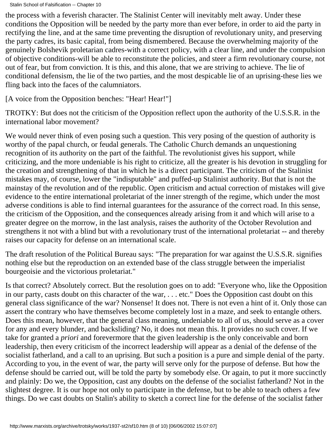the process with a feverish character. The Stalinist Center will inevitably melt away. Under these conditions the Opposition will be needed by the party more than ever before, in order to aid the party in rectifying the line, and at the same time preventing the disruption of revolutionary unity, and preserving the party cadres, its basic capital, from being dismembered. Because the overwhelming majority of the genuinely Bolshevik proletarian cadres-with a correct policy, with a clear line, and under the compulsion of objective conditions-will be able to reconstitute the policies, and steer a firm revolutionary course, not out of fear, but from conviction. It is this, and this alone, that we are striving to achieve. The lie of conditional defensism, the lie of the two parties, and the most despicable lie of an uprising-these lies we fling back into the faces of the calumniators.

[A voice from the Opposition benches: "Hear! Hear!"]

TROTKY: But does not the criticism of the Opposition reflect upon the authority of the U.S.S.R. in the international labor movement?

We would never think of even posing such a question. This very posing of the question of authority is worthy of the papal church, or feudal generals. The Catholic Church demands an unquestioning recognition of its authority on the part of the faithful. The revolutionist gives his support, while criticizing, and the more undeniable is his right to criticize, all the greater is his devotion in struggling for the creation and strengthening of that in which he is a direct participant. The criticism of the Stalinist mistakes may, of course, lower the "indisputable" and puffed-up Stalinist authority. But that is not the mainstay of the revolution and of the republic. Open criticism and actual correction of mistakes will give evidence to the entire international proletariat of the inner strength of the regime, which under the most adverse conditions is able to find internal guarantees for the assurance of the correct road. In this sense, the criticism of the Opposition, and the consequences already arising from it and which will arise to a greater degree on the morrow, in the last analysis, raises the authority of the October Revolution and strengthens it not with a blind but with a revolutionary trust of the international proletariat -- and thereby raises our capacity for defense on an international scale.

The draft resolution of the Political Bureau says: "The preparation for war against the U.S.S.R. signifies nothing else but the reproduction on an extended base of the class struggle between the imperialist bourgeoisie and the victorious proletariat."

Is that correct? Absolutely correct. But the resolution goes on to add: "Everyone who, like the Opposition in our party, casts doubt on this character of the war, . . . etc." Does the Opposition cast doubt on this general class significance of the war? Nonsense! It does not. There is not even a hint of it. Only those can assert the contrary who have themselves become completely lost in a maze, and seek to entangle others. Does this mean, however, that the general class meaning, undeniable to all of us, should serve as a cover for any and every blunder, and backsliding? No, it does not mean this. It provides no such cover. If we take for granted a *priori* and forevermore that the given leadership is the only conceivable and born leadership, then every criticism of the incorrect leadership will appear as a denial of the defense of the socialist fatherland, and a call to an uprising. But such a position is a pure and simple denial of the party. According to you, in the event of war, the party will serve only for the purpose of defense. But how the defense should be carried out, will be told the party by somebody else. Or again, to put it more succinctly and plainly: Do we, the Opposition, cast any doubts on the defense of the socialist fatherland? Not in the slightest degree. It is our hope not only to participate in the defense, but to be able to teach others a few things. Do we cast doubts on Stalin's ability to sketch a correct line for the defense of the socialist father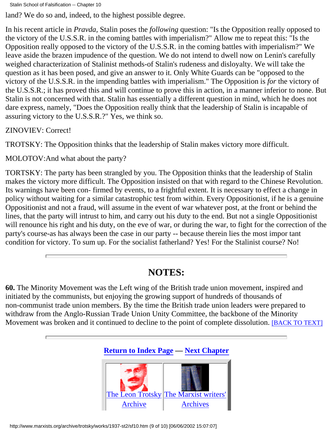land? We do so and, indeed, to the highest possible degree.

In his recent article in *Pravda,* Stalin poses the *following* question: "Is the Opposition really opposed to the victory of the U.S.S.R. in the coming battles with imperialism?" Allow me to repeat this: "Is the Opposition really opposed to the victory of the U.S.S.R. in the coming battles with imperialism?" We leave aside the brazen impudence of the question. We do not intend to dwell now on Lenin's carefully weighed characterization of Stalinist methods-of Stalin's rudeness and disloyalty. We will take the question as it has been posed, and give an answer to it. Only White Guards can be "opposed to the victory of the U.S.S.R. in the impending battles with imperialism." The Opposition is *for* the victory of the U.S.S.R.; it has proved this and will continue to prove this in action, in a manner inferior to none. But Stalin is not concerned with that. Stalin has essentially a different question in mind, which he does not dare express, namely, "Does the Opposition really think that the leadership of Stalin is incapable of assuring victory to the U.S.S.R.?" Yes, we think so.

ZINOVIEV: Correct!

TROTSKY: The Opposition thinks that the leadership of Stalin makes victory more difficult.

MOLOTOV:And what about the party?

TORTSKY: The party has been strangled by you. The Opposition thinks that the leadership of Stalin makes the victory more difficult. The Opposition insisted on that with regard to the Chinese Revolution. Its warnings have been con- firmed by events, to a frightful extent. It is necessary to effect a change in policy without waiting for a similar catastrophic test from within. Every Oppositionist, if he is a genuine Oppositionist and not a fraud, will assume in the event of war whatever post, at the front or behind the lines, that the party will intrust to him, and carry out his duty to the end. But not a single Oppositionist will renounce his right and his duty, on the eve of war, or during the war, to fight for the correction of the party's course-as has always been the case in our party -- because therein lies the most impor tant condition for victory. To sum up. For the socialist fatherland? Yes! For the Stalinist course? No!

## **NOTES:**

**60.** The Minority Movement was the Left wing of the British trade union movement, inspired and initiated by the communists, but enjoying the growing support of hundreds of thousands of non-communist trade union members. By the time the British trade union leaders were prepared to withdraw from the Anglo-Russian Trade Union Unity Committee, the backbone of the Minority Movement was broken and it continued to decline to the point of complete dissolution. [BACK TO TEXT]

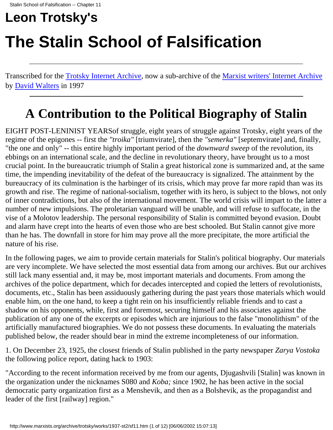## <span id="page-143-0"></span>**Leon Trotsky's**

# **The Stalin School of Falsification**

Transcribed for the [Trotsky Internet Archive,](#page-214-0) now a sub-archive of the [Marxist writers' Internet Archive](#page-6-0) by [David Walters](mailto:tia@marxists.org) in 1997

## **A Contribution to the Political Biography of Stalin**

EIGHT POST-LENINIST YEARSof struggle, eight years of struggle against Trotsky, eight years of the regime of the epigones -- first the *"troika"* [triumvirate], then the *"semerka"* [septemvirate] and, finally, "the one and only" -- this entire highly important period of the *downward sweep* of the revolution, its ebbings on an international scale, and the decline in revolutionary theory, have brought us to a most crucial point. In the bureaucratic triumph of Stalin a great historical zone is summarized and, at the same time, the impending inevitability of the defeat of the bureaucracy is signalized. The attainment by the bureaucracy of its culmination is the harbinger of its crisis, which may prove far more rapid than was its growth and rise. The regime of national-socialism, together with its hero, is subject to the blows, not only of inner contradictions, but also of the international movement. The world crisis will impart to the latter a number of new impulsions. The proletarian vanguard will be unable, and will refuse to suffocate, in the vise of a Molotov leadership. The personal responsibility of Stalin is committed beyond evasion. Doubt and alarm have crept into the hearts of even those who are best schooled. But Stalin cannot give more than he has. The downfall in store for him may prove all the more precipitate, the more artificial the nature of his rise.

In the following pages, we aim to provide certain materials for Stalin's political biography. Our materials are very incomplete. We have selected the most essential data from among our archives. But our archives still lack many essential and, it may be, most important materials and documents. From among the archives of the police department, which for decades intercepted and copied the letters of revolutionists, documents, etc., Stalin has been assiduously gathering during the past years those materials which would enable him, on the one hand, to keep a tight rein on his insufficiently reliable friends and to cast a shadow on his opponents, while, first and foremost, securing himself and his associates against the publication of any one of the excerpts or episodes which are injurious to the false "monolithism" of the artificially manufactured biographies. We do not possess these documents. In evaluating the materials published below, the reader should bear in mind the extreme incompleteness of our information.

1. On December 23, 1925, the closest friends of Stalin published in the party newspaper *Zarya Vostoka* the following police report, dating hack to 1903:

"According to the recent information received by me from our agents, Djugashvili [Stalin] was known in the organization under the nicknames S080 and *Koba;* since 1902, he has been active in the social democratic party organization first as a Menshevik, and then as a Bolshevik, as the propagandist and leader of the first [railway] region."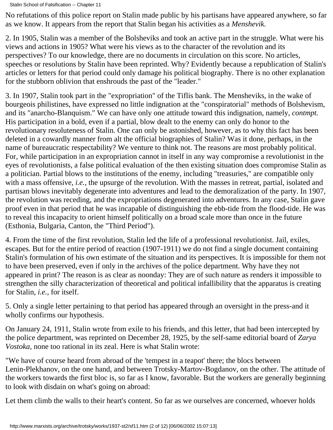No refutations of this police report on Stalin made public by his partisans have appeared anywhere, so far as we know. It appears from the report that Stalin began his activities as a *Menshevik.*

2. In 1905, Stalin was a member of the Bolsheviks and took an active part in the struggle. What were his views and actions in 1905? What were his views as to the character of the revolution and its perspectives? To our knowledge, there are no documents in circulation on this score. No articles, speeches or resolutions by Stalin have been reprinted. Why? Evidently because a republication of Stalin's articles or letters for that period could only damage his political biography. There is no other explanation for the stubborn oblivion that enshrouds the past of the "leader."

3. In 1907, Stalin took part in the "expropriation" of the Tiflis bank. The Mensheviks, in the wake of bourgeois philistines, have expressed no little indignation at the "conspiratorial" methods of Bolshevism, and its "anarcho-Blanquism." We can have only one attitude toward this indignation, namely, *contmpt.* His participation in a bold, even if a partial, blow dealt to the enemy can only do honor to the revolutionary resoluteness of Stalin. One can only be astonished, however, as to why this fact has been deleted in a cowardly manner from alt the official biographies of Stalin? Was it done, perhaps, in the name of bureaucratic respectability? We venture to think not. The reasons are most probably political. For, while participation in an expropriation cannot in itself in any way compromise a revolutionist in the eyes of revolutionists, a false political evaluation of the then existing situation does compromise Stalin as a politician. Partial blows to the institutions of the enemy, including "treasuries," are compatible only with a mass offensive, *i.e.,* the upsurge of the revolution. With the masses in retreat, partial, isolated and partisan blows inevitably degenerate into adventures and lead to the demoralization of the party. In 1907, the revolution was receding, and the expropriations degenerated into adventures. In any case, Stalin gave proof even in that period that he was incapable of distinguishing the ebb-tide from the flood-tide. He was to reveal this incapacity to orient himself politically on a broad scale more than once in the future (Esthonia, Bulgaria, Canton, the "Third Period").

4. From the time of the first revolution, Stalin led the life of a professional revolutionist. Jail, exiles, escapes. But for the entire period of reaction (1907-1911) we do not find a single document containing Stalin's formulation of his own estimate of the situation and its perspectives. It is impossible for them not to have been preserved, even if only in the archives of the police department. Why have they not appeared in print? The reason is as clear as noonday: They are of such nature as renders it impossible to strengthen the silly characterization of theoretical and political infallibility that the apparatus is creating for Stalin, *i.e.,* for itself.

5. Only a single letter pertaining to that period has appeared through an oversight in the press-and it wholly confirms our hypothesis.

On January 24, 1911, Stalin wrote from exile to his friends, and this letter, that had been intercepted by the police department, was reprinted on December 28, 1925, by the self-same editorial board of *Zarya Vostoka,* none too rational in its zeal. Here is what Stalin wrote:

"We have of course heard from abroad of the 'tempest in a teapot' there; the blocs between Lenin-Plekhanov, on the one hand, and between Trotsky-Martov-Bogdanov, on the other. The attitude of the workers towards the first bloc is, so far as I know, favorable. But the workers are generally beginning to look with disdain on what's going on abroad:

Let them climb the walls to their heart's content. So far as we ourselves are concerned, whoever holds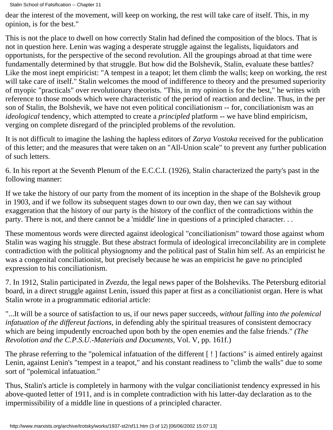dear the interest of the movement, will keep on working, the rest will take care of itself. This, in my opinion, is for the best."

This is not the place to dwell on how correctly Stalin had defined the composition of the blocs. That is not in question here. Lenin was waging a desperate struggle against the legalists, liquidators and opportunists, for the perspective of the second revolution. All the groupings abroad at that time were fundamentally determined by that struggle. But how did the Bolshevik, Stalin, evaluate these battles? Like the most inept empiricist: "A tempest in a teapot; let them climb the walls; keep on working, the rest will take care of itself." Stalin welcomes the mood of indifference to theory and the presumed superiority of myopic "practicals" over revolutionary theorists. "This, in my opinion is for the best," he writes with reference to those moods which were characteristic of the period of reaction and decline. Thus, in the per son of Stalin, the Bolshevik, we have not even political conciliationism -- for, conciliationism was an *ideological* tendency, which attempted to create a *principled* platform -- we have blind empiricism, verging on complete disregard of the principled problems of the revolution.

It is not difficult to imagine the lashing the hapless editors of *Zarya Vostoka* received for the publication of this letter; and the measures that were taken on an "All-Union scale" to prevent any further publication of such letters.

6. In his report at the Seventh Plenum of the E.C.C.I. (1926), Stalin characterized the party's past in the following manner:

If we take the history of our party from the moment of its inception in the shape of the Bolshevik group in 1903, and if we follow its subsequent stages down to our own day, then we can say without exaggeration that the history of our party is the history of the conflict of the contradictions within the party. There is not, and there cannot be a 'middle' line in questions of a principled character...

These momentous words were directed against ideological "conciliationism" toward those against whom Stalin was waging his struggle. But these abstract formula of ideological irreconcilability are in complete contradiction with the political physiognomy and the political past of Stalin him self. As an empiricist he was a congenital conciliationist, but precisely because he was an empiricist he gave no principled expression to his conciliationism.

7. In 1912, Stalin participated in *Zvezda,* the legal news paper of the Bolsheviks. The Petersburg editorial board, in a direct struggle against Lenin, issued this paper at first as a conciliationist organ. Here is what Stalin wrote in a programmatic editorial article:

"...It will be a source of satisfaction to us, if our news paper succeeds, *without falling into the polemical infatuation of the differeut factions,* in defending ably the spiritual treasures of consistent democracy which are being impudently encroached upon both by the open enemies and the false friends." *(The Revolotion and the C.P.S.U.-Materiais and Documents,* Vol. V, pp. 161f.)

The phrase referring to the "polemical infatuation of the different [ ! ] factions" is aimed entirely against Lenin, against Lenin's "tempest in a teapot," and his constant readiness to "climb the walls" due to some sort of "polemical infatuation."

Thus, Stalin's article is completely in harmony with the vulgar conciliationist tendency expressed in his above-quoted letter of 1911, and is in complete contradiction with his latter-day declaration as to the impermissibility of a middle line in questions of a principled character.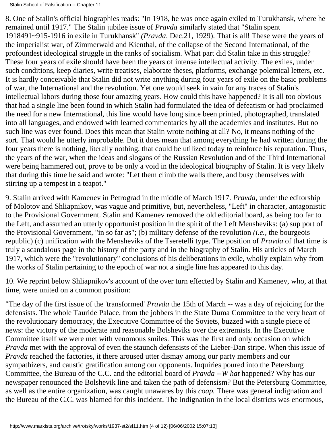8. One of Stalin's official biographies reads: "In 1918, he was once again exiled to Turukhansk, where he remained until 1917." The Stalin jubilee issue of *Pravda* similarly stated that "Stalin spent 1918491~915-1916 in exile in Turukhansk" *(Pravda,* Dec.21, 1929). That is all! These were the years of the imperialist war, of Zimmerwald and Kienthal, of the collapse of the Second International, of the profoundest ideological struggle in the ranks of socialism. What part did Stalin take in this struggle? These four years of exile should have been the years of intense intellectual activity. The exiles, under such conditions, keep diaries, write treatises, elaborate theses, platforms, exchange polemical letters, etc. It is hardly conceivable that Stalin did not write anything during four years of exile on the basic problems of war, the International and the revolution. Yet one would seek in vain for any traces of Stalin's intellectual labors during those four amazing years. How could this have happened? It is all too obvious that had a single line been found in which Stalin had formulated the idea of defeatism or had proclaimed the need for a new International, this line would have long since been printed, photographed, translated into all languages, and endowed with learned commentaries by all the academies and institutes. But no such line was ever found. Does this mean that Stalin wrote nothing at all? No, it means nothing of the sort. That would he utterly improbable. But it does mean that among everything he had written during the four years there is nothing, literally nothing, that could be utilized today to reinforce his reputation. Thus, the years of the war, when the ideas and slogans of the Russian Revolution and of the Third International were being hammered out, prove to be only a void in the ideological biography of Stalin. It is very likely that during this time he said and wrote: "Let them climb the walls there, and busy themselves with stirring up a tempest in a teapot."

9. Stalin arrived with Kamenev in Petrograd in the middle of March 1917. *Pravda,* under the editorship of Molotov and Shliapnikov, was vague and primitive, but, nevertheless, "Left" in character, antagonistic to the Provisional Government. Stalin and Kamenev removed the old editorial board, as being too far to the Left, and assumed an utterly opportunist position in the spirit of the Left Mensheviks: (a) sup port of the Provisional Government, "in so far as"; (b) military defense of the revolution *(i.e.,* the bourgeois republic) (c) unification with the Mensheviks of the Tseretelli type. The position of *Pravda* of that time is truly a scandalous page in the history of the party and in the biography of Stalin. His articles of March 1917, which were the "revolutionary" conclusions of his deliberations in exile, wholly explain why from the works of Stalin pertaining to the epoch of war not a single line has appeared to this day.

10. We reprint below Shliapnikov's account of the over turn effected by Stalin and Kamenev, who, at that time, were united on a common position:

"The day of the first issue of the 'transformed' *Pravda* the 15th of March -- was a day of rejoicing for the defensists. The whole Tauride Palace, from the jobbers in the State Duma Committee to the very heart of the revolutionary democracy, the Executive Committee of the Soviets, buzzed with a single piece of news: the victory of the moderate and reasonable Bolsheviks over the extremists. In the Executive Committee itself we were met with venomous smiles. This was the first and only occasion on which *Pravda* met with the approval of even the staunch defensists of the Lieber-Dan stripe. When this issue of *Pravda* reached the factories, it there aroused utter dismay among our party members and our sympathizers, and caustic gratification among our opponents. Inquiries poured into the Petersburg Committee, the Bureau of the C.C. and the editorial board of *Pravda --W hat* happened? Why has our newspaper renounced the Bolshevik line and taken the path of defensism? But the Petersburg Committee, as well as the entire organization, was caught unawares by this *coap.* There was general indignation and the Bureau of the C.C. was blamed for this incident. The indignation in the local districts was enormous,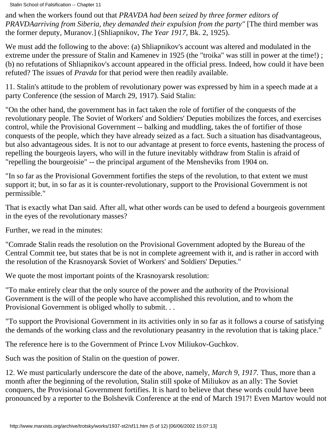and when the workers found out that *PRAVDA had been seized by three former editors of PRAVDAarriving from Siberia, they demanded their expulsion from the party"* [The third member was the former deputy, Muranov.] (Shliapnikov, *The Year 1917,* Bk. 2, 1925).

We must add the following to the above: (a) Shliapnikov's account was altered and modulated in the extreme under the pressure of Stalin and Kamenev in 1925 (the "troika" was still in power at the time!) ; (b) no refutations of Shliapnikov's account appeared in the official press. Indeed, how could it have been refuted? The issues of *Pravda* for that period were then readily available.

11. Stalin's attitude to the problem of revolutionary power was expressed by him in a speech made at a party Conference (the session of March 29, 1917). Said Stalin:

"On the other hand, the government has in fact taken the role of fortifier of the conquests of the revolutionary people. The Soviet of Workers' and Soldiers' Deputies mobilizes the forces, and exercises control, while the Provisional Government -- balking and muddling, takes the of fortifier of those conquests of the people, which they have already seized as a fact. Such a situation has disadvantageous, but also advantageous sides. It is not to our advantage at present to force events, hastening the process of repelling the bourgeois layers, who will in the future inevitably withdraw from Stalin is afraid of "repelling the bourgeoisie" -- the principal argument of the Mensheviks from 1904 on.

"In so far as the Provisional Government fortifies the steps of the revolution, to that extent we must support it; but, in so far as it is counter-revolutionary, support to the Provisional Government is not permissible."

That is exactly what Dan said. After all, what other words can be used to defend a bourgeois government in the eyes of the revolutionary masses?

Further, we read in the minutes:

"Comrade Stalin reads the resolution on the Provisional Government adopted by the Bureau of the Central Commit tee, but states that be is not in complete agreement with it, and is rather in accord with the resolution of the Krasnoyarsk Soviet of Workers' and Soldiers' Deputies."

We quote the most important points of the Krasnoyarsk resolution:

"To make entirely clear that the only source of the power and the authority of the Provisional Government is the will of the people who have accomplished this revolution, and to whom the Provisional Government is obliged wholly to submit. . .

"To support the Provisional Government in its activities only in so far as it follows a course of satisfying the demands of the working class and the revolutionary peasantry in the revolution that is taking place."

The reference here is to the Government of Prince Lvov Miliukov-Guchkov.

Such was the position of Stalin on the question of power.

12. We must particularly underscore the date of the above, namely, *March 9, 1917.* Thus, more than a month after the beginning of the revolution, Stalin still spoke of Miliukov as an ally: The Soviet conquers, the Provisional Government fortifies. It is hard to believe that these words could have been pronounced by a reporter to the Bolshevik Conference at the end of March 1917! Even Martov would not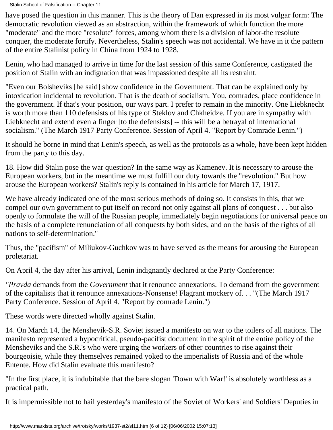have posed the question in this manner. This is the theory of Dan expressed in its most vulgar form: The democratic revolution viewed as an abstraction, within the framework of which function the more "moderate" and the more "resolute" forces, among whom there is a division of labor-the resolute conquer, the moderate fortify. Nevertheless, Stalin's speech was not accidental. We have in it the pattern of the entire Stalinist policy in China from 1924 to 1928.

Lenin, who had managed to arrive in time for the last session of this same Conference, castigated the position of Stalin with an indignation that was impassioned despite all its restraint.

"Even our Bolsheviks [he said] show confidence in the Govemment. That can be explained only by intoxication incidental to revolution. That is the death of socialism. You, comrades, place confidence in the government. If that's your position, our ways part. I prefer to remain in the minority. One Liebknecht is worth more than 110 defensists of his type of Steklov and Chkheidze. If you are in sympathy with Liebknecht and extend even a finger [to the defensists] -- this will be a betrayal of international socialism." (The March 1917 Party Conference. Session of April 4. "Report by Comrade Lenin.")

It should he borne in mind that Lenin's speech, as well as the protocols as a whole, have been kept hidden from the party to this day.

18. How did Stalin pose the war question? In the same way as Kamenev. It is necessary to arouse the European workers, but in the meantime we must fulfill our duty towards the "revolution." But how arouse the European workers? Stalin's reply is contained in his article for March 17, 1917.

We have already indicated one of the most serious methods of doing so. It consists in this, that we compel our own government to put itself on record not only against all plans of conquest . . . but also openly to formulate the will of the Russian people, immediately begin negotiations for universal peace on the basis of a complete renunciation of all conquests by both sides, and on the basis of the rights of all nations to self-determination."

Thus, the "pacifism" of Miliukov-Guchkov was to have served as the means for arousing the European proletariat.

On April 4, the day after his arrival, Lenin indignantly declared at the Party Conference:

*"Pravda* demands from the *Government* that it renounce annexations. To demand from the government of the capitalists that it renounce annexations-Nonsense! Flagrant mockery of. . . "(The March 1917 Party Conference. Session of April 4. "Report by comrade Lenin.")

These words were directed wholly against Stalin.

14. On March 14, the Menshevik-S.R. Soviet issued a manifesto on war to the toilers of all nations. The manifesto represented a hypocritical, pseudo-pacifist document in the spirit of the entire policy of the Mensheviks and the S.R.'s who were urging the workers of other countries to rise against their bourgeoisie, while they themselves remained yoked to the imperialists of Russia and of the whole Entente. How did Stalin evaluate this manifesto?

"In the first place, it is indubitable that the bare slogan 'Down with War!' is absolutely worthless as a practical path.

It is impermissible not to hail yesterday's manifesto of the Soviet of Workers' and Soldiers' Deputies in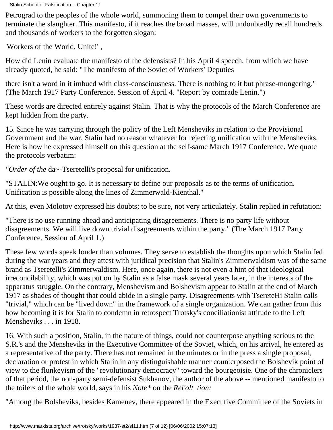Petrograd to the peoples of the whole world, summoning them to compel their own governments to terminate the slaughter. This manifesto, if it reaches the broad masses, will undoubtedly recall hundreds and thousands of workers to the forgotten slogan:

'Workers of the World, Unite!' ,

How did Lenin evaluate the manifesto of the defensists? In his April 4 speech, from which we have already quoted, he said: "The manifesto of the Soviet of Workers' Deputies

there isn't a word in it imbued with class-consciousness. There is nothing to it but phrase-mongering." (The March 1917 Party Conference. Session of April 4. "Report by comrade Lenin.")

These words are directed entirely against Stalin. That is why the protocols of the March Conference are kept hidden from the party.

15. Since he was carrying through the policy of the Left Mensheviks in relation to the Provisional Government and the war, Stalin had no reason whatever for rejecting unification with the Mensheviks. Here is how he expressed himself on this question at the self-same March 1917 Conference. We quote the protocols verbatim:

*"Order of the* da~-Tseretelli's proposal for unification.

"STALIN:We ought to go. It is necessary to define our proposals as to the terms of unification. Unification is possible along the lines of Zimmerwald-Kienthal."

At this, even Molotov expressed his doubts; to be sure, not very articulately. Stalin replied in refutation:

"There is no use running ahead and anticipating disagreements. There is no party life without disagreements. We will live down trivial disagreements within the party." (The March 1917 Party Conference. Session of April 1.)

These few words speak louder than volumes. They serve to establish the thoughts upon which Stalin fed during the war years and they attest with juridical precision that Stalin's Zimmerwaldism was of the same brand as Tseretelli's Zimmerwaldism. Here, once again, there is not even a hint of that ideological irreconcilability, which was put on by Stalin as a false mask several years later, in the interests of the apparatus struggle. On the contrary, Menshevism and Bolshevism appear to Stalin at the end of March 1917 as shades of thought that could abide in a single party. Disagreements with TsereteHi Stalin calls "trivial," which can be "lived down" in the framework of a single organization. We can gather from this how becoming it is for Stalin to condemn in retrospect Trotsky's conciliationist attitude to the Left Mensheviks . . . in 1918.

16. With such a position, Stalin, in the nature of things, could not counterpose anything serious to the S.R.'s and the Mensheviks in the Executive Committee of the Soviet, which, on his arrival, he entered as a representative of the party. There has not remained in the minutes or in the press a single proposal, declaration or protest in which Stalin in any distinguishable manner counterposed the Bolshevik point of view to the flunkeyism of the "revolutionary democracy" toward the bourgeoisie. One of the chroniclers of that period, the non-party semi-defensist Sukhanov, the author of the above -- mentioned manifesto to the toilers of the whole world, says in his *Note\** on the *Rei'olt\_tion:*

"Among the Bolsheviks, besides Kamenev, there appeared in the Executive Committee of the Soviets in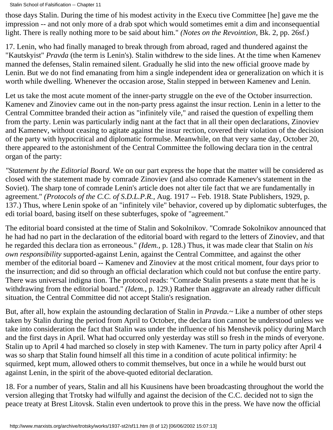those days Stalin. During the time of his modest activity in the Execu tive Committee [he] gave me the impression -- and not only more of a drab spot which would sometimes emit a dim and inconsequential light. There is really nothing more to be said about him." *(Notes on the Revointion,* Bk. 2, pp. 26sf.)

17. Lenin, who had finally managed to break through from abroad, raged and thundered against the "Kautskyist" *Pravda* (the term is Lenin's). Stalin withdrew to the side lines. At the time when Kamenev manned the defenses, Stalin remained silent. Gradually he slid into the new official groove made by Lenin. But we do not find emanating from him a single independent idea or generalization on which it is worth while dwelling. Whenever the occasion arose, Stalin stepped in between Kamenev and Lenin.

Let us take the most acute moment of the inner-party struggle on the eve of the October insurrection. Kamenev and Zinoviev came out in the non-party press against the insur rection. Lenin in a letter to the Central Committee branded their action as "infinitely vile," and raised the question of expelling them from the party. Lenin was particularly indig nant at the fact that in all their open declarations, Zinoviev and Kamenev, without ceasing to agitate against the insur rection, covered their violation of the decision of the party with hypocritical and diplomatic formulse. Meanwhile, on that very same day, October 20, there appeared to the astonishment of the Central Committee the following declara tion in the central organ of the party:

*"Statement by the Editorial Board.* We on our part express the hope that the matter will be considered as closed with the statement made by comrade Zinoviev (and also comrade Kamenev's statement in the Soviet). The sharp tone of comrade Lenin's article does not alter tile fact that we are fundamentally in agreement." *(Protocols of the C.C. of S.D.L.P.R.,* Aug. 1917 -- Feb. 1918. State Publishers, 1929, p. 137.) Thus, where Lenin spoke of an "infinitely vile" behavior, covered up by diplomatic subterfuges, the edi torial board, basing itself on these subterfuges, spoke of "agreement."

The editorial board consisted at the time of Stalin and Sokolnikov. "Comrade Sokolnikov announced that he had had no part in the declaration of the editorial board with regard to the letters of Zinoviev, and that he regarded this declara tion as erroneous." *(Idem.,* p. 128.) Thus, it was made clear that Stalin on *his own responsibility* supported-against Lenin, against the Central Committee, and against the other member of the editorial board -- Kamenev and Zinoviev at the most critical moment, four days prior to the insurrection; and did so through an official declaration which could not but confuse the entire party. There was universal indigna tion. The protocol reads: "Comrade Stalin presents a state ment that he is withdrawing from the editorial board." *(Idem.,* p. 129.) Rather than aggravate an already rather difficult situation, the Central Committee did not accept Stalin's resignation.

But, after all, how explain the astounding declaration of Stalin in *Pravda.~* Like a number of other steps taken by Stalin during the period from April to October, the declara tion cannot be understood unless we take into consideration the fact that Stalin was under the influence of his Menshevik policy during March and the first days in April. What had occurred only yesterday was still so fresh in the minds of everyone. Stalin up to April 4 had marched so closely in step with Kamenev. The turn in party policy after April 4 was so sharp that Stalin found himself all this time in a condition of acute political infirmity: he squirmed, kept mum, allowed others to commit themselves, but once in a while he would burst out against Lenin, in the spirit of the above-quoted editorial declaration.

18. For a number of years, Stalin and all his Kuusinens have been broadcasting throughout the world the version alleging that Trotsky had wilfully and against the decision of the C.C. decided not to sign the peace treaty at Brest Litovsk. Stalin even undertook to prove this in the press. We have now the official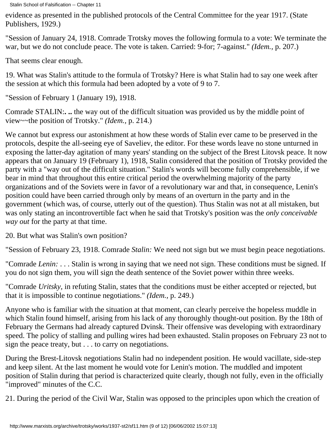evidence as presented in the published protocols of the Central Committee for the year 1917. (State Publishers, 1929.)

"Session of January 24, 1918. Comrade Trotsky moves the following formula to a vote: We terminate the war, but we do not conclude peace. The vote is taken. Carried: 9-for; 7-against." *(Idem.,* p. 207.)

That seems clear enough.

19. What was Stalin's attitude to the formula of Trotsky? Here is what Stalin had to say one week after the session at which this formula had been adopted by a vote of 9 to 7.

"Session of February 1 (January 19), 1918.

Comrade STALIN:**. ..** the way out of the difficult situation was provided us by the middle point of view~~the position of Trotsky." *(Idem.,* p. 214.)

We cannot but express our astonishment at how these words of Stalin ever came to be preserved in the protocols, despite the all-seeing eye of Saveliev, the editor. For these words leave no stone unturned in exposing the latter-day agitation of many years' standing on the subject of the Brest Litovsk peace. It now appears that on January 19 (February 1), 1918, Stalin considered that the position of Trotsky provided the party with a "way out of the difficult situation." Stalin's words will become fully comprehensible, if we bear in mind that throughout this entire critical period the overwhelming majority of the party organizations and of the Soviets were in favor of a revolutionary war and that, in consequence, Lenin's position could have been carried through only by means of an overturn in the party and in the government (which was, of course, utterly out of the question). Thus Stalin was not at all mistaken, but was only stating an incontrovertible fact when he said that Trotsky's position was the *only conceivable way out* for the party at that time.

20. But what was Stalin's own position?

"Session of February 23, 1918. Comrade *Stalin:* We need not sign but we must begin peace negotiations.

"Comrade *Lenin:* . . . Stalin is wrong in saying that we need not sign. These conditions must be signed. If you do not sign them, you will sign the death sentence of the Soviet power within three weeks.

"Comrade *Uritsky,* in refuting Stalin, states that the conditions must be either accepted or rejected, but that it is impossible to continue negotiations." *(Idem.,* p. 249.)

Anyone who is familiar with the situation at that moment, can clearly perceive the hopeless muddle in which Stalin found himself, arising from his lack of any thoroughly thought-out position. By the 18th of February the Germans had already captured Dvinsk. Their offensive was developing with extraordinary speed. The policy of stalling and pulling wires had been exhausted. Stalin proposes on February 23 not to sign the peace treaty, but . . . to carry on negotiations.

During the Brest-Litovsk negotiations Stalin had no independent position. He would vacillate, side-step and keep silent. At the last moment he would vote for Lenin's motion. The muddled and impotent position of Stalin during that period is characterized quite clearly, though not fully, even in the officially "improved" minutes of the C.C.

21. During the period of the Civil War, Stalin was opposed to the principles upon which the creation of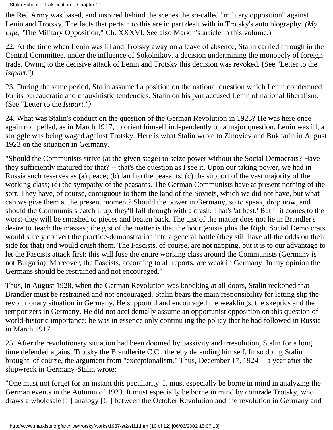the Red Army was based, and inspired behind the scenes the so-called "military opposition" against Lenin and Trotsky. The facts that pertain to this are in part dealt with in Trotsky's auto biography. *(My Life,* "The Military Opposition," Ch. XXXVI. See also Markin's article in this volume.)

22. At the time when Lenin was ill and Trotsky away on a leave of absence, Stalin carried through in the Central Committee, under the influence of Sokolnikov, a decision undermining the monopoly of foreign trade. Owing to the decisive attack of Lenin and Trotsky this decision was revoked. (See "Letter to the *Istpart.")*

23. During the same period, Stalin assumed a position on the national question which Lenin condemned for its bureaucratic and chauvinistic tendencies. Stalin on his part accused Lenin of national liberalism. (See "Letter to the *Istpart.")*

24. What was Stalin's conduct on the question of the German Revolution in 1923? He was here once again compelled, as in March 1917, to orient himself independently on a major question. Lenin was ill, a struggle was being waged against Trotsky. Here is what Stalin wrote to Zinoviev and Bukharin in August 1923 on the situation in Germany.

"Should the Communists strive (at the given stage) to seize power without the Social Democrats? Have they sufficiently matured for that? -- that's the question as I see it. Upon our taking power, we had in Russia such reserves as (a) peace; (b) land to the peasants; (c) the support of the vast majority of the working class; (d) the sympathy of the peasants. The German Communists have at present nothing of the sort. They have, of course, contiguous to them the land of the Soviets, which we did not have, but what can we give them at the present moment? Should the power in Germany, so to speak, drop now, and should the Communists catch it up, they'll fall through with a crash. That's 'at best.' But if it comes to the worst-they will be smashed to pieces and beaten back. The gist of the matter does not lie in Brandler's desire to 'teach the masses'; the gist of the matter is that the bourgeoisie plus the Right Social Demo crats would surely convert the practice-demonstration into a general battle (they still have all the odds on their side for that) and would crush them. The Fascists, of course, are not napping, but it is to our advantage to let the Fascists attack first: this will fuse the entire working class around the Communists (Germany is not Bulgaria). Moreover, the Fascists, according to all reports, are weak in Germany. In my opinion the Germans should be restrained and not encouraged."

Thus, in August 1928, when the German Revolution was knocking at all doors, Stalin reckoned that Brandler must be restrained and not encouraged. Stalin bears the main responsibility for lctting slip the revolutionary situation in Germany. He supportcd and encouraged the weaklings, the skeptics and the temporizers in Germany. He did not acci dentally assume an opportunist opposition on this question of world-historic importance: he was in essence only continu ing the policy that he had followed in Russia in March 1917.

25. After the revolutionary situation had been doomed by passivity and irresolution, Stalin for a long time defended against Trotsky the Brandlerite C.C., thereby defending himself. In so doing Stalin brought, of course, the argument from "exceptionalism." Thus, December 17, 1924 -- a year after the shipwreck in Germany-Stalin wrote:

"One must not forget for an instant this peculiarity. It must especially be borne in mind in analyzing the German events in the Autumn of 1923. It must especially be borne in mind by comrade Trotsky, who draws a wholesale [! ] analogy [!! ] between the October Revolution and the revolution in Germany and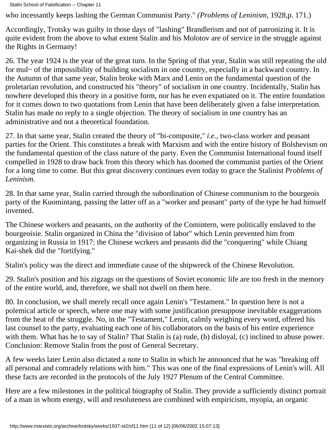who incessantly keeps lashing the German Communist Party." *(Problems of Leninism,* 1928,p. 171.)

Accordingly, Trotsky was guilty in those days of "lashing" Brandlerism and not of patronizing it. It is quite evident from the above to what extent Stalin and his Molotov are of service in the struggle against the Rights in Germany!

26. The year 1924 is the year of the great turn. In the Spring of that year, Stalin was still repeating the old for mul~ of the impossibility of building socialism in one country, especially in a backward country. In the Autumn of that same year, Stalin broke with Marx and Lenin on the fundamental question of the proletarian revolution, and constructed his "theory" of socialism in one country. Incidentally, Stalin has nowhere developed this theory in a positive form, nor has he even expatiated on it. The entire foundation for it comes down to two quotations from Lenin that have been deliberately given a false interpretation. Stalin has made no reply to a single objection. The theory of socialism in one country has an administrative and not a theoretical foundation.

27. In that same year, Stalin created the theory of "bi-composite," *i.e.,* two-class worker and peasant parties for the Orient. This constitutes a break with Marxism and with the entire history of Bolshevism on the fundamental question of the class nature of the party. Even the Communist International found itself compelled in 1928 to draw back from this theory which has doomed the communist parties of the Orient for a long time to come. But this great discovery continues even today to grace the Stalinist *Problems of Leninism.*

28. In that same year, Stalin carried through the subordination of Chinese communism to the bourgeois party of the Kuomintang, passing the latter off as a "worker and peasant" party of the type he had himself invented.

The Chinese workers and peasants, on the authority of the Comintern, were politically enslaved to the bourgeoisie. Stalin organized in China the "division of labor" which Lenin prevented him from organizing in Russia in 1917: the Chinese wcrkers and peasants did the "conquering" while Chiang Kai-shek did the "fortifying."

Stalin's policy was the direct and immediate cause of the shipwreck of the Chinese Revolution.

29. Stalin's position and his zigzags on the questions of Soviet economic life are too fresh in the memory of the entire world, and, therefore, we shall not dwell on them here.

80. In conclusion, we shall merely recall once again Lenin's "Testament." In question here is not a polemical article or speech, where one may with some justification presuppose inevitable exaggerations from the heat of the struggle. No, in the "Testament," Lenin, calmly weighing every word, offered his last counsel to the party, evaluating each one of his collaborators on the basis of his entire experience with them. What has he to say of Stalin? That Stalin is (a) rude, (b) disloyal, (c) inclined to abuse power. Conclusion: Remove Stalin from the post of General Secretary.

A few weeks later Lenin also dictated a note to Stalin in which he announced that he was "breaking off all personal and comradely relations with him." This was one of the final expressions of Lenin's will. All these facts are recorded in the protocols of the July 1927 Plenum of the Central Committee.

Here are a few milestones in the political biography of Stalin. They provide a sufficiently distinct portrait of a man in whom energy, will and resoluteness are combined with empiricism, myopia, an organic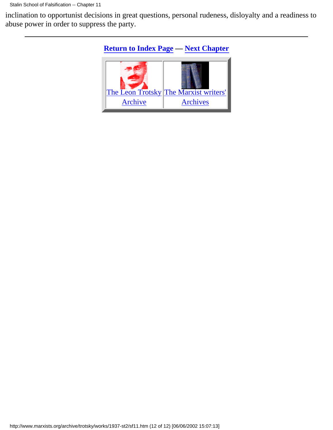inclination to opportunist decisions in great questions, personal rudeness, disloyalty and a readiness to abuse power in order to suppress the party.

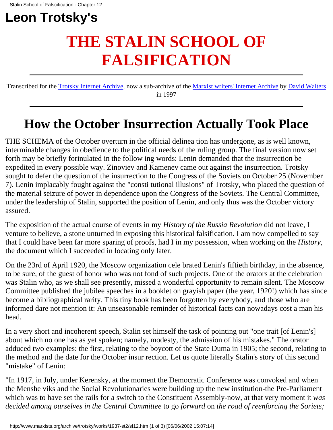<span id="page-155-0"></span>

# **THE STALIN SCHOOL OF FALSIFICATION**

Transcribed for the [Trotsky Internet Archive,](#page-214-0) now a sub-archive of the [Marxist writers' Internet Archive](http://www.marxists.org/index.htm) by [David Walters](mailto:ddw@marxists.org) in 1997

# **How the October Insurrection Actually Took Place**

THE SCHEMA of the October overturn in the official delinea tion has undergone, as is well known, interminable changes in obedience to the political needs of the ruling group. The final version now set forth may be briefly forinulated in the follow ing words: Lenin demanded that the insurrection be expedited in every possible way. Zinoviev and Kamenev came out against the insurrection. Trotsky sought to defer the question of the insurrection to the Congress of the Soviets on October 25 (November 7). Lenin implacably fought against the "consti tutional illusions" of Trotsky, who placed the question of the material seizure of power in dependence upon the Congress of the Soviets. The Central Committee, under the leadership of Stalin, supported the position of Lenin, and only thus was the October victory assured.

The exposition of the actual course of events in my *History of the Russia Revolution* did not leave, I venture to believe, a stone unturned in exposing this historical falsification. I am now compelled to say that I could have been far more sparing of proofs, had I in my possession, when working on the *History,* the document which I succeeded in locating only later.

On the 23rd of April 1920, the Moscow organization cele brated Lenin's fiftieth birthday, in the absence, to be sure, of the guest of honor who was not fond of such projects. One of the orators at the celebration was Stalin who, as we shall see presently, missed a wonderful opportunity to remain silent. The Moscow Committee published the jubilee speeches in a booklet on grayish paper (the year, 1920!) which has since become a bibliographical rarity. This tiny book has been forgotten by everybody, and those who are informed dare not mention it: An unseasonable reminder of historical facts can nowadays cost a man his head.

In a very short and incoherent speech, Stalin set himself the task of pointing out "one trait [of Lenin's] about which no one has as yet spoken; namely, modesty, the admission of his mistakes." The orator adduced two examples: the first, relating to the boycott of the State Duma in 1905; the second, relating to the method and the date for the October insur rection. Let us quote literally Stalin's story of this second "mistake" of Lenin:

"In 1917, in July, under Kerensky, at the moment the Democratic Conference was convoked and when the Menshe viks and the Social Revolutionaries were building up the new institution-the Pre-Parliament which was to have set the rails for a switch to the Constituent Assembly-now, at that very moment it *was decided among ourselves in the Central Committee* to go *forward* on *the road of reenforcing the Soriets;*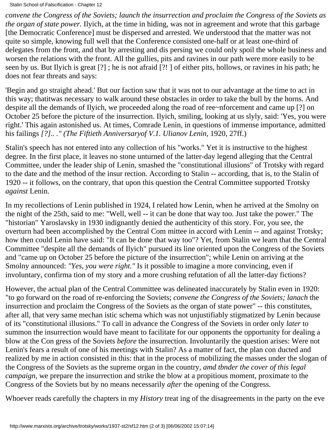*convene the Congress of the Soviets; launch the insurrection and proclaim the Congress of the Soviets as the organ of state power.* Ilyich, at the time in hiding, was not in agreement and wrote that this garbage [the Democratic Conference] must be dispersed and arrested. We understood that the matter was not quite so simple, knowing full well that the Conference consisted one-half or at least one-third of delegates from the front, and that by arresting and dis persing we could only spoil the whole business and worsen the relations with the front. All the gullies, pits and ravines in our path were more easily to be seen by us. But Ilyich is great [?] ; he is not afraid [?! ] of either pits, hollows, or ravines in his path; he does not fear threats and says:

'Begin and go straight ahead.' But our faction saw that it was not to our advantage at the time to act in this way; thatitwas necessary to walk around these obstacles in order to take the bull by the horns. And despite all the demands of Ilyich, we proceeded along the road of ree~nforcement and came up [?] on October 25 before the picture of the insurrection. Ilyich, smiling, looking at us slyly, said: 'Yes, you were right.' This again astonished us. At times, Comrade Lenin, in questions of immense importance, admitted his failings *[?].. ." (The Fiftieth Anniversaryof V.1. Ulianov Lenin,* 1920, 27ff.)

Stalin's speech has not entered into any collection of his "works." Yet it is instructive to the highest degree. In the first place, it leaves no stone unturned of the latter-day legend alleging that the Central Committee, under the leader ship of Lenin, smashed the "constitutional illusions" of Trotsky with regard to the date and the method of the insur rection. According to Stalin -- according, that is, to the Stalin of 1920 -- it follows, on the contrary, that upon this question the Central Committee supported Trotsky *against* Lenin.

In my recollections of Lenin published in 1924, I related how Lenin, when he arrived at the Smolny on the night of the 25th, said to me: "Well, well -- it can be done that way too. Just take the power." The "historian" Yaroslavsky in 1930 indignantly denied the authenticity of this story. For, you see, the overturn had been accomplished by the Central Com mittee in accord with Lenin -- and against Trotsky; how then could Lenin have said: "It can be done that way too"? Yet, from Stalin we learn that the Central Committee "despite all the demands of Ilyich" pursued its line oriented upon the Congress of the Soviets and "came up on October 25 before the picture of the insurrection"; while Lenin on arriving at the Smolny announced: *"Yes, you were right."* Is it possible to imagine a more convincing, even if involuntary, confirma tion of my story and a more crushing refutation of all the latter-day fictions?

However, the actual plan of the Central Committee was delineated inaccurately by Stalin even in 1920: "to go forward on the road of re-enforcing the Soviets; *convene the Congress of the Soviets; lanach* the insurrection and proclaim the Congress of the Soviets as the organ of state power" -- this constitutes, after all, that very same mechan istic schema which was not unjustifiably stigmatized by Lenin because of its "constitutional illusions." To call in advance the Congress of the Soviets in order only *later* to summon the insurrection would have meant to facilitate for our opponents the opportunity for dealing a blow at the Con gress of the Soviets *before* the insurrection. Involuntarily the question arises: Were not Lenin's fears a result of one of his meetings with Stalin? As a matter of fact, the plan con ducted and realized by me in action consisted in this: that in the process of mobilizing the masses under the slogan of the Congress of the Soviets as the supreme organ in the country, *amd tbnder the cover of this legal campaign,* we prepare the insurrection and strike the blow at a propitious moment, proximate to the Congress of the Soviets but by no means necessarily *after* the opening of the Congress.

Whoever reads carefully the chapters in my *History* treat ing of the disagreements in the party on the eve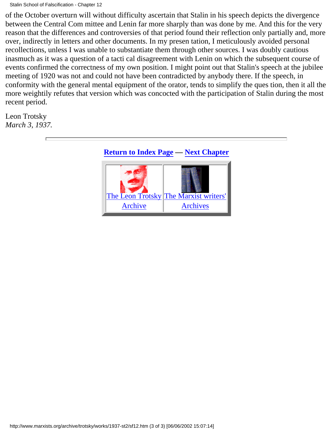of the October overturn will without difficulty ascertain that Stalin in his speech depicts the divergence between the Central Com mittee and Lenin far more sharply than was done by me. And this for the very reason that the differences and controversies of that period found their reflection only partially and, more over, indirectly in letters and other documents. In my presen tation, I meticulously avoided personal recollections, unless I was unable to substantiate them through other sources. I was doubly cautious inasmuch as it was a question of a tacti cal disagreement with Lenin on which the subsequent course of events confirmed the correctness of my own position. I might point out that Stalin's speech at the jubilee meeting of 1920 was not and could not have been contradicted by anybody there. If the speech, in conformity with the general mental equipment of the orator, tends to simplify the ques tion, then it all the more weightily refutes that version which was concocted with the participation of Stalin during the most recent period.

Leon Trotsky *March 3, 1937.*

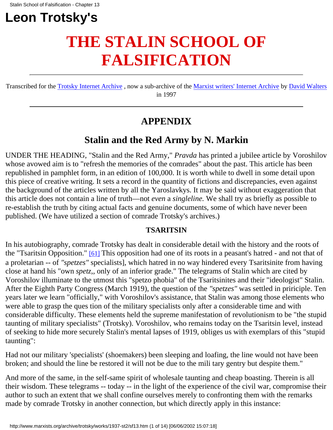<span id="page-158-0"></span>

# **THE STALIN SCHOOL OF FALSIFICATION**

Transcribed for the [Trotsky Internet Archive](#page-214-0) , now a sub-archive of the [Marxist writers' Internet Archive](#page-6-0) by [David Walters](mailto:dwalters@marxists.org) in 1997

## **APPENDIX**

## **Stalin and the Red Army by N. Markin**

UNDER THE HEADING, "Stalin and the Red Army," *Pravda* has printed a jubilee article by Voroshilov whose avowed aim is to "refresh the memories of the comrades" about the past. This article has been republished in pamphlet form, in an edition of 100,000. It is worth while to dwell in some detail upon this piece of creative writing. It sets a record in the quantity of fictions and discrepancies, even against the background of the articles written by all the Yaroslavkys. It may be said without exaggeration that this article does not contain a line of truth—not *even* a *singleline.* We shall try as briefly as possible to re-establish the truth by citing actual facts and genuine documents, some of which have never been published. (We have utilized a section of comrade Trotsky's archives.)

### **TSARITSIN**

In his autobiography, comrade Trotsky has dealt in considerable detail with the history and the roots of the "Tsaritsin Opposition." [61] This opposition had one of its roots in a peasant's hatred - and not that of a proletarian -- of *"spetzes"* specialists], which hatred in no way hindered every Tsaritsinite from having close at hand his "own *spetz,,* only of an inferior grade." The telegrams of Stalin which are cited by Voroshilov illuminate to the utmost this "spetzo phobia" of the Tsaritsinites and their "ideologist" Stalin. After the Eighth Party Congress (March 1919), the question of the *"spetzes"* was settled in pririciple. Ten years later we learn "officially," with Voroshilov's assistance, that Stalin was among those elements who were able to grasp the ques tion of the military specialists only after a considerable time and with considerable difficulty. These elements held the supreme manifestation of revolutionism to be "the stupid taunting of military specialists" (Trotsky). Voroshilov, who remains today on the Tsaritsin level, instead of seeking to hide more securely Stalin's mental lapses of 1919, obliges us with exemplars of this "stupid taunting":

Had not our military 'specialists' (shoemakers) been sleeping and loafing, the line would not have been broken; and should the line be restored it will not be due to the mili tary gentry but despite them."

And more of the same, in the self-same spirit of wholesale taunting and cheap boasting. Therein is all their wisdom. These telegrams -- today -- in the light of the experience of the civil war, compromise their author to such an extent that we shall confine ourselves merely to confronting them with the remarks made by comrade Trotsky in another connection, but which directly apply in this instance: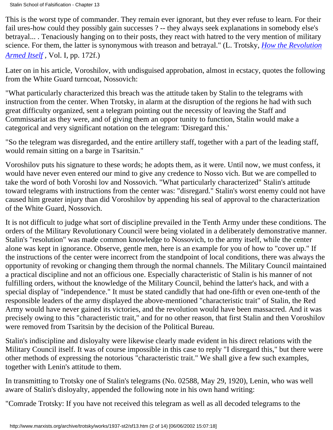This is the worst type of commander. They remain ever ignorant, but they ever refuse to learn. For their fail ures-how could they possibly gain successes ? -- they always seek explanations in somebody else's betrayal... . Tenaciously hanging on to their posts, they react with hatred to the very mention of military science. For them, the latter is synonymous with treason and betrayal." (L. Trotsky, *[How the Revolution](http://www.marxists.org/archive/trotsky/works/1918-mil/index.htm) [Armed Itself](http://www.marxists.org/archive/trotsky/works/1918-mil/index.htm) ,* Vol. I, pp. 172f.)

Later on in his article, Voroshilov, with undisguised approbation, almost in ecstacy, quotes the following from the White Guard turncoat, Nossovich:

"What particularly characterized this breach was the attitude taken by Stalin to the telegrams with instruction from the center. When Trotsky, in alarm at the disruption of the regions he had with such great difficulty organized, sent a telegram pointing out the necessity of leaving the Staff and Commissariat as they were, and of giving them an oppor tunity to function, Stalin would make a categorical and very significant notation on the telegram: 'Disregard this.'

"So the telegram was disregarded, and the entire artillery staff, together with a part of the leading staff, would remain sitting on a barge in Tsaritsin."

Voroshilov puts his signature to these words; he adopts them, as it were. Until now, we must confess, it would have never even entered our mind to give any credence to Nosso vich. But we are compelled to take the word of both Voroshi lov and Nossovich. "What particularly characterized" Stalin's attitude toward telegrams with instructions from the center was: "disregard." Stalin's worst enemy could not have caused him greater injury than did Voroshilov by appending his seal of approval to the characterization of the White Guard, Nossovich.

It is not difficult to judge what sort of discipline prevailed in the Tenth Army under these conditions. The orders of the Military Revolutionary Council were being violated in a deliberately demonstrative manner. Stalin's "resolution" was made common knowledge to Nossovich, to the army itself, while the center alone was kept in ignorance. Observe, gentle men, here is an example for you of how to "cover up." If the instructions of the center were incorrect from the standpoint of local conditions, there was always the opportunity of revoking or changing them through the normal channels. The Military Council maintained a practical discipline and not an officious one. Especially characteristic of Stalin is his manner of not fulfilling orders, without the knowledge of the Military Council, behind the latter's hack, and with a special display of "independence." It must be stated candidly that had one-fifth or even one-tenth of the responsible leaders of the army displayed the above-mentioned "characteristic trait" of Stalin, the Red Army would have never gained its victories, and the revolution would have been massacred. And it was precisely owing to this "characteristic trait," and for no other reason, that first Stalin and then Voroshilov were removed from Tsaritsin by the decision of the Political Bureau.

Stalin's indiscipline and disloyalty were likewise clearly made evident in his direct relations with the Military Council itself. It was of course impossible in this case to reply "I disregard this," but there were other methods of expressing the notorious "characteristic trait." We shall give a few such examples, together with Lenin's attitude to them.

In transmitting to Trotsky one of Stalin's telegrams (No. 02588, May 29, 1920), Lenin, who was well aware of Stalin's disloyalty, appended the following note in his own hand writing:

"Comrade Trotsky: If you have not received this telegram as well as all decoded telegrams to the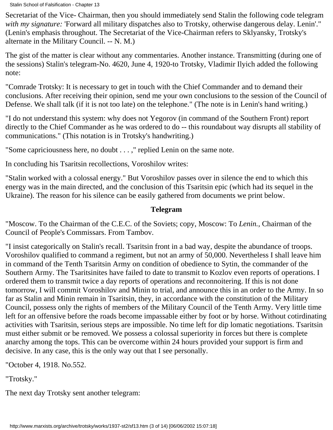Secretariat of the Vice- Chairman, then you should immediately send Stalin the following code telegram *with my signature:* 'Forward all military dispatches also to Trotsky, otherwise dangerous delay. Lenin'." (Lenin's emphasis throughout. The Secretariat of the Vice-Chairman refers to Sklyansky, Trotsky's alternate in the Military Council. -- N. M.)

The gist of the matter is clear without any commentaries. Another instance. Transmitting (during one of the sessions) Stalin's telegram-No. 4620, June 4, 1920-to Trotsky, Vladimir Ilyich added the following note:

"Comrade Trotsky: It is necessary to get in touch with the Chief Commander and to demand their conclusions. After receiving their opinion, send me your own conclusions to the session of the Council of Defense. We shall talk (if it is not too late) on the telephone." (The note is in Lenin's hand writing.)

"I do not understand this system: why does not Yegorov (in command of the Southern Front) report directly to the Chief Commander as he was ordered to do -- this roundabout way disrupts all stability of communications." (This notation is in Trotsky's handwriting.)

"Some capriciousness here, no doubt . . . ," replied Lenin on the same note.

In concluding his Tsaritsin recollections, Voroshilov writes:

"Stalin worked with a colossal energy." But Voroshilov passes over in silence the end to which this energy was in the main directed, and the conclusion of this Tsaritsin epic (which had its sequel in the Ukraine). The reason for his silence can be easily gathered from documents we print below.

### **Telegram**

"Moscow. To the Chairman of the C.E.C. of the Soviets; copy, Moscow: To *Lenin.,* Chairman of the Council of People's Commissars. From Tambov.

"I insist categorically on Stalin's recall. Tsaritsin front in a bad way, despite the abundance of troops. Voroshilov qualified to command a regiment, but not an army of 50,000. Nevertheless I shall leave him in command of the Tenth Tsaritsin Army on condition of obedience to Sytin, the commander of the Southern Army. The Tsaritsinites have failed to date to transmit to Kozlov even reports of operations. I ordered them to transmit twice a day reports of operations and reconnoitering. If this is not done tomorrow, I will commit Voroshilov and Minin to trial, and announce this in an order to the Army. In so far as Stalin and Minin remain in Tsaritsin, they, in accordance with the constitution of the Military Council, possess only the rights of members of the Military Council of the Tenth Army. Very little time left for an offensive before the roads become impassable either by foot or by horse. Without cotirdinating activities with Tsaritsin, serious steps are impossible. No time left for dip lomatic negotiations. Tsaritsin must either submit or be removed. We possess a colossal superiority in forces but there is complete anarchy among the tops. This can be overcome within 24 hours provided your support is firm and decisive. In any case, this is the only way out that I see personally.

"October 4, 1918. No.552.

"Trotsky."

The next day Trotsky sent another telegram: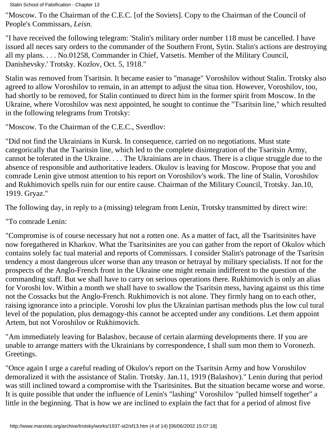"Moscow. To the Chairman of the C.E.C. [of the Soviets]. Copy to the Chairman of the Council of People's Commissars, *Leisn.*

"I have received the following telegram: 'Stalin's military order number 118 must be cancelled. I have issued all neces sary orders to the commander of the Southern Front, Sytin. Stalin's actions are destroying all my plans. . . . No.01258, Commander in Chief, Vatsetis. Member of the Military Council, Danishevsky.' Trotsky. Kozlov, Oct. 5, 1918."

Stalin was removed from Tsaritsin. It became easier to "manage" Voroshilov without Stalin. Trotsky also agreed to allow Voroshilov to remain, in an attempt to adjust the situa tion. However, Voroshilov, too, had shortly to be removed, for Stalin continued to direct him in the former spirit from Moscow. In the Ukraine, where Voroshilov was next appointed, he sought to continue the "Tsaritsin line," which resulted in the following telegrams from Trotsky:

"Moscow. To the Chairman of the C.E.C., Sverdlov:

"Did not find the Ukrainians in Kursk. In consequence, carried on no negotiations. Must state categorically that the Tsaritsin line, which led to the complete disintegration of the Tsaritsin Army, cannot be tolerated in the Ukraine. . . . The Ukrainians are in chaos. There is a clique struggle due to the absence of responsible and authoritative leaders. Okulov is leaving for Moscow. Propose that you and comrade Lenin give utmost attention to his report on Voroshilov's work. The line of Stalin, Voroshilov and Rukhimovich spells ruin for our entire cause. Chairman of the Military Council, Trotsky. Jan.10, 1919. Gryaz."

The following day, in reply to a (missing) telegram from Lenin, Trotsky transmitted by direct wire:

"To comrade Lenin:

"Compromise is of course necessary hut not a rotten one. As a matter of fact, all the Tsaritsinites have now foregathered in Kharkov. What the Tsaritsinites are you can gather from the report of Okulov which contains solely fac tual material and reports of Commissars. I consider Stalin's patronage of the Tsaritsin tendency a most dangerous ulcer worse than any treason or hetrayal by military specialists. If not for the prospects of the Anglo-French front in the Ukraine one might remain indifferent to the question of the commanding staff. But we shall have to carry on serious operations there. Rukhimovich is only an alias for Voroshi lov. Within a month we shall have to swallow the Tsaritsin mess, having against us this time not the Cossacks but the Anglo-French. Rukhimovich is not alone. They firmly hang on to each other, raising ignorance into a principle. Voroshi lov plus the Ukrainian partisan methods plus the low cul tural level of the population, plus demagogy-this cannot be accepted under any conditions. Let them appoint Artem, but not Voroshilov or Rukhimovich.

"Am immediately leaving for Balashov, because of certain alarming developments there. If you are unable to arrange matters with the Ukrainians by correspondence, I shall sum mon them to Voronezh. Greetings.

"Once again I urge a careful reading of Okulov's report on the Tsaritsin Army and how Voroshilov demoralized it with the assistance of Stalin. Trotsky. Jan.11, 1919 (Balashov)." Lenin during that period was still inclined toward a compromise with the Tsaritsinites. But the situation became worse and worse. It is quite possible that under the influence of Lenin's "lashing" Voroshilov "pulled himself together" a little in the beginning. That is how we are inclined to explain the fact that for a period of almost five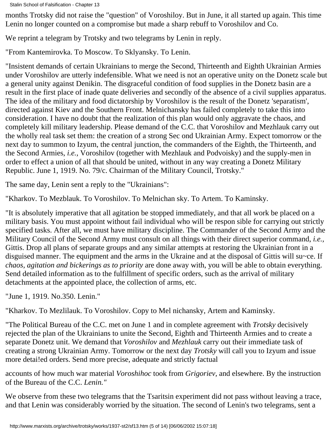months Trotsky did not raise the "question" of Voroshiloy. But in June, it all started up again. This time Lenin no longer counted on a compromise but made a sharp rebuff to Voroshilov and Co.

We reprint a telegram by Trotsky and two telegrams by Lenin in reply.

"From Kantemirovka. To Moscow. To Sklyansky. To Lenin.

"Insistent demands of certain Ukrainians to merge the Second, Thirteenth and Eighth Ukrainian Armies under Voroshilov are utterly indefensible. What we need is not an operative unity on the Donetz scale but a general unity against Denikin. The disgraceful condition of food supplies in the Donetz basin are a result in the first place of inade quate deliveries and secondly of the absence of a civil supplies apparatus. The idea of the military and food dictatorship by Voroshilov is the result of the Donetz 'separatism', directed against Kiev and the Southern Front. Melnichansky has failed completely to take this into consideration. I have no doubt that the realization of this plan would only aggravate the chaos, and completely kill military leadership. Please demand of the C.C. that Voroshilov and Mezhlauk carry out the wholly real task set them: the creation of a strong Sec ond Ukrainian Army. Expect tomorrow or the next day to summon to Izyum, the central junction, the commanders of the Eighth, the Thirteenth, and the Second Armies, *i.e.,* Voroshilov (together with Mezhlauk and Podvoisky) and the supply-men in order to effect a union of all that should be united, without in any way creating a Donetz Military Republic. June 1, 1919. No. 79/c. Chairman of the Military Council, Trotsky."

The same day, Lenin sent a reply to the "Ukrainians":

"Kharkov. To Mezblauk. To Voroshilov. To Melnichan sky. To Artem. To Kaminsky.

"It is absolutely imperative that all agitation be stopped immediately, and that all work be placed on a military basis. You must appoint without fail individual who will be respon sible for carrying out strictly specified tasks. After all, we must have military discipline. The Commander of the Second Army and the Military Council of the Second Army must consult on all things with their direct superior command, *i.e.,* Gittis. Drop all plans of separate groups and any similar attempts at restoring the Ukrainian front in a disguised manner. The equipment and the arms in the Ukraine and at the disposal of Gittis will su~ce. If *chaos, agitation and bickerings as to priority* are done away with, you will be able to obtain everything. Send detailed information as to the fulfillment of specific orders, such as the arrival of military detachments at the appointed place, the collection of arms, etc.

"June 1, 1919. No.350. Lenin."

"Kharkov. To Mezlilauk. To Voroshilov. Copy to Mel nichansky, Artem and Kaminsky.

"The Political Bureau of the C.C. met on June 1 and in complete agreement with *Trotsky* decisively rejected the plan of the Ukrainians to unite the Second, Eighth and Thirteenth Armies and to create a separate Donetz unit. We demand that *Voroshilov* and *Mezhlauk* carry out their immediate task of creating a strong Ukrainian Army. Tomorrow or the next day *Trotsky* will call you to Izyum and issue more detai!ed orders. Send more precise, adequate and strictly factual

accounts of how much war material *Voroshihoc* took from *Grigoriev,* and elsewhere. By the instruction of the Bureau of the C.C. *Lenin."*

We observe from these two telegrams that the Tsaritsin experiment did not pass without leaving a trace, and that Lenin was considerably worried by the situation. The second of Lenin's two telegrams, sent a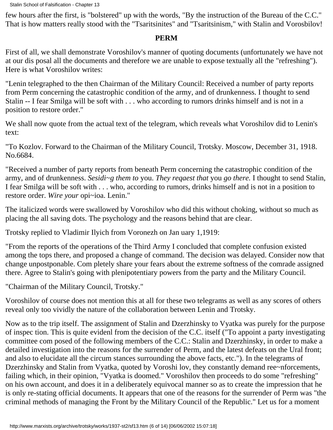few hours after the first, is "bolstered" up with the words, "By the instruction of the Bureau of the C.C." That is how matters really stood with the "Tsaritsinites" and "Tsaritsinism," with Stalin and Vorosbilov!

### **PERM**

First of all, we shall demonstrate Voroshilov's manner of quoting documents (unfortunately we have not at our dis posal all the documents and therefore we are unable to expose textually all the "refreshing"). Here is what Voroshilov writes:

"Lenin telegraphed to the then Chairman of the Military Council: Received a number of party reports from Perm concerning the catastrophic condition of the army, and of drunkenness. I thought to send Stalin -- I fear Smilga will be soft with . . . who according to rumors drinks himself and is not in a position to restore order."

We shall now quote from the actual text of the telegram, which reveals what Voroshilov did to Lenin's text:

"To Kozlov. Forward to the Chairman of the Military Council, Trotsky. Moscow, December 31, 1918. No.6684.

"Received a number of party reports from beneath Perm concerning the catastrophic condition of the army, and of drunkenness. *Sesidi~g them to* you. *They reqaest that* you *go there.* I thought to send Stalin, I fear Smilga will be soft with . . . who, according to rumors, drinks himself and is not in a position to restore order. *Wire your* opi~ioa. Lenin."

The italicized words were swallowed by Voroshilov who did this without choking, without so much as placing the all saving dots. The psychology and the reasons behind that are clear.

Trotsky replied to Vladimir Ilyich from Voronezh on Jan uary 1,1919:

"From the reports of the operations of the Third Army I concluded that complete confusion existed among the tops there, and proposed a change of command. The decision was delayed. Consider now that change unpostponable. Com pletely share your fears about the extreme softness of the comrade assigned there. Agree to Stalin's going with plenipotentiary powers from the party and the Military Council.

"Chairman of the Military Council, Trotsky."

Voroshilov of course does not mention this at all for these two telegrams as well as any scores of others reveal only too vividly the nature of the collaboration between Lenin and Trotsky.

Now as to the trip itself. The assignment of Stalin and Dzerzhinsky to Vyatka was purely for the purpose of inspec tion. This is quite evidenl from the decision of the C.C. itself ("To appoint a party investigating committee com posed of the following members of the C.C.: Stalin and Dzerzhinsky, in order to make a detailed investigation into the reasons for the surrender of Perm, and the latest defeats on the Ural front; and also to elucidate all the circum stances surrounding the above facts, etc."). In the telegrams of Dzerzhinsky and Stalin from Vyatka, quoted by Voroshi lov, they constantly demand ree~nforcements, failing which, in their opinion, "Vyatka is doomed." Voroshilov then proceeds to do some "refreshing" on his own account, and does it in a deliberately equivocal manner so as to create the impression that he is only re-stating official documents. It appears that one of the reasons for the surrender of Perm was "the criminal methods of managing the Front by the Military Council of the Republic." Let us for a moment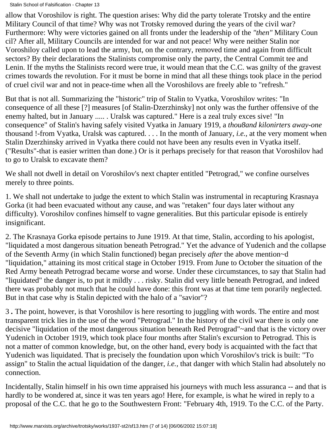allow that Voroshilov is right. The question arises: Why did the party tolerate Trotsky and the entire Military Council of that time? Why was not Trotsky removed during the years of the civil war? Furthermore: Why were victories gained on all fronts under the leadership of the *"then"* Military Coun cil? After all, Military Councils are intended for war and not peace! Why were neither Stalin nor Voroshiloy called upon to lead the army, but, on the contrary, removed time and again from difficult sectors? By their declarations the Stalinists compromise only the party, the Central Commit tee and Lenin. If the myths the Stalinists record were true, it would mean that the C.C. was gnilty of the gravest crimes towards the revolution. For it must be borne in mind that all these things took place in the period of cruel civil war and not in peace-time when all the Voroshilovs are freely able to "refresh."

But that is not all. Summarizing the "historic" trip of Stalin to Vyatka, Voroshilov writes: "In consequence of all these [?] measures [of Stalin-Dzerzhinsky] not only was the further offensive of the enemy halted, but in January ..... . Uralsk was captured." Here is a zeal truly exces sive! "In consequence" of Stalin's having safely visited Vyatka in January 1919, a *thou8and kilonirters away-one* thousand !-from Vyatka, Uralsk was captured. . . . In the month of January, *i.e.,* at the very moment when Stalin Dzerzhinsky arrived in Vyatka there could not have been any results even in Vyatka itself. ("Results"-that is easier written than done.) Or is it perhaps precisely for that reason that Voroshilov had to go to Uralsk to excavate them?

We shall not dwell in detail on Voroshilov's next chapter entitled "Petrograd," we confine ourselves merely to three points.

1. We shall not undertake to judge the extent to which Stalin was instrumental in recapturing Krasnaya Gorka (it had been evacuated without any cause, and was "retaken" four days later without any difficulty). Voroshilov confines himself to vagne generalities. But this particular episode is entirely insignificant.

2. The Krasnaya Gorka episode pertains to June 1919. At that time, Stalin, according to his apologist, "liquidated a most dangerous situation beneath Petrograd." Yet the advance of Yudenich and the collapse of the Seventh Army (in which Stalin functioned) began precisely *after* the above mention~d "liquidation," attaining its most critical stage in October 1919. From June to October the situation of the Red Army beneath Petrograd became worse and worse. Under these circumstances, to say that Stalin had "liquidated" the danger is, to put it mildly . . . risky. Stalin did very little beneath Petrograd, and indeed there was probably not much that he could have done: this front was at that time tem porarily neglected. But in that case why is Stalin depicted with the halo of a "savior"?

3 *.* The point, however, is that Voroshilov is here resorting to juggling with words. The entire and most transparent trick lies in the use of the word "Petrograd." In the history of the civil war there is only one decisive "liquidation of the most dangerous situation beneath Red Petrograd"~and that is the victory over Yudenich in October 1919, which took place four months after Stalin's excursion to Petrograd. This is not a matter of common knowledge, but, on the other hand, every body is acquainted with the fact that Yudenich was liquidated. That is precisely the foundation upon which Voroshilov's trick is built: "To assign" to Stalin the actual liquidation of the danger, *i.e.,* that danger with which Stalin had absolutely no connection.

Incidentally, Stalin himself in his own time appraised his journeys with much less assuranca -- and that is hardly to be wondered at, since it was ten years ago! Here, for example, is what he wired in reply to a proposal of the C.C. that he go to the Southwestern Front: "February 4th, 1919. To the C.C. of the Party.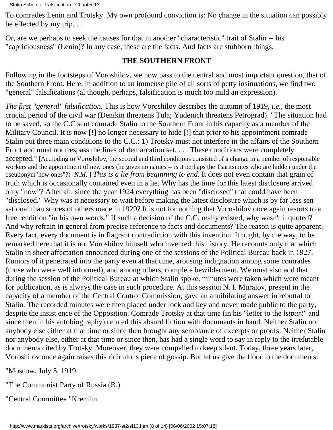To comrades Lenin and Trotsky. My own profound conviction is: No change in the situation can possibly be effected by my trip. . .

Or, are we perhaps to seek the causes for that in another "characteristic" trait of Stalin -- his "capriciousness" (Lenin)? In any case, these are the facts. And facts are stubborn things.

### **THE SOUTHERN FRONT**

Following in the footsteps of Voroshilov, we now pass to the central and most important question, that of the Southern Front. Here, in addition to an immense pile of all sorts of petty insinuations, we find two "general" falsifications (al though, perhaps, falsification is much too mild an expression).

*The first "general" falsification.* This is how Voroshilov describes the autumn of 1919, *i.e.,* the most crucial period of the civil war (Denikin threatens Tula; Yudenich threatens Petrograd). "The situation had to be saved, so the C.C sent comrade Stalin to the Southern Front in his capacity as a member of the Military Council. It is now [!] no longer necessary to hide [!] that prior to his appointment comrade Stalin put three main conditions to the C.C.: 1) Trotsky must not interfere in the affairs of the Southern Front and must not trespass the lines of demarcation set. . . . These conditions were completely accepted." [Accroding to Voroshilov, the second and third conditions consisted of a change in a number of responsible workers and the appointment of new ones (he gives no names -- is it perhaps the Tsaritsinites who are hidden under the pseudonym 'new ones"?) *-N.M.* ] *This is a lie from beginning to end.* It does not even contain that grain of truth which is occasionally contained even in a lie. Why has the time for this latest disclosure arrived only "now"? After all, since the year 1924 everything has been "disclosed" that could have been "disclosed." Why was it necessary to wait before making the latest disclosure which is by far less sen sational than scores of others made in 1929? It is not for nothing that Voroshilov once again resorts to a free rendition "in his own words." If such a decision of the C.C. really existed, why wasn't it quoted? And why refrain in general from precise reference to facts and documents? The reason is quite apparent. Every fact, every document is in flagrant contradiction with this invention. It ought, by the way, to be remarked here that it is not Voroshilov himself who invented this history. He recounts only that which Stalin in sheer affectation announced during one of the sessions of the Political Bureau back in 1927. Rumors of it penetrated into the party even at that time, arousing indignation among some comrades (those who were well informed), and among others, complete bewilderment. We must also add that during the session of the Political Bureau at which Stalin spoke, minutes were taken which were meant for publication, as is always the case in such procedure. At this session N. I. Muralov, present in the capacity of a member of the Central Control Commission, gave an annihilating answer in rebuttal to Stalin. The recorded minutes were then placed under lock and key and never made public to the party, despite the insist ence of the Opposition. Comrade Trotsky at that time (in his "letter to the *lstpart"* and since then in his autobiog raphy) refuted this absurd fiction with documents in hand. Neither Stalin nor anybody else either at that time or since then brought any semblance of excerpts or proofs. Neither Stalin nor anybody else, either at that time or since then, has had a single word to say in reply to the irrefutable docu ments cited by Trotsky. Moreover, they were compelled to keep silent. Today, three years later, Voroshilov once again raises this ridiculous piece of gossip. But let us give the floor to the documents:

"Moscow, July 5, 1919.

"The Communist Party of Russia (B.)

"Central Committee "Kremlin.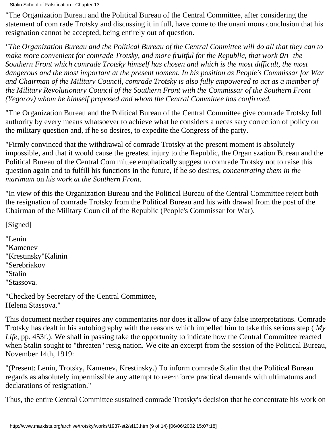"The Organization Bureau and the Political Bureau of the Central Committee, after considering the statement of com rade Trotsky and discussing it in full, have come to the unani mous conclusion that his resignation cannot be accepted, being entirely out of question.

*"The Organization Bureau and the Political Bureau of the Central Conmittee will do all that they can to make more convenient for comrade Trotsky, and more fruitful for the Republic, that work On the Southern Front which comrade Trotsky himself has chosen and which is the most difficult, the most dangerous and the most important at the present noment. In his position as People's Commissar for War and Chairman of the Military Council, comrade Trotsky is also fully empowered to act as a member of the Military Revolutionary Council of the Southern Front with the Commissar of the Southern Front (Yegorov) whom he himself proposed and whom the Central Committee has confirmed.*

"The Organization Bureau and the Political Bureau of the Central Committee give comrade Trotsky full authority by every means whatsoever to achieve what he considers a neces sary correction of policy on the military question and, if he so desires, to expedite the Congress of the party.

"Firmly convinced that the withdrawal of comrade Trotsky at the present moment is absolutely impossible, and that it would cause the greatest injury to the Republic, the Organ szation Bureau and the Political Bureau of the Central Com mittee emphatically suggest to comrade Trotsky not to raise this question again and to fulfill his functions in the future, if he so desires, *concentrating them in the marimum* on *his work at the Southern Front.*

"In view of this the Organization Bureau and the Political Bureau of the Central Committee reject both the resignation of comrade Trotsky from the Political Bureau and his with drawal from the post of the Chairman of the Military Coun cil of the Republic (People's Commissar for War).

[Signed]

"Lenin "Kamenev "Krestinsky"Kalinin "Serebriakov "Stalin "Stassova.

"Checked by Secretary of the Central Committee, Helena Stassova."

This document neither requires any commentaries nor does it allow of any false interpretations. Comrade Trotsky has dealt in his autobiography with the reasons which impelled him to take this serious step ( *My Life,* pp. 453f.). We shall in passing take the opportunity to indicate how the Central Committee reacted when Stalin sought to "threaten" resig nation. We cite an excerpt from the session of the Political Bureau, November 14th, 1919:

"(Present: Lenin, Trotsky, Kamenev, Krestinsky.) To inform comrade Stalin that the Political Bureau regards as absolutely impermissible any attempt to ree~nforce practical demands with ultimatums and declarations of resignation."

Thus, the entire Central Committee sustained comrade Trotsky's decision that he concentrate his work on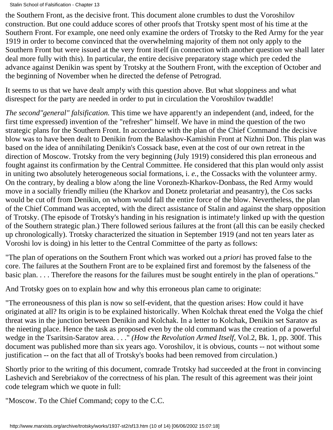the Southern Front, as the decisive front. This document alone crumbles to dust the Voroshilov construction. But one could adduce scores of other proofs that Trotsky spent most of his time at the Southern Front. For example, one need only examine the orders of Trotsky to the Red Army for the year 1919 in order to become convinced that the overwhelming majority of them not only apply to the Southern Front but were issued at the very front itself (in connection with another question we shall later deal more fully with this). In particular, the entire decisive preparatory stage which pre ceded the advance against Denikin was spent by Trotsky at the Southern Front, with the exception of October and the beginning of November when he directed the defense of Petrograd.

It seems to us that we have dealt amp!y with this question above. But what sloppiness and what disrespect for the party are needed in order to put in circulation the Voroshilov twaddle!

*The second"general" falsification.* This time we have apparent!y an independent (and, indeed, for the first time expressed) invention of the "refresher" himself. We have in mind the question of the two strategic plans for the Southern Front. In accordance with the plan of the Chief Command the decisive blow was to have been dealt to Denikin from the Balashov-Kamishin Front at Nizhni Don. This plan was based on the idea of annihilating Denikin's Cossack base, even at the cost of our own retreat in the direction of Moscow. Trotsky from the very beginning (July 1919) considered this plan erroneous and fought against its confirmation by the Central Committee. He considered that this plan would only assist in uniting two absolutely heterogeneous social formations, i. *e.,* the Cossacks with the volunteer army. On the contrary, by dealing a blow a!ong the line Voronezh-Kharkov-Donbass, the Red Army would move in a socially friendly milieu (the Kharkov and Donetz proletariat and peasantry), the Cos sacks would be cut off from Denikin, on whom would fall the entire force of the blow. Nevertheless, the plan of the Chief Command was accepted, with the direct assistance of Stalin and against the sharp opposition of Trotsky. (The episode of Trotsky's handing in his resignation is intimate!y linked up with the question of the Southern strategic plan.) There followed serious failures at the front (all this can be easily checked up chronologically). Trotsky characterized the situation in September 1919 (and not ten years later as Voroshi lov is doing) in his letter to the Central Committee of the party as follows:

"The plan of operations on the Southern Front which was worked out a *priori* has proved false to the core. The failures at the Southern Front are to be explained first and foremost by the falseness of the basic plan. . . . Therefore the reasons for the failures must be sought entirely in the plan of operations."

And Trotsky goes on to explain how and why this erroneous plan came to originate:

"The erroneousness of this plan is now so self-evident, that the question arises: How could it have originated at all? Its origin is to be explained historically. When Kolchak threat ened the Volga the chief threat was in the junction between Denikin and Kolchak. In a letter to Kolchak, Denikin set Saratov as the nieeting place. Hence the task as proposed even by the old command was the creation of a powerful wedge in the Tsaritsin-Saratov area. . . ." *(How the Revolution Armed Itself,* Vol.2, Bk. 1, pp. 300f. This document was published more than six years ago. Voroshilov, it is obvious, counts -- not without some justification -- on the fact that all of Trotsky's books had been removed from circulation.)

Shortly prior to the writing of this document, comrade Trotsky had succeeded at the front in convincing Lashevich and Serebriakov of the correctness of his plan. The result of this agreement was their joint code telegram which we quote in full:

"Moscow. To the Chief Command; copy to the C.C.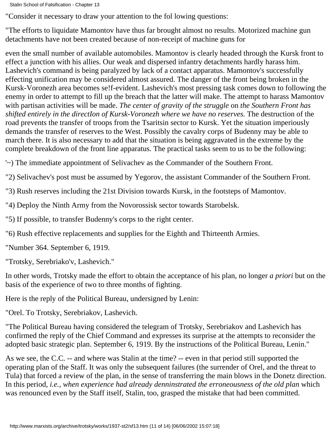"Consider it necessary to draw your attention to the fol lowing questions:

"The efforts to liquidate Mamontov have thus far brought almost no results. Motorized machine gun detachments have not been created because of non-receipt of machine guns for

even the small number of available automobiles. Mamontov is clearly headed through the Kursk front to effect a junction with his allies. Our weak and dispersed infantry detachments hardly harass him. Lashevich's command is being paralyzed by lack of a contact apparatus. Mamontov's successfully effecting unification may be considered almost assured. The danger of the front being broken in the Kursk-Voronezh area becomes se!f-evident. Lashevich's most pressing task comes down to following the enemy in order to attempt to fill up the breach that the latter will make. The attempt to harass Mamontov with partisan activities will be made. *The center of gravity of the struggle* on *the Southern Front has shifted entirely in the directIon of Kursk-Voronezh where we have no reserves.* The destruction of the road prevents the transfer of troops from the Tsaritsin sector to Kursk. Yet the situation imperiously demands the transfer of reserves to the West. Possibly the cavalry corps of Budenny may be able to march there. It is also necessary to add that the situation is being aggravated in the extreme by the complete breakdown of the front line apparatus. The practical tasks seem to us to be the following:

'~) The immediate appointment of Selivachev as the Commander of the Southern Front.

"2) Selivachev's post must be assumed by Yegorov, the assistant Commander of the Southern Front.

"3) Rush reserves including the 21st Division towards Kursk, in the footsteps of Mamontov.

"4) Deploy the Ninth Army from the Novorossisk sector towards Starobelsk.

"5) If possible, to transfer Budenny's corps to the right center.

"6) Rush effective replacements and supplies for the Eighth and Thirteenth Armies.

"Number 364. September 6, 1919.

"Trotsky, Serebriako'v, Lashevich."

In other words, Trotsky made the effort to obtain the acceptance of his plan, no longer *a priori* but on the basis of the experience of two to three months of fighting.

Here is the reply of the Political Bureau, undersigned by Lenin:

"Orel. To Trotsky, Serebriakov, Lashevich.

"The Political Bureau having considered the telegram of Trotsky, Serebriakov and Lashevich has confirmed the reply of the Chief Command and expresses its surprise at the attempts to reconsider the adopted basic strategic plan. September 6, 1919. By the instructions of the Political Bureau, Lenin."

As we see, the C.C. -- and where was Stalin at the time? -- even in that period still supported the operating plan of the Staff. It was only the subsequent failures (the surrender of Orel, and the threat to Tula) that forced a review of the plan, in the sense of transferring the main blows in the Donetz direction. In this period, *i.e., when experience had already denninstrated the erroneousness of the old plan* which was renounced even by the Staff itself, Stalin, too, grasped the mistake that had been committed.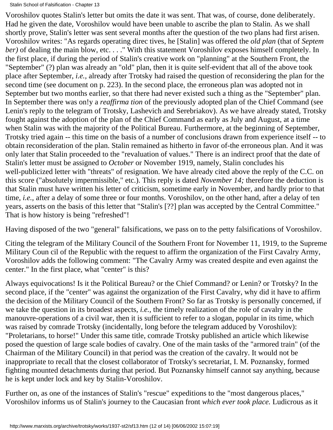Voroshilov quotes Stalin's letter but omits the date it was sent. That was, of course, done deliberately. Had he given the date, Voroshilov would have been unable to ascribe the plan to Stalin. As we shall shortly prove, Stalin's letter was sent several months after the question of the two plans had first arisen. Voroshilov writes: "As regards operating direc tives, he [Stalin] was offered the *old plan* (that of *Septem ber*) of dealing the main blow, etc. . . ." With this statement Voroshilov exposes himself completely. In the first place, if during the period of Stalin's creative work on "planning" at the Southern Front, the "September" (?) plan was already an "old" plan, then it is quite self-evident that all of the above took place after September, *i.e.,* already after Trotsky had raised the question of reconsidering the plan for the second time (see document on p. 223). In the second place, the erroneous plan was adopted not in September but two months earlier, so that there had never existed such a thing as the "September" plan. In September there was on!y a *reaffirma tion* of the previously adopted plan of the Chief Command (see Lenin's reply to the telegram of Trotsky, Lashevich and Serebriakov). As we have already stated, Trotsky fought against the adoption of the plan of the Chief Command as early as July and August, at a time when Stalin was with the majority of the Political Bureau. Furthermore, at the beginning of September, Trotsky tried again -- this time on the basis of a number of conclusions drawn from experience itself -- to obtain reconsideration of the plan. Stalin remained as hitherto in favor of-the erroneous plan. And it was only later that Stalin proceeded to the "revaluation of values." There is an indirect proof that the date of Stalin's letter must be assigned to *October* or November 1919, namely, Stalin concludes his well-publicized letter with "threats" of resignation. We have already cited above the reply of the C.C. on this score ("absolutely impermissible," etc.). This reply is dated *November 14;* therefore the deduction is that Stalin must have written his letter of criticism, sometime early in November, and hardly prior to that time, *i.e.,* after a delay of some three or four months. Voroshilov, on the other hand, after a delay of ten years, asserts on the basis of this letter that "Stalin's [??] plan was accepted by the Central Committee." That is how history is being "refreshed"!

Having disposed of the two "general" falsifications, we pass on to the petty falsifications of Voroshilov.

Citing the telegram of the Military Council of the Southern Front for November 11, 1919, to the Supreme Military Coun cil of the Republic with the request to affirm the organization of the First Cavalry Army, Voroshilov adds the following comment: "The Cavalry Army was created despite and even against the center." In the first place, what "center" is this?

Always equivocations! Is it the Political Bureau? or the Chief Command? or Lenin? or Trotsky? In the second place, if the "center" was against the organization of the First Cavalry, why did it have to affirm the decision of the Military Council of the Southern Front? So far as Trotsky is personally concerned, if we take the question in its broadest aspects, *i.e.,* the timely realization of the role of cavalry in the manouvre-operations of a civil war, then it is sufficient to refer to a slogan, popular in its time, which was raised by comrade Trotsky (incidentally, long before the telegram adduced by Voroshilov): "Proletarians, to horse!" Under this same title, comrade Trotsky published an article which likewise posed the question of large scale bodies of cavalry. One of the main tasks of the "armored train" (of the Chairman of the Military Council) in that period was the creation of the cavalry. It would not be inappropriate to recall that the closest collaborator of Trotsky's secretariat, I. M. Poznansky, formed fighting mounted detachments during that period. But Poznansky himself cannot say anything, because he is kept under lock and key by Stalin-Voroshilov.

Further on, as one of the instances of Stalin's "rescue" expeditions to the "most dangerous places," Voroshilov informs us of Stalin's journey to the Caucasian front *which ever took place.* Ludicrous as it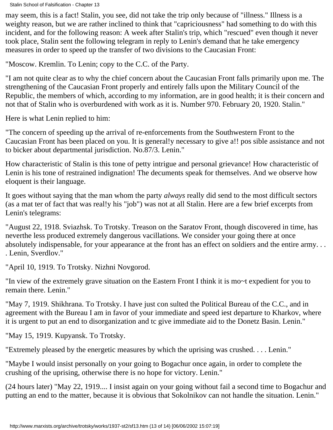may seem, this is a fact! Stalin, you see, did not take the trip only because of "illness." Illness is a weighty reason, but we are rather inclined to think that "capriciousness" had something to do with this incident, and for the following reason: A week after Stalin's trip, which "rescued" even though it never took place, Stalin sent the following telegram in reply to Lenin's demand that he take emergency measures in order to speed up the transfer of two divisions to the Caucasian Front:

"Moscow. Kremlin. To Lenin; copy to the C.C. of the Party.

"I am not quite clear as to why the chief concern about the Caucasian Front falls primarily upon me. The strengthening of the Caucasian Front properly and entirely falls upon the Military Council of the Republic, the members of which, according to my information, are in good health; it is their concern and not that of Stalin who is overburdened with work as it is. Number 970. February 20, 1920. Stalin."

Here is what Lenin replied to him:

"The concern of speeding up the arrival of re-enforcements from the Southwestern Front to the Caucasian Front has been placed on you. It is general!y necessary to give a!! pos sible assistance and not to bicker about departmental jurisdiction. No.87/3. Lenin."

How characteristic of Stalin is this tone of petty intrigue and personal grievance! How characteristic of Lenin is his tone of restrained indignation! The decuments speak for themselves. And we observe how eloquent is their language.

It goes without saying that the man whom the party *always* really did send to the most difficult sectors (as a mat ter of fact that was real!y his "job") was not at all Stalin. Here are a few brief excerpts from Lenin's telegrams:

"August 22, 1918. Sviazhsk. To Trotsky. Treason on the Saratov Front, though discovered in time, has neverthe less produced extremely dangerous vacillations. We consider your going there at once absolutely indispensable, for your appearance at the front has an effect on soldiers and the entire army. . . . Lenin, Sverdlov."

"April 10, 1919. To Trotsky. Nizhni Novgorod.

"In view of the extremely grave situation on the Eastern Front I think it is mo~t expedient for you to remain there. Lenin."

"May 7, 1919. Shikhrana. To Trotsky. I have just con sulted the Political Bureau of the C.C., and in agreement with the Bureau I am in favor of your immediate and speed iest departure to Kharkov, where it is urgent to put an end to disorganization and tc give immediate aid to the Donetz Basin. Lenin."

"May 15, 1919. Kupyansk. To Trotsky.

"Extremely pleased by the energetic measures by which the uprising was crushed. . . . Lenin."

"Maybe I would insist personally on your going to Bogachur once again, in order to complete the crushing of the uprising, otherwise there is no hope for victory. Lenin."

(24 hours later) "May 22, 1919.... I insist again on your going without fail a second time to Bogachur and putting an end to the matter, because it is obvious that Sokolnikov can not handle the situation. Lenin."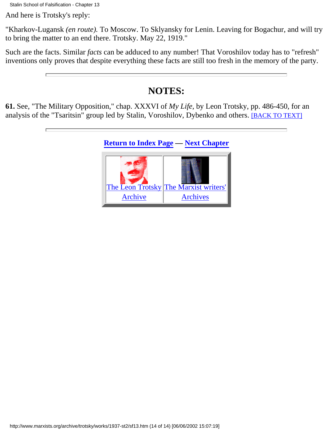And here is Trotsky's reply:

"Kharkov-Lugansk *(en route).* To Moscow. To Sklyansky for Lenin. Leaving for Bogachur, and will try to bring the matter to an end there. Trotsky. May 22, 1919."

Such are the facts. Similar *facts* can be adduced to any number! That Voroshilov today has to "refresh" inventions only proves that despite everything these facts are still too fresh in the memory of the party.

## **NOTES:**

**61.** See, "The Military Opposition," chap. XXXVI of *My Life,* by Leon Trotsky, pp. 486-450, for an analysis of the "Tsaritsin" group led by Stalin, Voroshilov, Dybenko and others. [BACK TO TEXT]

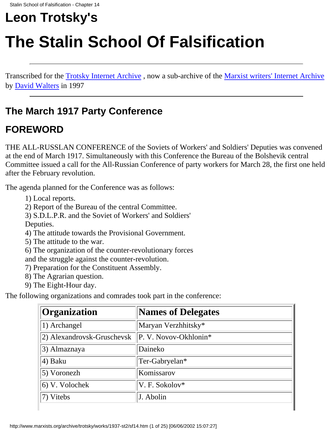# <span id="page-172-0"></span>**Leon Trotsky's**

# **The Stalin School Of Falsification**

Transcribed for the [Trotsky Internet Archive](#page-214-0) , now a sub-archive of the [Marxist writers' Internet Archive](#page-6-0) by [David Walters](mailto:dwalters@marxists.org) in 1997

# **The March 1917 Party Conference**

# **FOREWORD**

THE ALL-RUSSLAN CONFERENCE of the Soviets of Workers' and Soldiers' Deputies was convened at the end of March 1917. Simultaneously with this Conference the Bureau of the Bolshevik central Committee issued a call for the All-Russian Conference of party workers for March 28, the first one held after the February revolution.

The agenda planned for the Conference was as follows:

- 1) Local reports.
- 2) Report of the Bureau of the central Committee.
- 3) S.D.L.P.R. and the Soviet of Workers' and Soldiers'
- Deputies.
- 4) The attitude towards the Provisional Government.
- 5) The attitude to the war.
- 6) The organization of the counter-revolutionary forces

and the struggle against the counter-revolution.

- 7) Preparation for the Constituent Assembly.
- 8) The Agrarian question.
- 9) The Eight-Hour day.

The following organizations and comrades took part in the conference:

| <b>Organization</b>         | <b>Names of Delegates</b> |
|-----------------------------|---------------------------|
| $ 1)$ Archangel             | Maryan Verzhhitsky*       |
| (2) Alexandrovsk-Gruschevsk | P. V. Novov-Okhlonin*     |
| 3) Almaznaya                | Daineko                   |
| $ 4)$ Baku                  | Ter-Gabryelan*            |
| $ 5)$ Voronezh              | Komissarov                |
| $\vert$ 6) V. Volochek      | V. F. Sokolov*            |
| Vitebs                      | J. Abolin                 |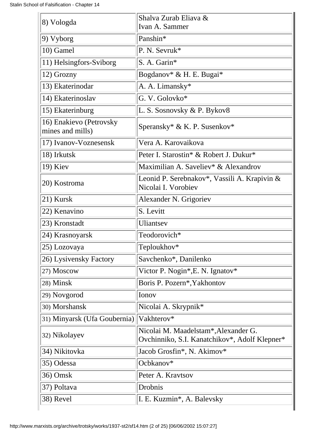| 8) Vologda                                  | Shalva Zurab Eliava &<br>Ivan A. Sammer                                               |
|---------------------------------------------|---------------------------------------------------------------------------------------|
| 9) Vyborg                                   | Panshin*                                                                              |
| 10) Gamel                                   | P. N. Sevruk*                                                                         |
| 11) Helsingfors-Sviborg                     | S. A. Garin*                                                                          |
| 12) Grozny                                  | Bogdanov* & H. E. Bugai*                                                              |
| 13) Ekaterinodar                            | A. A. Limansky*                                                                       |
| 14) Ekaterinoslav                           | G. V. Golovko*                                                                        |
| 15) Ekaterinburg                            | L. S. Sosnovsky & P. Bykov8                                                           |
| 16) Enakievo (Petrovsky<br>mines and mills) | Speransky* & K. P. Susenkov*                                                          |
| 17) Ivanov-Voznesensk                       | Vera A. Karovaikova                                                                   |
| 18) Irkutsk                                 | Peter I. Starostin* & Robert J. Dukur*                                                |
| 19) Kiev                                    | Maximilian A. Saveliev* & Alexandrov                                                  |
| 20) Kostroma                                | Leonid P. Serebnakov*, Vassili A. Krapivin &<br>Nicolai I. Vorobiev                   |
| 21) Kursk                                   | Alexander N. Grigoriev                                                                |
| 22) Kenavino                                | S. Levitt                                                                             |
| 23) Kronstadt                               | Uliantsev                                                                             |
| 24) Krasnoyarsk                             | Teodorovich*                                                                          |
| 25) Lozovaya                                | Teploukhov*                                                                           |
| 26) Lysivensky Factory                      | Savchenko*, Danilenko                                                                 |
| 27) Moscow                                  | Victor P. Nogin*, E. N. Ignatov*                                                      |
| 28) Minsk                                   | Boris P. Pozern <sup>*</sup> , Yakhontov                                              |
| 29) Novgorod                                | Ionov                                                                                 |
| 30) Morshansk                               | Nicolai A. Skrypnik*                                                                  |
| 31) Minyarsk (Ufa Goubernia)                | Vakhterov*                                                                            |
| 32) Nikolayev                               | Nicolai M. Maadelstam*, Alexander G.<br>Ovchinniko, S.I. Kanatchikov*, Adolf Klepner* |
| 34) Nikitovka                               | Jacob Grosfin*, N. Akimov*                                                            |
| 35) Odessa                                  | Ocbkanov*                                                                             |
| 36) Omsk                                    | Peter A. Kravtsov                                                                     |
| 37) Poltava                                 | Drobnis                                                                               |
| 38) Revel                                   | I. E. Kuzmin*, A. Balevsky                                                            |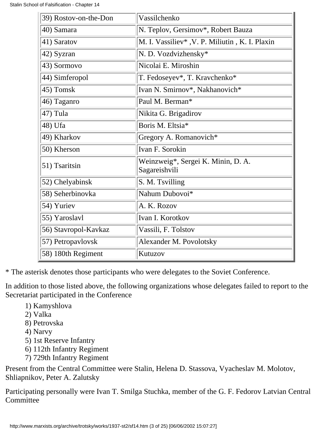| 39) Rostov-on-the-Don | Vassilchenko                                        |
|-----------------------|-----------------------------------------------------|
| 40) Samara            | N. Teplov, Gersimov*, Robert Bauza                  |
| 41) Saratov           | M. I. Vassiliev*, V. P. Miliutin, K. I. Plaxin      |
| 42) Syzran            | N. D. Vozdvizhensky*                                |
| 43) Sormovo           | Nicolai E. Miroshin                                 |
| 44) Simferopol        | T. Fedoseyev*, T. Kravchenko*                       |
| 45) Tomsk             | Ivan N. Smirnov*, Nakhanovich*                      |
| 46) Taganro           | Paul M. Berman*                                     |
| 47) Tula              | Nikita G. Brigadirov                                |
| 48) Ufa               | Boris M. Eltsia*                                    |
| 49) Kharkov           | Gregory A. Romanovich*                              |
| 50) Kherson           | Ivan F. Sorokin                                     |
| 51) Tsaritsin         | Weinzweig*, Sergei K. Minin, D. A.<br>Sagareishvili |
| 52) Chelyabinsk       | S. M. Tsvilling                                     |
| 58) Seherbinovka      | Nahum Dubovoi*                                      |
| 54) Yuriev            | A. K. Rozov                                         |
| 55) Yaroslavl         | Ivan I. Korotkov                                    |
| 56) Stavropol-Kavkaz  | Vassili, F. Tolstov                                 |
| 57) Petropavlovsk     | Alexander M. Povolotsky                             |
| 58) 180th Regiment    | Kutuzov                                             |

\* The asterisk denotes those participants who were delegates to the Soviet Conference.

In addition to those listed above, the following organizations whose delegates failed to report to the Secretariat participated in the Conference

- 1) Kamyshlova
- 2) Valka
- 8) Petrovska
- 4) Narvy
- 5) 1st Reserve Infantry
- 6) 112th Infantry Regiment
- 7) 729th Infantry Regiment

Present from the Central Committee were Stalin, Helena D. Stassova, Vyacheslav M. Molotov, Shliapnikov, Peter A. Zalutsky

Participating personally were Ivan T. Smilga Stuchka, member of the G. F. Fedorov Latvian Central **Committee**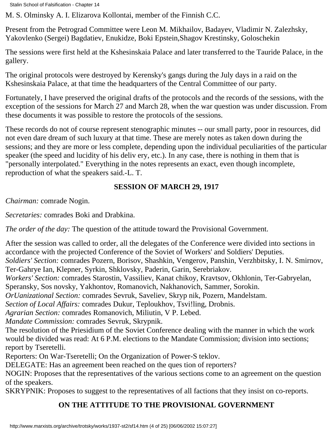M. S. Olminsky A. I. Elizarova Kollontai, member of the Finnish C.C.

Present from the Petrograd Committee were Leon M. Mikhailov, Badayev, Vladimir N. Zalezhsky, Yakovlenko (Sergei) Bagdatiev, Enukidze, Boki Epstein,Shagov Krestinsky, Goloschekin

The sessions were first held at the Kshesinskaia Palace and later transferred to the Tauride Palace, in the gallery.

The original protocols were destroyed by Kerensky's gangs during the July days in a raid on the Kshesinskaia Palace, at that time the headquarters of the Central Committee of our party.

Fortunately, I have preserved the original drafts of the protocols and the records of the sessions, with the exception of the sessions for March 27 and March 28, when the war question was under discussion. From these documents it was possible to restore the protocols of the sessions.

These records do not of course represent stenographic minutes -- our small party, poor in resources, did not even dare dream of such luxury at that time. These are merely notes as taken down during the sessions; and they are more or less complete, depending upon the individual peculiarities of the particular speaker (the speed and lucidity of his deliv ery, etc.). In any case, there is nothing in them that is "personally interpolated." Everything in the notes represents an exact, even though incomplete, reproduction of what the speakers said.-L. T.

## **SESSION OF MARCH 29, 1917**

*Chairman:* comrade Nogin.

*Secretaries:* comrades Boki and Drabkina.

*The order of the day:* The question of the attitude toward the Provisional Government.

After the session was called to order, all the delegates of the Conference were divided into sections in accordance with the projected Conference of the Soviet of Workers' and Soldiers' Deputies.

*Soldiers' Section:* comrades Pozern, Borisov, Shashkin, Vengerov, Panshin, Verzhbitsky, I. N. Smirnov, Ter-Gahrye Ian, Klepner, Syrkin, Shklovsky, Paderin, Garin, Serebriakov.

*Workers' Section:* comrades Starostin, Vassiliev, Kanat chikoy, Kravtsov, Okhlonin, Ter-Gabryelan, Speransky, Sos novsky, Yakhontov, Romanovich, Nakhanovich, Sammer, Sorokin.

*OrUanizational Section:* comrades Sevruk, Saveliev, Skryp nik, Pozern, Mandelstam.

*Section of Local Affairs:* comrades Dukur, Teploukhov, Tsvi!ling, Drobnis.

*Agrarian Section:* comrades Romanovich, Miliutin, V P. Lebed.

*Mandate Commission:* comrades Sevruk, Skrypnik.

The resolution of the Priesidium of the Soviet Conference dealing with the manner in which the work would be divided was read: At 6 P.M. elections to the Mandate Commission; division into sections; report by Tseretelli.

Reporters: On War-Tseretelli; On the Organization of Power-S teklov.

DELEGATE: Has an agreement been reached on the ques tion of reporters?

NOGIN: Proposes that the representatives of the various sections come to an agreement on the question of the speakers.

SKRYPNIK: Proposes to suggest to the representatives of all factions that they insist on co-reports.

## **ON THE ATTITUDE TO THE PROVISIONAL GOVERNMENT**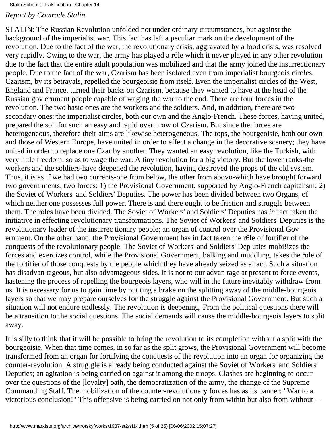*Report by Comrade Stalin.*

STALIN: The Russian Revolution unfolded not under ordinary circumstances, but against the background of the imperialist war. This fact has left a peculiar mark on the development of the revolution. Due to the fact of the war, the revolutionary crisis, aggravated by a food crisis, was resolved very rapidly. Owing to the war, the army has played a r6le which it never played in any other revolution due to the fact that the entire adult population was mobilized and that the army joined the insurrectionary people. Due to the fact of the war, Czarism has been isolated even from imperialist bourgeois circ!es. Czarism, by its betrayals, repelled the bourgeoisie from itself. Even the imperialist circles of the West, England and France, turned their backs on Czarism, because they wanted to have at the head of the Russian gov ernment people capable of waging the war to the end. There are four forces in the revolution. The two basic ones are the workers and the soldiers. And, in addition, there are two secondary ones: the imperialist circles, both our own and the Anglo-French. These forces, having united, prepared the soil for such an easy and rapid overthrow of Czarism. But since the forces are heterogeneous, therefore their aims are likewise heterogeneous. The tops, the bourgeoisie, both our own and those of Western Europe, have united in order to effect a change in the decorative scenery; they have united in order to replace one Czar by another. They wanted an easy revolution, like the Turkish, with very little freedom, so as to wage the war. A tiny revolution for a big victory. But the lower ranks-the workers and the soldiers-have deepened the revolution, having destroyed the props of the old system. Thus, it is as if we had two currents-one from below, the other from abovo-which have brought forward two govern ments, two forces: 1) the Provisional Government, supported by Anglo-French capitalism; 2) the Soviet of Workers' and Soldiers' Deputies. The power has been divided between two Organs, of which neither one possesses full power. There is and there ought to be friction and struggle between them. The roles have been divided. The Soviet of Workers' and Soldiers' Deputies has *in* fact taken the initiative in effecting revolutionary transformations. The Soviet of Workers' and Soldiers' Deputies is the revolutionary leader of the insurrec tionary people; an organ of control over the Provisional Gov ernment. On the other hand, the Provisional Government has in fact taken the r6le of fortifier of the conquests of the revolutionary people. The Soviet of Workers' and Soldiers' Dep uties mobi!izes the forces and exercizes control, while the Provisional Government, balking and muddling, takes the role of the fortifier of those conquests by the people which they have already seized as a fact. Such a situation has disadvan tageous, but also advantageous sides. It is not to our advan tage at present to force events, hastening the process of repelling the bourgeois layers, who will in the future inevitably withdraw from us. It is necessary for us to gain time by put ting a brake on the splitting away of the middle-bourgeois layers so that we may prepare ourselves for the struggle against the Provisional Government. But such a situation will not endure endlessly. The revolution is deepening. From the political questions there will be a transition to the social questions. The social demands will cause the middle-bourgeois layers to split away.

It is silly to think that it will be possible to bring the revolution to its completion without a split with the bourgeoisie. When that time comes, in so far as the split grows, the Provisional Government will become transformed from an organ for fortifying the conquests of the revolution into an organ for organizing the counter-revolution. A strug gle is already being conducted against the Soviet of Workers' and Soldiers' Deputies; an agitation is being carried on against it among the troops. Clashes are beginning to occur over the questions of the [loyalty] oath, the democratization of the army, the change of the Supreme Commanding Staff. The mobilization of the counter-revolutionary forces has as its banner: "War to a victorious conclusion!" This offensive is being carried on not only from within but also from without --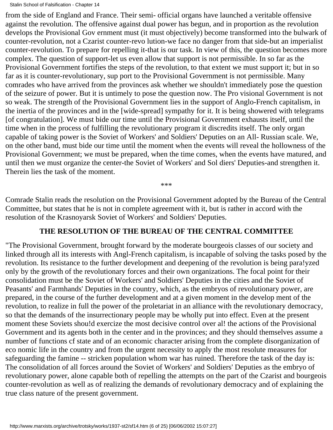from the side of England and France. Their semi- official organs have launched a veritable offensive against the revolution. The offensive against dual power has begun, and in proportion as the revolution develops the Provisional Gov ernment must (it must objectively) become transformed into the bulwark of counter-revolution, not a Czarist counter-revo lution-we face no danger from that side-but an imperialist counter-revolution. To prepare for repelling it-that is our task. In view of this, the question becomes more complex. The question of support-let us even allow that support is not permissible. In so far as the Provisional Government fortifies the steps of the revolution, to that extent we must support it; but in so far as it is counter-revolutionary, sup port to the Provisional Government is not permissible. Many comrades who have arrived from the provinces ask whether we shouldn't immediately pose the question of the seizure of power. But it is untimely to pose the question now. The Pro visional Government is not so weak. The strength of the Provisional Government lies in the support of Anglo-French capitalism, in the inertia of the provinces and in the [wide-spread] sympathy for it. It is being showered with telegrams [of congratulation]. We must bide our time until the Provisional Government exhausts itself, until the time when in the process of fulfilling the revolutionary program it discredits itself. The only organ capable of taking power is the Soviet of Workers' and Soldiers' Deputies on an All- Russian scale. We, on the other band, must bide our time until the moment when the events will reveal the hollowness of the Provisional Government; we must be prepared, when the time comes, when the events have matured, and until then we must organize the center-the Soviet of Workers' and Sol diers' Deputies-and strengthen it. Therein lies the task of the moment.

\*\*\*

Comrade Stalin reads the resolution on the Provisional Government adopted by the Bureau of the Central Committee, but states that he is not in complete agreement with it, but is rather in accord with the resolution of the Krasnoyarsk Soviet of Workers' and Soldiers' Deputies.

### **THE RESOLUTION OF THE BUREAU OF THE CENTRAL COMMITTEE**

"The Provisional Government, brought forward by the moderate bourgeois classes of our society and linked through all its interests with Angl-French capitalism, is incapable of solving the tasks posed by the revolution. Its resistance to the further development and deepening of the revolution is being para!yzed only by the growth of the revolutionary forces and their own organizations. The focal point for their consolidation must be the Soviet of Workers' and Soldiers' Deputies in the cities and the Soviet of Peasants' and Farmhands' Deputies in the country, which, as the embryos of revolutionary power, are prepared, in the course of the further development and at a given moment in the develop ment of the revolution, to realize in full the power of the proletariat in an alliance with the revolutionary democracy, so that the demands of the insurrectionary people may be wholly put into effect. Even at the present moment these Soviets shou!d exercize the most decisive control over al! the actions of the Provisional Government and its agents both in the center and in the provinces; and they should themselves assume a number of functions cf state and of an economic character arising from the complete disorganization of eco nomic life in the country and from the urgent necessity to apply the most resolute measures for safeguarding the famine -- stricken population whom war has ruined. Therefore the task of the day is: The consolidation of all forces around the Soviet of Workers' and Soldiers' Deputies as the embryo of revolutionary power, alone capable both of repelling the attempts on the part of the Czarist and bourgeois counter-revolution as well as of realizing the demands of revolutionary democracy and of explaining the true class nature of the present government.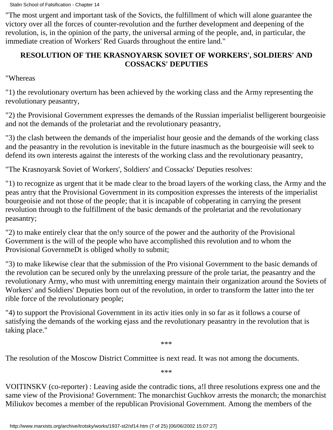"The most urgent and important task of the Sovicts, the fulfillment of which will alone guarantee the victory over all the forces of counter-revolution and the further development and deepening of the revolution, is, in the opinion of the party, the universal arming of the people, and, in particular, the immediate creation of Workers' Red Guards throughout the entire land."

## **RESOLUTION OF THE KRASNOYARSK SOVIET OF WORKERS', SOLDIERS' AND COSSACKS' DEPUTIES**

"Whereas

"1) the revolutionary overturn has been achieved by the working class and the Army representing the revolutionary peasantry,

"2) the Provisional Government expresses the demands of the Russian imperialist belligerent bourgeoisie and not the demands of the proletariat and the revolutionary peasantry,

"3) the clash between the demands of the imperialist hour geosie and the demands of the working class and the peasantry in the revolution is inevitable in the future inasmuch as the bourgeoisie will seek to defend its own interests against the interests of the working class and the revolutionary peasantry,

"The Krasnoyarsk Soviet of Workers', Soldiers' and Cossacks' Deputies resolves:

"1) to recognize as urgent that it be made clear to the broad layers of the working class, the Army and the peas antry that the Provisional Government in its composition expresses the interests of the imperialist bourgeoisie and not those of the people; that it is incapable of cobperating in carrying the present revolution through to the fulfillment of the basic demands of the proletariat and the revolutionary peasantry;

"2) to make entirely clear that the on!y source of the power and the authority of the Provisional Government is the will of the people who have accomplished this revolution and to whom the Provisional GovernmeDt is obliged wholly to submit;

"3) to make likewise clear that the submission of the Pro visional Government to the basic demands of the revolution can be secured only by the unrelaxing pressure of the prole tariat, the peasantry and the revolutionary Army, who must with unremitting energy maintain their organization around the Soviets of Workers' and Soldiers' Deputies born out of the revolution, in order to transform the latter into the ter rible force of the revolutionary people;

"4) to support the Provisional Government in its activ ities only in so far as it follows a course of satisfying the demands of the working ejass and the revolutionary peasantry in the revolution that is taking place."

\*\*\*

The resolution of the Moscow District Committee is next read. It was not among the documents.

\*\*\*

VOITINSKV (co-reporter) : Leaving aside the contradic tions, a!l three resolutions express one and the same view of the Provisiona! Government: The monarchist Guchkov arrests the monarch; the monarchist Miliukov becomes a member of the republican Provisional Government. Among the members of the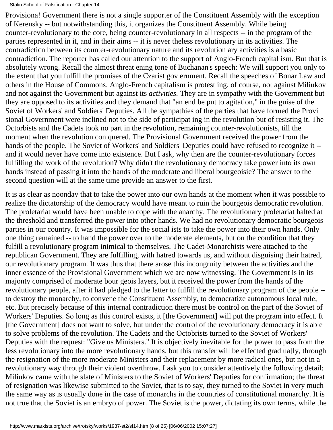Provisiona! Government there is not a single supporter of the Constituent Assembly with the exception of Kerensky -- but notwithstanding this, it organizes the Constituent Assembly. While being counter-revolutionary to the core, being counter-revolutionary in all respects -- in the program of the parties represented in it, and in their aims -- it is never theless revolutionary in its activities. The contradicticn between its counter-revolutionary nature and its revolution ary activities is a basic contradiction. The reporter has called our attention to the support of Anglo-French capital ism. But that is absolutely wrong. Recall the almost threat ening tone of Buchanan's speech: We will support you only to the extent that you fulfill the promises of the Czarist gov ernment. Recall the speeches of Bonar Law and others in the House of Commons. Anglo-French capitalism is protest ing, of course, not against Miliukov and not against the Government but against its *activities.* They are in sympathy with the Government but they are opposed to its activities and they demand that "an end be put to agitation," in the guise of the Soviet of Workers' and Soldiers' Deputies. All the sympathies of the parties that have formed the Provi sional Government were inclined not to the side of participat ing in the revolution but of resisting it. The Octorbists and the Cadets took no part in the revolution, remaining counter-revolutionists, till the moment when the revolution con quered. The Provisional Government received the power from the hands of the people. The Soviet of Workers' and Soldiers' Deputies could have refused to recognize it - and it would never have come into existence. But I ask, why then are the counter-revolutionary forces fulfilling the work of the revolution? Why didn't the revolutionary democracy take power into its own hands instead of passing it into the hands of the moderate and liberal bourgeoisie? The answer to the second question will at the same time provide an answer to the first.

It is as clear as noonday that to take the power into our own hands at the moment when it was possible to realize the dictatorship of the democracy would have meant to ruin the bourgeois democratic revolution. The proletariat would have been unable to cope with the anarchy. The revolutionary proletariat halted at the threshold and transferred the power into other hands. We had no revolutionary democratic bourgeois parties in our country. It was impossible for the social ists to take the power into their own hands. Only one thing remained -- to hand the power over to the moderate elements, but on the condition that they fulfill a revolutionary program inimical to themselves. The Cadet-Monarchists were attached to the republican Government. They are fulfilling, with hatred towards us, and without disguising their hatred, our revolutionary program. It was thus that there arose this incongruity between the activities and the inner essence of the Provisional Government which we are now witnessing. The Government is in its majonty comprised of moderate bour geois layers, but it received the power from the hands of the revolutionary people, after it had pledged to the latter to fulfill the revolutionary program of the people - to destroy the monarchy, to convene the Constituent Assembly, to democratize autonomous local rule, etc. But precisely because of this internal contradiction there must be control on the part of the Soviet of Workers' Deputies. So long as this control exists, it [the Government] will put the program into effect. It [the Government] does not want to solve, but under the control of the revolutionary democracy it is able to solve problems of the revolution. The Cadets and the Octobrists turned to the Soviet of Workers' Deputies with the request: "Give us Ministers." It is objectively inevitable for the power to pass from the less revolutionary into the more revolutionary hands, but this transfer will be effected grad ua]ly, through the resignation of the more moderate Ministers and their replacement by more radical ones, but not in a revolutionary way through their violent overthrow. I ask you to consider attentively the following detail: Miliukov came with the slate of Ministers to the Soviet of Workers' Deputies for confirmation; the threat of resignation was likewise submitted to the Soviet, that is to say, they turned to the Soviet in very much the same way as is usually done in the case of monarchs in the countries of constitutional monarchy. It is not true that the Soviet is an embryo of power. The Soviet is the power, dictating its own terms, while the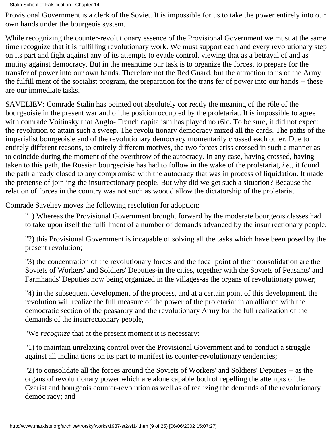Provisional Government is a clerk of the Soviet. It is impossible for us to take the power entirely into our own hands under the bourgeois system.

While recognizing the counter-revolutionary essence of the Provisional Government we must at the same time recognize that it is fulfilling revolutionary work. We must support each and every revolutionary step on its part and fight against any of its attempts to evade control, viewing that as a betrayal of and as mutiny against democracy. But in the meantime our task is to organize the forces, to prepare for the transfer of power into our own hands. Therefore not the Red Guard, but the attraction to us of the Army, the fulfill ment of the socialist program, the preparation for the trans fer of power into our hands -- these are our immediate tasks.

SAVELIEV: Comrade Stalin has pointed out absolutely cor rectly the meaning of the r6le of the bourgeoisie in the present war and of the position occupied by the proletariat. It is impossible to agree with comrade Voitinsky that Anglo- French capitalism has played no r6le. To be sure, it did not expect the revolution to attain such a sweep. The revolu tionary democracy mixed all the cards. The paths of the imperialist bourgeoisie and of the revolutionary democracy momentarily crossed each other. Due to entirely different reasons, to entirely different motives, the two forces criss crossed in such a manner as to coincide during the moment of the overthrow of the autocracy. In any case, having crossed, having taken to this path, the Russian bourgeoisie has had to follow in the wake of the proletariat, *i.e.,* it found the path already closed to any compromise with the autocracy that was in process of liquidation. It made the pretense of join ing the insurrectionary people. But why did we get such a situation? Because the relation of forces in the country was not such as wooud allow the dictatorship of the proletariat.

Comrade Saveliev moves the following resolution for adoption:

"1) Whereas the Provisional Government brought forward by the moderate bourgeois classes had to take upon itself the fulfillment of a number of demands advanced by the insur rectionary people;

"2) this Provisional Government is incapable of solving all the tasks which have been posed by the present revolution;

"3) the concentration of the revolutionary forces and the focal point of their consolidation are the Soviets of Workers' and Soldiers' Deputies-in the cities, together with the Soviets of Peasants' and Farmhands' Deputies now being organized in the villages-as the organs of revolutionary power;

"4) in the subsequent development of the process, and at a certain point of this development, the revolution will realize the full measure of the power of the proletariat in an alliance with the democratic section of the peasantry and the revolutionary Army for the full realization of the demands of the insurrectionary people,

"We *recognize* that at the present moment it is necessary:

"1) to maintain unrelaxing control over the Provisional Government and to conduct a struggle against all inclina tions on its part to manifest its counter-revolutionary tendencies;

"2) to consolidate all the forces around the Soviets of Workers' and Soldiers' Deputies -- as the organs of revolu tionary power which are alone capable both of repelling the attempts of the Czarist and bourgeois counter-revolution as well as of realizing the demands of the revolutionary democ racy; and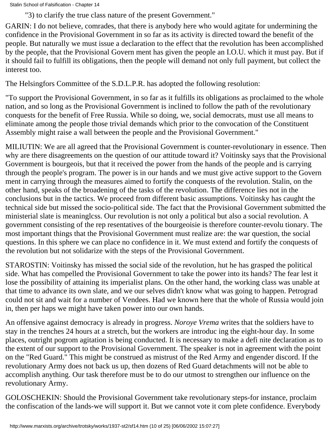"3) to clarify the true class nature of the present Government."

GARIN: I do not believe, comrades, that there is anybody here who would agitate for undermining the confidence in the Provisional Government in so far as its activity is directed toward the benefit of the people. But naturally we must issue a declaration to the effect that the revolution has been accomplished by the people, that the Provisional Govern ment has given the people an I.O.U. which it must pay. But if it should fail to fulfill its obligations, then the people will demand not only full payment, but collect the interest too.

The Helsingfors Committee of the S.D.L.P.R. has adopted the following resolution:

"To support the Provisional Government, in so far as it fulfills its obligations as proclaimed to the whole nation, and so long as the Provisional Government is inclined to follow the path of the revolutionary conquests for the benefit of Free Russia. While so doing, we, social democrats, must use all means to eliminate among the people those trivial demands which prior to the convocation of the Constituent Assembly might raise a wall between the people and the Provisional Government."

MILIUTIN: We are all agreed that the Provisional Government is counter-revolutionary in essence. Then why are there disagreements on the question of our attitude toward it? Voitinsky says that the Provisional Government is bourgeois, but that it received the power from the hands of the people and is carrying through the people's program. The power is in our hands and we must give active support to the Govern ment in carrying through the measures aimed to fortify the conquests of the revolution. Stalin, on the other hand, speaks of the broadening of the tasks of the revolution. The difference lies not in the conclusions but in the tactics. We proceed from different basic assumptions. Voitinsky has caught the technical side but missed the socio-political side. The fact that the Provisional Government submitted the ministerial slate is meaninglcss. Our revolution is not only a political but also a social revolution. A government consisting of the rep resentatives of the bourgeoisie is therefore counter-revolu tionary. The most important things that the Provisional Government must realize are: the war question, the social questions. In this sphere we can place no confidence in it. We must extend and fortify the conquests of the revolution but not solidarize with the steps of the Provisional Government.

STAROSTIN: Voitinsky has missed the social side of the revolution, hut he has grasped the political side. What has compelled the Provisional Government to take the power into its hands? The fear lest it lose the possibility of attaining its imperialist plans. On the other hand, the working class was unable at that time to advance its own slate, and we our selves didn't know what was going to happen. Petrograd could not sit and wait for a number of Vendees. Had we known here that the whole of Russia would join in, then per haps we might have taken power into our own hands.

An offensive against democracy is already in progress. *Noroye Vrema* writes that the soldiers have to stay in the trenches 24 hours at a stretch, but the workers are introduc ing the eight-hour day. In some places, outright pogrom agitation is being conducted. It is necessary to make a defi nite declaration as to the extent of our support to the Provisional Government. The speaker is not in agreement with the point on the "Red Guard." This might be construed as mistrust of the Red Army and engender discord. If the revolutionary Army does not back us up, then dozens of Red Guard detachments will not be able to accomplish anything. Our task therefore must be to do our utmost to strengthen our influence on the revolutionary Army.

GOLOSCHEKIN: Should the Provisional Government take revolutionary steps-for instance, proclaim the confiscation of the lands-we will support it. But we cannot vote it com plete confidence. Everybody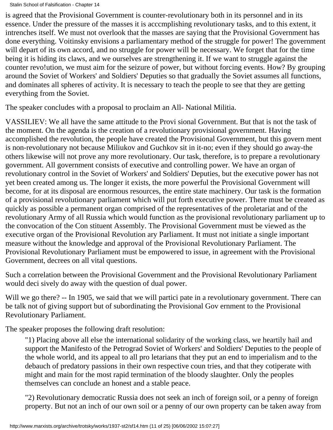is agreed that the Provisional Government is counter-revolutionary both in its personnel and in its essence. Under the pressure of the masses it is acccmplishing revolutionary tasks, and to this extent, it intrenches itself. We must not overlook that the masses are saying that the Provisional Government has done everything. Voitinsky envisions a parliamentary method of the struggle for power! The government will depart of its own accord, and no struggle for power will be necessary. We forget that for the time being it is hiding its claws, and we ourselves are strengthening it. If we want to struggle against the counter revo!ution, we must aim for the seizure of power, but without forcing events. How? By grouping around the Soviet of Workers' and Soldiers' Deputies so that gradually the Soviet assumes all functions, and dominates all spheres of activity. It is necessary to teach the people to see that they are getting everything from the Soviet.

The speaker concludes with a proposal to proclaim an All- National Militia.

VASSILIEV: We all have the same attitude to the Provi sional Government. But that is not the task of the moment. On the agenda is the creation of a revolutionary provisional government. Having accomplished the revolution, the people have created the Provisional Government, but this govern ment is non-revolutionary not because Miliukov and Guchkov sit in it-no; even if they should go away-the others likewise will not prove any more revolutionary. Our task, therefore, is to prepare a revolutionary government. All government consists of executive and controlling power. We have an organ of revolutionary control in the Soviet of Workers' and Soldiers' Deputies, but the executive power has not yet been created among us. The longer it exists, the more powerful the Provisional Government will become, for at its disposal are enormous resources, the entire state machinery. Our task is the formation of a provisional revolutionary parliament which will put forth executive power. There must be created as quickly as possible a permanent organ comprised of the representatives of the proletariat and of the revolutionary Army of all Russia which would function as the provisional revolutionary parliament up to the convocation of the Con stituent Assembly. The Provisional Government must be viewed as the executive organ of the Provisional Revolution ary Parliament. It must not initiate a single important measure without the knowledge and approval of the Provisional Revolutionary Parliament. The Provisional Revolutionary Parliament must be empowered to issue, in agreement with the Provisional Government, decrees on all vital questions.

Such a correlation between the Provisional Government and the Provisional Revolutionary Parliament would deci sively do away with the question of dual power.

Will we go there? -- In 1905, we said that we will partici pate in a revolutionary government. There can be talk not of giving support but of subordinating the Provisional Gov ernment to the Provisional Revolutionary Parliament.

The speaker proposes the following draft resolution:

"1) Placing above all else the international solidarity of the working class, we heartily hail and support the Manifesto of the Petrograd Soviet of Workers' and Soldiers' Deputies to the people of the whole world, and its appeal to all pro letarians that they put an end to imperialism and to the debauch of predatory passions in their own respective coun tries, and that they cotiperate with might and main for the most rapid termination of the bloody slaughter. Only the peoples themselves can conclude an honest and a stable peace.

"2) Revolutionary democratic Russia does not seek an inch of foreign soil, or a penny of foreign property. But not an inch of our own soil or a penny of our own property can be taken away from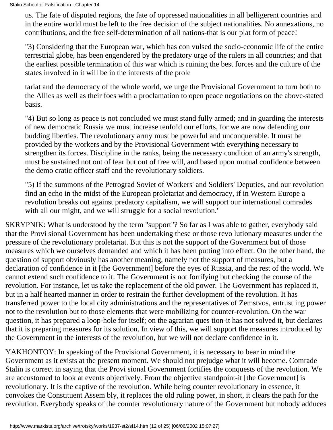us. The fate of disputed regions, the fate of oppressed nationalities in all belligerent countries and in the entire world must be left to the free decision of the subject nationalities. No annexations, no contributions, and the free self-determination of all nations-that is our plat form of peace!

"3) Considering that the European war, which has con vulsed the socio-economic life of the entire terrestrial globe, has been engendered by the predatory urge of the rulers in all countries; and that the earliest possible termination of this war which is ruining the best forces and the culture of the states involved in it will be in the interests of the prole

tariat and the democracy of the whole world, we urge the Provisional Government to turn both to the Allies as well as their foes with a proclamation to open peace negotiations on the above-stated basis.

"4) But so long as peace is not concluded we must stand fully armed; and in guarding the interests of new democratic Russia we must increase tenfo!d our efforts, for we are now defending our budding liberties. The revolutionary army must be powerful and unconquerable. It must be provided by the workers and by the Provisional Government with everything necessary to strengthen its forces. Discipline in the ranks, being the necessary condition of an army's strength, must be sustained not out of fear but out of free will, and based upon mutual confidence between the demo cratic officer staff and the revolutionary soldiers.

"5) If the summons of the Petrograd Soviet of Workers' and Soldiers' Deputies, and our revolution find an echo in the midst of the European proletariat and democracy, if in Western Europe a revolution breaks out against predatory capitalism, we will support our international comrades with all our might, and we will struggle for a social revo!ution."

SKRYPNIK: What is understood by the term "support"? So far as I was able to gather, everybody said that the Provi sional Government has been undertaking these or those revo lutionary measures under the pressure of the revolutionary proletariat. But this is not the support of the Government but of those measures which we ourselves demanded and which it has been putting into effect. On the other hand, the question of support obviously has another meaning, namely not the support of measures, but a declaration of confidence in it [the Government] before the eyes of Russia, and the rest of the world. We cannot extend such confidence to it. The Government is not fortifying but checking the course of the revolution. For instance, let us take the replacement of the old power. The Government has replaced it, but in a half hearted manner in order to restrain the further development of the revolution. It has transferred power to the local city administrations and the representatives of Zemstvos, entrust ing power not to the revolution but to those elements that were mobilizing for counter-revolution. On the war question, it has prepared a loop-hole for itself; on the agrarian ques tion-it has not solved it, but declares that it is preparing measures for its solution. In view of this, we will support the measures introduced by the Government in the interests of the revolution, hut we will not declare confidence in it.

YAKHONTOY: In speaking of the Provisional Government, it is necessary to bear in mind the Government as it exists at the present moment. We should not prejudge what it will become. Comrade Stalin is correct in saying that the Provi sional Government fortifies the conquests of the revolution. We are accustomed to look at events objectively. From the objective standpoint-it [the Government] is revolutionary. It is the captive of the revolution. While being counter revolutionary in essence, it convokes the Constituent Assem bly, it replaces the old ruling power, in short, it clears the path for the revolution. Everybody speaks of the counter revolutionary nature of the Government but nobody adduces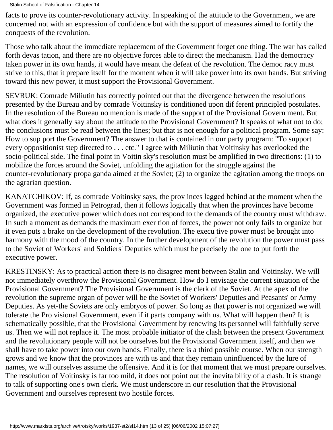facts to prove its counter-revolutionary activity. In speaking of the attitude to the Government, we are concerned not with an expression of confidence but with the support of measures aimed to fortify the conquests of the revolution.

Those who talk about the immediate replacement of the Government forget one thing. The war has called forth devas tation, and there are no objective forces able to direct the mechanism. Had the democracy taken power in its own hands, it would have meant the defeat of the revolution. The democ racy must strive to this, that it prepare itself for the moment when it will take power into its own hands. But striving toward this new power, it must support the Provisional Government.

SEVRUK: Comrade Miliutin has correctly pointed out that the divergence between the resolutions presented by the Bureau and by comrade Voitinsky is conditioned upon dif ferent principled postulates. In the resolution of the Bureau no mention is made of the support of the Provisional Govern ment. But what does it generally say about the attitude to the Provisional Government? It speaks of what not to do; the conclusions must be read between the lines; but that is not enough for a political program. Some say: How to sup port the Government? The answer to that is contained in our party program: "To support every oppositionist step directed to . . . etc." I agree with Miliutin that Voitinsky has overlooked the socio-political side. The final point in Voitin sky's resolution must be amplified in two directions: (1) to mobilize the forces around the Soviet, unfolding the agitation for the struggle against the counter-revolutionary propa ganda aimed at the Soviet; (2) to organize the agitation among the troops on the agrarian question.

KANATCHIKOV: If, as comrade Voitinsky says, the prov inces lagged behind at the moment when the Government was formed in Petrograd, then it follows logically that when the provinces have become organized, the executive power which does not correspond to the demands of the country must withdraw. In such a moment as demands the maximum exer tion of forces, the power not only fails to organize but it even puts a brake on the development of the revolution. The execu tive power must be brought into harmony with the mood of the country. In the further development of the revolution the power must pass to the Soviet of Workers' and Soldiers' Deputies which must be precisely the one to put forth the executive power.

KRESTINSKY: As to practical action there is no disagree ment between Stalin and Voitinsky. We will not immediately overthrow the Provisional Government. How do I envisage the current situation of the Provisional Government? The Provisional Government is the clerk of the Soviet. At the apex of the revolution the supreme organ of power will be the Soviet of Workers' Deputies and Peasants' or Army Deputies. As yet-the Soviets are only embryos of power. So long as that power is not organized we will tolerate the Pro visional Government, even if it parts company with us. What will happen then? It is schematically possible, that the Provisional Government by renewing its personnel will faithfully serve us. Then we will not replace it. The most probable initiator of the clash between the present Government and the revolutionary people will not be ourselves but the Provisional Government itself, and then we shall have to take power into our own hands. Finally, there is a third possible course. When our strength grows and we know that the provinces are with us and that they remain uninfluenced by the lure of names, we will ourselves assume the offensive. And it is for that moment that we must prepare ourselves. The resolution of Voitinsky is far too mild, it does not point out the inevita bility of a clash. It is strange to talk of supporting one's own clerk. We must underscore in our resolution that the Provisional Government and ourselves represent two hostile forces.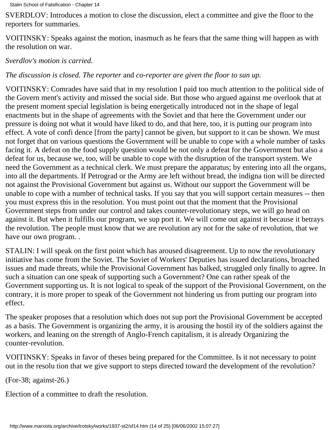SVERDLOV: Introduces a motion to close the discussion, elect a committee and give the floor to the reporters for summaries.

VOITINSKY: Speaks against the motion, inasmuch as he fears that the same thing will happen as with the resolution on war.

#### *Sverdlov's motion is carried.*

*The discussion is closed. The reporter* and *co-reporter are given the floor to sun up.*

VOITINSKY: Comrades have said that in my resolution I paid too much attention to the political side of the Govern ment's activity and missed the social side. But those who argued against me overlook that at the present moment special legislation is being energetically introduced not in the shape of legal enactments but in the shape of agreements with the Soviet and that here the Government under our pressure is doing not what it would have liked to do, and that here, too, it is putting our program into effect. A vote of confi dence [from the party] cannot be given, but support to it can be shown. We must not forget that on various questions the Government will be unable to cope with a whole number of tasks facing it. A defeat on the food supply question would be not only a defeat for the Government but also a defeat for us, because we, too, will be unable to cope with the disruption of the transport system. We need the Government as a technical clerk. We must prepare the apparatus; by entering into all the organs, into all the departments. If Petrograd or the Army are left without bread, the indigna tion will be directed not against the Provisional Government but against us. Without our support the Government will be unable to cope with a number of technical tasks. If you say that you will support certain measures -- then you must express this in the resolution. You must point out that the moment that the Provisional Government steps from under our control and takes counter-revolutionary steps, we will go head on against it. But when it fulfills our program, we sup port it. We will come out against it because it betrays the revolution. The people must know that we are revolution ary not for the sake of revolution, that we have our own program. .

STALIN: I will speak on the first point which has aroused disagreement. Up to now the revolutionary initiative has come from the Soviet. The Soviet of Workers' Deputies has issued declarations, broached issues and made threats, while the Provisional Government has balked, struggled only finally to agree. In such a situation can one speak of supporting such a Government? One can rather speak of the Government supporting us. It is not logical to speak of the support of the Provisional Government, on the contrary, it is more proper to speak of the Government not hindering us from putting our program into effect.

The speaker proposes that a resolution which does not sup port the Provisional Government be accepted as a basis. The Government is organizing the army, it is arousing the hostil ity of the soldiers against the workers, and leaning on the strength of Anglo-French capitalism, it is already Organizing the counter-revolution.

VOITINSKY: Speaks in favor of theses being prepared for the Committee. Is it not necessary to point out in the resolu tion that we give support to steps directed toward the development of the revolution?

(For-38; against-26.)

Election of a committee to draft the resolution.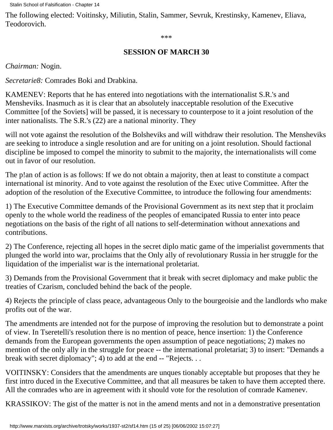The following elected: Voitinsky, Miliutin, Stalin, Sammer, Sevruk, Krestinsky, Kamenev, Eliava, Teodorovich.

\*\*\*

#### **SESSION OF MARCH 30**

*Chairman:* Nogin.

*Secretarie8:* Comrades Boki and Drabkina.

KAMENEV: Reports that he has entered into negotiations with the internationalist S.R.'s and Mensheviks. Inasmuch as it is clear that an absolutely inacceptable resolution of the Executive Committee [of the Soviets] will be passed, it is necessary to counterpose to it a joint resolution of the inter nationalists. The S.R.'s (22) are a national minority. They

will not vote against the resolution of the Bolsheviks and will withdraw their resolution. The Mensheviks are seeking to introduce a single resolution and are for uniting on a joint resolution. Should factional discipline be imposed to compel the minority to submit to the majority, the internationalists will come out in favor of our resolution.

The p!an of action is as follows: If we do not obtain a majority, then at least to constitute a compact international ist minority. And to vote against the resolution of the Exec utive Committee. After the adoption of the resolution of the Executive Committee, to introduce the following four amendments:

1) The Executive Committee demands of the Provisional Government as its next step that it proclaim openly to the whole world the readiness of the peoples of emancipated Russia to enter into peace negotiations on the basis of the right of all nations to self-determination without annexations and contributions.

2) The Conference, rejecting all hopes in the secret diplo matic game of the imperialist governments that plunged the world into war, proclaims that the Only ally of revolutionary Russia in her struggle for the liquidation of the imperialist war is the international proletariat.

3) Demands from the Provisional Government that it break with secret diplomacy and make public the treaties of Czarism, concluded behind the back of the people.

4) Rejects the principle of class peace, advantageous Only to the bourgeoisie and the landlords who make profits out of the war.

The amendments are intended not for the purpose of improving the resolution but to demonstrate a point of view. In Tseretelli's resolution there is no mention of peace, hence insertion: 1) the Conference demands from the European governments the open assumption of peace negotiations; 2) makes no mention of the only ally in the struggle for peace -- the international proletariat; 3) to insert: "Demands a break with secret diplomacy"; 4) to add at the end -- "Rejects. . .

VOITINSKY: Considers that the amendments are unques tionably acceptable but proposes that they he first intro duced in the Executive Committee, and that all measures be taken to have them accepted there. All the comrades who are in agreement with it should vote for the resolution of comrade Kamenev.

KRASSIKOV: The gist of the matter is not in the amend ments and not in a demonstrative presentation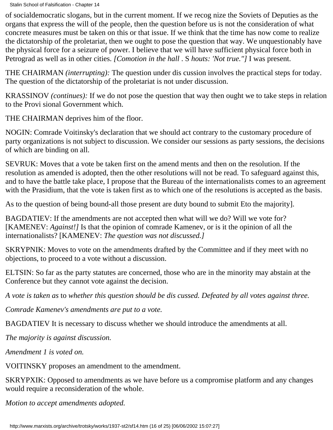of socialdemocratic slogans, but in the current moment. If we recog nize the Soviets of Deputies as the organs that express the will of the people, then the question before us is not the consideration of what concrete measures must be taken on this or that issue. If we think that the time has now come to realize the dictatorship of the proletariat, then we ought to pose the question that way. We unquestionably have the physical force for a seizure of power. I believe that we will have sufficient physical force both in Petrograd as well as in other cities. *[Comotion in the hall* . S *houts: 'Not true."]* I was present.

THE CHAIRMAN *(interrupting):* The question under dis cussion involves the practical steps for today. The question of the dictatorship of the proletariat is not under discussion.

KRASSINOV *(continues):* If we do not pose the question that way then ought we to take steps in relation to the Provi sional Government which.

THE CHAIRMAN deprives him of the floor.

NOGIN: Comrade Voitinsky's declaration that we should act contrary to the customary procedure of party organizations is not subject to discussion. We consider our sessions as party sessions, the decisions of which are binding on all.

SEVRUK: Moves that a vote be taken first on the amend ments and then on the resolution. If the resolution as amended is adopted, then the other resolutions will not be read. To safeguard against this, and to have the battle take place, I propose that the Bureau of the internationalists comes to an agreement with the Prasidium, that the vote is taken first as to which one of the resolutions is accepted as the basis.

As to the question of being bound-all those present are duty bound to submit Eto the majority].

BAGDATIEV: If the amendments are not accepted then what will we do? Will we vote for? [KAMENEV: *Against!]* Is that the opinion of comrade Kamenev, or is it the opinion of all the internationalists? [KAMENEV: *The question was not discussed.]*

SKRYPNIK: Moves to vote on the amendments drafted by the Committee and if they meet with no objections, to proceed to a vote without a discussion.

ELTSIN: So far as the party statutes are concerned, those who are in the minority may abstain at the Conference but they cannot vote against the decision.

*A vote is taken as* to *whether this question should be dis cussed. Defeated by all votes against three.*

*Comrade Kamenev's amendments are put to a vote.*

BAGDATIEV It is necessary to discuss whether we should introduce the amendments at all.

*The majority is against discussion.*

*Amendment 1 is voted on.*

VOITINSKY proposes an amendment to the amendment.

SKRYPXIK: Opposed to amendments as we have before us a compromise platform and any changes would require a reconsideration of the whole.

*Motion to accept amendments adopted.*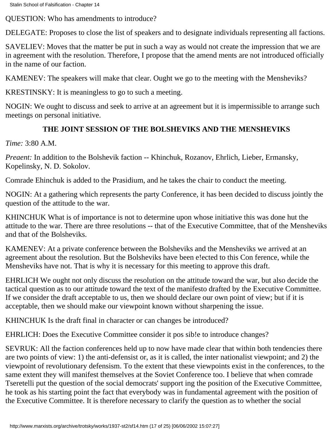QUESTION: Who has amendments to introduce?

DELEGATE: Proposes to close the list of speakers and to designate individuals representing all factions.

SAVELIEV: Moves that the matter be put in such a way as would not create the impression that we are in agreement with the resolution. Therefore, I propose that the amend ments are not introduced officially in the name of our faction.

KAMENEV: The speakers will make that clear. Ought we go to the meeting with the Mensheviks?

KRESTINSKY: It is meaningless to go to such a meeting.

NOGIN: We ought to discuss and seek to arrive at an agreement but it is impermissible to arrange such meetings on personal initiative.

#### **THE JOINT SESSION OF THE BOLSHEVIKS AND THE MENSHEVIKS**

*Time:* 3:80 A.M.

*Preaent:* In addition to the Bolshevik faction -- Khinchuk, Rozanov, Ehrlich, Lieber, Ermansky, Kopelinsky, N. D. Sokolov.

Comrade Ehinchuk is added to the Prasidium, and he takes the chair to conduct the meeting.

NOGIN: At a gathering which represents the party Conference, it has been decided to discuss jointly the question of the attitude to the war.

KHINCHUK What is of importance is not to determine upon whose initiative this was done hut the attitude to the war. There are three resolutions -- that of the Executive Committee, that of the Mensheviks and that of the Bolsheviks.

KAMENEV: At a private conference between the Bolsheviks and the Mensheviks we arrived at an agreement about the resolution. But the Bolsheviks have been e!ected to this Con ference, while the Mensheviks have not. That is why it is necessary for this meeting to approve this draft.

EHRLICH We ought not only discuss the resolution on the attitude toward the war, but also decide the tactical question as to our attitude toward the text of the manifesto drafted by the Executive Committee. If we consider the draft acceptable to us, then we should declare our own point of view; but if it is acceptable, then we should make our viewpoint known without sharpening the issue.

KHINCHUK Is the draft final in character or can changes be introduced?

EHRLICH: Does the Executive Committee consider it pos sib!e to introduce changes?

SEVRUK: All the faction conferences held up to now have made clear that within both tendencies there are two points of view: 1) the anti-defensist or, as it is called, the inter nationalist viewpoint; and 2) the viewpoint of revolutionary defensism. To the extent that these viewpoints exist in the conferences, to the same extent they will manifest themselves at the Soviet Conference too. I believe that when comrade Tseretelli put the question of the social democrats' support ing the position of the Executive Committee, he took as his starting point the fact that everybody was in fundamental agreement with the position of the Executive Committee. It is therefore necessary to clarify the question as to whether the social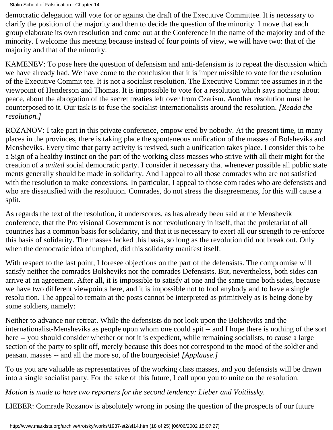democratic delegation will vote for or against the draft of the Executive Committee. It is necessary to clarify the position of the majority and then to decide the question of the minority. I move that each group elaborate its own resolution and come out at the Conference in the name of the majority and of the minority. I welcome this meeting because instead of four points of view, we will have two: that of the majority and that of the minority.

KAMENEV: To pose here the question of defensism and anti-defensism is to repeat the discussion which we have already had. We have come to the conclusion that it is imper missible to vote for the resolution of the Executive Commit tee. It is not a socialist resolution. The Executive Commit tee assumes in it the viewpoint of Henderson and Thomas. It is impossible to vote for a resolution which says nothing about peace, about the abrogation of the secret treaties left over from Czarism. Another resolution must be counterposed to it. Our task is to fuse the socialist-internationalists around the resolution. *[Reada the resolution.]*

ROZANOV: I take part in this private conference, empow ered by nobody. At the present time, in many places in the provinces, there is taking place the spontaneous unification of the masses of Bolsheviks and Mensheviks. Every time that party activity is revived, such a unification takes place. I consider this to be a Sign of a healthy instinct on the part of the working class masses who strive with all their might for the creation of a *united* social democratic party. I consider it necessary that whenever possible all public state ments generally should be made in solidarity. And I appeal to all those comrades who are not satisfied with the resolution to make concessions. In particular, I appeal to those com rades who are defensists and who are dissatisfied with the resolution. Comrades, do not stress the disagreements, for this will cause a split.

As regards the text of the resolution, it underscores, as has already been said at the Menshevik conference, that the Pro visional Government is not revolutionary in itself, that the proletariat of all countries has a common basis for solidarity, and that it is necessary to exert all our strength to re-enforce this basis of solidarity. The masses lacked this basis, so long as the revolution did not break out. Only when the democratic idea triumphed, did this solidarity manifest itself.

With respect to the last point, I foresee objections on the part of the defensists. The compromise will satisfy neither the comrades Bolsheviks nor the comrades Defensists. But, nevertheless, both sides can arrive at an agreement. After all, it is impossible to satisfy at one and the same time both sides, because we have two different viewpoints here, and it is impossible not to fool anybody and to have a single resolu tion. The appeal to remain at the posts cannot be interpreted as primitively as is being done by some soldiers, namely:

Neither to advance nor retreat. While the defensists do not look upon the Bolsheviks and the internationalist-Mensheviks as people upon whom one could spit -- and I hope there is nothing of the sort here -- you should consider whether or not it is expedient, while remaining socialists, to cause a large section of the party to split off, merely because this does not correspond to the mood of the soldier and peasant masses -- and all the more so, of the bourgeoisie! *[Applause.]*

To us you are valuable as representatives of the working class masses, and you defensists will be drawn into a single socialist party. For the sake of this future, I call upon you to unite on the resolution.

*Motion is made to have two reporters for the second tendency: Lieber and Voitiissky.*

LIEBER: Comrade Rozanov is absolutely wrong in posing the question of the prospects of our future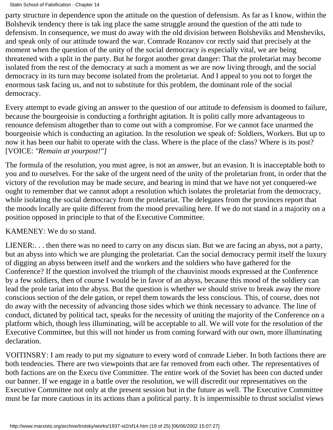party structure in dependence upon the attitude on the question of defensism. As far as I know, within the Bolshevik tendency there is tak ing place the same struggle around the question of the atti tude to defensism. In consequence, we must do away with the old division between Bolsheviks and Mensheviks, and speak only of our attitude toward the war. Comrade Rozanov cor rectly said that precisely at the moment when the question of the unity of the social democracy is especially vital, we are being threatened with a split in the party. But he forgot another great danger: That the proletariat may become isolated from the rest of the democracy at such a moment as we are now living through, and the social democracy in its turn may become isolated from the proletariat. And I appeal to you not to forget the enormous task facing us, and not to substitute for this problem, the dominant role of the social democracy.

Every attempt to evade giving an answer to the question of our attitude to defensism is doomed to failure, because the bourgeoisie is conducting a forthright agitation. It is politi cally more advantageous to renounce defensism altogether than to come out with a compromise. For we cannot face unarmed the bourgeoisie which is conducting an agitation. In the resolution we speak of: Soldiers, Workers. But up to now it has been our habit to operate with the class. Where is the place of the class? Where is its post? [VOICE: *"Remain at yourpost!"]*

The formula of the resolution, you must agree, is not an answer, but an evasion. It is inacceptable both to you and to ourselves. For the sake of the urgent need of the unity of the proletarian front, in order that the victory of the revolution may be made secure, and bearing in mind that we have not yet conquered-we ought to remember that we cannot adopt a resolution which isolates the proletariat from the democracy, while isolating the social democracy from the proletariat. The delegates from the provinces report that the moods locally are quite different from the mood prevailing here. If we do not stand in a majority on a position opposed in principle to that of the Executive Committee.

#### KAMENEY: We do so stand.

LIENER:. . . then there was no need to carry on any discus sian. But we are facing an abyss, not a party, but an abyss into which we are plunging the proletariat. Can the social democracy permit itself the luxury of digging an abyss between itself and the workers and the soldiers who have gathered for the Conference? If the question involved the triumph of the chauvinist moods expressed at the Conference by a few soldiers, then of course I would be in favor of an abyss, because this mood of the soldiery can lead the prole tariat into the abyss. But the question is whether we should strive to break away the more conscious section of the dele gation, or repel them towards the less conscious. This, of course, does not do away with the necessity of advancing those sides which we think necessary to advance. The line of conduct, dictated by political tact, speaks for the necessity of uniting the majority of the Conference on a platform which, though less illuminating, will be acceptable to all. We will vote for the resolution of the Executive Committee, but this will not hinder us from coming forward with our own, more illuminating declaration.

VOITINSRY: I am ready to put my signature to every word of comrade Lieber. In both factions there are both tendencies. There are two viewpoints that are far removed from each other. The representatives of both factions are on the Execu tive Committee. The entire work of the Soviet has been con ducted under our banner. If we engage in a battle over the resolution, we will discredit our representatives on the Executive Committee not only at the present session but in the future as well. The Executive Committee must be far more cautious in its actions than a political party. It is impermissible to thrust socialist views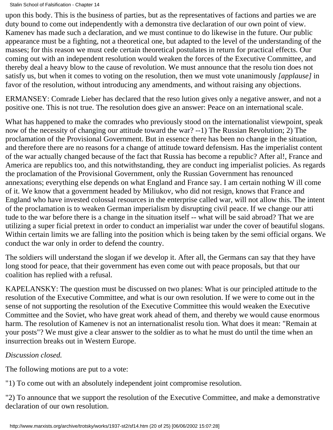upon this body. This is the business of parties, but as the representatives of factions and parties we are duty bound to come out independently with a demonstra tive declaration of our own point of view. Kamenev has made such a declaration, and we must continue to do likewise in the future. Our public appearance must be a fighting, not a theoretical one, but adapted to the level of the understanding of the masses; for this reason we must cede certain theoretical postulates in return for practical effects. Our coming out with an independent resolution would weaken the forces of the Executive Committee, and thereby deal a heavy blow to the cause of revolution. We must announce that the resolu tion does not satisfy us, but when it comes to voting on the resolution, then we must vote unanimously *[applause]* in favor of the resolution, without introducing any amendments, and without raising any objections.

ERMANSEY: Comrade Lieber has declared that the reso lution gives only a negative answer, and not a positive one. This is not true. The resolution does give an answer: Peace on an international scale.

What has happened to make the comrades who previously stood on the internationalist viewpoint, speak now of the necessity of changing our attitude toward the war? --1) The Russian Revolution; 2) The proclamation of the Provisional Government. But in essence there has been no change in the situation, and therefore there are no reasons for a change of attitude toward defensism. Has the imperialist content of the war actually changed because of the fact that Russia has become a republic? After al!, France and America are republics too, and this notwithstanding, they are conduct ing imperialist policies. As regards the proclamation of the Provisional Government, only the Russian Government has renounced annexations; everything else depends on what England and France say. I am certain nothing W ill come of it. We know that a government headed by Miliukov, who did not resign, knows that France and England who have invested colossal resources in the enterprise called war, will not allow this. The intent of the proclamation is to weaken German imperialism by disrupting civil peace. If we change our atti tude to the war before there is a change in the situation itself -- what will be said abroad? That we are utilizing a super ficial pretext in order to conduct an imperialist war under the cover of beautiful slogans. Within certain limits we are falling into the position which is being taken by the semi official organs. We conduct the war only in order to defend the country.

The soldiers will understand the slogan if we develop it. After all, the Germans can say that they have long stood for peace, that their government has even come out with peace proposals, but that our coalition has replied with a refusal.

KAPELANSKY: The question must be discussed on two planes: What is our principled attitude to the resolution of the Executive Committee, and what is our own resolution. If we were to come out in the sense of not supporting the resolution of the Executive Committee this would weaken the Executive Committee and the Soviet, who have great work ahead of them, and thereby we would cause enormous harm. The resolution of Kamenev is not an internationalist resolu tion. What does it mean: "Remain at your posts"? We must give a clear answer to the soldier as to what he must do until the time when an insurrection breaks out in Western Europe.

#### *Discussion closed.*

The following motions are put to a vote:

"1) To come out with an absolutely independent joint compromise resolution.

"2) To announce that we support the resolution of the Executive Committee, and make a demonstrative declaration of our own resolution.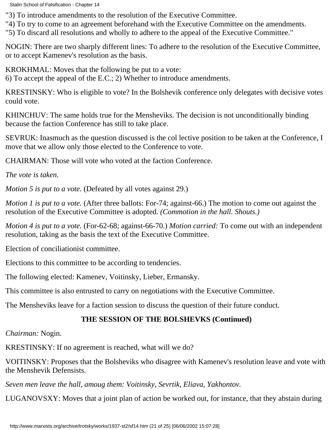"3) To introduce amendments to the resolution of the Executive Committee.

"4) To try to come to an agreement beforehand with the Executive Committee on the amendments.

"5) To discard all resolutions and wholly to adhere to the appeal of the Executive Committee."

NOGIN: There are two sharply different lines: To adhere to the resolution of the Executive Committee, or to accept Kamenev's resolution as the basis.

KROKHMAL: Moves that the following be put to a vote: 6) To accept the appeal of the E.C.; 2) Whether to introduce amendments.

KRESTINSKY: Who is eligible to vote? In the Bolshevik conference only delegates with decisive votes could vote.

KHINCHUV: The same holds true for the Mensheviks. The decision is not unconditionally binding because the faction Conference has still to take place.

SEVRUK: Inasmuch as the question discussed is the col lective position to be taken at the Conference, I move that we allow only those elected to the Conference to vote.

CHAIRMAN: Those will vote who voted at the faction Conference.

*The vote is taken.*

*Motion 5 is put to a vote.* (Defeated by all votes against 29.)

*Motion 1 is put to a vote.* (After three ballots: For-74; against-66.) The motion to come out against the resolution of the Executive Committee is adopted. *(Commotion in the hall. Shouts.)*

*Motion 4 is put to a vote.* (For-62-68; against-66-70.) *Motion carried:* To come out with an independent resolution, taking as the basis the text of the Executive Committee.

Election of conciliationist committee.

Elections to this committee to be according to tendencies.

The following elected: Kamenev, Voitinsky, Lieber, Ermansky.

This committee is also entrusted to carry on negotiations with the Executive Committee.

The Mensheviks leave for a faction session to discuss the question of their future conduct.

#### **THE SESSION OF THE BOLSHEVKS (Continued)**

*Chairman:* Nogin.

KRESTINSKY: If no agreement is reached, what will we do?

VOITINSKY: Proposes that the Bolsheviks who disagree with Kamenev's resolution leave and vote with the Menshevik Defensists.

*Seven men leave the hall, amoug them: Voitinsky, Sevrtik, Eliava, Yakhontov.*

LUGANOVSXY: Moves that a joint plan of action be worked out, for instance, that they abstain during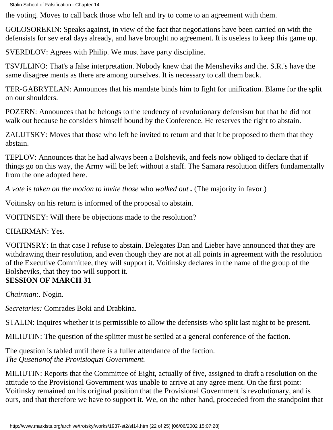the voting. Moves to call back those who left and try to come to an agreement with them.

GOLOSOREKIN: Speaks against, in view of the fact that negotiations have been carried on with the defensists for sev eral days already, and have brought no agreement. It is useless to keep this game up.

SVERDLOV: Agrees with Philip. We must have party discipline.

TSVJLLINO: That's a false interpretation. Nobody knew that the Mensheviks and the. S.R.'s have the same disagree ments as there are among ourselves. It is necessary to call them back.

TER-GABRYELAN: Announces that his mandate binds him to fight for unification. Blame for the split on our shoulders.

POZERN: Announces that he belongs to the tendency of revolutionary defensism but that he did not walk out because he considers himself bound by the Conference. He reserves the right to abstain.

ZALUTSKY: Moves that those who left be invited to return and that it be proposed to them that they abstain.

TEPLOV: Announces that he had always been a Bolshevik, and feels now obliged to declare that if things go on this way, the Army will be left without a staff. The Samara resolution differs fundamentally from the one adopted here.

*A vote* is *taken on the motion to invite those* who *walked out .* (The majority in favor.)

Voitinsky on his return is informed of the proposal to abstain.

VOITINSEY: Will there be objections made to the resolution?

CHAIRMAN: Yes.

VOITINSRY: In that case I refuse to abstain. Delegates Dan and Lieber have announced that they are withdrawing their resolution, and even though they are not at all points in agreement with the resolution of the Executive Committee, they will support it. Voitinsky declares in the name of the group of the Bolsheviks, that they too will support it.

#### **SESSION OF MARCH 31**

*Chairman:.* Nogin.

*Secretaries:* Comrades Boki and Drabkina.

STALIN: Inquires whether it is permissible to allow the defensists who split last night to be present.

MILIUTIN: The question of the splitter must be settled at a general conference of the faction.

The question is tabled until there is a fuller attendance of the faction. *The Qusetionof the Provisioquzi Government.*

MILIUTIN: Reports that the Committee of Eight, actually of five, assigned to draft a resolution on the attitude to the Provisional Government was unable to arrive at any agree ment. On the first point: Voitinsky remained on his original position that the Provisional Government is revolutionary, and is ours, and that therefore we have to support it. We, on the other hand, proceeded from the standpoint that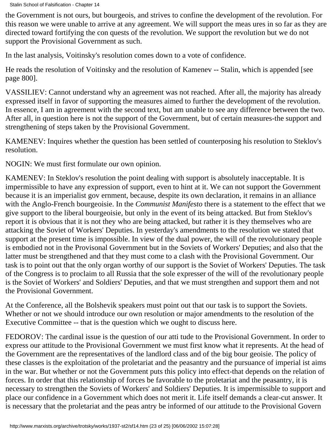the Government is not ours, but bourgeois, and strives to confine the development of the revolution. For this reason we were unable to arrive at any agreement. We will support the meas ures in so far as they are directed toward fortifying the con quests of the revolution. We support the revolution but we do not support the Provisional Government as such.

In the last analysis, Voitinsky's resolution comes down to a vote of confidence.

He reads the resolution of Voitinsky and the resolution of Kamenev -- Stalin, which is appended [see page 800].

VASSILIEV: Cannot understand why an agreement was not reached. After all, the majority has already expressed itself in favor of supporting the measures aimed to further the development of the revolution. In essence, I am in agreement with the second text, but am unable to see any difference between the two. After all, in question here is not the support of the Government, but of certain measures-the support and strengthening of steps taken by the Provisional Government.

KAMENEV: Inquires whether the question has been settled of counterposing his resolution to Steklov's resolution.

NOGIN: We must first formulate our own opinion.

KAMENEV: In Steklov's resolution the point dealing with support is absolutely inacceptable. It is impermissible to have any expression of support, even to hint at it. We can not support the Government because it is an imperialist gov ernment, because, despite its own declaration, it remains in an alliance with the Anglo-French bourgeoisie. In the *Communist Manifesto* there is a statement to the effect that we give support to the liberal bourgeoisie, but only in the event of its being attacked. But from Steklov's report it is obvious that it is not they who are being attacked, but rather it is they themselves who are attacking the Soviet of Workers' Deputies. In yesterday's amendments to the resolution we stated that support at the present time is impossible. In view of the dual power, the will of the revolutionary people is embodied not in the Provisonal Government but in the Soviets of Workers' Deputies; and also that the latter must be strengthened and that they must come to a clash with the Provisional Government. Our task is to point out that the only organ worthy of our support is the Soviet of Workers' Deputies. The task of the Congress is to proclaim to all Russia that the sole expresser of the will of the revolutionary people is the Soviet of Workers' and Soldiers' Deputies, and that we must strengthen and support them and not the Provisional Government.

At the Conference, all the Bolshevik speakers must point out that our task is to support the Soviets. Whether or not we should introduce our own resolution or major amendments to the resolution of the Executive Committee -- that is the question which we ought to discuss here.

FEDOROV: The cardinal issue is the question of our atti tude to the Provisional Government. In order to express our attitude to the Provisional Government we must first know what it represents. At the head of the Government are the representatives of the landlord class and of the big bour geoisie. The policy of these classes is the exploitation of the proletariat and the peasantry and the pursuance of imperial ist aims in the war. But whether or not the Government puts this policy into effect-that depends on the relation of forces. In order that this relationship of forces be favorable to the proletariat and the peasantry, it is necessary to strengthen the Soviets of Workers' and Soldiers' Deputies. It is impermissible to support and place our confidence in a Government which does not merit it. Life itself demands a clear-cut answer. It is necessary that the proletariat and the peas antry be informed of our attitude to the Provisional Govern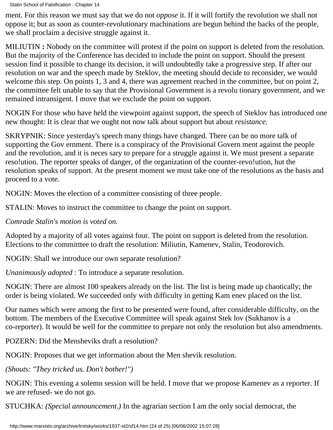ment. For this reason we must say that we do not *oppose* it. If it will fortify the revolution we shall not oppose it; but as soon as counter-revolutionary machinations are begun behind the backs of the people, we shall proclaim a decisive struggle against it.

MILIUTIN **:** Nobody on the committee will protest if the point on support is deleted from the resolution. But the majority of the Conference has decided to include the point on support. Should the present session find it possible to change its decision, it will undoubtedly take a progressive step. If after our resolution on war and the speech made by Steklov, the meeting should decide to reconsider, we would welcome this step. On points 1, 3 and 4, there was agreement reached in the committee, but on point 2, the committee felt unable to say that the Provisional Government is a revolu tionary government, and we remained intransigent. I move that we exclude the point on support.

NOGIN For those who have held the viewpoint against support, the speech of Steklov has introduced one new thought: It is clear that we ought not now talk about support but about *resistance.*

SKRYPNIK: Since yesterday's speech many things have changed. There can be no more talk of supporting the Gov ernment. There is a conspiracy of the Provisional Govern ment against the people and the revolution, and it is neces sary to prepare for a struggle against it. We must present a separate reso!ution. The reporter speaks of danger, of the organization of the counter-revo!ution, hut the resolution speaks of support. At the present moment we must take one of the resolutions as the basis and proceed to a vote.

NOGIN: Moves the election of a committee consisting of three people.

STALIN: Moves to instruct the committee to change the point on support.

*Comrade Stalin's motion is voted on.*

Adopted by a majority of all votes against four. The point on support is deleted from the resolution. Elections to the committtee to draft the resolution: Miliutin, Kamenev, Stalin, Teodorovich.

NOGIN: Shall we introduce our own separate resolution?

*Unanimously adopted* : To introduce a separate resolution.

NOGIN: There are almost 100 speakers already on the list. The list is being made up chaotically; the order is being violated. We succeeded only with difficulty in getting Kam enev placed on the list.

Our names which were among the first to be presented were found, after considerable difficulty, on the bottom. The members of the Executive Committee will speak against Stek lov (Sukhanov is a co-reporter). It would be well for the committee to prepare not only the resolution but also amendments.

POZERN: Did the Mensheviks draft a resolution?

NOGIN: Proposes that we get information about the Men shevik resolution.

*(Shouts: "They tricked us. Don't bother!")*

NOGIN: This evening a solemn session will be held. I move that we propose Kamenev as a reporter. If we are refused- we do not go.

STUCHKA: *(Special announcement.)* In the agrarian section I am the only social democrat, the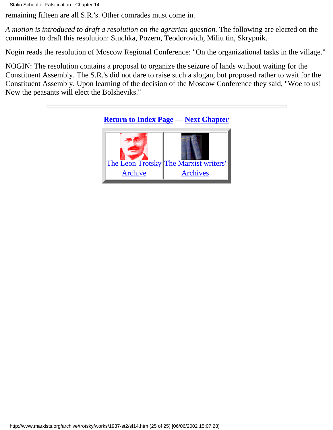remaining fifteen are all S.R.'s. Other comrades must come in.

*A motion is introduced to draft a resolution on the agrarian question.* The following are elected on the committee to draft this resolution: Stuchka, Pozern, Teodorovich, Miliu tin, Skrypnik.

Nogin reads the resolution of Moscow Regional Conference: "On the organizational tasks in the village."

NOGIN: The resolution contains a proposal to organize the seizure of lands without waiting for the Constituent Assembly. The S.R.'s did not dare to raise such a slogan, but proposed rather to wait for the Constituent Assembly. Upon learning of the decision of the Moscow Conference they said, "Woe to us! Now the peasants will elect the Bolsheviks."

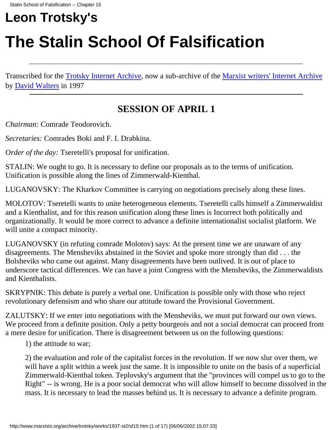# <span id="page-197-0"></span>**Leon Trotsky's**

# **The Stalin School Of Falsification**

Transcribed for the [Trotsky Internet Archive,](#page-214-0) now a sub-archive of the [Marxist writers' Internet Archive](#page-6-0) by [David Walters](mailto:dwalters@marxists.org) in 1997

# **SESSION OF APRIL 1**

*Chairman:* Comrade Teodorovich.

*Secretaries:* Comrades Boki and F. I. Drabkina.

*Order of the day:* Tseretelli's proposal for unification.

STALIN: We ought to go. It is necessary to define our proposals as to the terms of unification. Unification is possible along the lines of Zimmerwald-Kienthal.

LUGANOVSKY: The Kharkov Committee is carrying on negotiations precisely along these lines.

MOLOTOV: Tseretelli wants to unite heterogeneous elements. Tseretelli calls himself a Zimmerwaldist and a Kienthalist, and for this reason unification along these lines is Incorrect both politically and organizationally. It would be more correct to advance a definite internationalist socialist platform. We will unite a compact minority.

LUGANOVSKY (in refuting comrade Molotov) says: At the present time we are unaware of any disagreements. The Mensheviks abstained in the Soviet and spoke more strongly than did . . . the Bolsheviks who came out against. Many disagreements have been outlived. It is out of place to underscore tactical differences. We can have a joint Congress with the Mensheviks, the Zimmerwaldists and Kienthalists.

SKRYPNIK: This debate is purely a verbal one. Unification is possible only with those who reject revolutionary defensism and who share our attitude toward the Provisional Government.

ZALUTSKY: If we enter into negotiations with the Mensheviks, we must put forward our own views. We proceed from a definite position. Only a petty bourgeois and not a social democrat can proceed from a mere desire for unification. There is disagreement between us on the following questions:

1) the attitude to war;

2) the evaluation and role of the capitalist forces in the revolution. If we now slur over them, we will have a split within a week just the same. It is impossible to unite on the basis of a superficial Zimmerwald-Kienthal token. Teplovsky's argument that the "provinces will compel us to go to the Right" -- is wrong. He is a poor social democrat who will allow himself to become dissolved in the mass. It is necessary to lead the masses behind us. It is necessary to advance a definite program.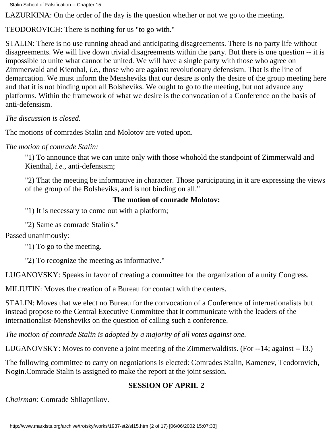LAZURKINA: On the order of the day is the question whether or not we go to the meeting.

TEODOROVICH: There is nothing for us "to go with."

STALIN: There is no use running ahead and anticipating disagreements. There is no party life without disagreements. We will live down trivial disagreements within the party. But there is one question -- it is impossible to unite what cannot be united. We will have a single party with those who agree on Zimmerwald and Kienthal, *i.e.,* those who are against revolutionary defensism. That is the line of demarcation. We must inform the Mensheviks that our desire is only the desire of the group meeting here and that it is not binding upon all Bolsheviks. We ought to go to the meeting, but not advance any platforms. Within the framework of what we desire is the convocation of a Conference on the basis of anti-defensism.

*The discussion is closed.*

Thc motions of comrades Stalin and Molotov are voted upon.

*The motion of comrade Stalin:*

"1) To announce that we can unite only with those whohold the standpoint of Zimmerwald and Kienthal, *i.e.,* anti-defensism;

"2) That the meeting be informative in character. Those participating in it are expressing the views of the group of the Bolsheviks, and is not binding on all."

### **The motion of comrade Molotov:**

"1) It is necessary to come out with a platform;

"2) Same as comrade Stalin's."

Passed unanimously:

"1) To go to the meeting.

"2) To recognize the meeting as informative."

LUGANOVSKY: Speaks in favor of creating a committee for the organization of a unity Congress.

MILIUTIN: Moves the creation of a Bureau for contact with the centers.

STALIN: Moves that we elect no Bureau for the convocation of a Conference of internationalists but instead propose to the Central Executive Committee that it communicate with the leaders of the internationalist-Mensheviks on the question of calling such a conference.

*The motion of comrade Stalin is adopted by a majority of all votes against one.*

LUGANOVSKY: Moves to convene a joint meeting of the Zimmerwaldists. (For --14; against -- l3.)

The following committee to carry on negotiations is elected: Comrades Stalin, Kamenev, Teodorovich, Nogin.Comrade Stalin is assigned to make the report at the joint session.

# **SESSION OF APRIL 2**

*Chairman:* Comrade Shliapnikov.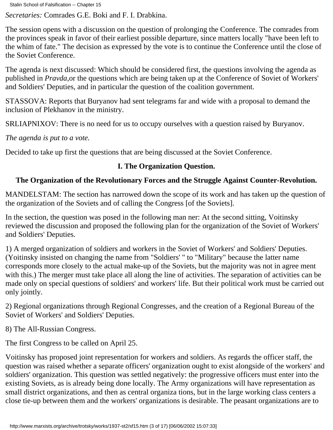*Secretaries:* Comrades G.E. Boki and F. I. Drabkina.

The session opens with a discussion on the question of prolonging the Conference. The comrades from the provinces speak in favor of their earliest possible departure, since matters locally "have been left to the whim of fate." The decision as expressed by the vote is to continue the Conference until the close of the Soviet Conference.

The agenda is next discussed: Which should be considered first, the questions involving the agenda as published in *Pravda,*or the questions which are being taken up at the Conference of Soviet of Workers' and Soldiers' Deputies, and in particular the question of the coalition government.

STASSOVA: Reports that Buryanov had sent telegrams far and wide with a proposal to demand the inclusion of Plekhanov in the ministry.

SRLIAPNIXOV: There is no need for us to occupy ourselves with a question raised by Buryanov.

*The agenda is put to a vote.*

Decided to take up first the questions that are being discussed at the Soviet Conference.

#### **I. The Organization Question.**

#### **The Organization of the Revolutionary Forces and the Struggle Against Counter-Revolution.**

MANDELSTAM: The section has narrowed down the scope of its work and has taken up the question of the organization of the Soviets and of calling the Congress [of the Soviets].

In the section, the question was posed in the following man ner: At the second sitting, Voitinsky reviewed the discussion and proposed the following plan for the organization of the Soviet of Workers' and Soldiers' Deputies.

1) A merged organization of soldiers and workers in the Soviet of Workers' and Soldiers' Deputies. (Yoitinsky insisted on changing the name from "Soldiers' " to "Military" because the latter name corresponds more closely to the actual make-up of the Soviets, but the majority was not in agree ment with this.) The merger must take place all along the line of activities. The separation of activities can be made only on special questions of soldiers' and workers' life. But their political work must be carried out only jointly.

2) Regional organizations through Regional Congresses, and the creation of a Regional Bureau of the Soviet of Workers' and Soldiers' Deputies.

8) The All-Russian Congress.

The first Congress to be called on April 25.

Voitinsky has proposed joint representation for workers and soldiers. As regards the officer staff, the question was raised whether a separate officers' organization ought to exist alongside of the workers' and soldiers' organization. This question was settled negatively: the progressive officers must enter into the existing Soviets, as is already being done locally. The Army organizations will have representation as small district organizations, and then as central organiza tions, but in the large working class centers a close tie-up between them and the workers' organizations is desirable. The peasant organizations are to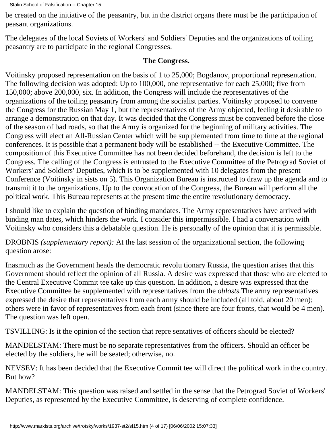be created on the initiative of the peasantry, but in the district organs there must be the participation of peasant organizations.

The delegates of the local Soviets of Workers' and Soldiers' Deputies and the organizations of toiling peasantry are to participate in the regional Congresses.

#### **The Congress.**

Voitinsky proposed representation on the basis of 1 to 25,000; Bogdanov, proportional representation. The following decision was adopted: Up to 100,000, one representative for each 25,000; five from 150,000; above 200,000, six. In addition, the Congress will include the representatives of the organizations of the toiling peasantry from among the socialist parties. Voitinsky proposed to convene the Congress for the Russian May 1, but the representatives of the Army objected, feeling it desirable to arrange a demonstration on that day. It was decided that the Congress must be convened before the close of the season of bad roads, so that the Army is organized for the beginning of military activities. The Congress will elect an All-Russian Center which will be sup plemented from time to time at the regional conferences. It is possible that a permanent body will be established -- the Executive Committee. The composition of this Executive Committee has not been decided beforehand, the decision is left to the Congress. The calling of the Congress is entrusted to the Executive Committee of the Petrograd Soviet of Workers' and Soldiers' Deputies, which is to be supplemented with 10 delegates from the present Conference (Voitinsky in sists on 5). This Organization Bureau is instructed to draw up the agenda and to transmit it to the organizations. Up to the convocation of the Congress, the Bureau will perform all the political work. This Bureau represents at the present time the entire revolutionary democracy.

I should like to explain the question of binding mandates. The Army representatives have arrived with binding man dates, which hinders the work. I consider this impermissible. I had a conversation with Voitinsky who considers this a debatable question. He is personally of the opinion that it is permissible.

DROBNIS *(supplementary report):* At the last session of the organizational section, the following question arose:

Inasmuch as the Government heads the democratic revolu tionary Russia, the question arises that this Government should reflect the opinion of all Russia. A desire was expressed that those who are elected to the Central Executive Commit tee take up this question. In addition, a desire was expressed that the Executive Committee be supplemented with representatives from the *oblosts.*The army representatives expressed the desire that representatives from each army should be included (all told, about 20 men); others were in favor of representatives from each front (since there are four fronts, that would be 4 men). The question was left open.

TSVILLING: Is it the opinion of the section that repre sentatives of officers should be elected?

MANDELSTAM: There must be no separate representatives from the officers. Should an officer be elected by the soldiers, he will be seated; otherwise, no.

NEVSEV: It has been decided that the Executive Commit tee will direct the political work in the country. But how?

MANDELSTAM: This question was raised and settled in the sense that the Petrograd Soviet of Workers' Deputies, as represented by the Executive Committee, is deserving of complete confidence.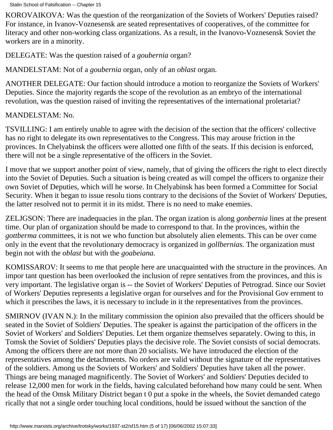KOROVAIKOVA: Was the question of the reorganization of the Soviets of Workers' Deputies raised? For instance, in Ivanov-Voznesensk are seated representatives of cooperatives, of the committee for literacy and other non-working class organizations. As a result, in the Ivanovo-Voznesensk Soviet the workers are in a minority.

DELEGATE: Was the question raised of a *goubernia* organ?

MANDELSTAM: Not of a *goubernia* organ, only of an *oblast* organ.

ANOTHER DELEGATE: Our faction should introduce a motion to reorganize the Soviets of Workers' Deputies. Since the majority regards the scope of the revolution as an embryo of the international revolution, was the question raised of inviting the representatives of the international proletariat?

#### MANDELSTAM: No.

TSVILLING: I am entirely unable to agree with the decision of the section that the officers' collective has no right to delegate its own representatives to the Congress. This may arouse friction in the provinces. In Chelyabinsk the officers were allotted one fifth of the seats. If this decision is enforced, there will not be a single representative of the officers in the Soviet.

I move that we support another point of view, namely, that of giving the officers the right to elect directly into the Soviet of Deputies. Such a situation is being created as will compel the officers to organize their own Soviet of Deputies, which will he worse. In Chelyabinsk has been formed a Committee for Social Security. When it began to issue resolu tions contrary to the decisions of the Soviet of Workers' Deputies, the latter resolved not to permit it in its midst. There is no need to make enemies.

ZELJGSON: There are inadequacies in the plan. The organ ization is along *gonbernia* lines at the present time. Our plan of organization should be made to correspond to that. In the provinces, within the *gottberma* committees, it is not we who function but absolutely alien elements. This can be over come only in the event that the revolutionary democracy is organized in *gollbernias.* The organization must begin not with the *oblast* but with the *goabeiana.*

KOMISSAROV: It seems to me that people here are unacquainted with the structure in the provinces. An impor tant question has been overlooked the inclusion of repre sentatives from the provinces, and this is very important. The legislative organ is -- the Soviet of Workers' Deputies of Petrograd. Since our Soviet of Workers' Deputies represents a legislative organ for ourselves and for the Provisional Gov ernment to which it prescribes the laws, it is necessary to include in it the representatives from the provinces.

SMIRNOV (IVAN N.): In the military commission the opinion also prevailed that the officers should be seated in the Soviet of Soldiers' Deputies. The speaker is against the participation of the officers in the Soviet of Workers' and Soldiers' Deputies. Let them organize themselves separately. Owing to this, in Tomsk the Soviet of Soldiers' Deputies plays the decisive role. The Soviet consists of social democrats. Among the officers there are not more than 20 socialists. We have introduced the election of the representatives among the detachments. No orders are valid without the signature of the representatives of the soldiers. Among us the Soviets of Workers' and Soldiers' Deputies have taken all the power. Things are being managed magnificently. The Soviet of Workers' and Soldiers' Deputies decided to release 12,000 men for work in the fields, having calculated beforehand how many could be sent. When the head of the Omsk Military District began t 0 put a spoke in the wheels, the Soviet demanded catego rically that not a single order touching local conditions, hould be issued without the sanction of the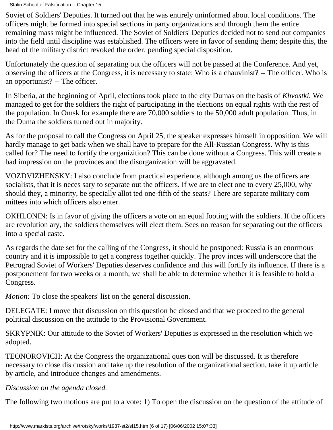Soviet of Soldiers' Deputies. It turned out that he was entirely uninformed about local conditions. The officers might be formed into special sections in party organizations and through them the entire remaining mass might be influenced. The Soviet of Soldiers' Deputies decided not to send out companies into the field until discipline was established. The officers were in favor of sending them; despite this, the head of the military district revoked the order, pending special disposition.

Unfortunately the question of separating out the officers will not be passed at the Conference. And yet, observing the officers at the Congress, it is necessary to state: Who is a chauvinist? -- The officer. Who is an opportunist? -- The officer.

In Siberia, at the beginning of April, elections took place to the city Dumas on the basis of *Khvostki.* We managed to get for the soldiers the right of participating in the elections on equal rights with the rest of the population. In Omsk for example there are 70,000 soldiers to the 50,000 adult population. Thus, in the Duma the soldiers turned out in majority.

As for the proposal to call the Congress on April 25, the speaker expresses himself in opposition. We will hardly manage to get back when we shall have to prepare for the All-Russian Congress. Why is this called for? The need to fortify the organizition? This can be done without a Congress. This will create a bad impression on the provinces and the disorganization will be aggravated.

VOZDVIZHENSKY: I also conclude from practical experience, although among us the officers are socialists, that it is neces sary to separate out the officers. If we are to elect one to every 25,000, why should they, a minority, be specially allot ted one-fifth of the seats? There are separate military com mittees into which officers also enter.

OKHLONIN: Is in favor of giving the officers a vote on an equal footing with the soldiers. If the officers are revolution ary, the soldiers themselves will elect them. Sees no reason for separating out the officers into a special caste.

As regards the date set for the calling of the Congress, it should be postponed: Russia is an enormous country and it is impossible to get a congress together quickly. The prov inces will underscore that the Petrograd Soviet of Workers' Deputies deserves confidence and this will fortify its influence. If there is a postponement for two weeks or a month, we shall be able to determine whether it is feasible to hold a Congress.

*Motion:* To close the speakers' list on the general discussion.

DELEGATE: I move that discussion on this question be closed and that we proceed to the general political discussion on the attitude to the Provisional Government.

SKRYPNIK: Our attitude to the Soviet of Workers' Deputies is expressed in the resolution which we adopted.

TEONOROVICH: At the Congress the organizational ques tion will be discussed. It is therefore necessary to close dis cussion and take up the resolution of the organizational section, take it up article by article, and introduce changes and amendments.

*Discussion on the agenda closed.*

The following two motions are put to a vote: 1) To open the discussion on the question of the attitude of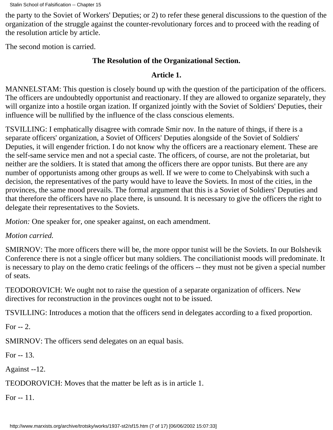the party to the Soviet of Workers' Deputies; or 2) to refer these general discussions to the question of the organization of the struggle against the counter-revolutionary forces and to proceed with the reading of the resolution article by article.

The second motion is carried.

#### **The Resolution of the Organizational Section.**

#### **Article 1.**

MANNELSTAM: This question is closely bound up with the question of the participation of the officers. The officers are undoubtedly opportunist and reactionary. If they are allowed to organize separately, they will organize into a hostile organ ization. If organized jointly with the Soviet of Soldiers' Deputies, their influence will be nullified by the influence of the class conscious elements.

TSVILLING: I emphatically disagree with comrade Smir nov. In the nature of things, if there is a separate officers' organization, a Soviet of Officers' Deputies alongside of the Soviet of Soldiers' Deputies, it will engender friction. I do not know why the officers are a reactionary element. These are the self-same service men and not a special caste. The officers, of course, are not the proletariat, but neither are the soldiers. It is stated that among the officers there are oppor tunists. But there are any number of opportunists among other groups as well. If we were to come to Chelyabinsk with such a decision, the representatives of the party would have to leave the Soviets. In most of the cities, in the provinces, the same mood prevails. The formal argument that this is a Soviet of Soldiers' Deputies and that therefore the officers have no place there, is unsound. It is necessary to give the officers the right to delegate their representatives to the Soviets.

*Motion:* One speaker for, one speaker against, on each amendment.

*Motion carried.*

SMIRNOV: The more officers there will be, the more oppor tunist will be the Soviets. In our Bolshevik Conference there is not a single officer but many soldiers. The conciliationist moods will predominate. It is necessary to play on the demo cratic feelings of the officers -- they must not be given a special number of seats.

TEODOROVICH: We ought not to raise the question of a separate organization of officers. New directives for reconstruction in the provinces ought not to be issued.

TSVILLING: Introduces a motion that the officers send in delegates according to a fixed proportion.

For -- 2.

SMIRNOV: The officers send delegates on an equal basis.

For -- 13.

Against --12.

TEODOROVICH: Moves that the matter be left as is in article 1.

For -- 11.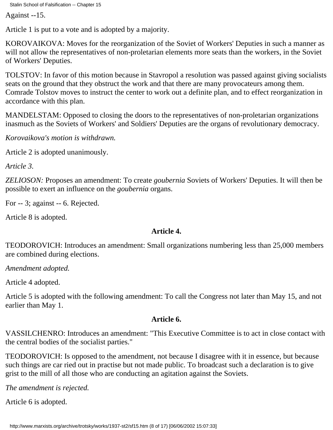Against --15.

Article 1 is put to a vote and is adopted by a majority.

KOROVAIKOVA: Moves for the reorganization of the Soviet of Workers' Deputies in such a manner as will not allow the representatives of non-proletarian elements more seats than the workers, in the Soviet of Workers' Deputies.

TOLSTOV: In favor of this motion because in Stavropol a resolution was passed against giving socialists seats on the ground that they obstruct the work and that there are many provocateurs among them. Comrade Tolstov moves to instruct the center to work out a definite plan, and to effect reorganization in accordance with this plan.

MANDELSTAM: Opposed to closing the doors to the representatives of non-proletarian organizations inasmuch as the Soviets of Workers' and Soldiers' Deputies are the organs of revolutionary democracy.

*Korovaikova's motion is withdrawn.*

Article 2 is adopted unanimously.

*Article 3.*

*ZELIOSON:* Proposes an amendment: To create *goubernia* Soviets of Workers' Deputies. It will then be possible to exert an influence on the *goubernia* organs.

For -- 3; against -- 6. Rejected.

Article 8 is adopted.

#### **Article 4.**

TEODOROVICH: Introduces an amendment: Small organizations numbering less than 25,000 members are combined during elections.

*Amendment adopted.*

Article 4 adopted.

Article 5 is adopted with the following amendment: To call the Congress not later than May 15, and not earlier than May 1.

#### **Article 6.**

VASSILCHENRO: Introduces an amendment: "This Executive Committee is to act in close contact with the central bodies of the socialist parties."

TEODOROVICH: Is opposed to the amendment, not because I disagree with it in essence, but because such things are car ried out in practise but not made public. To broadcast such a declaration is to give grist to the mill of all those who are conducting an agitation against the Soviets.

*The amendment is rejected.*

Article 6 is adopted.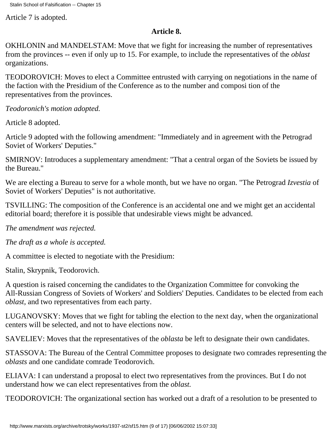Article 7 is adopted.

#### **Article 8.**

OKHLONIN and MANDELSTAM: Move that we fight for increasing the number of representatives from the provinces -- even if only up to 15. For example, to include the representatives of the *oblast* organizations.

TEODOROVICH: Moves to elect a Committee entrusted with carrying on negotiations in the name of the faction with the Presidium of the Conference as to the number and composi tion of the representatives from the provinces.

*Teodoronich's motion adopted.*

Article 8 adopted.

Article 9 adopted with the following amendment: "Immediately and in agreement with the Petrograd Soviet of Workers' Deputies."

SMIRNOV: Introduces a supplementary amendment: "That a central organ of the Soviets be issued by the Bureau."

We are electing a Bureau to serve for a whole month, but we have no organ. "The Petrograd *Izvestia* of Soviet of Workers' Deputies" is not authoritative.

TSVILLING: The composition of the Conference is an accidental one and we might get an accidental editorial board; therefore it is possible that undesirable views might be advanced.

*The amendment was rejected.*

*The draft as a whole is accepted.*

A committee is elected to negotiate with the Presidium:

Stalin, Skrypnik, Teodorovich.

A question is raised concerning the candidates to the Organization Committee for convoking the All-Russian Congress of Soviets of Workers' and Soldiers' Deputies. Candidates to be elected from each *oblast,* and two representatives from each party.

LUGANOVSKY: Moves that we fight for tabling the election to the next day, when the organizational centers will be selected, and not to have elections now.

SAVELIEV: Moves that the representatives of the *oblasta* be left to designate their own candidates.

STASSOVA: The Bureau of the Central Committee proposes to designate two comrades representing the *oblasts* and one candidate comrade Teodorovich.

ELIAVA: I can understand a proposal to elect two representatives from the provinces. But I do not understand how we can elect representatives from the *oblast.*

TEODOROVICH: The organizational section has worked out a draft of a resolution to be presented to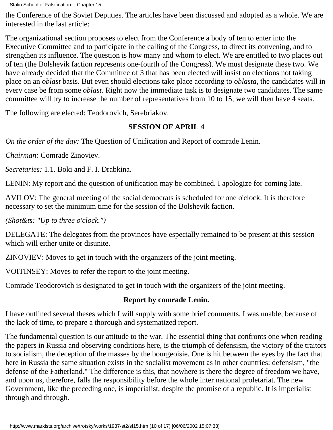the Conference of the Soviet Deputies. The articles have been discussed and adopted as a whole. We are interested in the last article:

The organizational section proposes to elect from the Conference a body of ten to enter into the Executive Committee and to participate in the calling of the Congress, to direct its convening, and to strengthen its influence. The question is how many and whom to elect. We are entitled to two places out of ten (the Bolshevik faction represents one-fourth of the Congress). We must designate these two. We have already decided that the Committee of 3 that has been elected will insist on elections not taking place on an *oblast* basis. But even should elections take place according to *oblasta,* the candidates will in every case be from some *oblast*. Right now the immediate task is to designate two candidates. The same committee will try to increase the number of representatives from 10 to 15; we will then have 4 seats.

The following are elected: Teodorovich, Serebriakov.

#### **SESSION OF APRIL 4**

*On the order of the day:* The Question of Unification and Report of comrade Lenin.

*Chairman:* Comrade Zinoviev.

*Secretaries:* 1.1. Boki and F. I. Drabkina.

LENIN: My report and the question of unification may be combined. I apologize for coming late.

AVILOV: The general meeting of the social democrats is scheduled for one o'clock. It is therefore necessary to set the minimum time for the session of the Bolshevik faction.

*(Shot&ts: "Up to three o'clock.")*

DELEGATE: The delegates from the provinces have especially remained to be present at this session which will either unite or disunite.

ZINOVIEV: Moves to get in touch with the organizers of the joint meeting.

VOITINSEY: Moves to refer the report to the joint meeting.

Comrade Teodorovich is designated to get in touch with the organizers of the joint meeting.

#### **Report by comrade Lenin.**

I have outlined several theses which I will supply with some brief comments. I was unable, because of the lack of time, to prepare a thorough and systematized report.

The fundamental question is our attitude to the war. The essential thing that confronts one when reading the papers in Russia and observing conditions here, is the triumph of defensism, the victory of the traitors to socialism, the deception of the masses by the bourgeoisie. One is hit between the eyes by the fact that here in Russia the same situation exists in the socialist movement as in other countries: defensism, "the defense of the Fatherland." The difference is this, that nowhere is there the degree of freedom we have, and upon us, therefore, falls the responsibility before the whole inter national proletariat. The new Government, like the preceding one, is imperialist, despite the promise of a republic. It is imperialist through and through.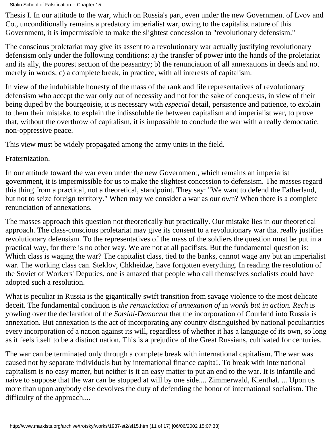Thesis I. In our attitude to the war, which on Russia's part, even under the new Government of Lvov and Co., unconditionally remains a predatory imperialist war, owing to the capitalist nature of this Government, it is impermissible to make the slightest concession to "revolutionary defensism."

The conscious proletariat may give its assent to a revolutionary war actually justifying revolutionary defensism only under the following conditions: a) the transfer of power into the hands of the proletariat and its ally, the poorest section of the peasantry; b) the renunciation of all annexations in deeds and not merely in words; c) a complete break, in practice, with all interests of capitalism.

In view of the indubitable honesty of the mass of the rank and file representatives of revolutionary defensism who accept the war only out of necessity and not for the sake of conquests, in view of their being duped by the bourgeoisie, it is necessary with *especial* detail, persistence and patience, to explain to them their mistake, to explain the indissoluble tie between capitalism and imperialist war, to prove that, without the overthrow of capitalism, it is impossible to conclude the war with a really democratic, non-oppressive peace.

This view must be widely propagated among the army units in the field.

Fraternization.

In our attitude toward the war even under the new Government, which remains an imperialist government, it is impermissible for us to make the slightest concession to defensism. The masses regard this thing from a practical, not a theoretical, standpoint. They say: "We want to defend the Fatherland, but not to seize foreign territory." When may we consider a war as our own? When there is a complete renunciation of annexations.

The masses approach this question not theoretically but practically. Our mistake lies in our theoretical approach. The class-conscious proletariat may give its consent to a revolutionary war that really justifies revolutionary defensism. To the representatives of the mass of the soldiers the question must be put in a practical way, for there is no other way. We are not at all pacifists. But the fundamental question is: Which class is waging the war? The capitalist class, tied to the banks, cannot wage any but an imperialist war. The working class can. Steklov, Chkheidze, have forgotten everything. In reading the resolution of the Soviet of Workers' Deputies, one is amazed that people who call themselves socialists could have adopted such a resolution.

What is peculiar in Russia is the gigantically swift transition from savage violence to the most delicate deceit. The fundamental condition is *the renunciation of annexation of* in *words but in action. Rech* is yowling over the declaration of the *Sotsial-Democrat* that the incorporation of Courland into Russia is annexation. But annexation is the act of incorporating any country distinguished by national peculiarities every incorporation of a nation against its will, regardless of whether it has a language of its own, so long as it feels itself to be a distinct nation. This is a prejudice of the Great Russians, cultivated for centuries.

The war can be terminated only through a complete break with international capitalism. The war was caused not by separate individuals but by international finance capita!. To break with international capitalism is no easy matter, but neither is it an easy matter to put an end to the war. It is infantile and naive to suppose that the war can be stopped at will by one side.... Zimmerwald, Kienthal. ... Upon us more than upon anybody else devolves the duty of defending the honor of international socialism. The difficulty of the approach....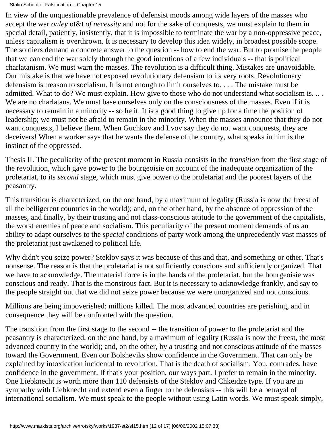In view of the unquestionable prevalence of defensist moods among wide layers of the masses who accept the war *onley* ot&t *of necessity* and not for the sake of conquests, we must explain to them in special detail, patiently, insistently, that it is impossible to terminate the war by a non-oppressive peace, unless capitalism is overthrown. It is necessary to develop this idea widely, in broadest possible scope. The soldiers demand a concrete answer to the question -- how to end the war. But to promise the people that we can end the war solely through the good intentions of a few individuals -- that is political charlatanism. We must warn the masses. The revolution is a difficult thing. Mistakes are unavoidable. Our mistake is that we have not exposed revolutionary defensism to its very roots. Revolutionary defensism is treason to socialism. It is not enough to limit ourselves to. . . . The mistake must be admitted. What to do? We must explain. How give to those who do not understand what socialism is. .. . We are no charlatans. We must base ourselves only on the consciousness of the masses. Even if it is necessary to remain in a minority -- so he it. It is a good thing to give up for a time the position of leadership; we must not be afraid to remain in the minority. When the masses announce that they do not want conquests, I believe them. When Guchkov and Lvov say they do not want conquests, they are deceivers! When a worker says that he wants the defense of the country, what speaks in him is the instinct of the oppressed.

Thesis II. The peculiarity of the present moment in Russia consists in the *transition* from the first stage of the revolution, which gave power to the bourgeoisie on account of the inadequate organization of the proletariat, to its *second* stage, which must give power to the proletariat and the poorest layers of the peasantry.

This transition is characterized, on the one hand, by a maximum of legality (Russia is now the freest of all the belligerent countries in the world); and, on the other hand, by the absence of oppression of the masses, and finally, by their trusting and not class-conscious attitude to the government of the capitalists, the worst enemies of peace and socialism. This peculiarity of the present moment demands of us an ability to adapt ourselves to the *special* conditions of party work among the unprecedently vast masses of the proletariat just awakened to political life.

Why didn't you seize power? Steklov says it was because of this and that, and something or other. That's nonsense. The reason is that the proletariat is not sufficiently conscious and sufficiently organized. That we have to acknowledge. The material force is in the hands of the proletariat, but the bourgeoisie was conscious and ready. That is the monstrous fact. But it is necessary to acknowledge frankly, and say to the people straight out that we did not seize power because we were unorganized and not conscious.

Millions are being impoverished; millions killed. The most advanced countries are perishing, and in consequence they will be confronted with the question.

The transition from the first stage to the second -- the transition of power to the proletariat and the peasantry is characterized, on the one hand, by a maximum of legality (Russia is now the freest, the most advanced country in the world); and, on the other, by a trusting and not conscious attitude of the masses toward the Government. Even our Bolsheviks show confidence in the Government. That can only be explained by intoxication incidental to revolution. That is the death of socialism. You, comrades, have confidence in the government. If that's your position, our ways part. I prefer to remain in the minority. One Liebknecht is worth more than 110 defensists of the Steklov and Chkeidze type. If you are in sympathy with Liebknecht and extend even a finger to the defensists -- this will be a betrayal of international socialism. We must speak to the people without using Latin words. We must speak simply,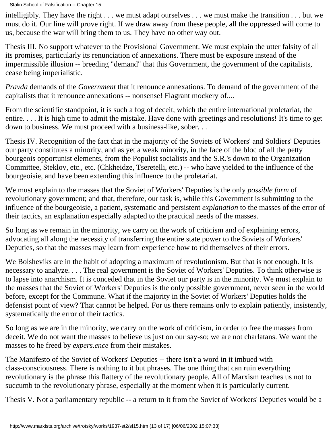intelligibly. They have the right . . . we must adapt ourselves . . . we must make the transition . . . but we must do it. Our line will prove right. If we draw away from these people, all the oppressed will come to us, because the war will bring them to us. They have no other way out.

Thesis III. No support whatever to the Provisional Government. We must explain the utter falsity of all its promises, particularly its renunciation of annexations. There must be exposure instead of the impermissible illusion -- breeding "demand" that this Government, the government of the capitalists, cease being imperialistic.

*Pravda* demands of the *Government* that it renounce annexations. To demand of the government of the capitalists that it renounce annexations -- nonsense! Flagrant mockery of....

From the scientific standpoint, it is such a fog of deceit, which the entire international proletariat, the entire. . . . It is high time to admit the mistake. Have done with greetings and resolutions! It's time to get down to business. We must proceed with a business-like, sober. . .

Thesis IV. Recognition of the fact that in the majority of the Soviets of Workers' and Soldiers' Deputies our party constitutes a minority, and as yet a weak minority, in the face of the bloc of all the petty bourgeois opportunist elements, from the Populist socialists and the S.R.'s down to the Organization Committee, Steklov, etc., etc. (Chkheidze, Tseretelli, etc.) -- who have yielded to the influence of the bourgeoisie, and have been extending this influence to the proletariat.

We must explain to the masses that the Soviet of Workers' Deputies is the only *possible form* of revolutionary government; and that, therefore, our task is, while this Government is submitting to the influence of the bourgeoisie, a patient, systematic and persistent *explanation* to the masses of the error of their tactics, an explanation especially adapted to the practical needs of the masses.

So long as we remain in the minority, we carry on the work of criticism and of explaining errors, advocating all along the necessity of transferring the entire state power to the Soviets of Workers' Deputies, so that the masses may learn from experience how to rid themselves of their errors.

We Bolsheviks are in the habit of adopting a maximum of revolutionism. But that is not enough. It is necessary to analyze. . . . The real government is the Soviet of Workers' Deputies. To think otherwise is to lapse into anarchism. It is conceded that in the Soviet our party is in the minority. We must explain to the masses that the Soviet of Workers' Deputies is the only possible government, never seen in the world before, except for the Commune. What if the majority in the Soviet of Workers' Deputies holds the defensist point of view? That cannot be helped. For us there remains only to explain patiently, insistently, systematically the error of their tactics.

So long as we are in the minority, we carry on the work of criticism, in order to free the masses from deceit. We do not want the masses to believe us just on our say-so; we are not charlatans. We want the masses to he freed by *expers.ence* from their mistakes.

The Manifesto of the Soviet of Workers' Deputies -- there isn't a word in it imbued with class-consciousness. There is nothing to it but phrases. The one thing that can ruin everything revolutionary is the phrase this flattery of the revolutionary people. All of Marxism teaches us not to succumb to the revolutionary phrase, especially at the moment when it is particularly current.

Thesis V. Not a parliamentary republic -- a return to it from the Soviet of Workers' Deputies would be a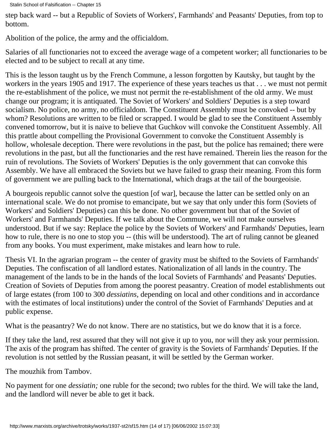step back ward -- but a Republic of Soviets of Workers', Farmhands' and Peasants' Deputies, from top to bottom.

Abolition of the police, the army and the officialdom.

Salaries of all functionaries not to exceed the average wage of a competent worker; all functionaries to be elected and to be subject to recall at any time.

This is the lesson taught us by the French Commune, a lesson forgotten by Kautsky, but taught by the workers in the years 1905 and 1917. The experience of these years teaches us that . . . we must not permit the re-establishment of the police, we must not permit the re-establishment of the old army. We must change our program; it is antiquated. The Soviet of Workers' and Soldiers' Deputies is a step toward socialism. No police, no army, no officialdom. The Constituent Assembly must be convoked -- but by whom? Resolutions are written to be filed or scrapped. I would be glad to see the Constituent Assembly convened tomorrow, but it is naive to believe that Guchkov will convoke the Constituent Assembly. All this prattle about compelling the Provisional Government to convoke the Constituent Assembly is hollow, wholesale deception. There were revolutions in the past, but the police has remained; there were revolutions in the past, but all the functionaries and the rest have remained. Therein lies the reason for the ruin of revolutions. The Soviets of Workers' Deputies is the only government that can convoke this Assembly. We have all embraced the Soviets but we have failed to grasp their meaning. From this form of government we are pulling back to the International, which drags at the tail of the bourgeoisie.

A bourgeois republic cannot solve the question [of war], because the latter can be settled only on an international scale. We do not promise to emancipate, but we say that only under this form (Soviets of Workers' and Soldiers' Deputies) can this be done. No other government but that of the Soviet of Workers' and Farmhands' Deputies. If we talk about the Commune, we will not make ourselves understood. But if we say: Replace the police by the Soviets of Workers' and Farmhands' Deputies, learn how to rule, there is no one to stop you -- (this will be understood). The art of ruling cannot be gleaned from any books. You must experiment, make mistakes and learn how to rule.

Thesis VI. In the agrarian program -- the center of gravity must be shifted to the Soviets of Farmhands' Deputies. The confiscation of all landlord estates. Nationalization of all lands in the country. The management of the lands to be in the hands of the local Soviets of Farmhands' and Peasants' Deputies. Creation of Soviets of Deputies from among the poorest peasantry. Creation of model establishments out of large estates (from 100 to 300 *dessiatins,* depending on local and other conditions and in accordance with the estimates of local institutions) under the control of the Soviet of Farmhands' Deputies and at public expense.

What is the peasantry? We do not know. There are no statistics, but we do know that it is a force.

If they take the land, rest assured that they will not give it up to you, nor will they ask your permission. The axis of the program has shifted. The center of gravity is the Soviets of Farmhands' Deputies. If the revolution is not settled by the Russian peasant, it will be settled by the German worker.

The mouzhik from Tambov.

No payment for one *dessiatin;* one ruble for the second; two rubles for the third. We will take the land, and the landlord will never be able to get it back.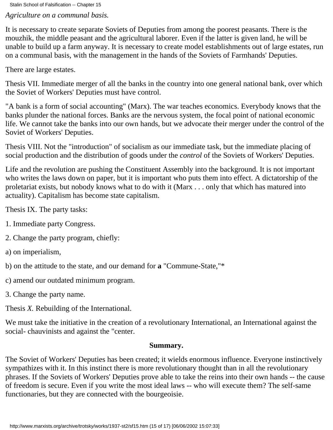*Agriculture on a communal basis.*

It is necessary to create separate Soviets of Deputies from among the poorest peasants. There is the mouzhik, the middle peasant and the agricultural laborer. Even if the latter is given land, he will be unable to build up a farm anyway. It is necessary to create model establishments out of large estates, run on a communal basis, with the management in the hands of the Soviets of Farmhands' Deputies.

There are large estates.

Thesis VII. Immediate merger of all the banks in the country into one general national bank, over which the Soviet of Workers' Deputies must have control.

"A bank is a form of social accounting" (Marx). The war teaches economics. Everybody knows that the banks plunder the national forces. Banks are the nervous system, the focal point of national economic life. We cannot take the banks into our own hands, but we advocate their merger under the control of the Soviet of Workers' Deputies.

Thesis VIII. Not the "introduction" of socialism as our immediate task, but the immediate placing of social production and the distribution of goods under the *control* of the Soviets of Workers' Deputies.

Life and the revolution are pushing the Constituent Assembly into the background. It is not important who writes the laws down on paper, but it is important who puts them into effect. A dictatorship of the proletariat exists, but nobody knows what to do with it (Marx . . . only that which has matured into actuality). Capitalism has become state capitalism.

Thesis IX. The party tasks:

- 1. Immediate party Congress.
- 2. Change the party program, chiefly:
- a) on imperialism,
- b) on the attitude to the state, and our demand for **a** "Commune-State,"\*
- c) amend our outdated minimum program.
- 3. Change the party name.

Thesis *X.* Rebuilding of the International.

We must take the initiative in the creation of a revolutionary International, an International against the social- chauvinists and against the "center.

#### **Summary.**

The Soviet of Workers' Deputies has been created; it wields enormous influence. Everyone instinctively sympathizes with it. In this instinct there is more revolutionary thought than in all the revolutionary phrases. If the Soviets of Workers' Deputies prove able to take the reins into their own hands -- the cause of freedom is secure. Even if you write the most ideal laws -- who will execute them? The self-same functionaries, but they are connected with the bourgeoisie.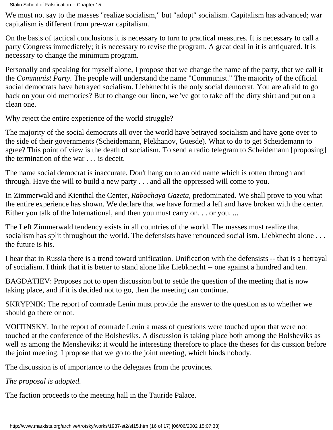We must not say to the masses "realize socialism," but "adopt" socialism. Capitalism has advanced; war capitalism is different from pre-war capitalism.

On the basis of tactical conclusions it is necessary to turn to practical measures. It is necessary to call a party Congress immediately; it is necessary to revise the program. A great deal in it is antiquated. It is necessary to change the minimum program.

Personally and speaking for myself alone, I propose that we change the name of the party, that we call it the *Communist Party.* The people will understand the name "Communist." The majority of the official social democrats have betrayed socialism. Liebknecht is the only social democrat. You are afraid to go back on your old memories? But to change our linen, we 've got to take off the dirty shirt and put on a clean one.

Why reject the entire experience of the world struggle?

The majority of the social democrats all over the world have betrayed socialism and have gone over to the side of their governments (Scheidemann, Plekhanov, Guesde). What to do to get Scheidemann to agree? This point of view is the death of socialism. To send a radio telegram to Scheidemann [proposing] the termination of the war . . . is deceit.

The name social democrat is inaccurate. Don't hang on to an old name which is rotten through and through. Have the will to build a new party . . . and all the oppressed will come to you.

In Zimmerwald and Kienthal the Center, *Rabochaya Gazeta,* predominated. We shall prove to you what the entire experience has shown. We declare that we have formed a left and have broken with the center. Either you talk of the International, and then you must carry on. . . or you. ...

The Left Zimmerwald tendency exists in all countries of the world. The masses must realize that socialism has split throughout the world. The defensists have renounced social ism. Liebknecht alone . . . the future is his.

I hear that in Russia there is a trend toward unification. Unification with the defensists -- that is a betrayal of socialism. I think that it is better to stand alone like Liebknecht -- one against a hundred and ten.

BAGDATIEV: Proposes not to open discussion but to settle the question of the meeting that is now taking place, and if it is decided not to go, then the meeting can continue.

SKRYPNIK: The report of comrade Lenin must provide the answer to the question as to whether we should go there or not.

VOITINSKY: In the report of comrade Lenin a mass of questions were touched upon that were not touched at the conference of the Bolsheviks. A discussion is taking place both among the Bolsheviks as well as among the Mensheviks; it would he interesting therefore to place the theses for dis cussion before the joint meeting. I propose that we go to the joint meeting, which hinds nobody.

The discussion is of importance to the delegates from the provinces.

#### *The proposal is adopted.*

The faction proceeds to the meeting hall in the Tauride Palace.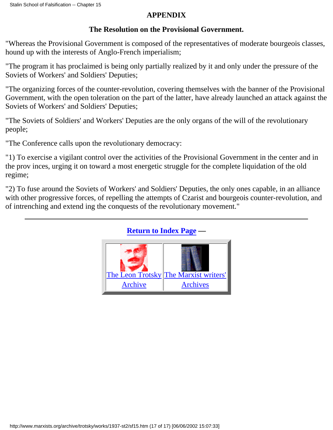#### **APPENDIX**

#### **The Resolution on the Provisional Government.**

"Whereas the Provisional Government is composed of the representatives of moderate bourgeois classes, hound up with the interests of Anglo-French imperialism;

"The program it has proclaimed is being only partially realized by it and only under the pressure of the Soviets of Workers' and Soldiers' Deputies;

"The organizing forces of the counter-revolution, covering themselves with the banner of the Provisional Government, with the open toleration on the part of the latter, have already launched an attack against the Soviets of Workers' and Soldiers' Deputies;

"The Soviets of Soldiers' and Workers' Deputies are the only organs of the will of the revolutionary people;

"The Conference calls upon the revolutionary democracy:

"1) To exercise a vigilant control over the activities of the Provisional Government in the center and in the prov inces, urging it on toward a most energetic struggle for the complete liquidation of the old regime;

"2) To fuse around the Soviets of Workers' and Soldiers' Deputies, the only ones capable, in an alliance with other progressive forces, of repelling the attempts of Czarist and bourgeois counter-revolution, and of intrenching and extend ing the conquests of the revolutionary movement."

## **[Return to Index Page](#page-0-0) —**